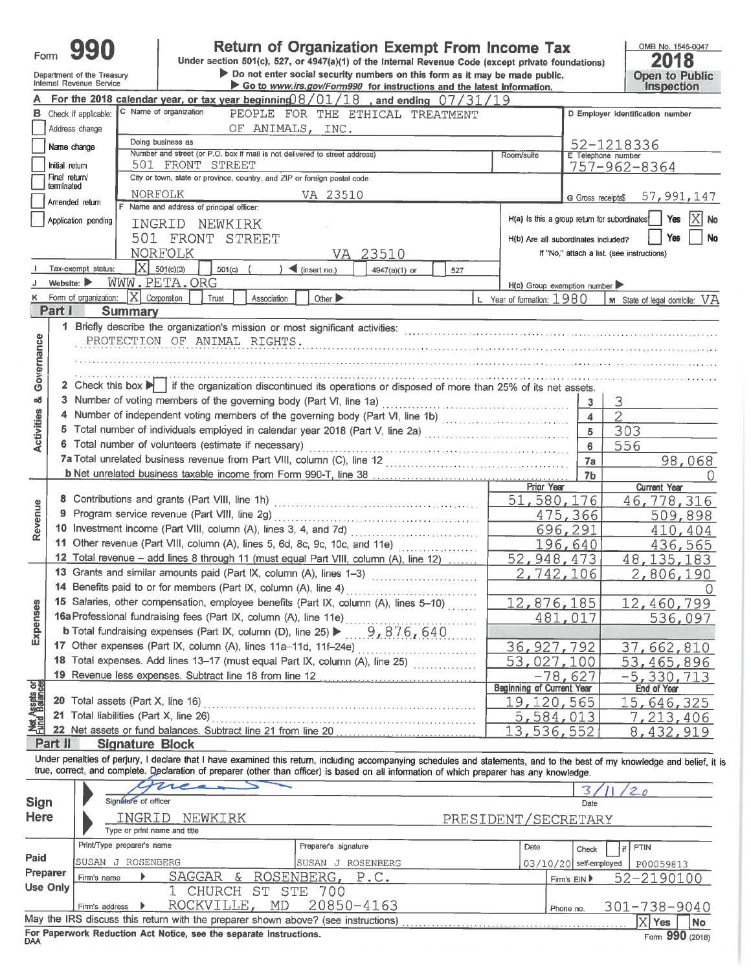| ∙om |  |  |
|-----|--|--|
|     |  |  |

#### Return of Organization Exempt From Income Tax

Under section 501(c), 527, or 4947(a)(1) of the Internal Revenue Code (except private foundations) Do not enter social security numbers on this form as it may be made public.

Department of the Treasury Internal Revenue Service

terminated

A

R.

Governance

oð

**Activities** 

Revenue

Expenses

|                                                                                                                                                                                                                                                                                                                | <b>PERSONS SHOW ASSESSED FOR AN INTERNATIONAL CONTRACT CONTRACT AND AN INCIDENT</b> |
|----------------------------------------------------------------------------------------------------------------------------------------------------------------------------------------------------------------------------------------------------------------------------------------------------------------|-------------------------------------------------------------------------------------|
|                                                                                                                                                                                                                                                                                                                | Go to www.irs.gov/Form990 for instructions and the latest inform                    |
| $\frac{1}{2}$ to $\frac{1}{2}$ (as $\frac{1}{2}$ = $\frac{1}{2}$ 0 $\frac{1}{2}$ 0 $\frac{1}{2}$ 1 0 $\frac{1}{2}$ = $\frac{1}{2}$ = $\frac{1}{2}$ $\frac{1}{2}$ $\frac{1}{2}$ 0 $\frac{1}{2}$ $\frac{1}{2}$ $\frac{1}{2}$ $\frac{1}{2}$ $\frac{1}{2}$ $\frac{1}{2}$ $\frac{1}{2}$ $\frac{1}{2}$ $\frac{1}{2}$ |                                                                                     |

**Open to Public** ation. Inspection For the 2018 calendar year, or tax year beginning  $18/01/18$ , and ending  $0/1/31/2$ C Name of organization Check if applicable: PEOPLE FOR THE ETHICAL TREATMENT D Employer identification number OF ANIMALS, INC. Address change Doing business as 52-1218336 Name change Number and street (or P.O. box if mail is not delivered to street address)  $P<sub>com/ent</sub>$ Telephone numb Initial return 501 FRONT STREET 757-962-8364 Final return/ City or town, state or province, country, and ZIP or foreign postal code **NORFOLK** VA 23510 57,991,147 G Gross receipts\$ Amended return Name and address of principal officer: H(a) is this a group return for subordinates Application pending Yes No INGRID NEWKIRK 501 FRONT STREET Yes No H(b) Are all subordinates included? **NORFOLK** If "No," attach a list. (see instructions) VA 23510  $X|_{501(c)(3)}$ Tax-exempt status:  $501(c)$  $\blacktriangleleft$  (insert no.)  $4947(a)(1)$  or 527 WWW.PETA.ORG Website:  $\blacktriangleright$  $H(c)$  Group exemption number Form of organization:  $\overline{X}$  Corporation  $\top$  Trust Year of formation: 1980 | M State of legal domicile: Association Other  $\blacktriangleright$ VA Part 1 **Summary** 1 Briefly describe the organization's mission or most significant activities: contractional contractions control or most significant activities: PROTECTION OF ANIMAL RIGHTS. 2 Check this box  $\blacksquare$  if the organization discontinued its operations or disposed of more than 25% of its net assets. 3 Number of voting members of the governing body (Part VI, line 1a) .........  $\mathbf{3}$ 4 Number of independent voting members of the governing body (Part VI, line 1b)  $\overline{2}$  $\overline{\mathbf{4}}$ 5 Total number of individuals employed in calendar year 2018 (Part V, line 2a) 303  $5<sup>-</sup>$  $6\phantom{1}$ 556 98,068  $7a$ b Net unrelated business taxable income from Form 990-T, line 38 7b O Prior Year **Current Year** 51,580,176 46,778,316 475,366 509,898 10 Investment income (Part VIII, column (A), lines 3, 4, and 7d) 696,291 410,404 11 Other revenue (Part VIII, column (A), lines 5, 6d, 8c, 9c, 10c, and 11e) <u> 196,640</u> 436,565 12 Total revenue - add lines 8 through 11 (must equal Part VIII, column (A), line 12) ...... 52, 948, 473 48, 135, 183 13 Grants and similar amounts paid (Part IX, column (A), lines 1-3) ................................ 2,742,106 2,806,190 0 15 Salaries, other compensation, employee benefits (Part IX, column (A), lines 5-10) 12,876,185  $12<sub>L</sub>$ 460,799 16a Professional fundraising fees (Part IX, column (A), line 11e) ..... 481,017 536,097 **b** Total fundraising expenses (Part IX, column (D), line 25)  $\blacktriangleright$  ...  $9,876,640$ 17 Other expenses (Part IX, column (A), lines 11a-11d, 11f-24e) ......... 36, 927, 792 37,662,810 18 Total expenses. Add lines 13-17 (must equal Part IX, column (A), line 25) 53,027,100 53,465,896

19 Revenue less expenses. Subtract line 18 from line 12  $-5,330,71$ -78,627 हरू End of Year **Beginning of Current Year** 15,646,325 19,120,565 5,584,013 7,213,406 22 Net assets or fund balances. Subtract line 21 from line 20  $13.$  $536.552$ 8, 432, 919

Part II **Signature Block** 

Under penalties of perjury, I declare that I have examined this return, including accompanying schedules and statements, and to the best of my knowledge and belief, it is true, correct, and complete. Declaration of preparer (other than officer) is based on all information of which preparer has any knowledge.

|             |                                                                                       |                            |  | mean                                                                              |     |                      |           |  |      |              |                          |  |                    |    |
|-------------|---------------------------------------------------------------------------------------|----------------------------|--|-----------------------------------------------------------------------------------|-----|----------------------|-----------|--|------|--------------|--------------------------|--|--------------------|----|
| <b>Sign</b> |                                                                                       | Signature of officer       |  |                                                                                   |     |                      |           |  |      |              | Date                     |  |                    |    |
| <b>Here</b> | INGRID<br>NEWKIRK<br>Type or print name and title                                     |                            |  | PRESIDENT/SECRETARY                                                               |     |                      |           |  |      |              |                          |  |                    |    |
|             |                                                                                       | Print/Type preparer's name |  |                                                                                   |     | Preparer's signature |           |  | Date |              | Check                    |  | PTIN               |    |
| Paid        |                                                                                       | SUSAN J ROSENBERG          |  |                                                                                   |     | ISUSAN<br>- U        | ROSENBERG |  |      |              | $03/10/20$ self-employed |  | P00059813          |    |
| Preparer    | Firm's name                                                                           |                            |  | SAGGAR & ROSENBERG, P.C.                                                          |     |                      |           |  |      | Firm's $EIN$ |                          |  | 52-2190100         |    |
| Use Only    |                                                                                       |                            |  | CHURCH ST STE                                                                     |     | - 700                |           |  |      |              |                          |  |                    |    |
|             | Firm's address                                                                        |                            |  | ROCKVILLE,                                                                        | MD. | 20850-4163           |           |  |      | Phone no.    |                          |  | $301 - 738 - 9040$ |    |
|             |                                                                                       |                            |  | May the IRS discuss this return with the preparer shown above? (see instructions) |     |                      |           |  |      |              |                          |  | Yes                | No |
| <b>DAA</b>  | For Paperwork Reduction Act Notice, see the separate instructions.<br>Form 990 (2018) |                            |  |                                                                                   |     |                      |           |  |      |              |                          |  |                    |    |

OMB No. 1545-0047

2018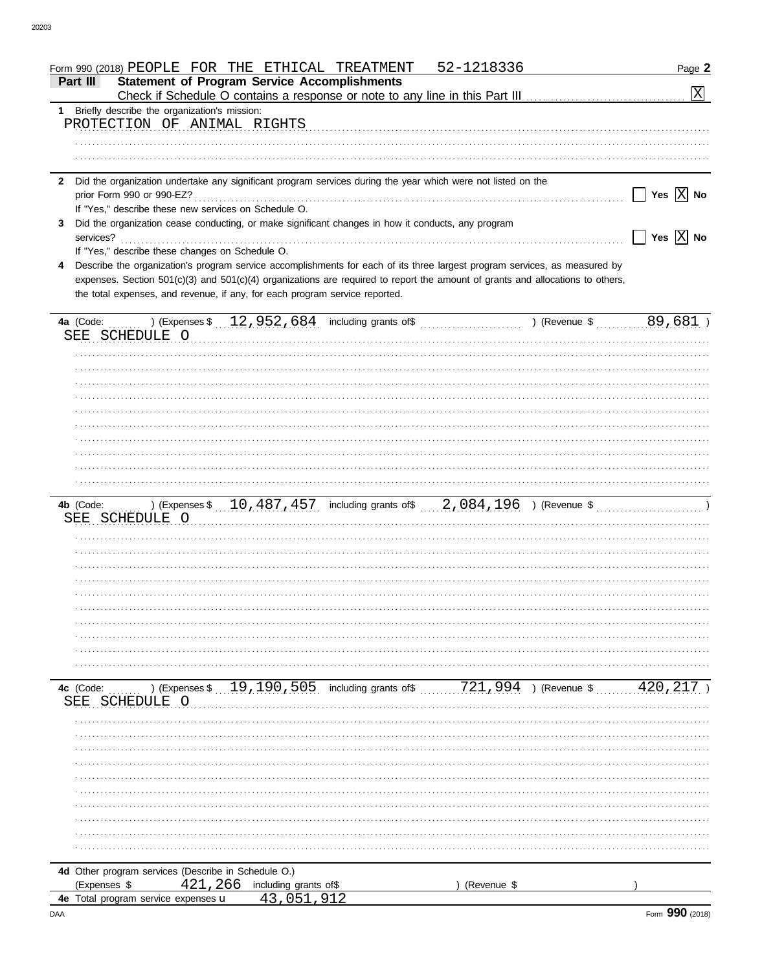| 52-1218336<br>Form 990 (2018) PEOPLE FOR THE ETHICAL TREATMENT                                                                  | Page 2                                                  |
|---------------------------------------------------------------------------------------------------------------------------------|---------------------------------------------------------|
| <b>Statement of Program Service Accomplishments</b><br>Part III                                                                 | $\boxed{\text{X}}$                                      |
| 1 Briefly describe the organization's mission:                                                                                  |                                                         |
| PROTECTION OF ANIMAL RIGHTS                                                                                                     |                                                         |
|                                                                                                                                 |                                                         |
|                                                                                                                                 |                                                         |
| Did the organization undertake any significant program services during the year which were not listed on the<br>$\mathbf{2}$    |                                                         |
|                                                                                                                                 | Yes $\boxed{\mathbf{X}}$ No                             |
| If "Yes," describe these new services on Schedule O.                                                                            |                                                         |
| Did the organization cease conducting, or make significant changes in how it conducts, any program<br>3                         |                                                         |
| If "Yes," describe these changes on Schedule O.                                                                                 | $\overline{\phantom{x}}$ Yes $\overline{\mathrm{X}}$ No |
| Describe the organization's program service accomplishments for each of its three largest program services, as measured by<br>4 |                                                         |
| expenses. Section 501(c)(3) and 501(c)(4) organizations are required to report the amount of grants and allocations to others,  |                                                         |
| the total expenses, and revenue, if any, for each program service reported.                                                     |                                                         |
|                                                                                                                                 |                                                         |
| SEE SCHEDULE O                                                                                                                  |                                                         |
|                                                                                                                                 |                                                         |
|                                                                                                                                 |                                                         |
|                                                                                                                                 |                                                         |
|                                                                                                                                 |                                                         |
|                                                                                                                                 |                                                         |
|                                                                                                                                 |                                                         |
|                                                                                                                                 |                                                         |
|                                                                                                                                 |                                                         |
|                                                                                                                                 |                                                         |
|                                                                                                                                 |                                                         |
|                                                                                                                                 |                                                         |
|                                                                                                                                 |                                                         |
|                                                                                                                                 |                                                         |
|                                                                                                                                 |                                                         |
|                                                                                                                                 |                                                         |
|                                                                                                                                 |                                                         |
|                                                                                                                                 |                                                         |
|                                                                                                                                 |                                                         |
|                                                                                                                                 |                                                         |
|                                                                                                                                 |                                                         |
| ) (Expenses \$ 19, 190, 505 including grants of \$ 721, 994 ) (Revenue \$<br>4c (Code:                                          | 420,217                                                 |
| SCHEDULE O<br>SEE                                                                                                               |                                                         |
|                                                                                                                                 |                                                         |
|                                                                                                                                 |                                                         |
|                                                                                                                                 |                                                         |
|                                                                                                                                 |                                                         |
|                                                                                                                                 |                                                         |
|                                                                                                                                 |                                                         |
|                                                                                                                                 |                                                         |
|                                                                                                                                 |                                                         |
|                                                                                                                                 |                                                         |
| 4d Other program services (Describe in Schedule O.)                                                                             |                                                         |
| 421,266<br>(Expenses \$<br>including grants of\$<br>(Revenue \$                                                                 |                                                         |
| 4e Total program service expenses u<br>43,051,912                                                                               |                                                         |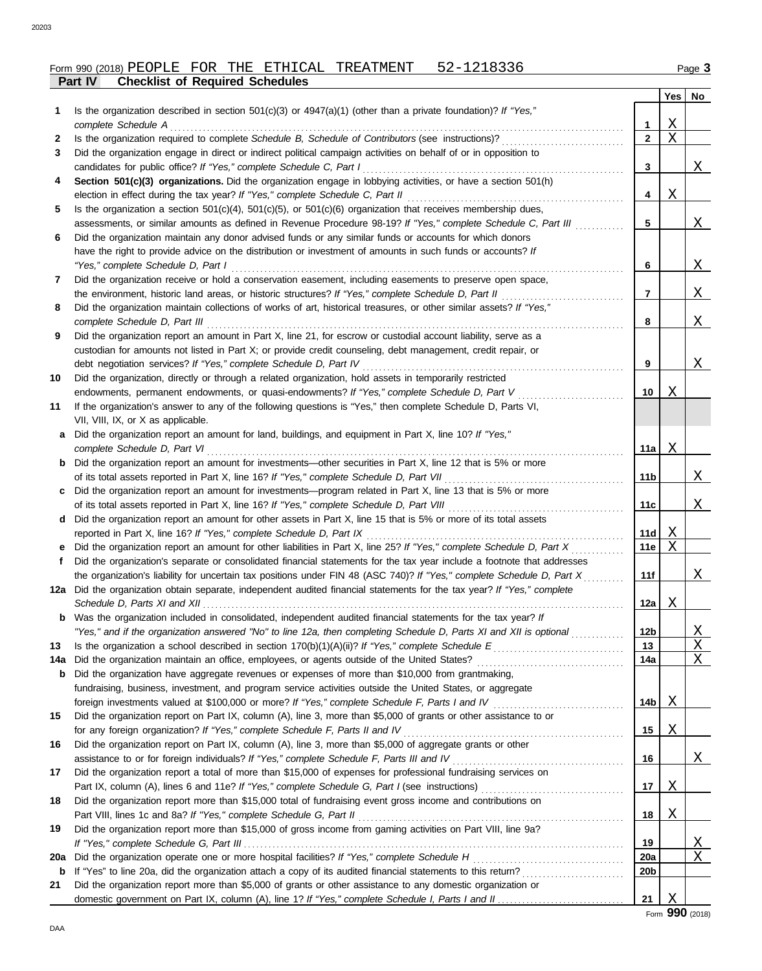|     | ган IV<br>Crieckist of Required Scriedules                                                                              |                 |         |              |
|-----|-------------------------------------------------------------------------------------------------------------------------|-----------------|---------|--------------|
|     |                                                                                                                         |                 | Yes     | No           |
| 1.  | Is the organization described in section $501(c)(3)$ or $4947(a)(1)$ (other than a private foundation)? If "Yes,"       |                 |         |              |
|     | complete Schedule A                                                                                                     | 1               | X       |              |
| 2   | Is the organization required to complete Schedule B, Schedule of Contributors (see instructions)?                       | $\overline{2}$  | $\rm X$ |              |
| 3   | Did the organization engage in direct or indirect political campaign activities on behalf of or in opposition to        |                 |         |              |
|     | candidates for public office? If "Yes," complete Schedule C, Part I                                                     | 3               |         | Χ            |
| 4   | Section 501(c)(3) organizations. Did the organization engage in lobbying activities, or have a section 501(h)           |                 |         |              |
|     | election in effect during the tax year? If "Yes," complete Schedule C, Part II                                          | 4               | Χ       |              |
| 5   | Is the organization a section $501(c)(4)$ , $501(c)(5)$ , or $501(c)(6)$ organization that receives membership dues,    |                 |         |              |
|     | assessments, or similar amounts as defined in Revenue Procedure 98-19? If "Yes," complete Schedule C, Part III          | 5               |         | X            |
| 6   | Did the organization maintain any donor advised funds or any similar funds or accounts for which donors                 |                 |         |              |
|     | have the right to provide advice on the distribution or investment of amounts in such funds or accounts? If             |                 |         |              |
|     | "Yes," complete Schedule D, Part I                                                                                      | 6               |         | Χ            |
| 7   | Did the organization receive or hold a conservation easement, including easements to preserve open space,               |                 |         |              |
|     | the environment, historic land areas, or historic structures? If "Yes," complete Schedule D, Part II                    | 7               |         | Χ            |
| 8   | Did the organization maintain collections of works of art, historical treasures, or other similar assets? If "Yes,"     |                 |         |              |
|     | complete Schedule D, Part III                                                                                           | 8               |         | Χ            |
| 9   | Did the organization report an amount in Part X, line 21, for escrow or custodial account liability, serve as a         |                 |         |              |
|     | custodian for amounts not listed in Part X; or provide credit counseling, debt management, credit repair, or            |                 |         |              |
|     | debt negotiation services? If "Yes," complete Schedule D, Part IV                                                       | 9               |         | Χ            |
| 10  | Did the organization, directly or through a related organization, hold assets in temporarily restricted                 |                 |         |              |
|     | endowments, permanent endowments, or quasi-endowments? If "Yes," complete Schedule D, Part V                            | 10              | Χ       |              |
| 11  | If the organization's answer to any of the following questions is "Yes," then complete Schedule D, Parts VI,            |                 |         |              |
|     | VII, VIII, IX, or X as applicable.                                                                                      |                 |         |              |
| a   | Did the organization report an amount for land, buildings, and equipment in Part X, line 10? If "Yes,"                  |                 |         |              |
|     | complete Schedule D, Part VI                                                                                            | 11a             | Χ       |              |
|     | <b>b</b> Did the organization report an amount for investments—other securities in Part X, line 12 that is 5% or more   |                 |         |              |
|     | of its total assets reported in Part X, line 16? If "Yes," complete Schedule D, Part VII                                | 11b             |         | X            |
| C   | Did the organization report an amount for investments—program related in Part X, line 13 that is 5% or more             |                 |         |              |
|     | of its total assets reported in Part X, line 16? If "Yes," complete Schedule D, Part VIII                               | 11c             |         | Χ            |
|     |                                                                                                                         |                 |         |              |
|     | d Did the organization report an amount for other assets in Part X, line 15 that is 5% or more of its total assets      |                 |         |              |
|     | reported in Part X, line 16? If "Yes," complete Schedule D, Part IX                                                     | 11d             | Χ<br>X  |              |
|     | Did the organization report an amount for other liabilities in Part X, line 25? If "Yes," complete Schedule D, Part X   | <b>11e</b>      |         |              |
| f   | Did the organization's separate or consolidated financial statements for the tax year include a footnote that addresses |                 |         |              |
|     | the organization's liability for uncertain tax positions under FIN 48 (ASC 740)? If "Yes," complete Schedule D, Part X  | 11f             |         | Χ            |
|     | 12a Did the organization obtain separate, independent audited financial statements for the tax year? If "Yes," complete |                 |         |              |
|     | Schedule D, Parts XI and XII                                                                                            | 12a $ $         | Χ       |              |
|     | <b>b</b> Was the organization included in consolidated, independent audited financial statements for the tax year? If   |                 |         |              |
|     | "Yes," and if the organization answered "No" to line 12a, then completing Schedule D, Parts XI and XII is optional      | 12 <sub>b</sub> |         | <u>X</u>     |
| 13  |                                                                                                                         | 13              |         | $\mathbf{X}$ |
| 14a | Did the organization maintain an office, employees, or agents outside of the United States?                             | 14a             |         | Χ            |
| b   | Did the organization have aggregate revenues or expenses of more than \$10,000 from grantmaking,                        |                 |         |              |
|     | fundraising, business, investment, and program service activities outside the United States, or aggregate               |                 |         |              |
|     | foreign investments valued at \$100,000 or more? If "Yes," complete Schedule F, Parts I and IV                          | 14b             | Χ       |              |
| 15  | Did the organization report on Part IX, column (A), line 3, more than \$5,000 of grants or other assistance to or       |                 |         |              |
|     | for any foreign organization? If "Yes," complete Schedule F, Parts II and IV                                            | 15              | Χ       |              |
| 16  | Did the organization report on Part IX, column (A), line 3, more than \$5,000 of aggregate grants or other              |                 |         |              |
|     | assistance to or for foreign individuals? If "Yes," complete Schedule F, Parts III and IV                               | 16              |         | Χ            |
| 17  | Did the organization report a total of more than \$15,000 of expenses for professional fundraising services on          |                 |         |              |
|     |                                                                                                                         | 17              | Χ       |              |
| 18  | Did the organization report more than \$15,000 total of fundraising event gross income and contributions on             |                 |         |              |
|     | Part VIII, lines 1c and 8a? If "Yes," complete Schedule G, Part II                                                      | 18              | Χ       |              |
| 19  | Did the organization report more than \$15,000 of gross income from gaming activities on Part VIII, line 9a?            |                 |         |              |
|     |                                                                                                                         | 19              |         | <u>X</u>     |
| 20a |                                                                                                                         | 20a             |         | Χ            |
| b   |                                                                                                                         | 20b             |         |              |
| 21  | Did the organization report more than \$5,000 of grants or other assistance to any domestic organization or             |                 |         |              |
|     |                                                                                                                         | 21              | Χ       |              |
|     |                                                                                                                         |                 |         |              |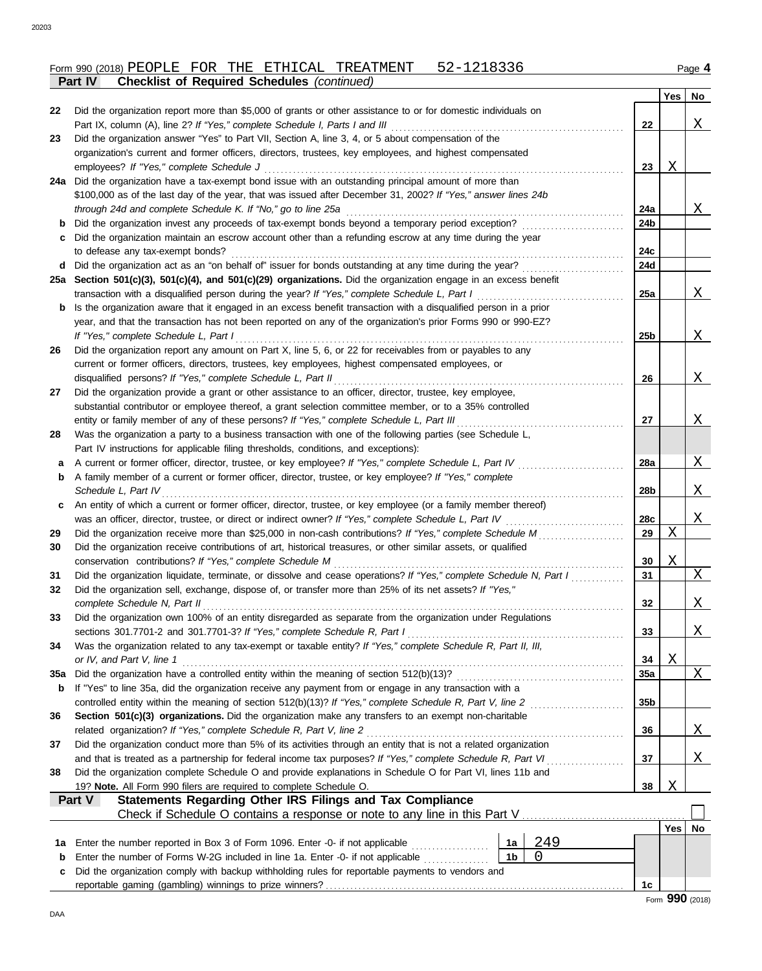|                |                                                    |  | Form 990 (2018) PEOPLE FOR THE ETHICAL TREATMENT | 52-1 | Page |
|----------------|----------------------------------------------------|--|--------------------------------------------------|------|------|
| <b>Part IV</b> | <b>Checklist of Required Schedules (continued)</b> |  |                                                  |      |      |

|     |                                                                                                                                                                                                                                                                                                                                                |                 | Yes | No |
|-----|------------------------------------------------------------------------------------------------------------------------------------------------------------------------------------------------------------------------------------------------------------------------------------------------------------------------------------------------|-----------------|-----|----|
| 22  | Did the organization report more than \$5,000 of grants or other assistance to or for domestic individuals on                                                                                                                                                                                                                                  |                 |     |    |
|     |                                                                                                                                                                                                                                                                                                                                                | 22              |     | Χ  |
| 23  | Did the organization answer "Yes" to Part VII, Section A, line 3, 4, or 5 about compensation of the                                                                                                                                                                                                                                            |                 |     |    |
|     | organization's current and former officers, directors, trustees, key employees, and highest compensated                                                                                                                                                                                                                                        |                 |     |    |
|     |                                                                                                                                                                                                                                                                                                                                                | 23              | Χ   |    |
|     | 24a Did the organization have a tax-exempt bond issue with an outstanding principal amount of more than                                                                                                                                                                                                                                        |                 |     |    |
|     | \$100,000 as of the last day of the year, that was issued after December 31, 2002? If "Yes," answer lines 24b<br>through 24d and complete Schedule K. If "No," go to line 25a                                                                                                                                                                  | 24a             |     | X  |
| b   |                                                                                                                                                                                                                                                                                                                                                | 24b             |     |    |
| c   | Did the organization maintain an escrow account other than a refunding escrow at any time during the year                                                                                                                                                                                                                                      |                 |     |    |
|     | to defease any tax-exempt bonds?                                                                                                                                                                                                                                                                                                               | 24c             |     |    |
| d   | Did the organization act as an "on behalf of" issuer for bonds outstanding at any time during the year?                                                                                                                                                                                                                                        | 24d             |     |    |
|     | 25a Section 501(c)(3), 501(c)(4), and 501(c)(29) organizations. Did the organization engage in an excess benefit                                                                                                                                                                                                                               |                 |     |    |
|     | transaction with a disqualified person during the year? If "Yes," complete Schedule L, Part I                                                                                                                                                                                                                                                  | 25a             |     | Χ  |
| b   | Is the organization aware that it engaged in an excess benefit transaction with a disqualified person in a prior                                                                                                                                                                                                                               |                 |     |    |
|     | year, and that the transaction has not been reported on any of the organization's prior Forms 990 or 990-EZ?                                                                                                                                                                                                                                   |                 |     |    |
|     | If "Yes," complete Schedule L, Part I                                                                                                                                                                                                                                                                                                          | 25b             |     | X  |
| 26  | Did the organization report any amount on Part X, line 5, 6, or 22 for receivables from or payables to any                                                                                                                                                                                                                                     |                 |     |    |
|     | current or former officers, directors, trustees, key employees, highest compensated employees, or<br>disqualified persons? If "Yes," complete Schedule L, Part II                                                                                                                                                                              |                 |     | X  |
| 27  | Did the organization provide a grant or other assistance to an officer, director, trustee, key employee,                                                                                                                                                                                                                                       | 26              |     |    |
|     | substantial contributor or employee thereof, a grant selection committee member, or to a 35% controlled                                                                                                                                                                                                                                        |                 |     |    |
|     | entity or family member of any of these persons? If "Yes," complete Schedule L, Part III                                                                                                                                                                                                                                                       | 27              |     | Χ  |
| 28  | Was the organization a party to a business transaction with one of the following parties (see Schedule L,                                                                                                                                                                                                                                      |                 |     |    |
|     | Part IV instructions for applicable filing thresholds, conditions, and exceptions):                                                                                                                                                                                                                                                            |                 |     |    |
| a   | A current or former officer, director, trustee, or key employee? If "Yes," complete Schedule L, Part IV                                                                                                                                                                                                                                        | 28a             |     | Χ  |
| b   | A family member of a current or former officer, director, trustee, or key employee? If "Yes," complete                                                                                                                                                                                                                                         |                 |     |    |
|     | Schedule L, Part IV                                                                                                                                                                                                                                                                                                                            | 28b             |     | X  |
| c   | An entity of which a current or former officer, director, trustee, or key employee (or a family member thereof)                                                                                                                                                                                                                                |                 |     |    |
|     | was an officer, director, trustee, or direct or indirect owner? If "Yes," complete Schedule L, Part IV                                                                                                                                                                                                                                         | 28c             |     | X  |
| 29  | Did the organization receive more than \$25,000 in non-cash contributions? If "Yes," complete Schedule M                                                                                                                                                                                                                                       | 29              | X   |    |
| 30  | Did the organization receive contributions of art, historical treasures, or other similar assets, or qualified<br>conservation contributions? If "Yes," complete Schedule M                                                                                                                                                                    | 30              | Χ   |    |
| 31  | Did the organization liquidate, terminate, or dissolve and cease operations? If "Yes," complete Schedule N, Part I                                                                                                                                                                                                                             | 31              |     | X  |
| 32  | Did the organization sell, exchange, dispose of, or transfer more than 25% of its net assets? If "Yes,"                                                                                                                                                                                                                                        |                 |     |    |
|     | complete Schedule N, Part II                                                                                                                                                                                                                                                                                                                   | 32              |     | Χ  |
| 33  | Did the organization own 100% of an entity disregarded as separate from the organization under Regulations                                                                                                                                                                                                                                     |                 |     |    |
|     | sections 301.7701-2 and 301.7701-3? If "Yes," complete Schedule R, Part I                                                                                                                                                                                                                                                                      | 33              |     | Χ  |
| 34  | Was the organization related to any tax-exempt or taxable entity? If "Yes," complete Schedule R, Part II, III,                                                                                                                                                                                                                                 |                 |     |    |
|     | or IV, and Part V, line 1                                                                                                                                                                                                                                                                                                                      | 34              | Χ   |    |
| 35a | Did the organization have a controlled entity within the meaning of section 512(b)(13)?                                                                                                                                                                                                                                                        | 35a             |     | X  |
| b   | If "Yes" to line 35a, did the organization receive any payment from or engage in any transaction with a                                                                                                                                                                                                                                        |                 |     |    |
|     | controlled entity within the meaning of section 512(b)(13)? If "Yes," complete Schedule R, Part V, line 2                                                                                                                                                                                                                                      | 35 <sub>b</sub> |     |    |
| 36  | Section 501(c)(3) organizations. Did the organization make any transfers to an exempt non-charitable                                                                                                                                                                                                                                           |                 |     |    |
| 37  | related organization? If "Yes," complete Schedule R, Part V, line 2<br>Did the organization conduct more than 5% of its activities through an entity that is not a related organization                                                                                                                                                        | 36              |     | Χ  |
|     | and that is treated as a partnership for federal income tax purposes? If "Yes," complete Schedule R, Part VI<br>and a complete state of the state of the state of the state of the state of the state of the state of the state of the state of the state of the state of the state of the state of the state of the state of the state of the | 37              |     | Χ  |
| 38  | Did the organization complete Schedule O and provide explanations in Schedule O for Part VI, lines 11b and                                                                                                                                                                                                                                     |                 |     |    |
|     | 19? Note. All Form 990 filers are required to complete Schedule O.                                                                                                                                                                                                                                                                             | 38              | X   |    |
|     | Statements Regarding Other IRS Filings and Tax Compliance<br>Part V                                                                                                                                                                                                                                                                            |                 |     |    |
|     |                                                                                                                                                                                                                                                                                                                                                |                 |     |    |
|     |                                                                                                                                                                                                                                                                                                                                                |                 | Yes | No |
| 1a  | 249<br>Enter the number reported in Box 3 of Form 1096. Enter -0- if not applicable<br>1a                                                                                                                                                                                                                                                      |                 |     |    |
| b   | 1 <sub>b</sub><br>0<br>Enter the number of Forms W-2G included in line 1a. Enter -0- if not applicable                                                                                                                                                                                                                                         |                 |     |    |
| c   | Did the organization comply with backup withholding rules for reportable payments to vendors and                                                                                                                                                                                                                                               |                 |     |    |
|     |                                                                                                                                                                                                                                                                                                                                                | 1c              |     |    |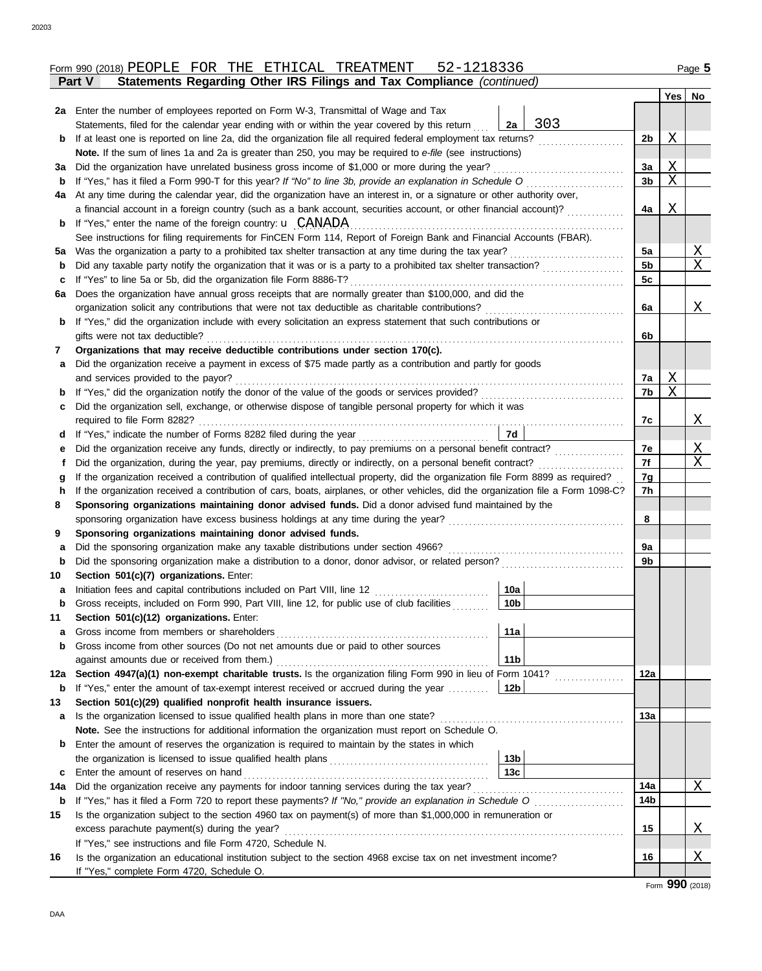|     | Statements Regarding Other IRS Filings and Tax Compliance (continued)<br>Part V                                                    |                 |                                                                                                                       |                 |              |          |
|-----|------------------------------------------------------------------------------------------------------------------------------------|-----------------|-----------------------------------------------------------------------------------------------------------------------|-----------------|--------------|----------|
|     |                                                                                                                                    |                 |                                                                                                                       |                 | Yes          | No       |
|     | 2a Enter the number of employees reported on Form W-3, Transmittal of Wage and Tax                                                 |                 |                                                                                                                       |                 |              |          |
|     | Statements, filed for the calendar year ending with or within the year covered by this return                                      | 2a              | 303                                                                                                                   |                 |              |          |
| b   | If at least one is reported on line 2a, did the organization file all required federal employment tax returns?                     |                 |                                                                                                                       | 2b              | Χ            |          |
|     | Note. If the sum of lines 1a and 2a is greater than 250, you may be required to e-file (see instructions)                          |                 |                                                                                                                       |                 |              |          |
| За  | Did the organization have unrelated business gross income of \$1,000 or more during the year?                                      |                 |                                                                                                                       | Зa              | Χ            |          |
| b   | If "Yes," has it filed a Form 990-T for this year? If "No" to line 3b, provide an explanation in Schedule O                        |                 |                                                                                                                       | 3b              | X            |          |
| 4a  | At any time during the calendar year, did the organization have an interest in, or a signature or other authority over,            |                 |                                                                                                                       |                 |              |          |
|     | a financial account in a foreign country (such as a bank account, securities account, or other financial account)?                 |                 |                                                                                                                       | 4a              | Χ            |          |
| b   | If "Yes," enter the name of the foreign country: $\mathbf{u}$ CANADA                                                               |                 |                                                                                                                       |                 |              |          |
|     | See instructions for filing requirements for FinCEN Form 114, Report of Foreign Bank and Financial Accounts (FBAR).                |                 |                                                                                                                       |                 |              |          |
| 5a  | Was the organization a party to a prohibited tax shelter transaction at any time during the tax year?                              |                 |                                                                                                                       | 5a              |              | Χ        |
| b   | Did any taxable party notify the organization that it was or is a party to a prohibited tax shelter transaction?                   |                 |                                                                                                                       | 5 <sub>b</sub>  |              | X        |
| c   | If "Yes" to line 5a or 5b, did the organization file Form 8886-T?                                                                  |                 |                                                                                                                       | 5c              |              |          |
| 6a  | Does the organization have annual gross receipts that are normally greater than \$100,000, and did the                             |                 |                                                                                                                       |                 |              |          |
|     | organization solicit any contributions that were not tax deductible as charitable contributions?                                   |                 |                                                                                                                       | 6a              |              | Χ        |
| b   | If "Yes," did the organization include with every solicitation an express statement that such contributions or                     |                 |                                                                                                                       |                 |              |          |
|     | gifts were not tax deductible?                                                                                                     |                 |                                                                                                                       | 6b              |              |          |
| 7   | Organizations that may receive deductible contributions under section 170(c).                                                      |                 |                                                                                                                       |                 |              |          |
| а   | Did the organization receive a payment in excess of \$75 made partly as a contribution and partly for goods                        |                 |                                                                                                                       |                 |              |          |
|     | and services provided to the payor?                                                                                                |                 |                                                                                                                       | 7a              | $\mathbf{X}$ |          |
| b   | If "Yes," did the organization notify the donor of the value of the goods or services provided?                                    |                 |                                                                                                                       | 7b              | X            |          |
| c   | Did the organization sell, exchange, or otherwise dispose of tangible personal property for which it was                           |                 |                                                                                                                       |                 |              |          |
|     |                                                                                                                                    |                 |                                                                                                                       | 7с              |              | X        |
| d   |                                                                                                                                    | 7d              |                                                                                                                       |                 |              |          |
| е   |                                                                                                                                    |                 |                                                                                                                       | 7e              |              | X        |
| Ť.  | Did the organization, during the year, pay premiums, directly or indirectly, on a personal benefit contract?                       |                 |                                                                                                                       | 7f              |              | X        |
| g   | If the organization received a contribution of qualified intellectual property, did the organization file Form 8899 as required?   |                 |                                                                                                                       | 7g              |              |          |
| h   | If the organization received a contribution of cars, boats, airplanes, or other vehicles, did the organization file a Form 1098-C? |                 |                                                                                                                       | 7h              |              |          |
| 8   | Sponsoring organizations maintaining donor advised funds. Did a donor advised fund maintained by the                               |                 |                                                                                                                       |                 |              |          |
|     | sponsoring organization have excess business holdings at any time during the year?                                                 |                 | <u> 1986 - Jan Bernard Bernstein, mars an Italia eta Espainia eta Espainia eta Espainia eta Espainia eta Espainia</u> | 8               |              |          |
| 9   | Sponsoring organizations maintaining donor advised funds.                                                                          |                 |                                                                                                                       |                 |              |          |
| a   | Did the sponsoring organization make any taxable distributions under section 4966?                                                 |                 |                                                                                                                       | 9a              |              |          |
| b   |                                                                                                                                    |                 |                                                                                                                       | 9b              |              |          |
| 10  | Section 501(c)(7) organizations. Enter:                                                                                            |                 |                                                                                                                       |                 |              |          |
| а   | Initiation fees and capital contributions included on Part VIII, line 12                                                           | 10a             |                                                                                                                       |                 |              |          |
|     | Gross receipts, included on Form 990, Part VIII, line 12, for public use of club facilities                                        | 10 <sub>b</sub> |                                                                                                                       |                 |              |          |
| 11  | Section 501(c)(12) organizations. Enter:                                                                                           |                 |                                                                                                                       |                 |              |          |
| а   | Gross income from members or shareholders                                                                                          | 11a             |                                                                                                                       |                 |              |          |
| b   | Gross income from other sources (Do not net amounts due or paid to other sources                                                   |                 |                                                                                                                       |                 |              |          |
|     | against amounts due or received from them.)                                                                                        | 11 <sub>b</sub> |                                                                                                                       |                 |              |          |
| 12a | Section 4947(a)(1) non-exempt charitable trusts. Is the organization filing Form 990 in lieu of Form 1041?                         |                 |                                                                                                                       | 12a             |              |          |
| b   | If "Yes," enter the amount of tax-exempt interest received or accrued during the year                                              | 12b             |                                                                                                                       |                 |              |          |
| 13  | Section 501(c)(29) qualified nonprofit health insurance issuers.                                                                   |                 |                                                                                                                       |                 |              |          |
| а   | Is the organization licensed to issue qualified health plans in more than one state?                                               |                 |                                                                                                                       | 13a             |              |          |
|     | Note. See the instructions for additional information the organization must report on Schedule O.                                  |                 |                                                                                                                       |                 |              |          |
| b   | Enter the amount of reserves the organization is required to maintain by the states in which                                       |                 |                                                                                                                       |                 |              |          |
|     |                                                                                                                                    | 13 <sub>b</sub> |                                                                                                                       |                 |              |          |
| c   | Enter the amount of reserves on hand                                                                                               | 13 <sub>c</sub> |                                                                                                                       |                 |              |          |
| 14a |                                                                                                                                    |                 |                                                                                                                       | 14a             |              | X        |
| b   |                                                                                                                                    |                 |                                                                                                                       | 14 <sub>b</sub> |              |          |
| 15  | Is the organization subject to the section 4960 tax on payment(s) of more than \$1,000,000 in remuneration or                      |                 |                                                                                                                       |                 |              |          |
|     | excess parachute payment(s) during the year?                                                                                       |                 |                                                                                                                       | 15              |              | <u>X</u> |
|     | If "Yes," see instructions and file Form 4720, Schedule N.                                                                         |                 |                                                                                                                       |                 |              |          |
| 16  | Is the organization an educational institution subject to the section 4968 excise tax on net investment income?                    |                 |                                                                                                                       | 16              |              | Χ        |

Form **990** (2018)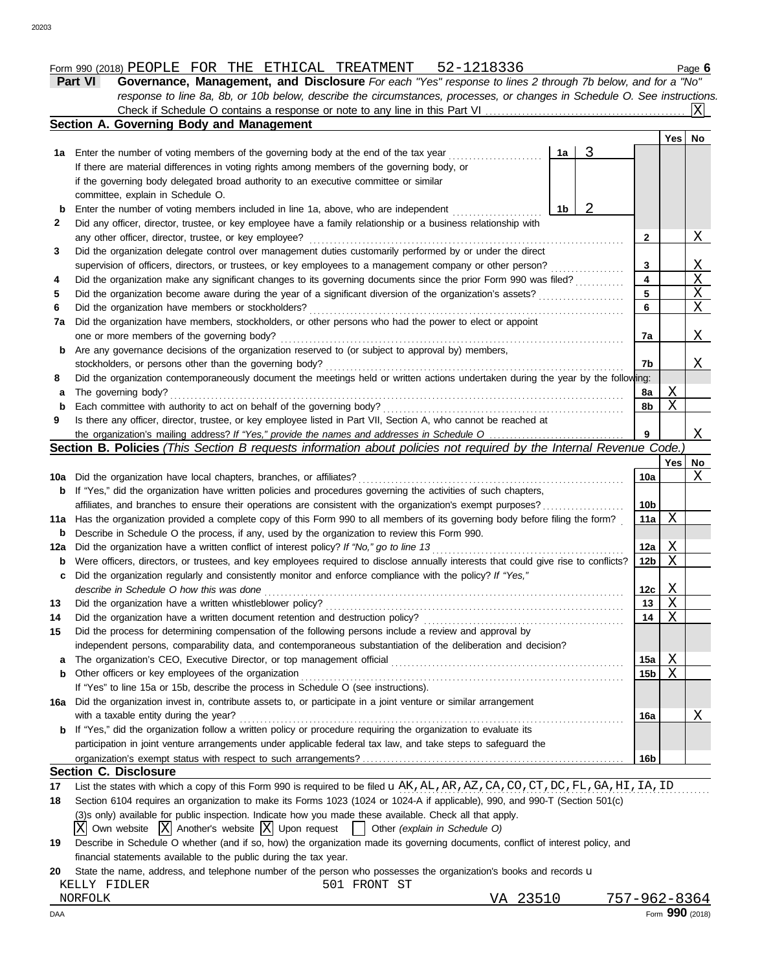# Form 990 (2018) Page **6** PEOPLE FOR THE ETHICAL TREATMENT 52-1218336

| <b>Part VI</b> | Governance, Management, and Disclosure For each "Yes" response to lines 2 through 7b below, and for a "No"                |  |
|----------------|---------------------------------------------------------------------------------------------------------------------------|--|
|                | response to line 8a, 8b, or 10b below, describe the circumstances, processes, or changes in Schedule O. See instructions. |  |
|                |                                                                                                                           |  |

|     | Section A. Governing Body and Management                                                                                            |                         |     |                       |
|-----|-------------------------------------------------------------------------------------------------------------------------------------|-------------------------|-----|-----------------------|
|     |                                                                                                                                     |                         | Yes | No                    |
|     | 3<br>1a<br>1a Enter the number of voting members of the governing body at the end of the tax year                                   |                         |     |                       |
|     | If there are material differences in voting rights among members of the governing body, or                                          |                         |     |                       |
|     | if the governing body delegated broad authority to an executive committee or similar                                                |                         |     |                       |
|     | committee, explain in Schedule O.                                                                                                   |                         |     |                       |
| b   | 2<br>Enter the number of voting members included in line 1a, above, who are independent<br>1b                                       |                         |     |                       |
| 2   | Did any officer, director, trustee, or key employee have a family relationship or a business relationship with                      |                         |     |                       |
|     | any other officer, director, trustee, or key employee?                                                                              | $\mathbf{2}$            |     | X                     |
| 3   | Did the organization delegate control over management duties customarily performed by or under the direct                           |                         |     |                       |
|     | supervision of officers, directors, or trustees, or key employees to a management company or other person?                          | 3                       |     | <u>X</u>              |
| 4   | Did the organization make any significant changes to its governing documents since the prior Form 990 was filed?                    | $\overline{\mathbf{4}}$ |     | $\overline{\text{X}}$ |
| 5   |                                                                                                                                     | 5                       |     | $\overline{\text{X}}$ |
| 6   |                                                                                                                                     | 6                       |     | $\overline{X}$        |
| 7a  | Did the organization have members, stockholders, or other persons who had the power to elect or appoint                             |                         |     |                       |
|     | one or more members of the governing body?                                                                                          | 7a                      |     | X                     |
| b   | Are any governance decisions of the organization reserved to (or subject to approval by) members,                                   |                         |     |                       |
|     | stockholders, or persons other than the governing body?                                                                             | 7b                      |     | Χ                     |
| 8   | Did the organization contemporaneously document the meetings held or written actions undertaken during the year by the following:   |                         |     |                       |
| a   | The governing body?                                                                                                                 | 8а                      | Χ   |                       |
| b   | Each committee with authority to act on behalf of the governing body?                                                               | 8b                      | X   |                       |
| 9   | Is there any officer, director, trustee, or key employee listed in Part VII, Section A, who cannot be reached at                    |                         |     |                       |
|     |                                                                                                                                     | 9                       |     | Χ                     |
|     | Section B. Policies (This Section B requests information about policies not required by the Internal Revenue Code.)                 |                         |     |                       |
|     |                                                                                                                                     |                         | Yes | No                    |
|     |                                                                                                                                     | 10a                     |     | Χ                     |
|     | <b>b</b> If "Yes," did the organization have written policies and procedures governing the activities of such chapters,             |                         |     |                       |
|     | affiliates, and branches to ensure their operations are consistent with the organization's exempt purposes?                         | 10 <sub>b</sub>         |     |                       |
|     | 11a Has the organization provided a complete copy of this Form 990 to all members of its governing body before filing the form?     | 11a                     | Χ   |                       |
| b   | Describe in Schedule O the process, if any, used by the organization to review this Form 990.                                       |                         |     |                       |
| 12a |                                                                                                                                     | 12a                     | Χ   |                       |
| b   | Were officers, directors, or trustees, and key employees required to disclose annually interests that could give rise to conflicts? | 12 <sub>b</sub>         | X   |                       |
| c   | Did the organization regularly and consistently monitor and enforce compliance with the policy? If "Yes,"                           |                         |     |                       |
|     | describe in Schedule O how this was done                                                                                            | 12c                     | Χ   |                       |
| 13  | Did the organization have a written whistleblower policy?                                                                           | 13                      | Χ   |                       |
| 14  |                                                                                                                                     | 14                      | Χ   |                       |
| 15  | Did the process for determining compensation of the following persons include a review and approval by                              |                         |     |                       |
|     | independent persons, comparability data, and contemporaneous substantiation of the deliberation and decision?                       |                         |     |                       |
| a   | The organization's CEO, Executive Director, or top management official                                                              | 15a                     | Χ   |                       |
| b   | Other officers or key employees of the organization                                                                                 | 15 <sub>b</sub>         | Χ   |                       |
|     | If "Yes" to line 15a or 15b, describe the process in Schedule O (see instructions).                                                 |                         |     |                       |
|     | 16a Did the organization invest in, contribute assets to, or participate in a joint venture or similar arrangement                  |                         |     |                       |
|     | with a taxable entity during the year?                                                                                              | 16a                     |     | Χ                     |
|     | <b>b</b> If "Yes," did the organization follow a written policy or procedure requiring the organization to evaluate its             |                         |     |                       |
|     | participation in joint venture arrangements under applicable federal tax law, and take steps to safeguard the                       |                         |     |                       |
|     |                                                                                                                                     | 16b                     |     |                       |
|     | <b>Section C. Disclosure</b>                                                                                                        |                         |     |                       |
| 17  | List the states with which a copy of this Form 990 is required to be filed u AK, AL, AR, AZ, CA, CO, CT, DC, FL, GA, HI, IA, ID     |                         |     |                       |
| 18  | Section 6104 requires an organization to make its Forms 1023 (1024 or 1024-A if applicable), 990, and 990-T (Section 501(c)         |                         |     |                       |
|     | (3)s only) available for public inspection. Indicate how you made these available. Check all that apply.                            |                         |     |                       |

- $\overline{X}$  Own website  $\overline{X}$  Another's website  $\overline{X}$  Upon request  $\overline{X}$  Other *(explain in Schedule O)*
- **19** Describe in Schedule O whether (and if so, how) the organization made its governing documents, conflict of interest policy, and financial statements available to the public during the tax year.

|         |              | 20 State the name, address, and telephone number of the person who possesses the organization's books and records <b>u</b> |              |          |              |
|---------|--------------|----------------------------------------------------------------------------------------------------------------------------|--------------|----------|--------------|
|         | KELLY FIDLER |                                                                                                                            | 501 FRONT ST |          |              |
| NORFOLK |              |                                                                                                                            |              | VA 23510 | 757-962-8364 |

20203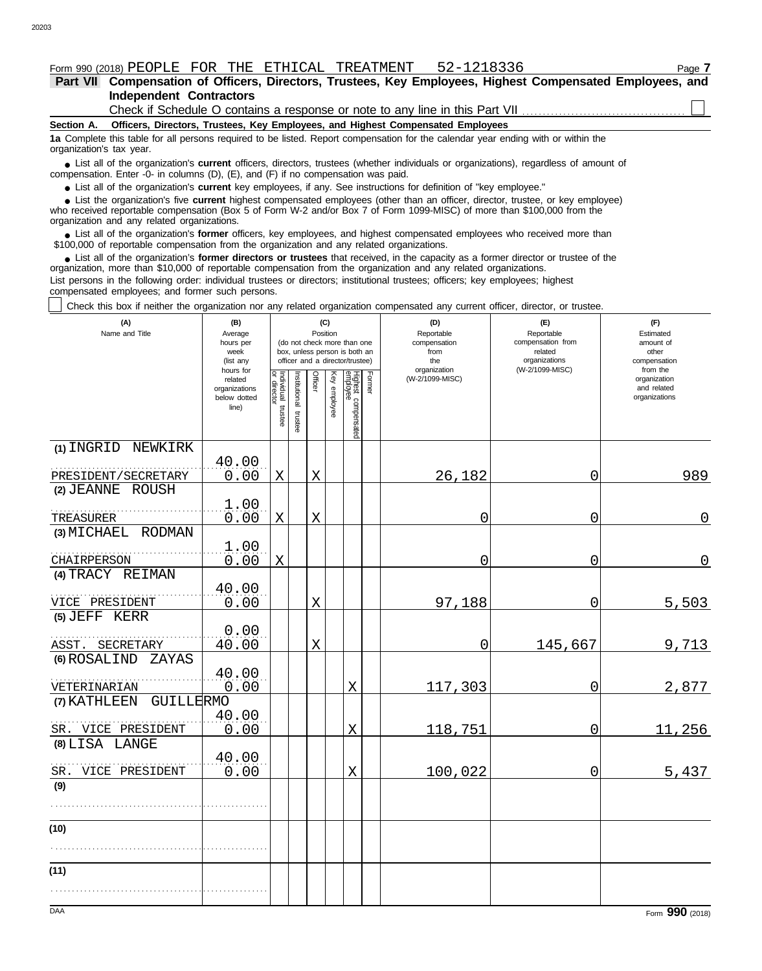#### Form 990 (2018) PEOPLE FOR THE ETHICAL TREATMENT 52-1218336 Page **7**

**Independent Contractors Part VII Compensation of Officers, Directors, Trustees, Key Employees, Highest Compensated Employees, and**

Check if Schedule O contains a response or note to any line in this Part VII.

#### **Section A. Officers, Directors, Trustees, Key Employees, and Highest Compensated Employees**

**1a** Complete this table for all persons required to be listed. Report compensation for the calendar year ending with or within the organization's tax year.

■ List all of the organization's **current** officers, directors, trustees (whether individuals or organizations), regardless of amount of the organization Enter -0- in columns (D), (E), and (E) if no compensation was paid compensation. Enter -0- in columns (D), (E), and (F) if no compensation was paid.

● List all of the organization's **current** key employees, if any. See instructions for definition of "key employee."

who received reportable compensation (Box 5 of Form W-2 and/or Box 7 of Form 1099-MISC) of more than \$100,000 from the organization and any related organizations. ■ List the organization's five **current** highest compensated employees (other than an officer, director, trustee, or key employee)<br>
a received reportable compensation (Box 5 of Form W-2 and/or Box 7 of Form 1099-MISC) of

■ List all of the organization's **former** officers, key employees, and highest compensated employees who received more than<br>00,000 of reportable compensation from the organization and any related organizations \$100,000 of reportable compensation from the organization and any related organizations.

• List all of the organization's **former directors or trustees** that received, in the capacity as a former director or trustee of the prization more than \$10,000 of reportable compensation from the organization and any rel organization, more than \$10,000 of reportable compensation from the organization and any related organizations.

List persons in the following order: individual trustees or directors; institutional trustees; officers; key employees; highest compensated employees; and former such persons.

Check this box if neither the organization nor any related organization compensated any current officer, director, or trustee.

| (A)<br>Name and Title           | (B)<br>Average<br>hours per<br>week<br>(list any               |                                   |                         | Position | (C)          | (do not check more than one<br>box, unless person is both an<br>officer and a director/trustee) |        | (D)<br>Reportable<br>compensation<br>from<br>the | (E)<br>Reportable<br>compensation from<br>related<br>organizations<br>(W-2/1099-MISC) | (F)<br>Estimated<br>amount of<br>other<br>compensation<br>from the |
|---------------------------------|----------------------------------------------------------------|-----------------------------------|-------------------------|----------|--------------|-------------------------------------------------------------------------------------------------|--------|--------------------------------------------------|---------------------------------------------------------------------------------------|--------------------------------------------------------------------|
|                                 | hours for<br>related<br>organizations<br>below dotted<br>line) | Individual trustee<br>or director | nstitutional<br>trustee | Officer  | Key employee | Highest compensated<br>employee                                                                 | Former | organization<br>(W-2/1099-MISC)                  |                                                                                       | organization<br>and related<br>organizations                       |
| (1) INGRID NEWKIRK              | 40.00                                                          |                                   |                         |          |              |                                                                                                 |        |                                                  |                                                                                       |                                                                    |
| PRESIDENT/SECRETARY             | 0.00                                                           | X                                 |                         | Χ        |              |                                                                                                 |        | 26,182                                           | 0                                                                                     | 989                                                                |
| $(2)$ JEANNE<br>ROUSH           | 1.00                                                           |                                   |                         |          |              |                                                                                                 |        |                                                  |                                                                                       |                                                                    |
| TREASURER<br>(3) MICHAEL RODMAN | 0.00                                                           | X                                 |                         | X        |              |                                                                                                 |        | 0                                                | 0                                                                                     | $\overline{0}$                                                     |
| CHAIRPERSON                     | 1.00<br>0.00                                                   | $\mathbf X$                       |                         |          |              |                                                                                                 |        | 0                                                | 0                                                                                     | $\overline{0}$                                                     |
| (4) TRACY REIMAN                |                                                                |                                   |                         |          |              |                                                                                                 |        |                                                  |                                                                                       |                                                                    |
| VICE PRESIDENT                  | 40.00<br>0.00                                                  |                                   |                         | X        |              |                                                                                                 |        | 97,188                                           | $\mathbf 0$                                                                           | 5,503                                                              |
| (5) JEFF KERR                   |                                                                |                                   |                         |          |              |                                                                                                 |        |                                                  |                                                                                       |                                                                    |
| ASST. SECRETARY                 | 0.00<br>40.00                                                  |                                   |                         | X        |              |                                                                                                 |        | 0                                                | 145,667                                                                               | 9,713                                                              |
| (6) ROSALIND<br>ZAYAS           |                                                                |                                   |                         |          |              |                                                                                                 |        |                                                  |                                                                                       |                                                                    |
| VETERINARIAN                    | 40.00<br>0.00                                                  |                                   |                         |          |              | X                                                                                               |        | 117,303                                          | 0                                                                                     | 2,877                                                              |
| GUILLERMO<br>(7) KATHLEEN       |                                                                |                                   |                         |          |              |                                                                                                 |        |                                                  |                                                                                       |                                                                    |
| SR. VICE PRESIDENT              | 40.00<br>0.00                                                  |                                   |                         |          |              | X                                                                                               |        | 118,751                                          | 0                                                                                     | 11,256                                                             |
| (8) LISA LANGE                  | 40.00                                                          |                                   |                         |          |              |                                                                                                 |        |                                                  |                                                                                       |                                                                    |
| VICE PRESIDENT<br>SR.           | 0.00                                                           |                                   |                         |          |              | $\mathbf X$                                                                                     |        | 100,022                                          | $\mathbf 0$                                                                           | 5,437                                                              |
| (9)                             |                                                                |                                   |                         |          |              |                                                                                                 |        |                                                  |                                                                                       |                                                                    |
|                                 |                                                                |                                   |                         |          |              |                                                                                                 |        |                                                  |                                                                                       |                                                                    |
| (10)                            |                                                                |                                   |                         |          |              |                                                                                                 |        |                                                  |                                                                                       |                                                                    |
| (11)                            |                                                                |                                   |                         |          |              |                                                                                                 |        |                                                  |                                                                                       |                                                                    |
|                                 |                                                                |                                   |                         |          |              |                                                                                                 |        |                                                  |                                                                                       |                                                                    |
| <b>DAA</b>                      |                                                                |                                   |                         |          |              |                                                                                                 |        |                                                  |                                                                                       | Form 990 (2018)                                                    |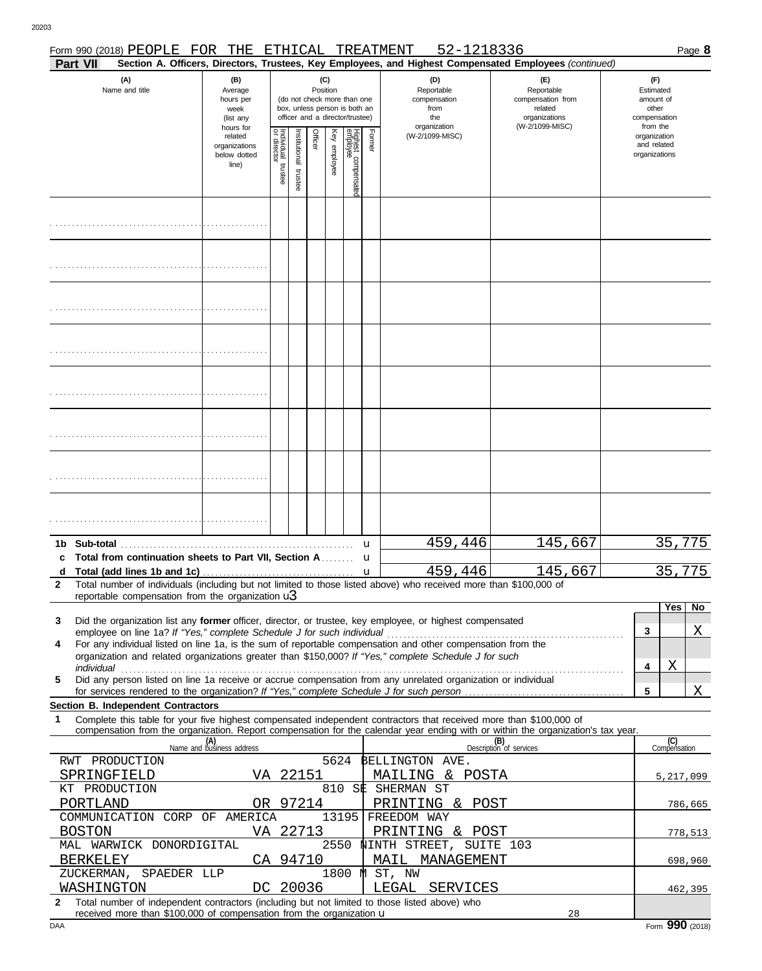|              |                 | Form 990 (2018) PEOPLE FOR THE                                         |                                                               |                                   |                          |          |                 |                                                                                                 |              | 52-1218336<br>ETHICAL TREATMENT                                                                                                                                                                                      |                                                                                                                                  |   |                                                                    | Page 8  |
|--------------|-----------------|------------------------------------------------------------------------|---------------------------------------------------------------|-----------------------------------|--------------------------|----------|-----------------|-------------------------------------------------------------------------------------------------|--------------|----------------------------------------------------------------------------------------------------------------------------------------------------------------------------------------------------------------------|----------------------------------------------------------------------------------------------------------------------------------|---|--------------------------------------------------------------------|---------|
|              | Part VII        |                                                                        |                                                               |                                   |                          |          |                 |                                                                                                 |              |                                                                                                                                                                                                                      | Section A. Officers, Directors, Trustees, Key Employees, and Highest Compensated Employees (continued)                           |   |                                                                    |         |
|              |                 | (A)<br>Name and title                                                  | (B)<br>Average<br>hours per<br>week<br>(list any<br>hours for |                                   |                          |          | (C)<br>Position | (do not check more than one<br>box, unless person is both an<br>officer and a director/trustee) |              | (D)<br>Reportable<br>compensation<br>from<br>the<br>organization                                                                                                                                                     | (E)<br>Reportable<br>compensation from<br>related<br>organizations<br>(W-2/1099-MISC)                                            |   | (F)<br>Estimated<br>amount of<br>other<br>compensation<br>from the |         |
|              |                 |                                                                        | related<br>organizations<br>below dotted<br>line)             | Individual trustee<br>or director | Institutional<br>trustee | Officer  | Key employee    | Highest compensate<br>employee                                                                  | Former       | (W-2/1099-MISC)                                                                                                                                                                                                      |                                                                                                                                  |   | organization<br>and related<br>organizations                       |         |
|              |                 |                                                                        |                                                               |                                   |                          |          |                 |                                                                                                 |              |                                                                                                                                                                                                                      |                                                                                                                                  |   |                                                                    |         |
|              |                 |                                                                        |                                                               |                                   |                          |          |                 |                                                                                                 |              |                                                                                                                                                                                                                      |                                                                                                                                  |   |                                                                    |         |
|              |                 |                                                                        |                                                               |                                   |                          |          |                 |                                                                                                 |              |                                                                                                                                                                                                                      |                                                                                                                                  |   |                                                                    |         |
|              |                 |                                                                        |                                                               |                                   |                          |          |                 |                                                                                                 |              |                                                                                                                                                                                                                      |                                                                                                                                  |   |                                                                    |         |
|              |                 |                                                                        |                                                               |                                   |                          |          |                 |                                                                                                 |              |                                                                                                                                                                                                                      |                                                                                                                                  |   |                                                                    |         |
|              |                 |                                                                        |                                                               |                                   |                          |          |                 |                                                                                                 |              |                                                                                                                                                                                                                      |                                                                                                                                  |   |                                                                    |         |
|              |                 |                                                                        |                                                               |                                   |                          |          |                 |                                                                                                 |              |                                                                                                                                                                                                                      |                                                                                                                                  |   |                                                                    |         |
|              |                 |                                                                        |                                                               |                                   |                          |          |                 |                                                                                                 |              |                                                                                                                                                                                                                      |                                                                                                                                  |   | 35,775                                                             |         |
|              |                 | Total from continuation sheets to Part VII, Section A                  |                                                               |                                   |                          |          |                 |                                                                                                 | u<br>u       | 459,446                                                                                                                                                                                                              | 145,667                                                                                                                          |   |                                                                    |         |
|              |                 |                                                                        |                                                               |                                   |                          |          |                 |                                                                                                 | $\mathbf{u}$ | 459,446                                                                                                                                                                                                              | 145,667                                                                                                                          |   | 35                                                                 | 775     |
| $\mathbf{2}$ |                 |                                                                        |                                                               |                                   |                          |          |                 |                                                                                                 |              | Total number of individuals (including but not limited to those listed above) who received more than \$100,000 of                                                                                                    |                                                                                                                                  |   |                                                                    |         |
|              |                 | reportable compensation from the organization $\mathbf{u}$             |                                                               |                                   |                          |          |                 |                                                                                                 |              |                                                                                                                                                                                                                      |                                                                                                                                  |   | Yes                                                                | No      |
| 3            |                 |                                                                        |                                                               |                                   |                          |          |                 |                                                                                                 |              | Did the organization list any former officer, director, or trustee, key employee, or highest compensated                                                                                                             |                                                                                                                                  | 3 |                                                                    | Χ       |
| 4            |                 | employee on line 1a? If "Yes," complete Schedule J for such individual |                                                               |                                   |                          |          |                 |                                                                                                 |              | For any individual listed on line 1a, is the sum of reportable compensation and other compensation from the<br>organization and related organizations greater than \$150,000? If "Yes," complete Schedule J for such |                                                                                                                                  |   |                                                                    |         |
| 5            |                 |                                                                        |                                                               |                                   |                          |          |                 |                                                                                                 |              | Did any person listed on line 1a receive or accrue compensation from any unrelated organization or individual                                                                                                        |                                                                                                                                  | 4 | Χ                                                                  |         |
|              |                 |                                                                        |                                                               |                                   |                          |          |                 |                                                                                                 |              |                                                                                                                                                                                                                      |                                                                                                                                  | 5 |                                                                    | Χ       |
|              |                 | Section B. Independent Contractors                                     |                                                               |                                   |                          |          |                 |                                                                                                 |              |                                                                                                                                                                                                                      |                                                                                                                                  |   |                                                                    |         |
| 1            |                 |                                                                        |                                                               |                                   |                          |          |                 |                                                                                                 |              | Complete this table for your five highest compensated independent contractors that received more than \$100,000 of                                                                                                   | compensation from the organization. Report compensation for the calendar year ending with or within the organization's tax year. |   |                                                                    |         |
|              |                 |                                                                        | (A)<br>Name and business address                              |                                   |                          |          |                 |                                                                                                 |              |                                                                                                                                                                                                                      | (B)<br>Description of services                                                                                                   |   | (C)<br>Compensation                                                |         |
|              |                 | RWT PRODUCTION                                                         |                                                               |                                   |                          |          | 5624            |                                                                                                 |              | BELLINGTON AVE.                                                                                                                                                                                                      |                                                                                                                                  |   |                                                                    |         |
|              |                 | SPRINGFIELD                                                            | VA 22151                                                      |                                   |                          |          |                 |                                                                                                 |              | MAILING & POSTA                                                                                                                                                                                                      |                                                                                                                                  |   | 5,217,099                                                          |         |
|              | PORTLAND        | KT PRODUCTION                                                          |                                                               |                                   |                          | OR 97214 |                 |                                                                                                 |              | 810 SE SHERMAN ST<br>PRINTING & POST                                                                                                                                                                                 |                                                                                                                                  |   |                                                                    |         |
|              |                 | COMMUNICATION CORP OF AMERICA                                          |                                                               |                                   |                          |          |                 | 13195                                                                                           |              | FREEDOM WAY                                                                                                                                                                                                          |                                                                                                                                  |   |                                                                    | 786,665 |
|              | <b>BOSTON</b>   |                                                                        |                                                               |                                   |                          | VA 22713 |                 |                                                                                                 |              | PRINTING & POST                                                                                                                                                                                                      |                                                                                                                                  |   |                                                                    | 778,513 |
|              | <b>BERKELEY</b> | MAL WARWICK DONORDIGITAL                                               |                                                               |                                   |                          | CA 94710 |                 |                                                                                                 |              | 2550 NINTH STREET, SUITE 103<br>MAIL MANAGEMENT                                                                                                                                                                      |                                                                                                                                  |   |                                                                    | 698,960 |
|              |                 | SPAEDER LLP<br>ZUCKERMAN,<br>WASHINGTON                                |                                                               |                                   |                          | DC 20036 |                 |                                                                                                 |              | 1800 M ST, NW<br>LEGAL SERVICES                                                                                                                                                                                      |                                                                                                                                  |   |                                                                    | 462,395 |
|              |                 |                                                                        |                                                               |                                   |                          |          |                 |                                                                                                 |              |                                                                                                                                                                                                                      |                                                                                                                                  |   |                                                                    |         |

**2** Total number of independent contractors (including but not limited to those listed above) who received more than \$100,000 of compensation from the organization u

28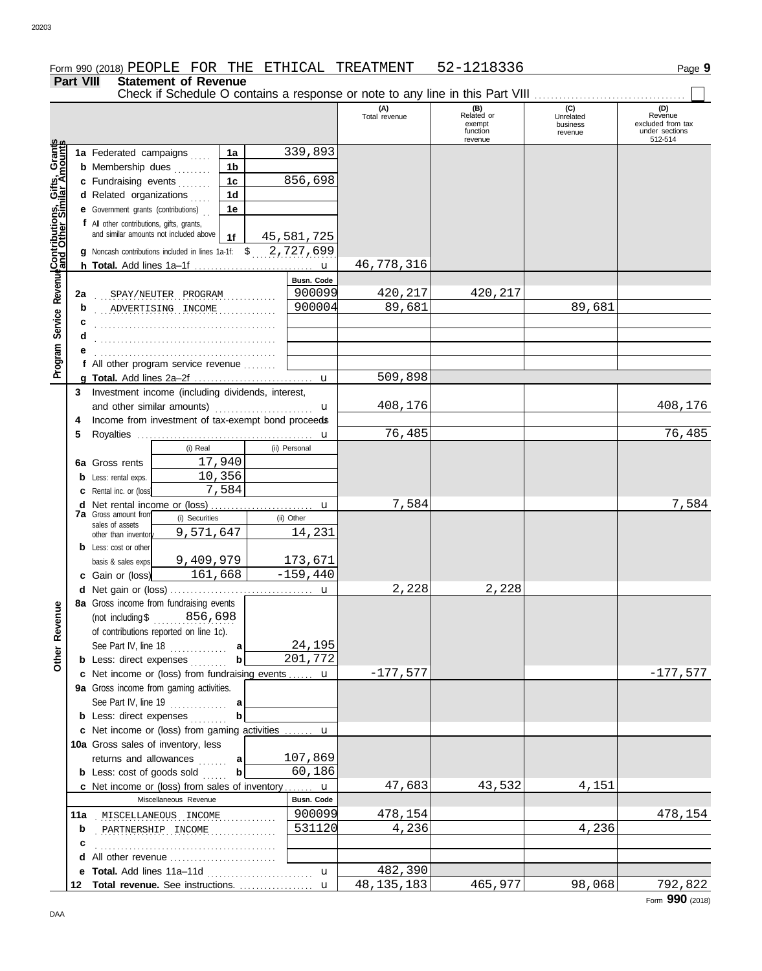# Form 990 (2018) Page **9** PEOPLE FOR THE ETHICAL TREATMENT 52-1218336

**Part VIII Statement of Revenue** Check if Schedule O contains a response or note to any line in this Part VIII ................................

| <b>Fail VIII</b>                                            |        |                                                |                                                               |                      |                   |                      | Check if Schedule O contains a response or note to any line in this Part VIII |                                         |                                                       |
|-------------------------------------------------------------|--------|------------------------------------------------|---------------------------------------------------------------|----------------------|-------------------|----------------------|-------------------------------------------------------------------------------|-----------------------------------------|-------------------------------------------------------|
|                                                             |        |                                                |                                                               |                      |                   | (A)<br>Total revenue | (B)<br>Related or<br>exempt<br>function                                       | (C)<br>Unrelated<br>business<br>revenue | (D)<br>Revenue<br>excluded from tax<br>under sections |
|                                                             |        | 1a Federated campaigns                         |                                                               |                      | 339,893           |                      | revenue                                                                       |                                         | 512-514                                               |
|                                                             |        | <b>b</b> Membership dues                       |                                                               | 1a<br>1 <sub>b</sub> |                   |                      |                                                                               |                                         |                                                       |
|                                                             |        | c Fundraising events                           |                                                               | 1 <sub>c</sub>       | 856,698           |                      |                                                                               |                                         |                                                       |
|                                                             |        | d Related organizations                        |                                                               | 1 <sub>d</sub>       |                   |                      |                                                                               |                                         |                                                       |
|                                                             |        | <b>e</b> Government grants (contributions)     |                                                               | 1е                   |                   |                      |                                                                               |                                         |                                                       |
|                                                             |        | f All other contributions, gifts, grants,      |                                                               |                      |                   |                      |                                                                               |                                         |                                                       |
|                                                             |        |                                                | and similar amounts not included above                        | 1f                   | 45,581,725        |                      |                                                                               |                                         |                                                       |
|                                                             |        |                                                | g Noncash contributions included in lines 1a-1f: \$ 2,727,699 |                      |                   |                      |                                                                               |                                         |                                                       |
|                                                             |        |                                                |                                                               |                      |                   | 46,778,316           |                                                                               |                                         |                                                       |
|                                                             |        |                                                |                                                               |                      | <b>Busn. Code</b> |                      |                                                                               |                                         |                                                       |
|                                                             | 2a     |                                                | SPAY/NEUTER PROGRAM                                           |                      | 900099            | 420,217              | 420,217                                                                       |                                         |                                                       |
|                                                             | b      |                                                | ADVERTISING INCOME                                            |                      | 900004            | 89,681               |                                                                               | 89,681                                  |                                                       |
|                                                             | с      |                                                |                                                               |                      |                   |                      |                                                                               |                                         |                                                       |
|                                                             | d      |                                                |                                                               |                      |                   |                      |                                                                               |                                         |                                                       |
|                                                             |        |                                                |                                                               |                      |                   |                      |                                                                               |                                         |                                                       |
| <b>Program Service Revenue Contributions, Gifts, Grants</b> |        |                                                | f All other program service revenue                           |                      |                   | 509,898              |                                                                               |                                         |                                                       |
|                                                             | 3      |                                                | Investment income (including dividends, interest,             |                      |                   |                      |                                                                               |                                         |                                                       |
|                                                             |        |                                                | and other similar amounts)                                    |                      | u                 | 408,176              |                                                                               |                                         | 408,176                                               |
|                                                             | 4      |                                                | Income from investment of tax-exempt bond proceeds            |                      |                   |                      |                                                                               |                                         |                                                       |
|                                                             | 5      |                                                |                                                               |                      |                   | 76,485               |                                                                               |                                         | 76,485                                                |
|                                                             |        |                                                | (i) Real                                                      |                      | (ii) Personal     |                      |                                                                               |                                         |                                                       |
|                                                             |        | 6a Gross rents                                 |                                                               | 17,940               |                   |                      |                                                                               |                                         |                                                       |
|                                                             |        | <b>b</b> Less: rental exps.                    |                                                               | 10,356               |                   |                      |                                                                               |                                         |                                                       |
|                                                             |        | Rental inc. or (loss)                          |                                                               | 7,584                |                   |                      |                                                                               |                                         |                                                       |
|                                                             | d      | Net rental income or (loss)                    |                                                               |                      | u                 | 7,584                |                                                                               |                                         | 7,584                                                 |
|                                                             |        | <b>7a</b> Gross amount from<br>sales of assets | (i) Securities                                                |                      | (ii) Other        |                      |                                                                               |                                         |                                                       |
|                                                             |        | other than inventor                            | 9,571,647                                                     |                      | 14,231            |                      |                                                                               |                                         |                                                       |
|                                                             |        | <b>b</b> Less: cost or other                   |                                                               |                      |                   |                      |                                                                               |                                         |                                                       |
|                                                             |        | basis & sales exps.                            | 9,409,979                                                     |                      | 173,671           |                      |                                                                               |                                         |                                                       |
|                                                             |        | c Gain or (loss)                               | 161,668                                                       |                      | $-159,440$        |                      |                                                                               |                                         |                                                       |
|                                                             |        |                                                | 8a Gross income from fundraising events                       |                      |                   | 2,228                | 2,228                                                                         |                                         |                                                       |
| ₾                                                           |        |                                                | (not including $$356,698$                                     |                      |                   |                      |                                                                               |                                         |                                                       |
|                                                             |        |                                                | of contributions reported on line 1c).                        |                      |                   |                      |                                                                               |                                         |                                                       |
|                                                             |        | See Part IV, line 18                           | .                                                             | a                    | 24,195            |                      |                                                                               |                                         |                                                       |
| Other Reven                                                 |        | <b>b</b> Less: direct expenses                 |                                                               |                      | 201,772           |                      |                                                                               |                                         |                                                       |
|                                                             |        |                                                | c Net income or (loss) from fundraising events  u             |                      |                   | $-177,577$           |                                                                               |                                         | $-177,577$                                            |
|                                                             |        |                                                | 9a Gross income from gaming activities.                       |                      |                   |                      |                                                                               |                                         |                                                       |
|                                                             |        |                                                | See Part IV, line $19$                                        | a                    |                   |                      |                                                                               |                                         |                                                       |
|                                                             |        | <b>b</b> Less: direct expenses                 |                                                               |                      |                   |                      |                                                                               |                                         |                                                       |
|                                                             |        |                                                | c Net income or (loss) from gaming activities  u              |                      |                   |                      |                                                                               |                                         |                                                       |
|                                                             |        |                                                | 10a Gross sales of inventory, less                            |                      |                   |                      |                                                                               |                                         |                                                       |
|                                                             |        |                                                | returns and allowances                                        | a                    | 107,869           |                      |                                                                               |                                         |                                                       |
|                                                             |        |                                                | <b>b</b> Less: cost of goods sold                             | b                    | 60,186            |                      |                                                                               |                                         |                                                       |
|                                                             |        |                                                | c Net income or (loss) from sales of inventory  u             |                      |                   | 47,683               | 43,532                                                                        | 4,151                                   |                                                       |
|                                                             |        |                                                | Miscellaneous Revenue                                         |                      | <b>Busn. Code</b> |                      |                                                                               |                                         |                                                       |
|                                                             | 11a    |                                                | MISCELLANEOUS INCOME                                          |                      | 900099<br>531120  | 478,154<br>4,236     |                                                                               | 4,236                                   | 478,154                                               |
|                                                             | b      |                                                | PARTNERSHIP INCOME                                            |                      |                   |                      |                                                                               |                                         |                                                       |
|                                                             | c<br>d |                                                | All other revenue                                             |                      |                   |                      |                                                                               |                                         |                                                       |
|                                                             | е      | Total. Add lines 11a-11d                       |                                                               |                      | u                 | 482,390              |                                                                               |                                         |                                                       |
|                                                             |        |                                                | 12 Total revenue. See instructions.                           |                      | u                 | 48, 135, 183         | 465,977                                                                       | 98,068                                  | 792,822                                               |

Form **990** (2018)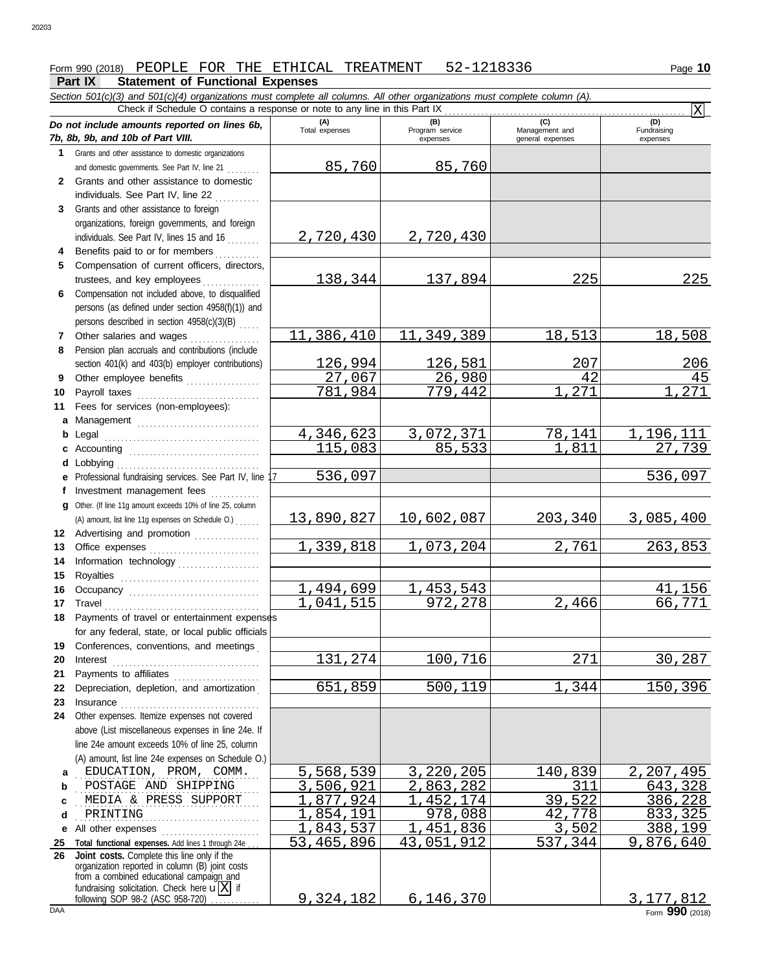# Form 990 (2018) PEOPLE FOR THE ETHICAL TREATMENT 52-1218336 Page **10**

*Section 501(c)(3) and 501(c)(4) organizations must complete all columns. All other organizations must complete column (A).*

#### **Part IX Statement of Functional Expenses**

|              | Check if Schedule O contains a response or note to any line in this Part IX                       |                       |                                    |                                           | Ιx                                  |
|--------------|---------------------------------------------------------------------------------------------------|-----------------------|------------------------------------|-------------------------------------------|-------------------------------------|
|              | Do not include amounts reported on lines 6b,<br>7b, 8b, 9b, and 10b of Part VIII.                 | (A)<br>Total expenses | (B)<br>Program service<br>expenses | (C)<br>Management and<br>general expenses | (D)<br>Fundraising<br>expenses      |
| 1            | Grants and other assistance to domestic organizations                                             |                       |                                    |                                           |                                     |
|              | and domestic governments. See Part IV, line 21                                                    | 85,760                | 85,760                             |                                           |                                     |
| $\mathbf{2}$ | Grants and other assistance to domestic                                                           |                       |                                    |                                           |                                     |
|              | individuals. See Part IV, line 22                                                                 |                       |                                    |                                           |                                     |
| 3            | Grants and other assistance to foreign                                                            |                       |                                    |                                           |                                     |
|              | organizations, foreign governments, and foreign                                                   |                       |                                    |                                           |                                     |
|              | individuals. See Part IV, lines 15 and 16                                                         | 2,720,430             | 2,720,430                          |                                           |                                     |
| 4            | Benefits paid to or for members                                                                   |                       |                                    |                                           |                                     |
| 5            | Compensation of current officers, directors,                                                      |                       |                                    |                                           |                                     |
|              | trustees, and key employees                                                                       | 138,344               | 137,894                            | 225                                       | 225                                 |
| 6            | Compensation not included above, to disqualified                                                  |                       |                                    |                                           |                                     |
|              | persons (as defined under section 4958(f)(1)) and                                                 |                       |                                    |                                           |                                     |
|              | persons described in section 4958(c)(3)(B)                                                        |                       |                                    |                                           |                                     |
| 7            | Other salaries and wages                                                                          | 11,386,410            | 11,349,389                         | 18,513                                    | 18,508                              |
| 8            | Pension plan accruals and contributions (include                                                  |                       |                                    |                                           |                                     |
|              | section 401(k) and 403(b) employer contributions)                                                 | 126,994               | 126,581                            | 207                                       | 206                                 |
| 9            | Other employee benefits                                                                           | 27,067                | 26,980                             | 42                                        | 45                                  |
| 10           | Payroll taxes                                                                                     | 781,984               | 779,442                            | 271                                       | 271                                 |
| 11           | Fees for services (non-employees):                                                                |                       |                                    |                                           |                                     |
| a            |                                                                                                   |                       |                                    | 78,141                                    |                                     |
| b            | Legal                                                                                             | 4,346,623<br>115,083  | 3,072,371<br>$\overline{85}$ , 533 | 1,811                                     | , 196, 111<br>$\overline{27}$ , 739 |
| c            |                                                                                                   |                       |                                    |                                           |                                     |
| d            | Lobbying<br>Professional fundraising services. See Part IV, line                                  | 536,097               |                                    |                                           | 536,097                             |
| е<br>f       | Investment management fees                                                                        |                       |                                    |                                           |                                     |
| a            | Other. (If line 11g amount exceeds 10% of line 25, column                                         |                       |                                    |                                           |                                     |
|              | (A) amount, list line 11g expenses on Schedule O.)                                                | 13,890,827            | 10,602,087                         | 203,340                                   | 3,085,400                           |
| 12           | Advertising and promotion [1] [1] Advertising and promotion                                       |                       |                                    |                                           |                                     |
| 13           |                                                                                                   | 1,339,818             | 1,073,204                          | 2,761                                     | 263,853                             |
| 14           | Information technology                                                                            |                       |                                    |                                           |                                     |
| 15           |                                                                                                   |                       |                                    |                                           |                                     |
| 16           |                                                                                                   | 1,494,699             | 1,453,543                          |                                           | $\overline{41}$ , 156               |
| 17           | Travel                                                                                            | 1,041,515             | 972,278                            | 2,466                                     | 66,771                              |
| 18           | Payments of travel or entertainment expenses                                                      |                       |                                    |                                           |                                     |
|              | for any federal, state, or local public officials                                                 |                       |                                    |                                           |                                     |
| 19           | Conferences, conventions, and meetings                                                            |                       |                                    |                                           |                                     |
| 20           | Interest                                                                                          | 131,274               | 100,716                            | 271                                       | 30,287                              |
| 21           | Payments to affiliates                                                                            |                       |                                    |                                           |                                     |
| 22           | Depreciation, depletion, and amortization                                                         | 651,859               | 500,119                            | ,344<br>1                                 | 150,396                             |
| 23           | Insurance <b>continuous</b>                                                                       |                       |                                    |                                           |                                     |
| 24           | Other expenses. Itemize expenses not covered                                                      |                       |                                    |                                           |                                     |
|              | above (List miscellaneous expenses in line 24e. If                                                |                       |                                    |                                           |                                     |
|              | line 24e amount exceeds 10% of line 25, column                                                    |                       |                                    |                                           |                                     |
|              | (A) amount, list line 24e expenses on Schedule O.)                                                |                       |                                    |                                           |                                     |
| a            | EDUCATION, PROM, COMM.                                                                            | 5,568,539             | 3,220,205                          | 140,839                                   | 2,207,495                           |
| b            | POSTAGE AND SHIPPING                                                                              | 3,506,921             | 2,863,282                          | 311                                       | 643,328                             |
| C            | MEDIA & PRESS SUPPORT                                                                             | ,877,924              | 1,452,174                          | 39,522                                    | 386,228                             |
| d            | PRINTING                                                                                          | , 854, 191            | 978,088                            | 42,778                                    | 833,325                             |
|              | e All other expenses                                                                              | ,843,537              | 451,836                            | 3,502                                     | 388,199                             |
| 25<br>26     | Total functional expenses. Add lines 1 through 24e<br>Joint costs. Complete this line only if the | 53,465,896            | 43,051,912                         | 537,344                                   | 9,876,640                           |
|              | organization reported in column (B) joint costs                                                   |                       |                                    |                                           |                                     |
|              | from a combined educational campaign and                                                          |                       |                                    |                                           |                                     |
|              | fundraising solicitation. Check here $\mathbf{u}[X]$ if<br>following SOP 98-2 (ASC 958-720)       | 9,324,182             | 6, 146, 370                        |                                           | 3, 177, 812                         |

DAA Form **990** (2018) 9,324,182 6,146,370  $\begin{array}{|c|c|c|c|c|}\n9,324,182 & 6,146,370\n\end{array}$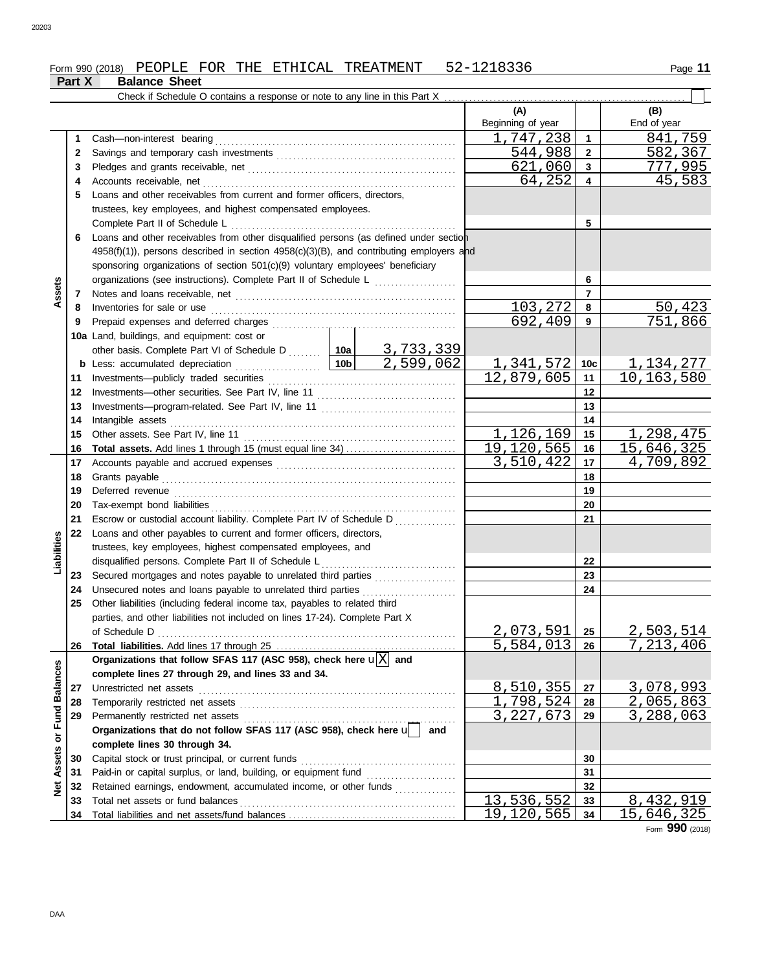| <b>Balance Sheet</b><br>Part X |  |
|--------------------------------|--|
|--------------------------------|--|

|                         |    | Check if Schedule O contains a response or note to any line in this Part X                   |     |                        |                |                  |
|-------------------------|----|----------------------------------------------------------------------------------------------|-----|------------------------|----------------|------------------|
|                         |    |                                                                                              |     | (A)                    |                | (B)              |
|                         |    |                                                                                              |     | Beginning of year      |                | End of year      |
|                         | 1  |                                                                                              |     | 1,747,238              | $\mathbf{1}$   | 841,759          |
|                         | 2  |                                                                                              |     | 544,988                | $\mathbf{2}$   | 582,367          |
|                         | 3  |                                                                                              |     | 621,060                | $\mathbf{3}$   | 777,995          |
|                         | 4  |                                                                                              |     | 64,252                 | 4              | 45,583           |
|                         | 5  | Loans and other receivables from current and former officers, directors,                     |     |                        |                |                  |
|                         |    | trustees, key employees, and highest compensated employees.                                  |     |                        |                |                  |
|                         |    |                                                                                              |     |                        | 5              |                  |
|                         | 6  | Loans and other receivables from other disqualified persons (as defined under section        |     |                        |                |                  |
|                         |    | $4958(f)(1)$ , persons described in section $4958(c)(3)(B)$ , and contributing employers and |     |                        |                |                  |
|                         |    | sponsoring organizations of section 501(c)(9) voluntary employees' beneficiary               |     |                        |                |                  |
|                         |    | organizations (see instructions). Complete Part II of Schedule L                             |     |                        | 6              |                  |
| Assets                  | 7  |                                                                                              |     |                        | $\overline{7}$ |                  |
|                         | 8  | Inventories for sale or use                                                                  |     | 103,272                | 8              | 50,423           |
|                         | 9  |                                                                                              |     | 692,409                | 9              | 751,866          |
|                         |    | 10a Land, buildings, and equipment: cost or                                                  |     |                        |                |                  |
|                         |    | other basis. Complete Part VI of Schedule D  10a 3, 733, 339                                 |     |                        |                |                  |
|                         |    |                                                                                              |     | <u>1,341,572   10c</u> |                | <u>1,134,277</u> |
|                         | 11 |                                                                                              |     | 12,879,605             | 11             | 10, 163, 580     |
|                         | 12 |                                                                                              |     |                        | $12 \,$        |                  |
|                         | 13 |                                                                                              |     |                        | 13             |                  |
|                         | 14 |                                                                                              |     |                        | 14             |                  |
|                         | 15 |                                                                                              |     | 1,126,169              | 15             | 1,298,475        |
|                         | 16 |                                                                                              |     | 19, 120, 565           | 16             | 15,646,325       |
|                         | 17 |                                                                                              |     | 3,510,422              | 17             | 4,709,892        |
|                         | 18 |                                                                                              |     |                        | 18             |                  |
|                         | 19 |                                                                                              |     |                        | 19             |                  |
|                         | 20 |                                                                                              |     |                        | 20             |                  |
|                         | 21 | Escrow or custodial account liability. Complete Part IV of Schedule D                        |     |                        | 21             |                  |
| Liabilities             | 22 | Loans and other payables to current and former officers, directors,                          |     |                        |                |                  |
|                         |    | trustees, key employees, highest compensated employees, and                                  |     |                        | 22             |                  |
|                         | 23 | disqualified persons. Complete Part II of Schedule L                                         |     |                        | 23             |                  |
|                         | 24 | Unsecured notes and loans payable to unrelated third parties                                 |     |                        | 24             |                  |
|                         | 25 | Other liabilities (including federal income tax, payables to related third                   |     |                        |                |                  |
|                         |    | parties, and other liabilities not included on lines 17-24). Complete Part X                 |     |                        |                |                  |
|                         |    | of Schedule D                                                                                |     | 2,073,591              | 25             | <u>2,503,514</u> |
|                         | 26 |                                                                                              |     | 5,584,013              | 26             | 7,213,406        |
|                         |    | Organizations that follow SFAS 117 (ASC 958), check here $\mathbf{u}[\overline{X}]$ and      |     |                        |                |                  |
|                         |    | complete lines 27 through 29, and lines 33 and 34.                                           |     |                        |                |                  |
|                         | 27 | Unrestricted net assets                                                                      |     | <u>8,510,355</u>       | 27             | <u>3,078,993</u> |
|                         | 28 |                                                                                              |     | 1,798,524              | 28             | 2,065,863        |
|                         | 29 | Permanently restricted net assets                                                            |     | 3, 227, 673            | 29             | 3, 288, 063      |
|                         |    | Organizations that do not follow SFAS 117 (ASC 958), check here u                            | and |                        |                |                  |
|                         |    | complete lines 30 through 34.                                                                |     |                        |                |                  |
| Assets or Fund Balances | 30 |                                                                                              |     |                        | 30             |                  |
|                         | 31 |                                                                                              |     |                        | 31             |                  |
| <b>Net</b>              | 32 | Retained earnings, endowment, accumulated income, or other funds                             |     |                        | 32             |                  |
|                         | 33 | Total net assets or fund balances                                                            |     | 13,536,552             | 33             | 8,432,919        |
|                         | 34 |                                                                                              |     | <u>19,120,565</u>      | 34             | 15,646,325       |

Form **990** (2018)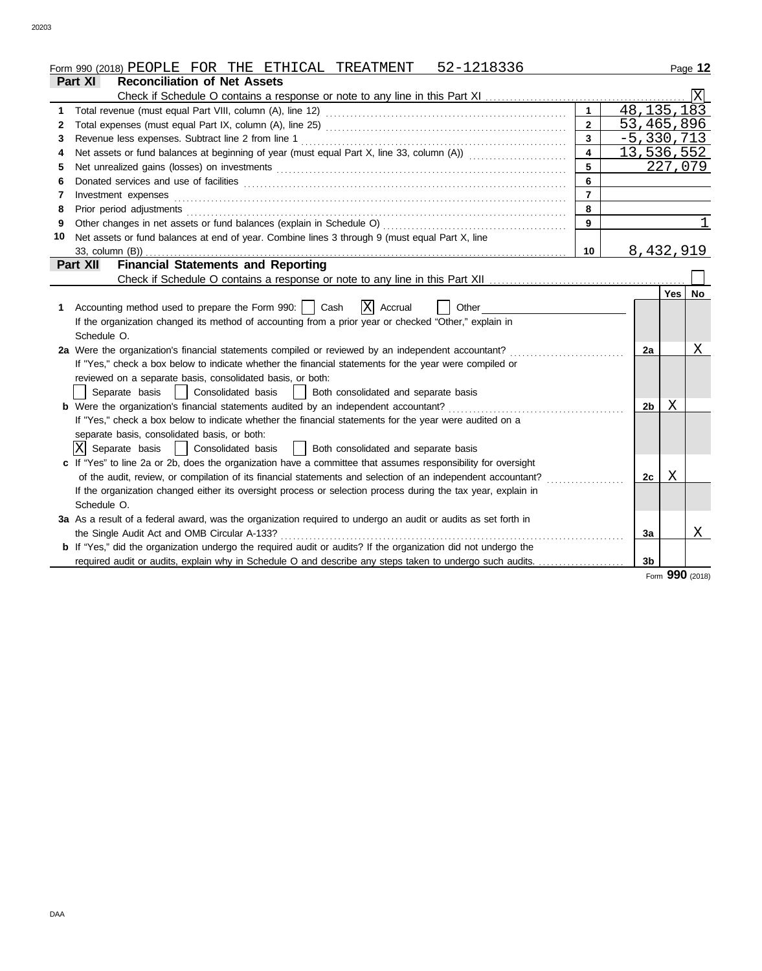|    | 52-1218336<br>Form 990 (2018) PEOPLE FOR THE ETHICAL TREATMENT                                                                                                                                                                                                                                                                                                                                                                                                                          |                         |                |        | Page 12    |
|----|-----------------------------------------------------------------------------------------------------------------------------------------------------------------------------------------------------------------------------------------------------------------------------------------------------------------------------------------------------------------------------------------------------------------------------------------------------------------------------------------|-------------------------|----------------|--------|------------|
|    | Part XI<br><b>Reconciliation of Net Assets</b>                                                                                                                                                                                                                                                                                                                                                                                                                                          |                         |                |        |            |
|    |                                                                                                                                                                                                                                                                                                                                                                                                                                                                                         |                         |                |        |            |
| 1  |                                                                                                                                                                                                                                                                                                                                                                                                                                                                                         | $\mathbf{1}$            | 48, 135, 183   |        |            |
| 2  |                                                                                                                                                                                                                                                                                                                                                                                                                                                                                         | $\overline{2}$          | 53,465,896     |        |            |
| 3  |                                                                                                                                                                                                                                                                                                                                                                                                                                                                                         | $\mathbf{3}$            | $-5,330,713$   |        |            |
| 4  | Net assets or fund balances at beginning of year (must equal Part X, line 33, column (A)) [[[[[[[[[[[[[[[[[[[                                                                                                                                                                                                                                                                                                                                                                           | $\overline{\mathbf{4}}$ |                |        | 13,536,552 |
| 5  |                                                                                                                                                                                                                                                                                                                                                                                                                                                                                         |                         |                |        | 227,079    |
| 6  |                                                                                                                                                                                                                                                                                                                                                                                                                                                                                         | 6                       |                |        |            |
| 7  | $Investment \textit{ expenses} \textit{________} \label{ex:ex:ex:1} \begin{minipage}[c]{0.9\linewidth} \textit{Investment} \textit{expenses} \end{minipage} \begin{minipage}[c]{0.9\linewidth} \textit{ex:1} & \textit{if} \textit{if} \textit{if} \textit{if} \textit{if} \textit{if} \textit{if} \textit{if} \textit{if} \textit{if} \textit{if} \textit{if} \textit{if} \textit{if} \textit{if} \textit{if} \textit{if} \textit{if} \textit{if} \textit{if} \textit{if} \textit{if}$ | $\overline{7}$          |                |        |            |
| 8  | Prior period adjustments [11, 12] and the contract of the contract of the contract of the contract of the contract of the contract of the contract of the contract of the contract of the contract of the contract of the cont                                                                                                                                                                                                                                                          | 8                       |                |        |            |
| 9  |                                                                                                                                                                                                                                                                                                                                                                                                                                                                                         | 9                       |                |        | 1          |
| 10 | Net assets or fund balances at end of year. Combine lines 3 through 9 (must equal Part X, line                                                                                                                                                                                                                                                                                                                                                                                          |                         |                |        |            |
|    | 33, column (B))                                                                                                                                                                                                                                                                                                                                                                                                                                                                         | 10                      | 8,432,919      |        |            |
|    | <b>Financial Statements and Reporting</b><br>Part XII                                                                                                                                                                                                                                                                                                                                                                                                                                   |                         |                |        |            |
|    |                                                                                                                                                                                                                                                                                                                                                                                                                                                                                         |                         |                |        |            |
|    |                                                                                                                                                                                                                                                                                                                                                                                                                                                                                         |                         |                | Yes    | No         |
| 1. | X Accrual<br>Accounting method used to prepare the Form 990:     Cash<br>Other                                                                                                                                                                                                                                                                                                                                                                                                          |                         |                |        |            |
|    | If the organization changed its method of accounting from a prior year or checked "Other," explain in                                                                                                                                                                                                                                                                                                                                                                                   |                         |                |        |            |
|    | Schedule O.                                                                                                                                                                                                                                                                                                                                                                                                                                                                             |                         |                |        |            |
|    | 2a Were the organization's financial statements compiled or reviewed by an independent accountant?                                                                                                                                                                                                                                                                                                                                                                                      |                         | 2a             |        | Χ          |
|    | If "Yes," check a box below to indicate whether the financial statements for the year were compiled or                                                                                                                                                                                                                                                                                                                                                                                  |                         |                |        |            |
|    | reviewed on a separate basis, consolidated basis, or both:                                                                                                                                                                                                                                                                                                                                                                                                                              |                         |                |        |            |
|    | Separate basis<br>Consolidated basis<br>Both consolidated and separate basis                                                                                                                                                                                                                                                                                                                                                                                                            |                         |                |        |            |
|    | <b>b</b> Were the organization's financial statements audited by an independent accountant?                                                                                                                                                                                                                                                                                                                                                                                             |                         | 2b             | Χ      |            |
|    | If "Yes," check a box below to indicate whether the financial statements for the year were audited on a                                                                                                                                                                                                                                                                                                                                                                                 |                         |                |        |            |
|    | separate basis, consolidated basis, or both:                                                                                                                                                                                                                                                                                                                                                                                                                                            |                         |                |        |            |
|    | X Separate basis<br>  Consolidated basis<br>  Both consolidated and separate basis                                                                                                                                                                                                                                                                                                                                                                                                      |                         |                |        |            |
|    | c If "Yes" to line 2a or 2b, does the organization have a committee that assumes responsibility for oversight                                                                                                                                                                                                                                                                                                                                                                           |                         |                |        |            |
|    | of the audit, review, or compilation of its financial statements and selection of an independent accountant?                                                                                                                                                                                                                                                                                                                                                                            |                         | 2с             | Χ      |            |
|    | If the organization changed either its oversight process or selection process during the tax year, explain in                                                                                                                                                                                                                                                                                                                                                                           |                         |                |        |            |
|    | Schedule O.                                                                                                                                                                                                                                                                                                                                                                                                                                                                             |                         |                |        |            |
|    | 3a As a result of a federal award, was the organization required to undergo an audit or audits as set forth in                                                                                                                                                                                                                                                                                                                                                                          |                         |                |        |            |
|    | the Single Audit Act and OMB Circular A-133?                                                                                                                                                                                                                                                                                                                                                                                                                                            |                         | 3a             |        | X          |
|    | <b>b</b> If "Yes," did the organization undergo the required audit or audits? If the organization did not undergo the                                                                                                                                                                                                                                                                                                                                                                   |                         |                |        |            |
|    | required audit or audits, explain why in Schedule O and describe any steps taken to undergo such audits.                                                                                                                                                                                                                                                                                                                                                                                |                         | 3 <sub>b</sub> |        |            |
|    |                                                                                                                                                                                                                                                                                                                                                                                                                                                                                         |                         |                | $\sim$ |            |

Form **990** (2018)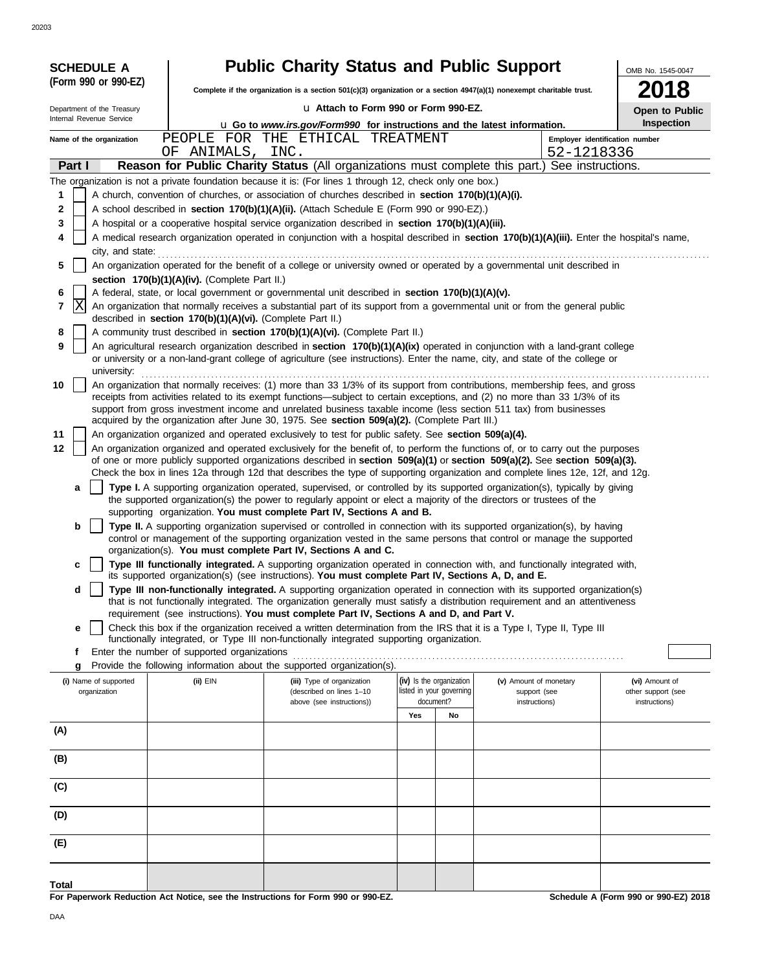| <b>SCHEDULE A</b>          |                                                            | <b>Public Charity Status and Public Support</b>                                                                                                                                                       |                          |                                                                                                                                                                                                                                                                 | OMB No. 1545-0047              |
|----------------------------|------------------------------------------------------------|-------------------------------------------------------------------------------------------------------------------------------------------------------------------------------------------------------|--------------------------|-----------------------------------------------------------------------------------------------------------------------------------------------------------------------------------------------------------------------------------------------------------------|--------------------------------|
| (Form 990 or 990-EZ)       |                                                            | Complete if the organization is a section 501(c)(3) organization or a section 4947(a)(1) nonexempt charitable trust.                                                                                  |                          |                                                                                                                                                                                                                                                                 | 18                             |
| Department of the Treasury |                                                            | La Attach to Form 990 or Form 990-EZ.                                                                                                                                                                 |                          |                                                                                                                                                                                                                                                                 | Open to Public                 |
| Internal Revenue Service   |                                                            | u Go to www.irs.gov/Form990 for instructions and the latest information.                                                                                                                              |                          |                                                                                                                                                                                                                                                                 | Inspection                     |
| Name of the organization   | PEOPLE<br>FOR<br>OF ANIMALS,                               | THE ETHICAL TREATMENT<br>INC.                                                                                                                                                                         |                          | 52-1218336                                                                                                                                                                                                                                                      | Employer identification number |
| Part I                     |                                                            |                                                                                                                                                                                                       |                          | Reason for Public Charity Status (All organizations must complete this part.) See instructions.                                                                                                                                                                 |                                |
|                            |                                                            | The organization is not a private foundation because it is: (For lines 1 through 12, check only one box.)                                                                                             |                          |                                                                                                                                                                                                                                                                 |                                |
| 1                          |                                                            | A church, convention of churches, or association of churches described in section 170(b)(1)(A)(i).                                                                                                    |                          |                                                                                                                                                                                                                                                                 |                                |
| 2<br>3                     |                                                            | A school described in section 170(b)(1)(A)(ii). (Attach Schedule E (Form 990 or 990-EZ).)<br>A hospital or a cooperative hospital service organization described in section 170(b)(1)(A)(iii).        |                          |                                                                                                                                                                                                                                                                 |                                |
| 4                          |                                                            |                                                                                                                                                                                                       |                          | A medical research organization operated in conjunction with a hospital described in section 170(b)(1)(A)(iii). Enter the hospital's name,                                                                                                                      |                                |
| city, and state:           |                                                            |                                                                                                                                                                                                       |                          |                                                                                                                                                                                                                                                                 |                                |
| 5                          |                                                            |                                                                                                                                                                                                       |                          | An organization operated for the benefit of a college or university owned or operated by a governmental unit described in                                                                                                                                       |                                |
|                            | section 170(b)(1)(A)(iv). (Complete Part II.)              |                                                                                                                                                                                                       |                          |                                                                                                                                                                                                                                                                 |                                |
| 6<br> X<br>7               |                                                            | A federal, state, or local government or governmental unit described in section 170(b)(1)(A)(v).                                                                                                      |                          | An organization that normally receives a substantial part of its support from a governmental unit or from the general public                                                                                                                                    |                                |
|                            | described in section 170(b)(1)(A)(vi). (Complete Part II.) |                                                                                                                                                                                                       |                          |                                                                                                                                                                                                                                                                 |                                |
| 8                          |                                                            | A community trust described in section 170(b)(1)(A)(vi). (Complete Part II.)                                                                                                                          |                          |                                                                                                                                                                                                                                                                 |                                |
| 9                          |                                                            |                                                                                                                                                                                                       |                          | An agricultural research organization described in section 170(b)(1)(A)(ix) operated in conjunction with a land-grant college<br>or university or a non-land-grant college of agriculture (see instructions). Enter the name, city, and state of the college or |                                |
| university:                |                                                            |                                                                                                                                                                                                       |                          |                                                                                                                                                                                                                                                                 |                                |
| 10                         |                                                            |                                                                                                                                                                                                       |                          | An organization that normally receives: (1) more than 33 1/3% of its support from contributions, membership fees, and gross<br>receipts from activities related to its exempt functions—subject to certain exceptions, and (2) no more than 33 1/3% of its      |                                |
|                            |                                                            |                                                                                                                                                                                                       |                          | support from gross investment income and unrelated business taxable income (less section 511 tax) from businesses                                                                                                                                               |                                |
| 11                         |                                                            | acquired by the organization after June 30, 1975. See section 509(a)(2). (Complete Part III.)<br>An organization organized and operated exclusively to test for public safety. See section 509(a)(4). |                          |                                                                                                                                                                                                                                                                 |                                |
| 12                         |                                                            |                                                                                                                                                                                                       |                          | An organization organized and operated exclusively for the benefit of, to perform the functions of, or to carry out the purposes                                                                                                                                |                                |
|                            |                                                            |                                                                                                                                                                                                       |                          | of one or more publicly supported organizations described in section 509(a)(1) or section 509(a)(2). See section 509(a)(3).                                                                                                                                     |                                |
|                            |                                                            |                                                                                                                                                                                                       |                          | Check the box in lines 12a through 12d that describes the type of supporting organization and complete lines 12e, 12f, and 12g.                                                                                                                                 |                                |
| a                          |                                                            |                                                                                                                                                                                                       |                          | Type I. A supporting organization operated, supervised, or controlled by its supported organization(s), typically by giving<br>the supported organization(s) the power to regularly appoint or elect a majority of the directors or trustees of the             |                                |
|                            |                                                            | supporting organization. You must complete Part IV, Sections A and B.                                                                                                                                 |                          |                                                                                                                                                                                                                                                                 |                                |
| b                          |                                                            |                                                                                                                                                                                                       |                          | Type II. A supporting organization supervised or controlled in connection with its supported organization(s), by having                                                                                                                                         |                                |
|                            |                                                            | organization(s). You must complete Part IV, Sections A and C.                                                                                                                                         |                          | control or management of the supporting organization vested in the same persons that control or manage the supported                                                                                                                                            |                                |
| c                          |                                                            | its supported organization(s) (see instructions). You must complete Part IV, Sections A, D, and E.                                                                                                    |                          | Type III functionally integrated. A supporting organization operated in connection with, and functionally integrated with,                                                                                                                                      |                                |
| d                          |                                                            |                                                                                                                                                                                                       |                          | Type III non-functionally integrated. A supporting organization operated in connection with its supported organization(s)                                                                                                                                       |                                |
|                            |                                                            |                                                                                                                                                                                                       |                          | that is not functionally integrated. The organization generally must satisfy a distribution requirement and an attentiveness                                                                                                                                    |                                |
| e                          |                                                            | requirement (see instructions). You must complete Part IV, Sections A and D, and Part V.                                                                                                              |                          | Check this box if the organization received a written determination from the IRS that it is a Type I, Type II, Type III                                                                                                                                         |                                |
|                            |                                                            | functionally integrated, or Type III non-functionally integrated supporting organization.                                                                                                             |                          |                                                                                                                                                                                                                                                                 |                                |
| f                          | Enter the number of supported organizations                |                                                                                                                                                                                                       |                          |                                                                                                                                                                                                                                                                 |                                |
| g<br>(i) Name of supported | (ii) EIN                                                   | Provide the following information about the supported organization(s).<br>(iii) Type of organization                                                                                                  | (iv) Is the organization | (v) Amount of monetary                                                                                                                                                                                                                                          | (vi) Amount of                 |
| organization               |                                                            | (described on lines 1-10                                                                                                                                                                              | listed in your governing | support (see                                                                                                                                                                                                                                                    | other support (see             |
|                            |                                                            | above (see instructions))                                                                                                                                                                             | document?<br>Yes<br>No   | instructions)                                                                                                                                                                                                                                                   | instructions)                  |
| (A)                        |                                                            |                                                                                                                                                                                                       |                          |                                                                                                                                                                                                                                                                 |                                |
|                            |                                                            |                                                                                                                                                                                                       |                          |                                                                                                                                                                                                                                                                 |                                |
| (B)                        |                                                            |                                                                                                                                                                                                       |                          |                                                                                                                                                                                                                                                                 |                                |
| (C)                        |                                                            |                                                                                                                                                                                                       |                          |                                                                                                                                                                                                                                                                 |                                |
| (D)                        |                                                            |                                                                                                                                                                                                       |                          |                                                                                                                                                                                                                                                                 |                                |
|                            |                                                            |                                                                                                                                                                                                       |                          |                                                                                                                                                                                                                                                                 |                                |
| (E)                        |                                                            |                                                                                                                                                                                                       |                          |                                                                                                                                                                                                                                                                 |                                |
|                            |                                                            |                                                                                                                                                                                                       |                          |                                                                                                                                                                                                                                                                 |                                |

**For Paperwork Reduction Act Notice, see the Instructions for Form 990 or 990-EZ.**

**Schedule A (Form 990 or 990-EZ) 2018**

**Total**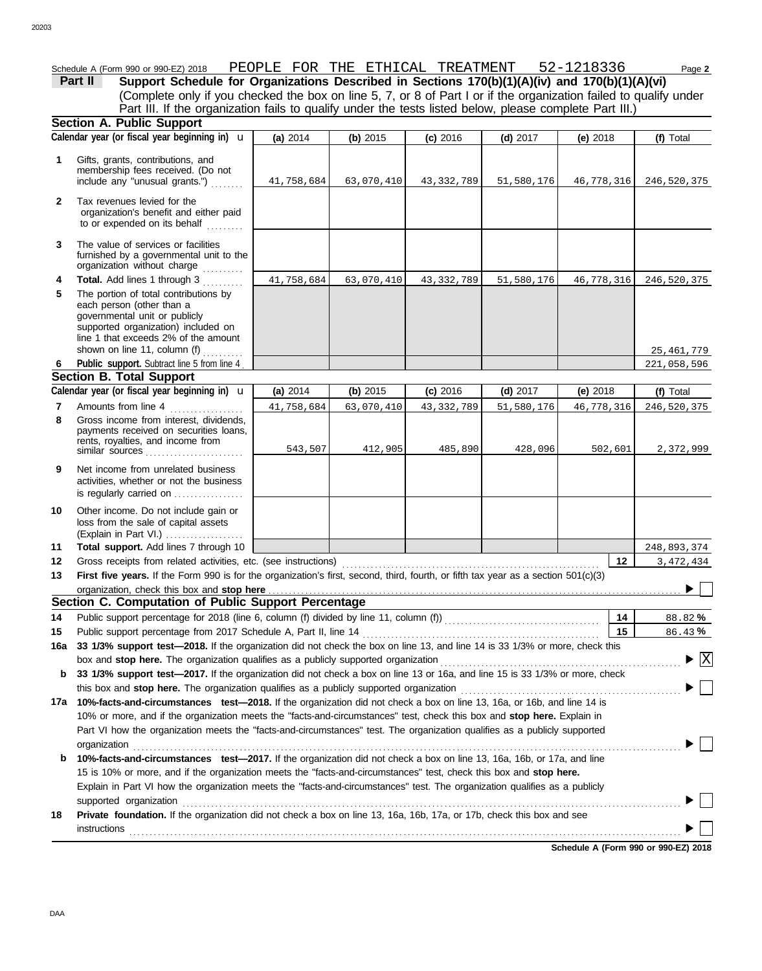|              | Schedule A (Form 990 or 990-EZ) 2018                                                                                                  | PEOPLE FOR THE ETHICAL TREATMENT 52-1218336 |            |              |            |            | Page 2                             |
|--------------|---------------------------------------------------------------------------------------------------------------------------------------|---------------------------------------------|------------|--------------|------------|------------|------------------------------------|
|              | Support Schedule for Organizations Described in Sections 170(b)(1)(A)(iv) and 170(b)(1)(A)(vi)<br>Part II                             |                                             |            |              |            |            |                                    |
|              | (Complete only if you checked the box on line 5, 7, or 8 of Part I or if the organization failed to qualify under                     |                                             |            |              |            |            |                                    |
|              | Part III. If the organization fails to qualify under the tests listed below, please complete Part III.)                               |                                             |            |              |            |            |                                    |
|              | <b>Section A. Public Support</b>                                                                                                      |                                             |            |              |            |            |                                    |
|              | Calendar year (or fiscal year beginning in) $\mathbf u$                                                                               | (a) 2014                                    | (b) 2015   | $(c)$ 2016   | $(d)$ 2017 | $(e)$ 2018 | (f) Total                          |
| 1            | Gifts, grants, contributions, and                                                                                                     |                                             |            |              |            |            |                                    |
|              | membership fees received. (Do not                                                                                                     |                                             |            |              |            |            |                                    |
|              | include any "unusual grants.")                                                                                                        | 41,758,684                                  | 63,070,410 | 43,332,789   | 51,580,176 | 46,778,316 | 246,520,375                        |
| $\mathbf{2}$ | Tax revenues levied for the                                                                                                           |                                             |            |              |            |            |                                    |
|              | organization's benefit and either paid<br>to or expended on its behalf                                                                |                                             |            |              |            |            |                                    |
|              |                                                                                                                                       |                                             |            |              |            |            |                                    |
| 3            | The value of services or facilities                                                                                                   |                                             |            |              |            |            |                                    |
|              | furnished by a governmental unit to the<br>organization without charge<br>.                                                           |                                             |            |              |            |            |                                    |
| 4            | Total. Add lines 1 through 3<br>.                                                                                                     | 41,758,684                                  | 63,070,410 | 43, 332, 789 | 51,580,176 | 46,778,316 | 246,520,375                        |
| 5            | The portion of total contributions by                                                                                                 |                                             |            |              |            |            |                                    |
|              | each person (other than a                                                                                                             |                                             |            |              |            |            |                                    |
|              | governmental unit or publicly                                                                                                         |                                             |            |              |            |            |                                    |
|              | supported organization) included on<br>line 1 that exceeds 2% of the amount                                                           |                                             |            |              |            |            |                                    |
|              | shown on line 11, column (f)                                                                                                          |                                             |            |              |            |            | 25,461,779                         |
| 6            | Public support. Subtract line 5 from line 4                                                                                           |                                             |            |              |            |            | 221,058,596                        |
|              | <b>Section B. Total Support</b>                                                                                                       |                                             |            |              |            |            |                                    |
|              | Calendar year (or fiscal year beginning in) $\mathbf u$                                                                               | (a) 2014                                    | (b) 2015   | $(c)$ 2016   | $(d)$ 2017 | $(e)$ 2018 | (f) Total                          |
| 7            | Amounts from line 4                                                                                                                   | 41,758,684                                  | 63,070,410 | 43, 332, 789 | 51,580,176 | 46,778,316 | 246,520,375                        |
| 8            | Gross income from interest, dividends,<br>payments received on securities loans,                                                      |                                             |            |              |            |            |                                    |
|              | rents, royalties, and income from                                                                                                     |                                             |            |              |            |            |                                    |
|              | similar sources                                                                                                                       | 543,507                                     | 412,905    | 485,890      | 428,096    | 502,601    | 2,372,999                          |
| 9            | Net income from unrelated business                                                                                                    |                                             |            |              |            |            |                                    |
|              | activities, whether or not the business                                                                                               |                                             |            |              |            |            |                                    |
|              | is regularly carried on                                                                                                               |                                             |            |              |            |            |                                    |
| 10           | Other income. Do not include gain or                                                                                                  |                                             |            |              |            |            |                                    |
|              | loss from the sale of capital assets<br>(Explain in Part VI.)                                                                         |                                             |            |              |            |            |                                    |
| 11           | Total support. Add lines 7 through 10                                                                                                 |                                             |            |              |            |            | 248,893,374                        |
| 12           | Gross receipts from related activities, etc. (see instructions)                                                                       |                                             |            |              |            | 12         | 3, 472, 434                        |
| 13           | First five years. If the Form 990 is for the organization's first, second, third, fourth, or fifth tax year as a section 501(c)(3)    |                                             |            |              |            |            |                                    |
|              | organization, check this box and stop here                                                                                            |                                             |            |              |            |            | $\sim$ 1.1                         |
|              | Section C. Computation of Public Support Percentage                                                                                   |                                             |            |              |            |            |                                    |
| 14           |                                                                                                                                       |                                             |            |              |            | 14         | 88.82%                             |
| 15           | Public support percentage from 2017 Schedule A, Part II, line 14                                                                      |                                             |            |              |            | 15         | 86.43%                             |
| 16a          | 33 1/3% support test-2018. If the organization did not check the box on line 13, and line 14 is 33 1/3% or more, check this           |                                             |            |              |            |            |                                    |
|              | box and stop here. The organization qualifies as a publicly supported organization                                                    |                                             |            |              |            |            | $\blacktriangleright$ $\mathbf{X}$ |
| b            | 33 1/3% support test-2017. If the organization did not check a box on line 13 or 16a, and line 15 is 33 1/3% or more, check           |                                             |            |              |            |            |                                    |
|              | this box and stop here. The organization qualifies as a publicly supported organization                                               |                                             |            |              |            |            |                                    |
|              | 17a 10%-facts-and-circumstances test-2018. If the organization did not check a box on line 13, 16a, or 16b, and line 14 is            |                                             |            |              |            |            |                                    |
|              | 10% or more, and if the organization meets the "facts-and-circumstances" test, check this box and stop here. Explain in               |                                             |            |              |            |            |                                    |
|              | Part VI how the organization meets the "facts-and-circumstances" test. The organization qualifies as a publicly supported             |                                             |            |              |            |            |                                    |
| b            | organization<br>10%-facts-and-circumstances test-2017. If the organization did not check a box on line 13, 16a, 16b, or 17a, and line |                                             |            |              |            |            |                                    |
|              | 15 is 10% or more, and if the organization meets the "facts-and-circumstances" test, check this box and stop here.                    |                                             |            |              |            |            |                                    |
|              | Explain in Part VI how the organization meets the "facts-and-circumstances" test. The organization qualifies as a publicly            |                                             |            |              |            |            |                                    |
|              |                                                                                                                                       |                                             |            |              |            |            |                                    |
|              |                                                                                                                                       |                                             |            |              |            |            |                                    |

**18 Private foundation.** If the organization did not check a box on line 13, 16a, 16b, 17a, or 17b, check this box and see instructions . . . . . . . . . . . . . . . . . . . . . . . . . . . . . . . . . . . . . . . . . . . . . . . . . . . . . . . . . . . . . . . . . . . . . . . . . . . . . . . . . . . . . . . . . . . . . . . . . . . . . . . . . . . . . . . . . . . . . . . . . . . . . . . . . . . . . . .

**Schedule A (Form 990 or 990-EZ) 2018**

 $\blacktriangleright \Box$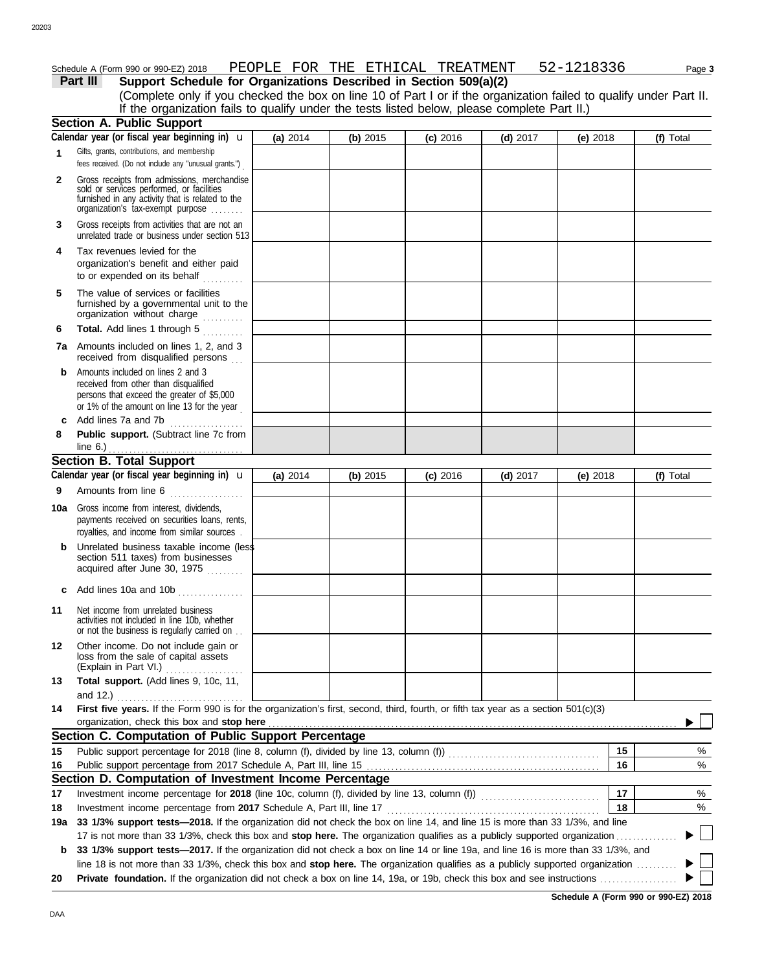#### Schedule A (Form 990 or 990-EZ) 2018 PEOPLE FOR THE ETHICAL TREATMENT 52-1218336 Page 3

|     | Part III<br>Support Schedule for Organizations Described in Section 509(a)(2)                                                                                                                                                                                        |          |          |            |            |            |           |
|-----|----------------------------------------------------------------------------------------------------------------------------------------------------------------------------------------------------------------------------------------------------------------------|----------|----------|------------|------------|------------|-----------|
|     | (Complete only if you checked the box on line 10 of Part I or if the organization failed to qualify under Part II.                                                                                                                                                   |          |          |            |            |            |           |
|     | If the organization fails to qualify under the tests listed below, please complete Part II.)                                                                                                                                                                         |          |          |            |            |            |           |
|     | <b>Section A. Public Support</b><br>Calendar year (or fiscal year beginning in) $\mathbf u$                                                                                                                                                                          |          |          |            |            |            |           |
|     | Gifts, grants, contributions, and membership                                                                                                                                                                                                                         | (a) 2014 | (b) 2015 | $(c)$ 2016 | $(d)$ 2017 | (e) $2018$ | (f) Total |
| 1   | fees received. (Do not include any "unusual grants.")                                                                                                                                                                                                                |          |          |            |            |            |           |
| 2   | Gross receipts from admissions, merchandise<br>sold or services performed, or facilities<br>furnished in any activity that is related to the<br>organization's tax-exempt purpose                                                                                    |          |          |            |            |            |           |
| 3   | Gross receipts from activities that are not an<br>unrelated trade or business under section 513                                                                                                                                                                      |          |          |            |            |            |           |
| 4   | Tax revenues levied for the<br>organization's benefit and either paid<br>to or expended on its behalf                                                                                                                                                                |          |          |            |            |            |           |
| 5   | The value of services or facilities<br>furnished by a governmental unit to the<br>organization without charge                                                                                                                                                        |          |          |            |            |            |           |
| 6   | Total. Add lines 1 through 5<br><u>.</u>                                                                                                                                                                                                                             |          |          |            |            |            |           |
|     | <b>7a</b> Amounts included on lines 1, 2, and 3<br>received from disqualified persons                                                                                                                                                                                |          |          |            |            |            |           |
| b   | Amounts included on lines 2 and 3<br>received from other than disqualified<br>persons that exceed the greater of \$5,000<br>or 1% of the amount on line 13 for the year                                                                                              |          |          |            |            |            |           |
| c   | Add lines 7a and 7b                                                                                                                                                                                                                                                  |          |          |            |            |            |           |
| 8   | Public support. (Subtract line 7c from<br>line 6.)                                                                                                                                                                                                                   |          |          |            |            |            |           |
|     | <b>Section B. Total Support</b>                                                                                                                                                                                                                                      |          |          |            |            |            |           |
|     | Calendar year (or fiscal year beginning in) $\mathbf u$                                                                                                                                                                                                              | (a) 2014 | (b) 2015 | (c) 2016   | $(d)$ 2017 | (e) $2018$ | (f) Total |
| 9   | Amounts from line 6                                                                                                                                                                                                                                                  |          |          |            |            |            |           |
| 10a | Gross income from interest, dividends,<br>payments received on securities loans, rents,<br>royalties, and income from similar sources.                                                                                                                               |          |          |            |            |            |           |
| b   | Unrelated business taxable income (less<br>section 511 taxes) from businesses<br>acquired after June 30, 1975                                                                                                                                                        |          |          |            |            |            |           |
|     | c Add lines 10a and 10b $\ldots$                                                                                                                                                                                                                                     |          |          |            |            |            |           |
| 11  | Net income from unrelated business<br>activities not included in line 10b, whether<br>or not the business is regularly carried on                                                                                                                                    |          |          |            |            |            |           |
| 12  | Other income. Do not include gain or<br>loss from the sale of capital assets<br>(Explain in Part VI.)                                                                                                                                                                |          |          |            |            |            |           |
| 13  | Total support. (Add lines 9, 10c, 11,                                                                                                                                                                                                                                |          |          |            |            |            |           |
| 14  | and 12.)<br>.<br>First five years. If the Form 990 is for the organization's first, second, third, fourth, or fifth tax year as a section 501(c)(3)                                                                                                                  |          |          |            |            |            |           |
|     | organization, check this box and stop here                                                                                                                                                                                                                           |          |          |            |            |            |           |
|     | Section C. Computation of Public Support Percentage                                                                                                                                                                                                                  |          |          |            |            |            |           |
| 15  |                                                                                                                                                                                                                                                                      |          |          |            |            | 15         | %         |
| 16  |                                                                                                                                                                                                                                                                      |          |          |            |            | 16         | %         |
|     | Section D. Computation of Investment Income Percentage                                                                                                                                                                                                               |          |          |            |            |            |           |
| 17  |                                                                                                                                                                                                                                                                      |          |          |            |            | 17         | %         |
| 18  | Investment income percentage from 2017 Schedule A, Part III, line 17                                                                                                                                                                                                 |          |          |            |            | 18         | %         |
| 19a | 33 1/3% support tests-2018. If the organization did not check the box on line 14, and line 15 is more than 33 1/3%, and line                                                                                                                                         |          |          |            |            |            |           |
|     | 17 is not more than 33 1/3%, check this box and stop here. The organization qualifies as a publicly supported organization                                                                                                                                           |          |          |            |            |            |           |
| b   | 33 1/3% support tests-2017. If the organization did not check a box on line 14 or line 19a, and line 16 is more than 33 1/3%, and<br>line 18 is not more than 33 1/3%, check this box and stop here. The organization qualifies as a publicly supported organization |          |          |            |            |            |           |
| 20  |                                                                                                                                                                                                                                                                      |          |          |            |            |            |           |

**Schedule A (Form 990 or 990-EZ) 2018**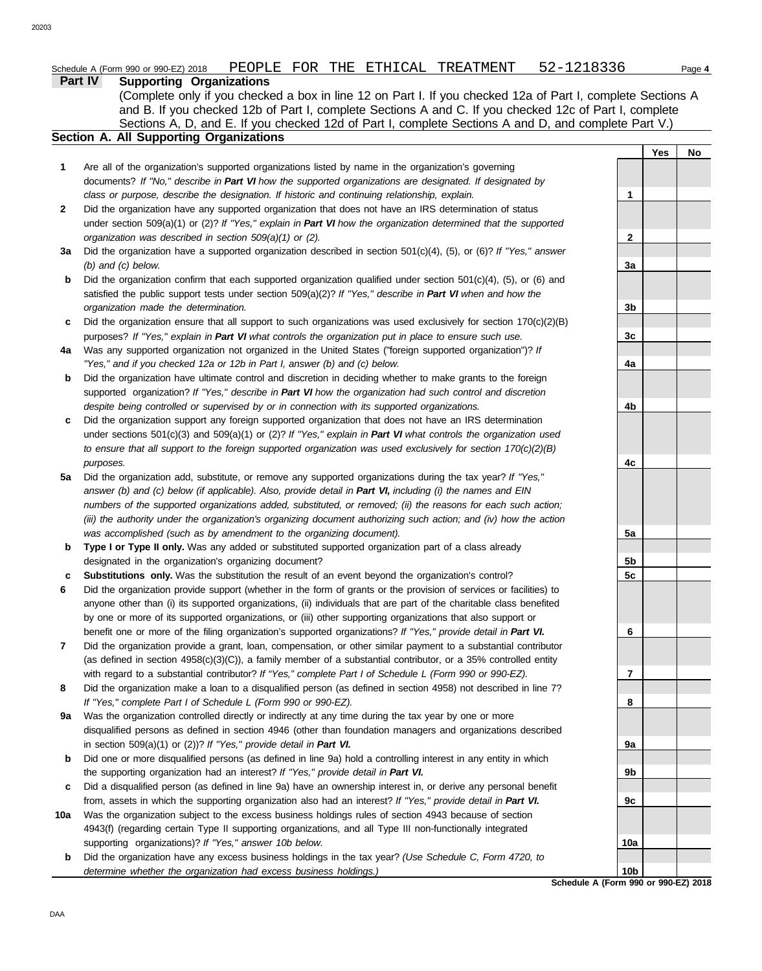|     | Part IV<br><b>Supporting Organizations</b>                                                                                                                                               |                |            |    |
|-----|------------------------------------------------------------------------------------------------------------------------------------------------------------------------------------------|----------------|------------|----|
|     | (Complete only if you checked a box in line 12 on Part I. If you checked 12a of Part I, complete Sections A                                                                              |                |            |    |
|     | and B. If you checked 12b of Part I, complete Sections A and C. If you checked 12c of Part I, complete                                                                                   |                |            |    |
|     | Sections A, D, and E. If you checked 12d of Part I, complete Sections A and D, and complete Part V.)                                                                                     |                |            |    |
|     | <b>Section A. All Supporting Organizations</b>                                                                                                                                           |                |            |    |
|     |                                                                                                                                                                                          |                | <b>Yes</b> | No |
| 1   | Are all of the organization's supported organizations listed by name in the organization's governing                                                                                     |                |            |    |
|     | documents? If "No," describe in Part VI how the supported organizations are designated. If designated by                                                                                 |                |            |    |
|     | class or purpose, describe the designation. If historic and continuing relationship, explain.                                                                                            | 1              |            |    |
| 2   | Did the organization have any supported organization that does not have an IRS determination of status                                                                                   |                |            |    |
|     | under section 509(a)(1) or (2)? If "Yes," explain in Part VI how the organization determined that the supported                                                                          |                |            |    |
|     | organization was described in section 509(a)(1) or (2).                                                                                                                                  | 2              |            |    |
| 3a  | Did the organization have a supported organization described in section $501(c)(4)$ , (5), or (6)? If "Yes," answer                                                                      |                |            |    |
|     | $(b)$ and $(c)$ below.                                                                                                                                                                   | 3a             |            |    |
| b   | Did the organization confirm that each supported organization qualified under section $501(c)(4)$ , (5), or (6) and                                                                      |                |            |    |
|     | satisfied the public support tests under section 509(a)(2)? If "Yes," describe in Part VI when and how the                                                                               |                |            |    |
|     | organization made the determination.                                                                                                                                                     | 3b             |            |    |
| c   | Did the organization ensure that all support to such organizations was used exclusively for section $170(c)(2)(B)$                                                                       |                |            |    |
|     | purposes? If "Yes," explain in Part VI what controls the organization put in place to ensure such use.                                                                                   | 3c             |            |    |
| 4a  | Was any supported organization not organized in the United States ("foreign supported organization")? If                                                                                 |                |            |    |
|     | "Yes," and if you checked 12a or 12b in Part I, answer (b) and (c) below.                                                                                                                | 4a             |            |    |
| b   | Did the organization have ultimate control and discretion in deciding whether to make grants to the foreign                                                                              |                |            |    |
|     | supported organization? If "Yes," describe in Part VI how the organization had such control and discretion                                                                               |                |            |    |
|     | despite being controlled or supervised by or in connection with its supported organizations.                                                                                             | 4b             |            |    |
| с   | Did the organization support any foreign supported organization that does not have an IRS determination                                                                                  |                |            |    |
|     | under sections $501(c)(3)$ and $509(a)(1)$ or (2)? If "Yes," explain in Part VI what controls the organization used                                                                      |                |            |    |
|     | to ensure that all support to the foreign supported organization was used exclusively for section $170(c)(2)(B)$                                                                         |                |            |    |
|     | purposes.                                                                                                                                                                                | 4c             |            |    |
| 5a  | Did the organization add, substitute, or remove any supported organizations during the tax year? If "Yes,"                                                                               |                |            |    |
|     | answer (b) and (c) below (if applicable). Also, provide detail in Part VI, including (i) the names and EIN                                                                               |                |            |    |
|     | numbers of the supported organizations added, substituted, or removed; (ii) the reasons for each such action;                                                                            |                |            |    |
|     | (iii) the authority under the organization's organizing document authorizing such action; and (iv) how the action<br>was accomplished (such as by amendment to the organizing document). | 5a             |            |    |
| b   | Type I or Type II only. Was any added or substituted supported organization part of a class already                                                                                      |                |            |    |
|     | designated in the organization's organizing document?                                                                                                                                    | 5b             |            |    |
| c   | Substitutions only. Was the substitution the result of an event beyond the organization's control?                                                                                       | 5 <sub>c</sub> |            |    |
| 6   | Did the organization provide support (whether in the form of grants or the provision of services or facilities) to                                                                       |                |            |    |
|     | anyone other than (i) its supported organizations, (ii) individuals that are part of the charitable class benefited                                                                      |                |            |    |
|     | by one or more of its supported organizations, or (iii) other supporting organizations that also support or                                                                              |                |            |    |
|     | benefit one or more of the filing organization's supported organizations? If "Yes," provide detail in Part VI.                                                                           | 6              |            |    |
| 7   | Did the organization provide a grant, loan, compensation, or other similar payment to a substantial contributor                                                                          |                |            |    |
|     | (as defined in section $4958(c)(3)(C)$ ), a family member of a substantial contributor, or a 35% controlled entity                                                                       |                |            |    |
|     | with regard to a substantial contributor? If "Yes," complete Part I of Schedule L (Form 990 or 990-EZ).                                                                                  | 7              |            |    |
| 8   | Did the organization make a loan to a disqualified person (as defined in section 4958) not described in line 7?                                                                          |                |            |    |
|     | If "Yes," complete Part I of Schedule L (Form 990 or 990-EZ).                                                                                                                            | 8              |            |    |
| 9a  | Was the organization controlled directly or indirectly at any time during the tax year by one or more                                                                                    |                |            |    |
|     | disqualified persons as defined in section 4946 (other than foundation managers and organizations described                                                                              |                |            |    |
|     | in section 509(a)(1) or (2))? If "Yes," provide detail in Part VI.                                                                                                                       | 9а             |            |    |
| b   | Did one or more disqualified persons (as defined in line 9a) hold a controlling interest in any entity in which                                                                          |                |            |    |
|     | the supporting organization had an interest? If "Yes," provide detail in Part VI.                                                                                                        | 9b             |            |    |
| c   | Did a disqualified person (as defined in line 9a) have an ownership interest in, or derive any personal benefit                                                                          |                |            |    |
|     | from, assets in which the supporting organization also had an interest? If "Yes," provide detail in Part VI.                                                                             | 9c             |            |    |
| 10a | Was the organization subject to the excess business holdings rules of section 4943 because of section                                                                                    |                |            |    |
|     | 4943(f) (regarding certain Type II supporting organizations, and all Type III non-functionally integrated                                                                                |                |            |    |
|     | supporting organizations)? If "Yes," answer 10b below.                                                                                                                                   | 10a            |            |    |

**b** Did the organization have any excess business holdings in the tax year? *(Use Schedule C, Form 4720, to determine whether the organization had excess business holdings.)*

**Schedule A (Form 990 or 990-EZ) 2018 10b**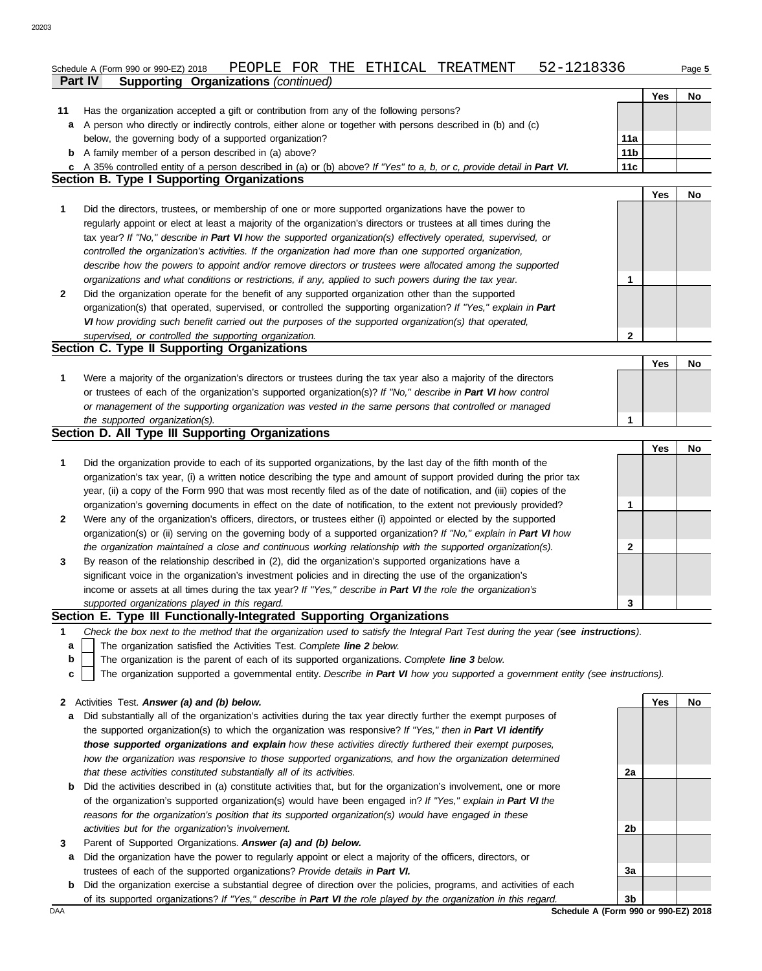|              | 52-1218336<br>PEOPLE FOR THE ETHICAL<br>TREATMENT<br>Schedule A (Form 990 or 990-EZ) 2018                                                                                                                                           |                 |            | Page 5    |
|--------------|-------------------------------------------------------------------------------------------------------------------------------------------------------------------------------------------------------------------------------------|-----------------|------------|-----------|
|              | Part IV<br><b>Supporting Organizations (continued)</b>                                                                                                                                                                              |                 |            |           |
|              |                                                                                                                                                                                                                                     |                 | <b>Yes</b> | No        |
| 11           | Has the organization accepted a gift or contribution from any of the following persons?                                                                                                                                             |                 |            |           |
| a            | A person who directly or indirectly controls, either alone or together with persons described in (b) and (c)                                                                                                                        |                 |            |           |
|              | below, the governing body of a supported organization?                                                                                                                                                                              | 11a             |            |           |
|              | <b>b</b> A family member of a person described in (a) above?                                                                                                                                                                        | 11 <sub>b</sub> |            |           |
|              | c A 35% controlled entity of a person described in (a) or (b) above? If "Yes" to a, b, or c, provide detail in Part VI.                                                                                                             | 11c             |            |           |
|              | <b>Section B. Type I Supporting Organizations</b>                                                                                                                                                                                   |                 |            |           |
|              |                                                                                                                                                                                                                                     |                 | Yes        | No.       |
| 1            | Did the directors, trustees, or membership of one or more supported organizations have the power to                                                                                                                                 |                 |            |           |
|              | regularly appoint or elect at least a majority of the organization's directors or trustees at all times during the                                                                                                                  |                 |            |           |
|              | tax year? If "No," describe in Part VI how the supported organization(s) effectively operated, supervised, or                                                                                                                       |                 |            |           |
|              | controlled the organization's activities. If the organization had more than one supported organization,                                                                                                                             |                 |            |           |
|              | describe how the powers to appoint and/or remove directors or trustees were allocated among the supported                                                                                                                           |                 |            |           |
|              | organizations and what conditions or restrictions, if any, applied to such powers during the tax year.                                                                                                                              | 1               |            |           |
| 2            | Did the organization operate for the benefit of any supported organization other than the supported                                                                                                                                 |                 |            |           |
|              | organization(s) that operated, supervised, or controlled the supporting organization? If "Yes," explain in Part                                                                                                                     |                 |            |           |
|              | VI how providing such benefit carried out the purposes of the supported organization(s) that operated,                                                                                                                              |                 |            |           |
|              | supervised, or controlled the supporting organization.                                                                                                                                                                              | 2               |            |           |
|              | Section C. Type II Supporting Organizations                                                                                                                                                                                         |                 |            |           |
|              |                                                                                                                                                                                                                                     |                 | Yes        | No.       |
| 1            | Were a majority of the organization's directors or trustees during the tax year also a majority of the directors                                                                                                                    |                 |            |           |
|              | or trustees of each of the organization's supported organization(s)? If "No," describe in Part VI how control                                                                                                                       |                 |            |           |
|              | or management of the supporting organization was vested in the same persons that controlled or managed                                                                                                                              |                 |            |           |
|              | the supported organization(s).                                                                                                                                                                                                      | 1               |            |           |
|              |                                                                                                                                                                                                                                     |                 |            |           |
|              | Section D. All Type III Supporting Organizations                                                                                                                                                                                    |                 |            |           |
|              |                                                                                                                                                                                                                                     |                 | Yes        | No.       |
| 1            | Did the organization provide to each of its supported organizations, by the last day of the fifth month of the                                                                                                                      |                 |            |           |
|              | organization's tax year, (i) a written notice describing the type and amount of support provided during the prior tax                                                                                                               |                 |            |           |
|              | year, (ii) a copy of the Form 990 that was most recently filed as of the date of notification, and (iii) copies of the                                                                                                              |                 |            |           |
|              | organization's governing documents in effect on the date of notification, to the extent not previously provided?                                                                                                                    | 1               |            |           |
| 2            | Were any of the organization's officers, directors, or trustees either (i) appointed or elected by the supported                                                                                                                    |                 |            |           |
|              | organization(s) or (ii) serving on the governing body of a supported organization? If "No," explain in Part VI how                                                                                                                  |                 |            |           |
|              | the organization maintained a close and continuous working relationship with the supported organization(s).                                                                                                                         | 2               |            |           |
| 3            | By reason of the relationship described in (2), did the organization's supported organizations have a                                                                                                                               |                 |            |           |
|              | significant voice in the organization's investment policies and in directing the use of the organization's                                                                                                                          |                 |            |           |
|              | income or assets at all times during the tax year? If "Yes," describe in Part VI the role the organization's                                                                                                                        |                 |            |           |
|              | supported organizations played in this regard.                                                                                                                                                                                      | 3               |            |           |
|              | Section E. Type III Functionally-Integrated Supporting Organizations                                                                                                                                                                |                 |            |           |
| 1            | Check the box next to the method that the organization used to satisfy the Integral Part Test during the year (see instructions).                                                                                                   |                 |            |           |
| a            | The organization satisfied the Activities Test. Complete line 2 below.                                                                                                                                                              |                 |            |           |
| b            | The organization is the parent of each of its supported organizations. Complete line 3 below.                                                                                                                                       |                 |            |           |
| C            | The organization supported a governmental entity. Describe in Part VI how you supported a government entity (see instructions).                                                                                                     |                 |            |           |
|              |                                                                                                                                                                                                                                     |                 |            |           |
| $\mathbf{2}$ | Activities Test. Answer (a) and (b) below.                                                                                                                                                                                          |                 | Yes        | <b>No</b> |
| а            | Did substantially all of the organization's activities during the tax year directly further the exempt purposes of                                                                                                                  |                 |            |           |
|              | the supported organization(s) to which the organization was responsive? If "Yes," then in Part VI identify                                                                                                                          |                 |            |           |
|              | those supported organizations and explain how these activities directly furthered their exempt purposes,                                                                                                                            |                 |            |           |
|              | how the organization was responsive to those supported organizations, and how the organization determined                                                                                                                           |                 |            |           |
|              | that these activities constituted substantially all of its activities.                                                                                                                                                              | 2a              |            |           |
| b            | Did the activities described in (a) constitute activities that, but for the organization's involvement, one or more<br>of the organization's supported organization(s) would have been engaged in? If "Yes," explain in Part VI the |                 |            |           |

- *reasons for the organization's position that its supported organization(s) would have engaged in these activities but for the organization's involvement.*
- **3** Parent of Supported Organizations. *Answer (a) and (b) below.*
	- **a** Did the organization have the power to regularly appoint or elect a majority of the officers, directors, or trustees of each of the supported organizations? *Provide details in Part VI.*
- **b** Did the organization exercise a substantial degree of direction over the policies, programs, and activities of each of its supported organizations? *If "Yes," describe in Part VI the role played by the organization in this regard.*

DAA **SChedule A (Form 990 or 990-EZ) 2018 3b**

**3a**

**2b**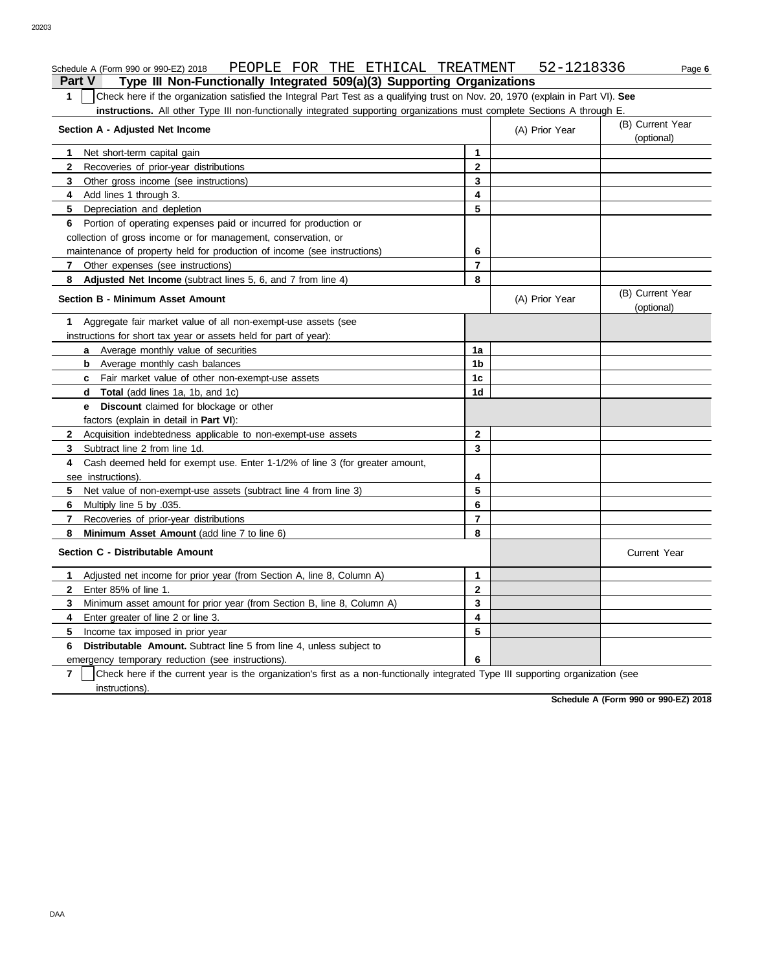#### Schedule A (Form 990 or 990-EZ) 2018 PEOPLE FOR THE ETHICAL TREATMENT 52-1218336 Page **6**

**Part V Type III Non-Functionally Integrated 509(a)(3) Supporting Organizations 1** Check here if the organization satisfied the Integral Part Test as a qualifying trust on Nov. 20, 1970 (explain in Part VI). **See instructions.** All other Type III non-functionally integrated supporting organizations must complete Sections A through E.

| Section A - Adjusted Net Income                                                                                                                     |                | (A) Prior Year | (B) Current Year<br>(optional) |
|-----------------------------------------------------------------------------------------------------------------------------------------------------|----------------|----------------|--------------------------------|
| Net short-term capital gain<br>$\mathbf 1$                                                                                                          | $\mathbf{1}$   |                |                                |
| $\mathbf{2}$<br>Recoveries of prior-year distributions                                                                                              | $\mathbf{2}$   |                |                                |
| 3<br>Other gross income (see instructions)                                                                                                          | 3              |                |                                |
| 4<br>Add lines 1 through 3.                                                                                                                         | 4              |                |                                |
| 5<br>Depreciation and depletion                                                                                                                     | 5              |                |                                |
| Portion of operating expenses paid or incurred for production or<br>6.                                                                              |                |                |                                |
| collection of gross income or for management, conservation, or                                                                                      |                |                |                                |
| maintenance of property held for production of income (see instructions)                                                                            | 6              |                |                                |
| Other expenses (see instructions)<br>7                                                                                                              | $\overline{7}$ |                |                                |
| Adjusted Net Income (subtract lines 5, 6, and 7 from line 4)<br>8                                                                                   | 8              |                |                                |
| <b>Section B - Minimum Asset Amount</b>                                                                                                             |                | (A) Prior Year | (B) Current Year<br>(optional) |
| Aggregate fair market value of all non-exempt-use assets (see<br>1                                                                                  |                |                |                                |
| instructions for short tax year or assets held for part of year):                                                                                   |                |                |                                |
| <b>a</b> Average monthly value of securities                                                                                                        | 1a             |                |                                |
| <b>b</b> Average monthly cash balances                                                                                                              | 1 <sub>b</sub> |                |                                |
| <b>c</b> Fair market value of other non-exempt-use assets                                                                                           | 1c             |                |                                |
| <b>d</b> Total (add lines 1a, 1b, and 1c)                                                                                                           | 1 <sub>d</sub> |                |                                |
| <b>Discount</b> claimed for blockage or other<br>e.                                                                                                 |                |                |                                |
| factors (explain in detail in <b>Part VI</b> ):                                                                                                     |                |                |                                |
| Acquisition indebtedness applicable to non-exempt-use assets<br>$\mathbf{2}$                                                                        | $\mathbf{2}$   |                |                                |
| 3<br>Subtract line 2 from line 1d.                                                                                                                  | 3              |                |                                |
| Cash deemed held for exempt use. Enter 1-1/2% of line 3 (for greater amount,<br>4                                                                   |                |                |                                |
| see instructions).                                                                                                                                  | 4              |                |                                |
| 5<br>Net value of non-exempt-use assets (subtract line 4 from line 3)                                                                               | 5              |                |                                |
| 6<br>Multiply line 5 by .035.                                                                                                                       | 6              |                |                                |
| 7<br>Recoveries of prior-year distributions                                                                                                         | $\overline{7}$ |                |                                |
| Minimum Asset Amount (add line 7 to line 6)<br>8                                                                                                    | 8              |                |                                |
| Section C - Distributable Amount                                                                                                                    |                |                | <b>Current Year</b>            |
| Adjusted net income for prior year (from Section A, line 8, Column A)<br>1                                                                          | 1              |                |                                |
| Enter 85% of line 1.<br>$\mathbf{2}$                                                                                                                | $\overline{2}$ |                |                                |
| Minimum asset amount for prior year (from Section B, line 8, Column A)<br>3                                                                         | 3              |                |                                |
| Enter greater of line 2 or line 3.<br>4                                                                                                             | 4              |                |                                |
| 5<br>Income tax imposed in prior year                                                                                                               | 5              |                |                                |
| 6<br><b>Distributable Amount.</b> Subtract line 5 from line 4, unless subject to                                                                    |                |                |                                |
| emergency temporary reduction (see instructions).                                                                                                   | 6              |                |                                |
| $\overline{7}$<br>Check here if the current year is the organization's first as a non-functionally integrated Type III supporting organization (see |                |                |                                |
| instructions).                                                                                                                                      |                |                |                                |

**Schedule A (Form 990 or 990-EZ) 2018**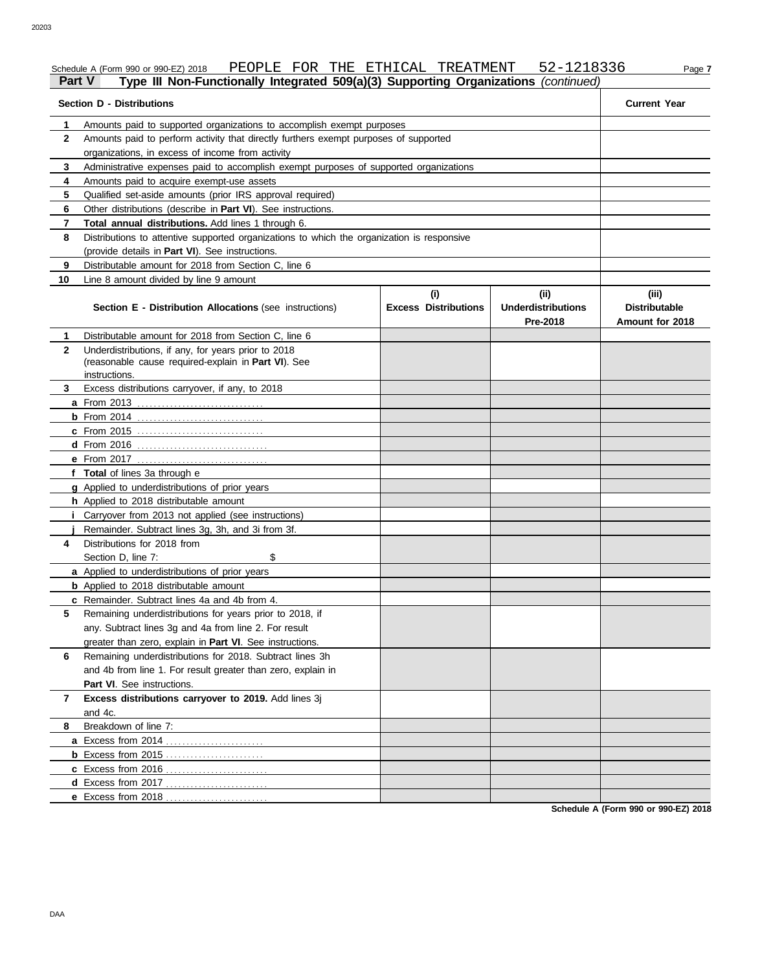#### Schedule A (Form 990 or 990-EZ) 2018 PEOPLE FOR THE ETHICAL TREATMENT 52-1218336 Page 7

#### **Part V Type III Non-Functionally Integrated 509(a)(3) Supporting Organizations** *(continued)*

| <b>Section D - Distributions</b> | <b>Current Year</b>                                                                                                         |                                    |                                               |                                                  |  |  |  |  |
|----------------------------------|-----------------------------------------------------------------------------------------------------------------------------|------------------------------------|-----------------------------------------------|--------------------------------------------------|--|--|--|--|
| 1                                |                                                                                                                             |                                    |                                               |                                                  |  |  |  |  |
| $\mathbf{2}$                     |                                                                                                                             |                                    |                                               |                                                  |  |  |  |  |
|                                  | organizations, in excess of income from activity                                                                            |                                    |                                               |                                                  |  |  |  |  |
| 3                                | Administrative expenses paid to accomplish exempt purposes of supported organizations                                       |                                    |                                               |                                                  |  |  |  |  |
| 4                                | Amounts paid to acquire exempt-use assets                                                                                   |                                    |                                               |                                                  |  |  |  |  |
| 5                                | Qualified set-aside amounts (prior IRS approval required)                                                                   |                                    |                                               |                                                  |  |  |  |  |
| 6                                | Other distributions (describe in <b>Part VI</b> ). See instructions.                                                        |                                    |                                               |                                                  |  |  |  |  |
| 7                                | Total annual distributions. Add lines 1 through 6.                                                                          |                                    |                                               |                                                  |  |  |  |  |
| 8                                | Distributions to attentive supported organizations to which the organization is responsive                                  |                                    |                                               |                                                  |  |  |  |  |
|                                  | (provide details in Part VI). See instructions.                                                                             |                                    |                                               |                                                  |  |  |  |  |
| 9                                | Distributable amount for 2018 from Section C, line 6                                                                        |                                    |                                               |                                                  |  |  |  |  |
| 10                               | Line 8 amount divided by line 9 amount                                                                                      |                                    |                                               |                                                  |  |  |  |  |
|                                  | <b>Section E - Distribution Allocations (see instructions)</b>                                                              | (i)<br><b>Excess Distributions</b> | (ii)<br><b>Underdistributions</b><br>Pre-2018 | (iii)<br><b>Distributable</b><br>Amount for 2018 |  |  |  |  |
| 1.                               | Distributable amount for 2018 from Section C, line 6                                                                        |                                    |                                               |                                                  |  |  |  |  |
| $\mathbf{2}$                     | Underdistributions, if any, for years prior to 2018<br>(reasonable cause required-explain in Part VI). See<br>instructions. |                                    |                                               |                                                  |  |  |  |  |
| 3.                               | Excess distributions carryover, if any, to 2018                                                                             |                                    |                                               |                                                  |  |  |  |  |
|                                  |                                                                                                                             |                                    |                                               |                                                  |  |  |  |  |
|                                  |                                                                                                                             |                                    |                                               |                                                  |  |  |  |  |
|                                  | <b>c</b> From 2015                                                                                                          |                                    |                                               |                                                  |  |  |  |  |
|                                  |                                                                                                                             |                                    |                                               |                                                  |  |  |  |  |
|                                  | e From 2017<br>. <u>.</u> .                                                                                                 |                                    |                                               |                                                  |  |  |  |  |
|                                  | f Total of lines 3a through e                                                                                               |                                    |                                               |                                                  |  |  |  |  |
|                                  | g Applied to underdistributions of prior years                                                                              |                                    |                                               |                                                  |  |  |  |  |
|                                  | h Applied to 2018 distributable amount                                                                                      |                                    |                                               |                                                  |  |  |  |  |
|                                  | <i>i</i> Carryover from 2013 not applied (see instructions)                                                                 |                                    |                                               |                                                  |  |  |  |  |
|                                  | Remainder. Subtract lines 3g, 3h, and 3i from 3f.                                                                           |                                    |                                               |                                                  |  |  |  |  |
| 4                                | Distributions for 2018 from                                                                                                 |                                    |                                               |                                                  |  |  |  |  |
|                                  | Section D, line 7:<br>\$                                                                                                    |                                    |                                               |                                                  |  |  |  |  |
|                                  | a Applied to underdistributions of prior years                                                                              |                                    |                                               |                                                  |  |  |  |  |
|                                  | <b>b</b> Applied to 2018 distributable amount                                                                               |                                    |                                               |                                                  |  |  |  |  |
|                                  | c Remainder. Subtract lines 4a and 4b from 4.                                                                               |                                    |                                               |                                                  |  |  |  |  |
| 5                                | Remaining underdistributions for years prior to 2018, if                                                                    |                                    |                                               |                                                  |  |  |  |  |
|                                  | any. Subtract lines 3g and 4a from line 2. For result                                                                       |                                    |                                               |                                                  |  |  |  |  |
|                                  | greater than zero, explain in Part VI. See instructions.                                                                    |                                    |                                               |                                                  |  |  |  |  |
| 6                                | Remaining underdistributions for 2018. Subtract lines 3h                                                                    |                                    |                                               |                                                  |  |  |  |  |
|                                  | and 4b from line 1. For result greater than zero, explain in                                                                |                                    |                                               |                                                  |  |  |  |  |
|                                  | Part VI. See instructions.                                                                                                  |                                    |                                               |                                                  |  |  |  |  |
| 7                                | Excess distributions carryover to 2019. Add lines 3j                                                                        |                                    |                                               |                                                  |  |  |  |  |
|                                  | and 4c.                                                                                                                     |                                    |                                               |                                                  |  |  |  |  |
| 8                                | Breakdown of line 7:                                                                                                        |                                    |                                               |                                                  |  |  |  |  |
|                                  |                                                                                                                             |                                    |                                               |                                                  |  |  |  |  |
|                                  |                                                                                                                             |                                    |                                               |                                                  |  |  |  |  |
|                                  |                                                                                                                             |                                    |                                               |                                                  |  |  |  |  |
|                                  |                                                                                                                             |                                    |                                               |                                                  |  |  |  |  |
|                                  |                                                                                                                             |                                    |                                               |                                                  |  |  |  |  |

**Schedule A (Form 990 or 990-EZ) 2018**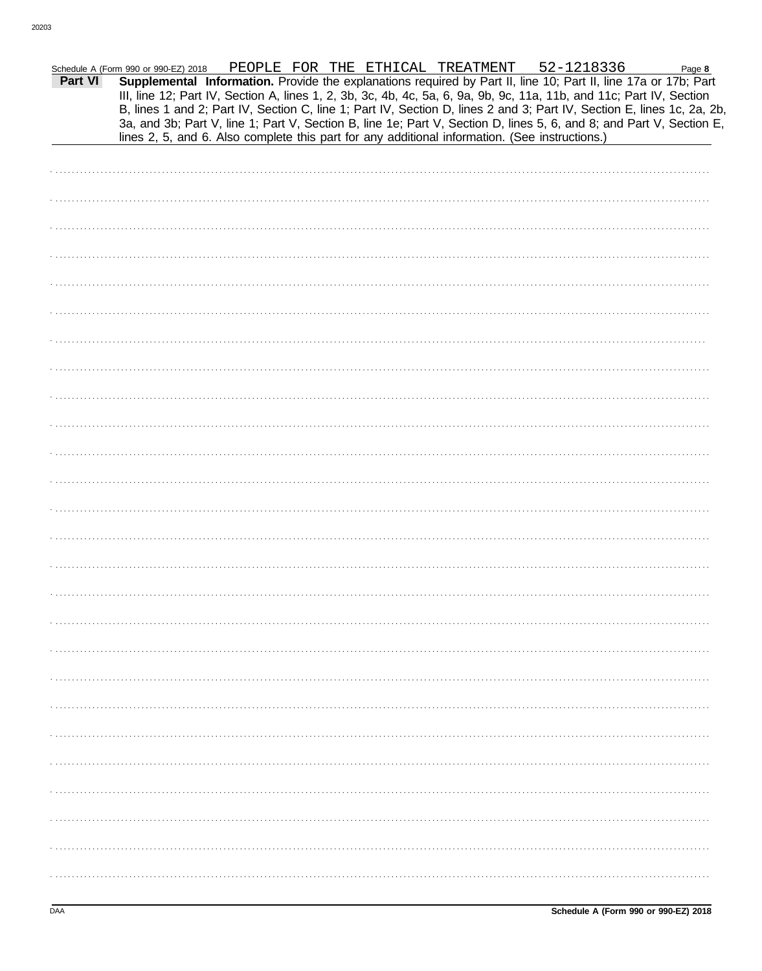|         | Schedule A (Form 990 or 990-EZ) 2018                                                           |  |  | PEOPLE FOR THE ETHICAL TREATMENT 52-1218336 | Page 8                                                                                                                                                                                                                                         |
|---------|------------------------------------------------------------------------------------------------|--|--|---------------------------------------------|------------------------------------------------------------------------------------------------------------------------------------------------------------------------------------------------------------------------------------------------|
| Part VI |                                                                                                |  |  |                                             | Supplemental Information. Provide the explanations required by Part II, line 10; Part II, line 17a or 17b; Part<br>III, line 12; Part IV, Section A, lines 1, 2, 3b, 3c, 4b, 4c, 5a, 6, 9a, 9b, 9c, 11a, 11b, and 11c; Part IV, Section        |
|         |                                                                                                |  |  |                                             | B, lines 1 and 2; Part IV, Section C, line 1; Part IV, Section D, lines 2 and 3; Part IV, Section E, lines 1c, 2a, 2b,<br>3a, and 3b; Part V, line 1; Part V, Section B, line 1e; Part V, Section D, lines 5, 6, and 8; and Part V, Section E, |
|         | lines 2, 5, and 6. Also complete this part for any additional information. (See instructions.) |  |  |                                             |                                                                                                                                                                                                                                                |
|         |                                                                                                |  |  |                                             |                                                                                                                                                                                                                                                |
|         |                                                                                                |  |  |                                             |                                                                                                                                                                                                                                                |
|         |                                                                                                |  |  |                                             |                                                                                                                                                                                                                                                |
|         |                                                                                                |  |  |                                             |                                                                                                                                                                                                                                                |
|         |                                                                                                |  |  |                                             |                                                                                                                                                                                                                                                |
|         |                                                                                                |  |  |                                             |                                                                                                                                                                                                                                                |
|         |                                                                                                |  |  |                                             |                                                                                                                                                                                                                                                |
|         |                                                                                                |  |  |                                             |                                                                                                                                                                                                                                                |
|         |                                                                                                |  |  |                                             |                                                                                                                                                                                                                                                |
|         |                                                                                                |  |  |                                             |                                                                                                                                                                                                                                                |
|         |                                                                                                |  |  |                                             |                                                                                                                                                                                                                                                |
|         |                                                                                                |  |  |                                             |                                                                                                                                                                                                                                                |
|         |                                                                                                |  |  |                                             |                                                                                                                                                                                                                                                |
|         |                                                                                                |  |  |                                             |                                                                                                                                                                                                                                                |
|         |                                                                                                |  |  |                                             |                                                                                                                                                                                                                                                |
|         |                                                                                                |  |  |                                             |                                                                                                                                                                                                                                                |
|         |                                                                                                |  |  |                                             |                                                                                                                                                                                                                                                |
|         |                                                                                                |  |  |                                             |                                                                                                                                                                                                                                                |
|         |                                                                                                |  |  |                                             |                                                                                                                                                                                                                                                |
|         |                                                                                                |  |  |                                             |                                                                                                                                                                                                                                                |
|         |                                                                                                |  |  |                                             |                                                                                                                                                                                                                                                |
|         |                                                                                                |  |  |                                             |                                                                                                                                                                                                                                                |
|         |                                                                                                |  |  |                                             |                                                                                                                                                                                                                                                |
|         |                                                                                                |  |  |                                             |                                                                                                                                                                                                                                                |
|         |                                                                                                |  |  |                                             |                                                                                                                                                                                                                                                |
|         |                                                                                                |  |  |                                             |                                                                                                                                                                                                                                                |
|         |                                                                                                |  |  |                                             |                                                                                                                                                                                                                                                |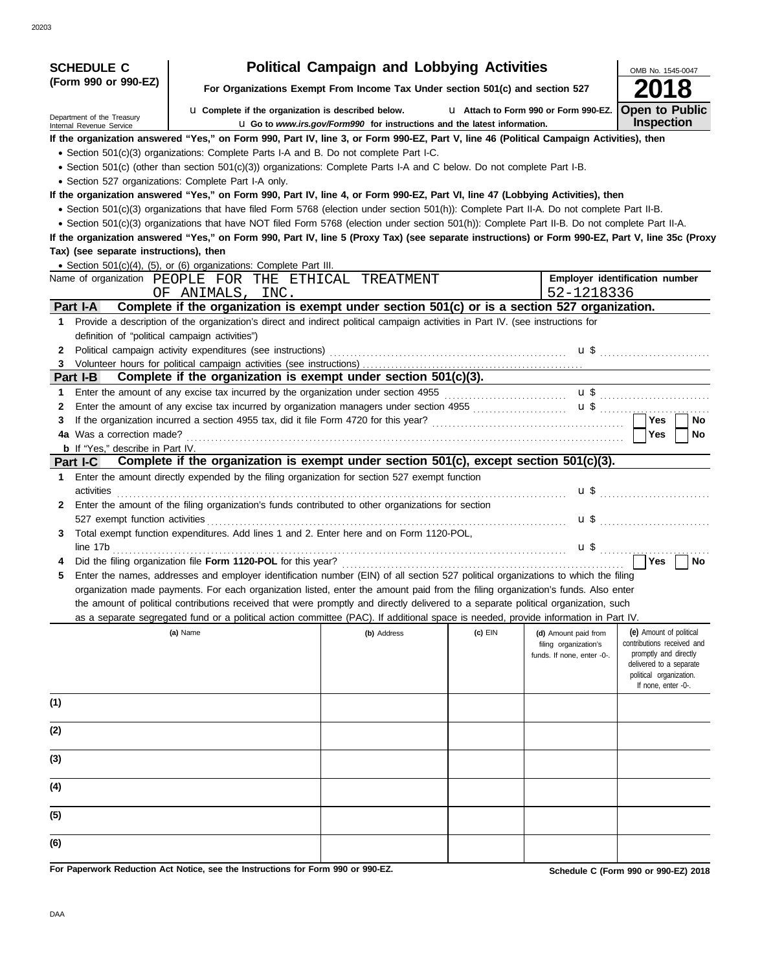| <b>SCHEDULE C</b>                                      |                                                                                                                                                                                                                                                                                                     | <b>Political Campaign and Lobbying Activities</b>                               |         |                                     | OMB No. 1545-0047                                |
|--------------------------------------------------------|-----------------------------------------------------------------------------------------------------------------------------------------------------------------------------------------------------------------------------------------------------------------------------------------------------|---------------------------------------------------------------------------------|---------|-------------------------------------|--------------------------------------------------|
| (Form 990 or 990-EZ)                                   |                                                                                                                                                                                                                                                                                                     | For Organizations Exempt From Income Tax Under section 501(c) and section 527   |         |                                     |                                                  |
|                                                        | La Complete if the organization is described below.                                                                                                                                                                                                                                                 |                                                                                 |         | Lattach to Form 990 or Form 990-EZ. | <b>Open to Public</b>                            |
| Department of the Treasury<br>Internal Revenue Service |                                                                                                                                                                                                                                                                                                     | <b>u</b> Go to www.irs.gov/Form990 for instructions and the latest information. |         |                                     | <b>Inspection</b>                                |
|                                                        | If the organization answered "Yes," on Form 990, Part IV, line 3, or Form 990-EZ, Part V, line 46 (Political Campaign Activities), then                                                                                                                                                             |                                                                                 |         |                                     |                                                  |
|                                                        | • Section 501(c)(3) organizations: Complete Parts I-A and B. Do not complete Part I-C.                                                                                                                                                                                                              |                                                                                 |         |                                     |                                                  |
|                                                        | • Section 501(c) (other than section 501(c)(3)) organizations: Complete Parts I-A and C below. Do not complete Part I-B.                                                                                                                                                                            |                                                                                 |         |                                     |                                                  |
| • Section 527 organizations: Complete Part I-A only.   |                                                                                                                                                                                                                                                                                                     |                                                                                 |         |                                     |                                                  |
|                                                        | If the organization answered "Yes," on Form 990, Part IV, line 4, or Form 990-EZ, Part VI, line 47 (Lobbying Activities), then                                                                                                                                                                      |                                                                                 |         |                                     |                                                  |
|                                                        | • Section 501(c)(3) organizations that have filed Form 5768 (election under section 501(h)): Complete Part II-A. Do not complete Part II-B.                                                                                                                                                         |                                                                                 |         |                                     |                                                  |
|                                                        | • Section 501(c)(3) organizations that have NOT filed Form 5768 (election under section 501(h)): Complete Part II-B. Do not complete Part II-A.<br>If the organization answered "Yes," on Form 990, Part IV, line 5 (Proxy Tax) (see separate instructions) or Form 990-EZ, Part V, line 35c (Proxy |                                                                                 |         |                                     |                                                  |
| Tax) (see separate instructions), then                 |                                                                                                                                                                                                                                                                                                     |                                                                                 |         |                                     |                                                  |
|                                                        | • Section 501(c)(4), (5), or (6) organizations: Complete Part III.                                                                                                                                                                                                                                  |                                                                                 |         |                                     |                                                  |
|                                                        | Name of organization PEOPLE FOR THE ETHICAL TREATMENT                                                                                                                                                                                                                                               |                                                                                 |         |                                     | Employer identification number                   |
|                                                        | OF ANIMALS, INC.                                                                                                                                                                                                                                                                                    |                                                                                 |         | 52-1218336                          |                                                  |
| Part I-A                                               | Complete if the organization is exempt under section 501(c) or is a section 527 organization.                                                                                                                                                                                                       |                                                                                 |         |                                     |                                                  |
| $\mathbf 1$                                            | Provide a description of the organization's direct and indirect political campaign activities in Part IV. (see instructions for                                                                                                                                                                     |                                                                                 |         |                                     |                                                  |
| definition of "political campaign activities")         |                                                                                                                                                                                                                                                                                                     |                                                                                 |         |                                     |                                                  |
| $\mathbf{2}$                                           | Political campaign activity expenditures (see instructions) [10] contained according contained and contained a                                                                                                                                                                                      |                                                                                 |         |                                     | <b>u</b> \$                                      |
|                                                        |                                                                                                                                                                                                                                                                                                     |                                                                                 |         |                                     |                                                  |
| Part I-B                                               | Complete if the organization is exempt under section $501(c)(3)$ .                                                                                                                                                                                                                                  |                                                                                 |         |                                     |                                                  |
| 1.                                                     |                                                                                                                                                                                                                                                                                                     |                                                                                 |         |                                     |                                                  |
| 2<br>3                                                 |                                                                                                                                                                                                                                                                                                     |                                                                                 |         |                                     | Yes <br>No                                       |
| <b>4a</b> Was a correction made?                       |                                                                                                                                                                                                                                                                                                     |                                                                                 |         |                                     | Yes<br><b>No</b>                                 |
| <b>b</b> If "Yes," describe in Part IV.                |                                                                                                                                                                                                                                                                                                     |                                                                                 |         |                                     |                                                  |
| Part I-C                                               | Complete if the organization is exempt under section 501(c), except section 501(c)(3).                                                                                                                                                                                                              |                                                                                 |         |                                     |                                                  |
| 1.                                                     | Enter the amount directly expended by the filing organization for section 527 exempt function                                                                                                                                                                                                       |                                                                                 |         |                                     |                                                  |
|                                                        | activities <b>constant in the constant of the constant of the constant of the constant of the constant of the constant of the constant of the constant of the constant of the constant of the constant of the constant of the co</b>                                                                |                                                                                 |         |                                     | $\mathbf{u}$ \$                                  |
| $\mathbf{2}$                                           | Enter the amount of the filing organization's funds contributed to other organizations for section                                                                                                                                                                                                  |                                                                                 |         |                                     |                                                  |
|                                                        |                                                                                                                                                                                                                                                                                                     |                                                                                 |         |                                     |                                                  |
| 3                                                      | Total exempt function expenditures. Add lines 1 and 2. Enter here and on Form 1120-POL,                                                                                                                                                                                                             |                                                                                 |         |                                     |                                                  |
| line 17b                                               |                                                                                                                                                                                                                                                                                                     |                                                                                 |         |                                     |                                                  |
|                                                        |                                                                                                                                                                                                                                                                                                     |                                                                                 |         |                                     | ∃Yes<br><b>No</b>                                |
| 5                                                      | Enter the names, addresses and employer identification number (EIN) of all section 527 political organizations to which the filing<br>organization made payments. For each organization listed, enter the amount paid from the filing organization's funds. Also enter                              |                                                                                 |         |                                     |                                                  |
|                                                        | the amount of political contributions received that were promptly and directly delivered to a separate political organization, such                                                                                                                                                                 |                                                                                 |         |                                     |                                                  |
|                                                        | as a separate segregated fund or a political action committee (PAC). If additional space is needed, provide information in Part IV.                                                                                                                                                                 |                                                                                 |         |                                     |                                                  |
|                                                        | (a) Name                                                                                                                                                                                                                                                                                            | (b) Address                                                                     | (c) EIN | (d) Amount paid from                | (e) Amount of political                          |
|                                                        |                                                                                                                                                                                                                                                                                                     |                                                                                 |         | filing organization's               | contributions received and                       |
|                                                        |                                                                                                                                                                                                                                                                                                     |                                                                                 |         | funds. If none, enter -0-.          | promptly and directly<br>delivered to a separate |
|                                                        |                                                                                                                                                                                                                                                                                                     |                                                                                 |         |                                     | political organization.                          |
|                                                        |                                                                                                                                                                                                                                                                                                     |                                                                                 |         |                                     | If none, enter -0-.                              |
| (1)                                                    |                                                                                                                                                                                                                                                                                                     |                                                                                 |         |                                     |                                                  |
|                                                        |                                                                                                                                                                                                                                                                                                     |                                                                                 |         |                                     |                                                  |
| (2)                                                    |                                                                                                                                                                                                                                                                                                     |                                                                                 |         |                                     |                                                  |
|                                                        |                                                                                                                                                                                                                                                                                                     |                                                                                 |         |                                     |                                                  |
| (3)                                                    |                                                                                                                                                                                                                                                                                                     |                                                                                 |         |                                     |                                                  |
| (4)                                                    |                                                                                                                                                                                                                                                                                                     |                                                                                 |         |                                     |                                                  |
|                                                        |                                                                                                                                                                                                                                                                                                     |                                                                                 |         |                                     |                                                  |
| (5)                                                    |                                                                                                                                                                                                                                                                                                     |                                                                                 |         |                                     |                                                  |
|                                                        |                                                                                                                                                                                                                                                                                                     |                                                                                 |         |                                     |                                                  |
| (6)                                                    |                                                                                                                                                                                                                                                                                                     |                                                                                 |         |                                     |                                                  |
|                                                        | For Paperwork Reduction Act Notice, see the Instructions for Form 990 or 990-EZ.                                                                                                                                                                                                                    |                                                                                 |         |                                     | Schedule C (Form 990 or 990-EZ) 2018             |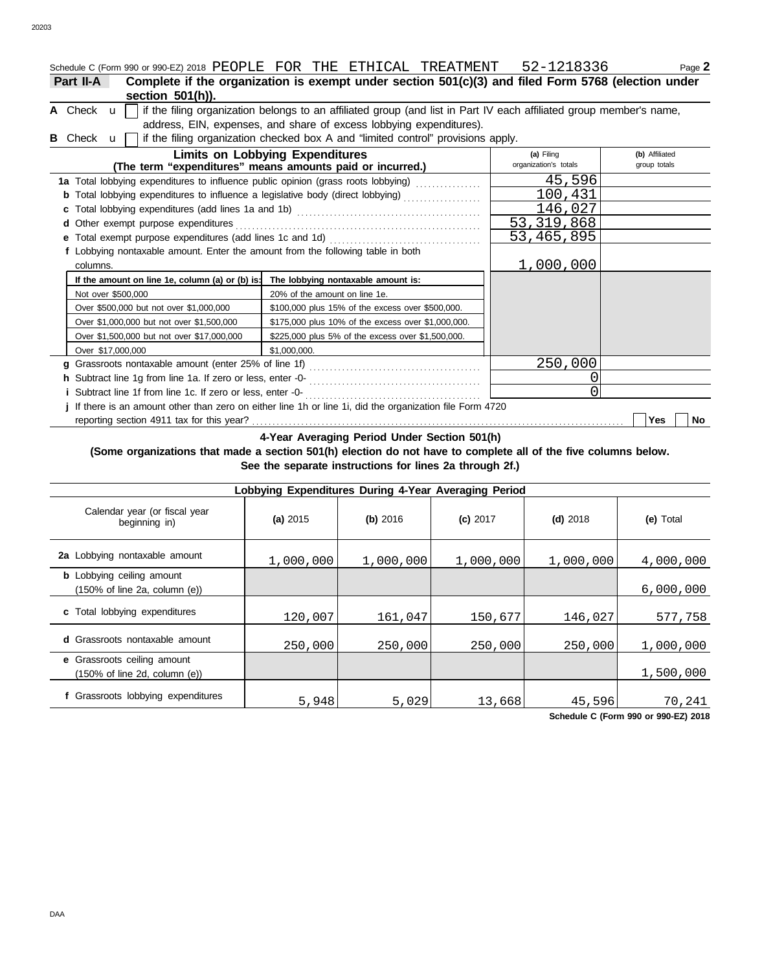| Schedule C (Form 990 or 990-EZ) 2018 PEOPLE FOR THE ETHICAL TREATMENT 52-1218336                        |                                                                                                                                                                                            |                                     | Page 2                         |
|---------------------------------------------------------------------------------------------------------|--------------------------------------------------------------------------------------------------------------------------------------------------------------------------------------------|-------------------------------------|--------------------------------|
| Part II-A<br>section $501(h)$ ).                                                                        | Complete if the organization is exempt under section $501(c)(3)$ and filed Form 5768 (election under                                                                                       |                                     |                                |
| A Check $\mathbf{u}$                                                                                    | if the filing organization belongs to an affiliated group (and list in Part IV each affiliated group member's name,<br>address, EIN, expenses, and share of excess lobbying expenditures). |                                     |                                |
| B Check u l                                                                                             | if the filing organization checked box A and "limited control" provisions apply.                                                                                                           |                                     |                                |
|                                                                                                         | <b>Limits on Lobbying Expenditures</b><br>(The term "expenditures" means amounts paid or incurred.)                                                                                        | (a) Filing<br>organization's totals | (b) Affiliated<br>group totals |
| 1a Total lobbying expenditures to influence public opinion (grass roots lobbying) [                     |                                                                                                                                                                                            | 45,596                              |                                |
|                                                                                                         |                                                                                                                                                                                            | 100,431                             |                                |
|                                                                                                         |                                                                                                                                                                                            | 146,027                             |                                |
| d Other exempt purpose expenditures                                                                     |                                                                                                                                                                                            | 53, 319, 868                        |                                |
|                                                                                                         |                                                                                                                                                                                            | 53,465,895                          |                                |
| f Lobbying nontaxable amount. Enter the amount from the following table in both<br>columns.             |                                                                                                                                                                                            | 1,000,000                           |                                |
| If the amount on line 1e, column (a) or (b) is:                                                         | The lobbying nontaxable amount is:                                                                                                                                                         |                                     |                                |
| Not over \$500,000                                                                                      | 20% of the amount on line 1e.                                                                                                                                                              |                                     |                                |
| Over \$500,000 but not over \$1,000,000                                                                 | \$100,000 plus 15% of the excess over \$500,000.                                                                                                                                           |                                     |                                |
| Over \$1,000,000 but not over \$1,500,000                                                               | \$175,000 plus 10% of the excess over \$1,000,000.                                                                                                                                         |                                     |                                |
| Over \$1,500,000 but not over \$17,000,000                                                              | \$225,000 plus 5% of the excess over \$1,500,000.                                                                                                                                          |                                     |                                |
| Over \$17,000,000                                                                                       | \$1.000.000.                                                                                                                                                                               |                                     |                                |
|                                                                                                         |                                                                                                                                                                                            | 250,000                             |                                |
| h Subtract line 1g from line 1a. If zero or less, enter -0-                                             |                                                                                                                                                                                            | 0                                   |                                |
| i Subtract line 1f from line 1c. If zero or less, enter -0-                                             |                                                                                                                                                                                            | 0                                   |                                |
| If there is an amount other than zero on either line 1h or line 1i, did the organization file Form 4720 |                                                                                                                                                                                            |                                     |                                |

reporting section 4911 tax for this year? . . . . . . . . . . . . . . . . . . . . . . . . . . . . . . . . . . . . . . . . . . . . . . . . . . . . . . . . . . . . . . . . . . . . . . . . . . . . . . . . . . . . . . . . . . . **Yes No**

**4-Year Averaging Period Under Section 501(h)**

#### **(Some organizations that made a section 501(h) election do not have to complete all of the five columns below. See the separate instructions for lines 2a through 2f.)**

| Lobbying Expenditures During 4-Year Averaging Period                                   |            |           |            |            |           |  |  |  |
|----------------------------------------------------------------------------------------|------------|-----------|------------|------------|-----------|--|--|--|
| Calendar year (or fiscal year<br>beginning in)                                         | (a) $2015$ | (b) 2016  | $(c)$ 2017 | $(d)$ 2018 | (e) Total |  |  |  |
| 2a Lobbying nontaxable amount                                                          | 1,000,000  | 1,000,000 | 1,000,000  | 1,000,000  | 4,000,000 |  |  |  |
| <b>b</b> Lobbying ceiling amount<br>$(150\% \text{ of line } 2a, \text{ column } (e))$ |            |           |            |            | 6,000,000 |  |  |  |
| c Total lobbying expenditures                                                          | 120,007    | 161,047   | 150,677    | 146,027    | 577,758   |  |  |  |
| d Grassroots nontaxable amount                                                         | 250,000    | 250,000   | 250,000    | 250,000    | 1,000,000 |  |  |  |
| e Grassroots ceiling amount<br>$(150\% \text{ of line } 2d, \text{ column } (e))$      |            |           |            |            | 1,500,000 |  |  |  |
| f Grassroots lobbying expenditures                                                     | 5,948      | 5,029     | 13,668     | 45,596     | 70,241    |  |  |  |

**Schedule C (Form 990 or 990-EZ) 2018**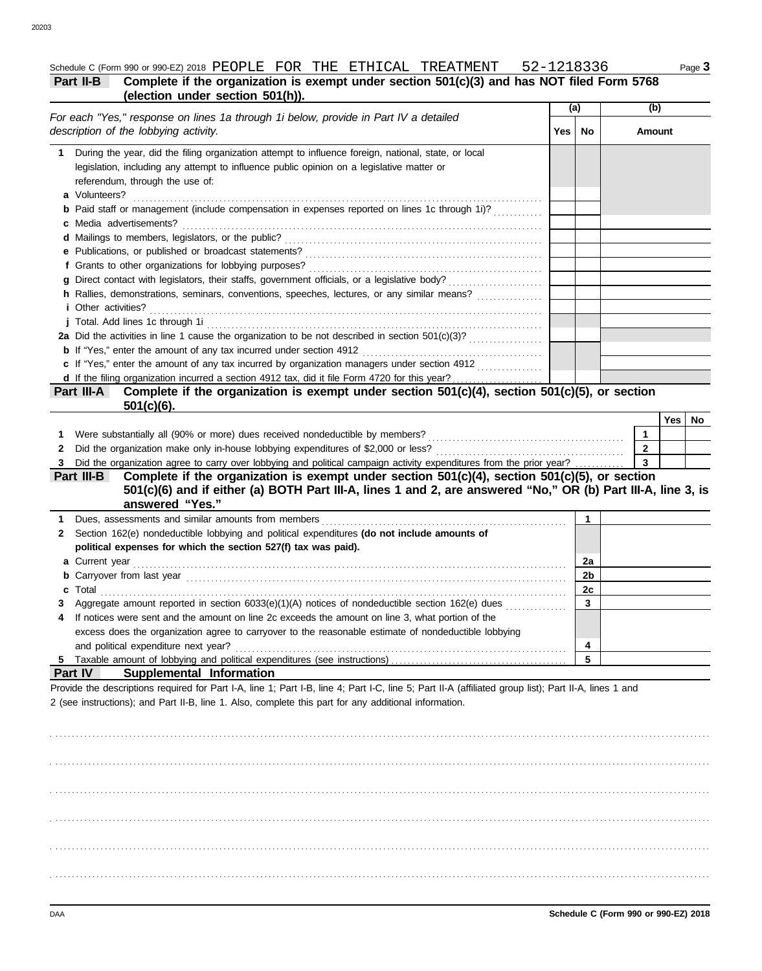### **Part II-B** Complete if the organization is exempt under section 501(c)(3) and has NOT filed Form 5768 **(election under section 501(h)).**

| (election under section 501(h)).                                                                                                                                                                                                                                                                                                                                           |       |                      |                     |            |
|----------------------------------------------------------------------------------------------------------------------------------------------------------------------------------------------------------------------------------------------------------------------------------------------------------------------------------------------------------------------------|-------|----------------------|---------------------|------------|
| For each "Yes," response on lines 1a through 1i below, provide in Part IV a detailed                                                                                                                                                                                                                                                                                       | (a)   |                      | (b)                 |            |
| description of the lobbying activity.                                                                                                                                                                                                                                                                                                                                      | Yes I | No                   | Amount              |            |
| During the year, did the filing organization attempt to influence foreign, national, state, or local<br>1.<br>legislation, including any attempt to influence public opinion on a legislative matter or<br>referendum, through the use of:<br>a Volunteers?                                                                                                                |       |                      |                     |            |
| <b>b</b> Paid staff or management (include compensation in expenses reported on lines 1c through 1i)?                                                                                                                                                                                                                                                                      |       |                      |                     |            |
| <i>i</i> Other activities?                                                                                                                                                                                                                                                                                                                                                 |       |                      |                     |            |
|                                                                                                                                                                                                                                                                                                                                                                            |       |                      |                     |            |
| c If "Yes," enter the amount of any tax incurred by organization managers under section 4912                                                                                                                                                                                                                                                                               |       |                      |                     |            |
| Complete if the organization is exempt under section 501(c)(4), section 501(c)(5), or section<br>Part III-A<br>$501(c)(6)$ .                                                                                                                                                                                                                                               |       |                      |                     |            |
| 1.<br>Did the organization make only in-house lobbying expenditures of \$2,000 or less?<br>2                                                                                                                                                                                                                                                                               |       |                      | 1<br>$\overline{2}$ | Yes<br>No. |
| Did the organization agree to carry over lobbying and political campaign activity expenditures from the prior year?<br>3<br>Complete if the organization is exempt under section 501(c)(4), section 501(c)(5), or section<br>Part III-B<br>501(c)(6) and if either (a) BOTH Part III-A, lines 1 and 2, are answered "No," OR (b) Part III-A, line 3, is<br>answered "Yes." |       |                      | $\mathbf{3}$        |            |
| 1.<br>Section 162(e) nondeductible lobbying and political expenditures (do not include amounts of<br>$\mathbf{2}$<br>political expenses for which the section 527(f) tax was paid).                                                                                                                                                                                        |       | 1                    |                     |            |
|                                                                                                                                                                                                                                                                                                                                                                            |       | 2a<br>2 <sub>b</sub> |                     |            |
| c Total<br>Aggregate amount reported in section 6033(e)(1)(A) notices of nondeductible section 162(e) dues<br>3<br>If notices were sent and the amount on line 2c exceeds the amount on line 3, what portion of the<br>4<br>excess does the organization agree to carryover to the reasonable estimate of nondeductible lobbying                                           |       | 2c<br>3              |                     |            |
| and political expenditure next year?<br><b>Part IV</b><br>Supplemental Information                                                                                                                                                                                                                                                                                         |       | 4<br>5               |                     |            |
| Provide the descriptions required for Part I-A, line 1; Part I-B, line 4; Part I-C, line 5; Part II-A (affiliated group list); Part II-A, lines 1 and<br>2 (see instructions); and Part II-B, line 1. Also, complete this part for any additional information.                                                                                                             |       |                      |                     |            |

. . . . . . . . . . . . . . . . . . . . . . . . . . . . . . . . . . . . . . . . . . . . . . . . . . . . . . . . . . . . . . . . . . . . . . . . . . . . . . . . . . . . . . . . . . . . . . . . . . . . . . . . . . . . . . . . . . . . . . . . . . . . . . . . . . . . . . . . . . . . . . . . . . . . . . . . . . . . . . . . . . . . . . . . . . . . . . . . . . . . . . . . . . . . . . . . . . . . . . . . . . . . . . . . . . . . . . . . . . . . . . . . . . . . . . . . . . . . . . . . . . . . . . . . . . . . . . . . . . . . . . . . . . . . . . . . . . . . . . . . . . . . . . . . . . . . . . . . . . . . . . . . . . . . . . . . . . . . . . . . . . . . . . . . . . . . . . . . . . . . . . . . . . . . . . . . . . . . . . . . . . . . . . . . . . . . . . . . . . . . . . . . . . . . . . . . . . . . . . . . . . . . . . . . . . . . . . . . . . . . . . . . . . . . . . . . . . . . . . . . . . . . . . . . . . . . . . . . . . . . . . . . . . . . . . . . . . . . . . . . . . . . . . . . . . . . . . . . . . . . . . . . . . . . . . . . . . . . . . . . . . . . . . . . . . . . . . . . . . . . . . . . . . . . . . . . . . . . . . . . . . . . . . . . . . . . . . . . . . . . . . . . . . . . . . . . . . . . . . . . . . . . . . . . . . . . . . . . . . . . . . . . . . . . . . . . . . . . . . . . . . . . . . . . . . . . . . . . . . . . . . . . . . . . . . . . . . . . . . . . . . . . . . . . . . . . . . . . . . . . . . . . . . . . . . . . . . . . . . . . . . . . . . . . . . . . . . . . . . . . . . . . . . . . . . . . . . . . . . . . . . . . . . . . . . . . . . . . . . . . . . . . . . . . . . . . . . . . . . . . . . . . .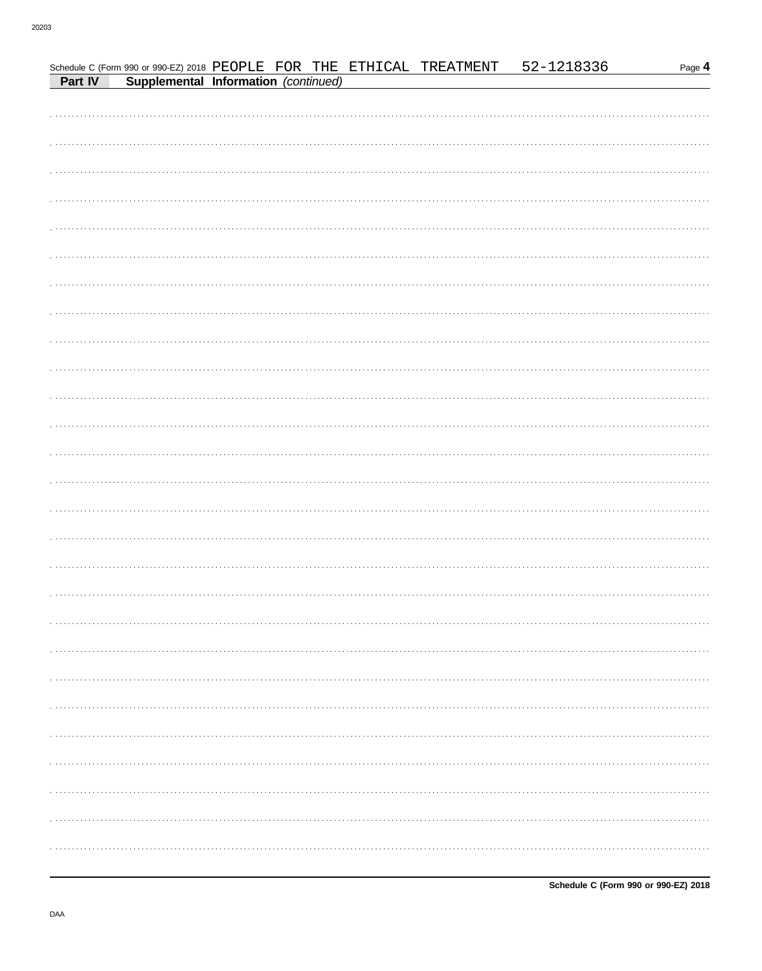|  |  | Schedule C (Form 990 or 990-EZ) 2018 PEOPLE FOR THE ETHICAL TREATMENT<br>Part IV Supplemental Information (continued) | 52-1218336 | Page 4       |
|--|--|-----------------------------------------------------------------------------------------------------------------------|------------|--------------|
|  |  |                                                                                                                       |            |              |
|  |  |                                                                                                                       |            |              |
|  |  |                                                                                                                       |            |              |
|  |  |                                                                                                                       |            |              |
|  |  |                                                                                                                       |            |              |
|  |  |                                                                                                                       |            |              |
|  |  |                                                                                                                       |            |              |
|  |  |                                                                                                                       |            |              |
|  |  |                                                                                                                       |            |              |
|  |  |                                                                                                                       |            |              |
|  |  |                                                                                                                       |            |              |
|  |  |                                                                                                                       |            |              |
|  |  |                                                                                                                       |            |              |
|  |  |                                                                                                                       |            |              |
|  |  |                                                                                                                       |            |              |
|  |  |                                                                                                                       |            |              |
|  |  |                                                                                                                       |            |              |
|  |  |                                                                                                                       |            |              |
|  |  |                                                                                                                       |            |              |
|  |  |                                                                                                                       |            |              |
|  |  |                                                                                                                       |            |              |
|  |  |                                                                                                                       |            |              |
|  |  |                                                                                                                       |            |              |
|  |  |                                                                                                                       |            |              |
|  |  |                                                                                                                       |            |              |
|  |  |                                                                                                                       |            |              |
|  |  |                                                                                                                       |            | . <b>.</b> . |
|  |  |                                                                                                                       |            |              |
|  |  |                                                                                                                       |            |              |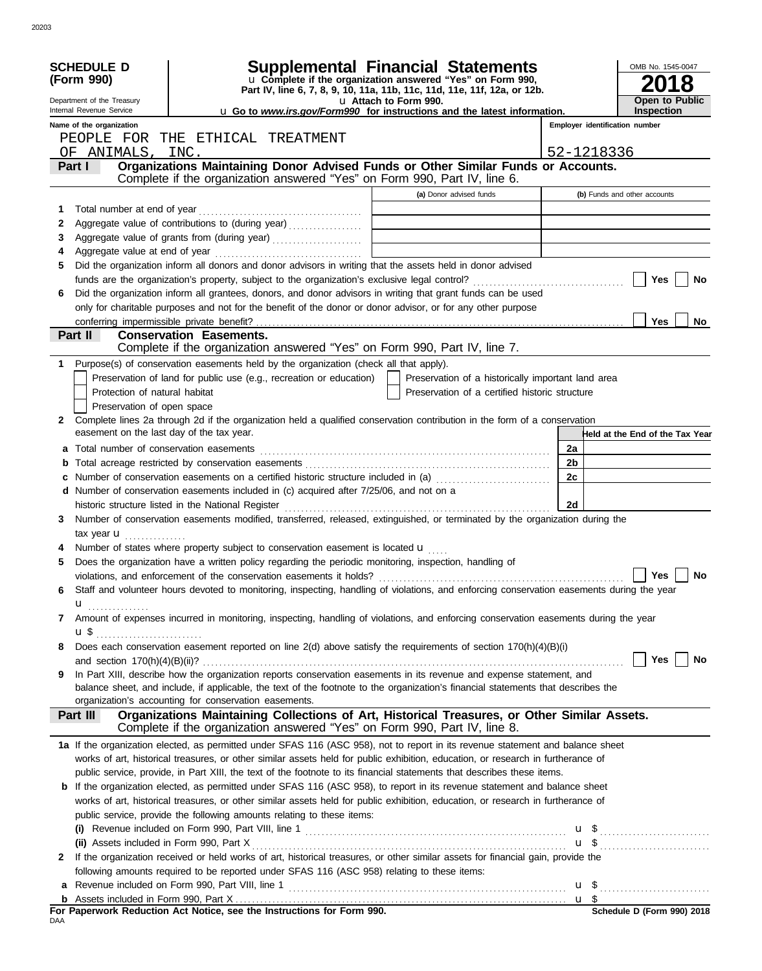|     | <b>SCHEDULE D</b><br>(Form 990)                        | <b>Supplemental Financial Statements</b><br>u Complete if the organization answered "Yes" on Form 990,                                                         |                       |                                                    |                | OMB No. 1545-0047<br>8                     |
|-----|--------------------------------------------------------|----------------------------------------------------------------------------------------------------------------------------------------------------------------|-----------------------|----------------------------------------------------|----------------|--------------------------------------------|
|     | Department of the Treasury<br>Internal Revenue Service | Part IV, line 6, 7, 8, 9, 10, 11a, 11b, 11c, 11d, 11e, 11f, 12a, or 12b.<br>u Go to www.irs.gov/Form990 for instructions and the latest information.           | u Attach to Form 990. |                                                    |                | <b>Open to Public</b><br><b>Inspection</b> |
|     | Name of the organization                               |                                                                                                                                                                |                       |                                                    |                | Employer identification number             |
|     |                                                        | PEOPLE FOR THE ETHICAL TREATMENT                                                                                                                               |                       |                                                    |                |                                            |
|     | OF ANIMALS,                                            | INC.                                                                                                                                                           |                       |                                                    | 52-1218336     |                                            |
|     | Part I                                                 | Organizations Maintaining Donor Advised Funds or Other Similar Funds or Accounts.<br>Complete if the organization answered "Yes" on Form 990, Part IV, line 6. |                       |                                                    |                |                                            |
|     |                                                        |                                                                                                                                                                |                       | (a) Donor advised funds                            |                | (b) Funds and other accounts               |
| 1   | Total number at end of year                            |                                                                                                                                                                |                       |                                                    |                |                                            |
| 2   |                                                        |                                                                                                                                                                |                       |                                                    |                |                                            |
| 3   |                                                        |                                                                                                                                                                |                       |                                                    |                |                                            |
| 4   |                                                        |                                                                                                                                                                |                       |                                                    |                |                                            |
| 5   |                                                        | Did the organization inform all donors and donor advisors in writing that the assets held in donor advised                                                     |                       |                                                    |                |                                            |
|     |                                                        |                                                                                                                                                                |                       |                                                    |                | Yes<br>No                                  |
| 6   |                                                        | Did the organization inform all grantees, donors, and donor advisors in writing that grant funds can be used                                                   |                       |                                                    |                |                                            |
|     |                                                        | only for charitable purposes and not for the benefit of the donor or donor advisor, or for any other purpose                                                   |                       |                                                    |                |                                            |
|     |                                                        |                                                                                                                                                                |                       |                                                    |                | <b>Yes</b><br>No                           |
|     | Part II                                                | <b>Conservation Easements.</b><br>Complete if the organization answered "Yes" on Form 990, Part IV, line 7.                                                    |                       |                                                    |                |                                            |
| 1   |                                                        | Purpose(s) of conservation easements held by the organization (check all that apply).                                                                          |                       |                                                    |                |                                            |
|     |                                                        | Preservation of land for public use (e.g., recreation or education)                                                                                            |                       | Preservation of a historically important land area |                |                                            |
|     | Protection of natural habitat                          |                                                                                                                                                                |                       | Preservation of a certified historic structure     |                |                                            |
|     | Preservation of open space                             |                                                                                                                                                                |                       |                                                    |                |                                            |
| 2   |                                                        | Complete lines 2a through 2d if the organization held a qualified conservation contribution in the form of a conservation                                      |                       |                                                    |                |                                            |
|     | easement on the last day of the tax year.              |                                                                                                                                                                |                       |                                                    |                | Held at the End of the Tax Year            |
|     |                                                        |                                                                                                                                                                |                       |                                                    | 2a             |                                            |
| b   |                                                        |                                                                                                                                                                |                       |                                                    | 2 <sub>b</sub> |                                            |
|     |                                                        | c Number of conservation easements on a certified historic structure included in (a)                                                                           |                       |                                                    | 2c             |                                            |
|     |                                                        | d Number of conservation easements included in (c) acquired after 7/25/06, and not on a                                                                        |                       |                                                    |                |                                            |
|     |                                                        | historic structure listed in the National Register                                                                                                             |                       |                                                    | 2d             |                                            |
| 3   |                                                        | Number of conservation easements modified, transferred, released, extinguished, or terminated by the organization during the                                   |                       |                                                    |                |                                            |
|     | tax year <b>u</b><br>.                                 |                                                                                                                                                                |                       |                                                    |                |                                            |
|     |                                                        | Number of states where property subject to conservation easement is located u                                                                                  |                       |                                                    |                |                                            |
| 5   |                                                        | Does the organization have a written policy regarding the periodic monitoring, inspection, handling of                                                         |                       |                                                    |                |                                            |
|     |                                                        | violations, and enforcement of the conservation easements it holds?                                                                                            |                       |                                                    |                | <b>Yes</b><br>No                           |
| 6   |                                                        | Staff and volunteer hours devoted to monitoring, inspecting, handling of violations, and enforcing conservation easements during the year                      |                       |                                                    |                |                                            |
|     | u                                                      | Amount of expenses incurred in monitoring, inspecting, handling of violations, and enforcing conservation easements during the year                            |                       |                                                    |                |                                            |
| 7   | $\mathbf{u} \, \mathbf{\$}$                            |                                                                                                                                                                |                       |                                                    |                |                                            |
| 8   |                                                        | Does each conservation easement reported on line 2(d) above satisfy the requirements of section 170(h)(4)(B)(i)                                                |                       |                                                    |                |                                            |
|     |                                                        |                                                                                                                                                                |                       |                                                    |                | <b>Yes</b><br>No                           |
| 9   |                                                        | In Part XIII, describe how the organization reports conservation easements in its revenue and expense statement, and                                           |                       |                                                    |                |                                            |
|     |                                                        | balance sheet, and include, if applicable, the text of the footnote to the organization's financial statements that describes the                              |                       |                                                    |                |                                            |
|     |                                                        | organization's accounting for conservation easements.                                                                                                          |                       |                                                    |                |                                            |
|     | Part III                                               | Organizations Maintaining Collections of Art, Historical Treasures, or Other Similar Assets.                                                                   |                       |                                                    |                |                                            |
|     |                                                        | Complete if the organization answered "Yes" on Form 990, Part IV, line 8.                                                                                      |                       |                                                    |                |                                            |
|     |                                                        | 1a If the organization elected, as permitted under SFAS 116 (ASC 958), not to report in its revenue statement and balance sheet                                |                       |                                                    |                |                                            |
|     |                                                        | works of art, historical treasures, or other similar assets held for public exhibition, education, or research in furtherance of                               |                       |                                                    |                |                                            |
|     |                                                        | public service, provide, in Part XIII, the text of the footnote to its financial statements that describes these items.                                        |                       |                                                    |                |                                            |
|     |                                                        | <b>b</b> If the organization elected, as permitted under SFAS 116 (ASC 958), to report in its revenue statement and balance sheet                              |                       |                                                    |                |                                            |
|     |                                                        | works of art, historical treasures, or other similar assets held for public exhibition, education, or research in furtherance of                               |                       |                                                    |                |                                            |
|     |                                                        | public service, provide the following amounts relating to these items:                                                                                         |                       |                                                    |                |                                            |
|     |                                                        |                                                                                                                                                                |                       |                                                    |                |                                            |
|     |                                                        | If the organization received or held works of art, historical treasures, or other similar assets for financial gain, provide the                               |                       |                                                    |                | $\mathbf{u}$ \$                            |
| 2   |                                                        |                                                                                                                                                                |                       |                                                    |                |                                            |
|     |                                                        | following amounts required to be reported under SFAS 116 (ASC 958) relating to these items:                                                                    |                       |                                                    |                |                                            |
| a   |                                                        |                                                                                                                                                                |                       |                                                    |                |                                            |
|     |                                                        | For Paperwork Reduction Act Notice, see the Instructions for Form 990.                                                                                         |                       |                                                    |                | Schedule D (Form 990) 2018                 |
| DAA |                                                        |                                                                                                                                                                |                       |                                                    |                |                                            |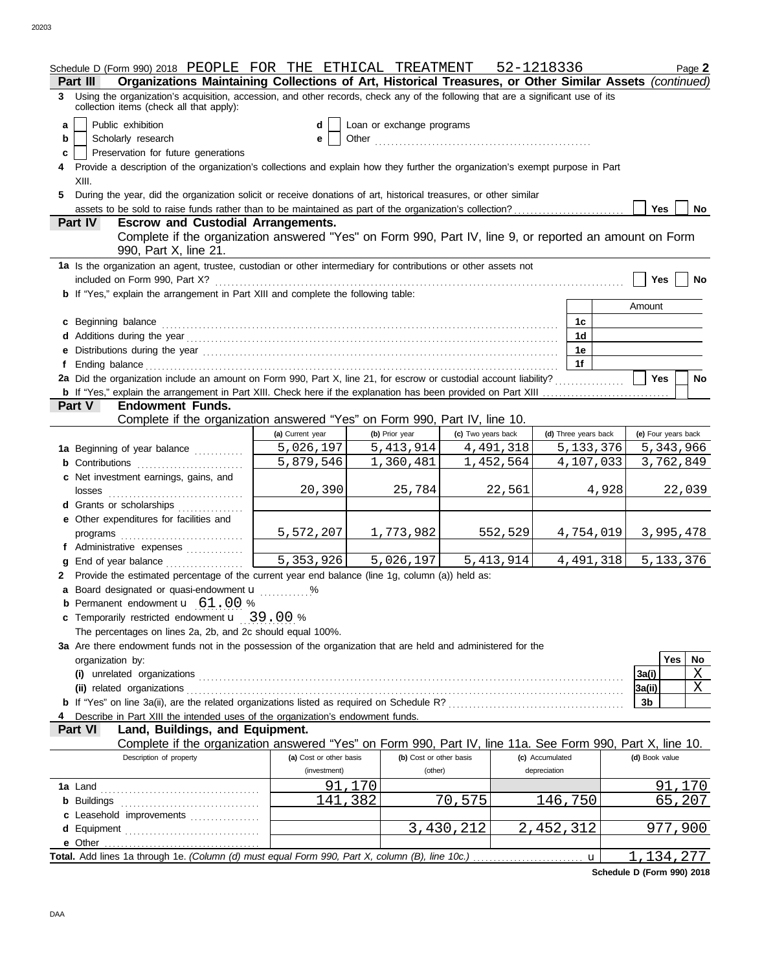|    | Schedule D (Form 990) 2018 PEOPLE FOR THE ETHICAL TREATMENT 52-1218336                                                                                                                                                         |                                         |                                    |                    |                                 |             |                     | Page 2         |
|----|--------------------------------------------------------------------------------------------------------------------------------------------------------------------------------------------------------------------------------|-----------------------------------------|------------------------------------|--------------------|---------------------------------|-------------|---------------------|----------------|
|    | Organizations Maintaining Collections of Art, Historical Treasures, or Other Similar Assets (continued)<br>Part III                                                                                                            |                                         |                                    |                    |                                 |             |                     |                |
|    | 3 Using the organization's acquisition, accession, and other records, check any of the following that are a significant use of its<br>collection items (check all that apply):                                                 |                                         |                                    |                    |                                 |             |                     |                |
| a  | Public exhibition                                                                                                                                                                                                              | d                                       | Loan or exchange programs          |                    |                                 |             |                     |                |
| b  | Scholarly research                                                                                                                                                                                                             | е                                       |                                    |                    |                                 |             |                     |                |
| C. | Preservation for future generations                                                                                                                                                                                            |                                         |                                    |                    |                                 |             |                     |                |
|    | 4 Provide a description of the organization's collections and explain how they further the organization's exempt purpose in Part                                                                                               |                                         |                                    |                    |                                 |             |                     |                |
|    | XIII.                                                                                                                                                                                                                          |                                         |                                    |                    |                                 |             |                     |                |
| 5  | During the year, did the organization solicit or receive donations of art, historical treasures, or other similar                                                                                                              |                                         |                                    |                    |                                 |             |                     |                |
|    |                                                                                                                                                                                                                                |                                         |                                    |                    |                                 |             | Yes                 | No             |
|    | <b>Escrow and Custodial Arrangements.</b><br>Part IV                                                                                                                                                                           |                                         |                                    |                    |                                 |             |                     |                |
|    | Complete if the organization answered "Yes" on Form 990, Part IV, line 9, or reported an amount on Form<br>990, Part X, line 21.                                                                                               |                                         |                                    |                    |                                 |             |                     |                |
|    | 1a Is the organization an agent, trustee, custodian or other intermediary for contributions or other assets not                                                                                                                |                                         |                                    |                    |                                 |             |                     |                |
|    |                                                                                                                                                                                                                                |                                         |                                    |                    |                                 |             | Yes $ $             | No             |
|    | b If "Yes," explain the arrangement in Part XIII and complete the following table:                                                                                                                                             |                                         |                                    |                    |                                 |             |                     |                |
|    |                                                                                                                                                                                                                                |                                         |                                    |                    |                                 |             | Amount              |                |
|    | c Beginning balance entrance and all the contract of the contract of the contract of the contract of the contract of the contract of the contract of the contract of the contract of the contract of the contract of the contr |                                         |                                    |                    | 1c                              |             |                     |                |
|    |                                                                                                                                                                                                                                |                                         |                                    |                    | 1d                              |             |                     |                |
|    | e Distributions during the year manufactured contains and the year manufactured with the set of the set of the set of the set of the set of the set of the set of the set of the set of the set of the set of the set of the s |                                         |                                    |                    | 1e                              |             |                     |                |
|    |                                                                                                                                                                                                                                |                                         |                                    |                    | 1f                              |             |                     |                |
|    | 2a Did the organization include an amount on Form 990, Part X, line 21, for escrow or custodial account liability?                                                                                                             |                                         |                                    |                    |                                 |             | <b>Yes</b>          | <b>No</b>      |
|    |                                                                                                                                                                                                                                |                                         |                                    |                    |                                 |             |                     |                |
|    | <b>Endowment Funds.</b><br><b>Part V</b>                                                                                                                                                                                       |                                         |                                    |                    |                                 |             |                     |                |
|    | Complete if the organization answered "Yes" on Form 990, Part IV, line 10.                                                                                                                                                     |                                         |                                    |                    |                                 |             |                     |                |
|    |                                                                                                                                                                                                                                | (a) Current year                        | (b) Prior year                     | (c) Two years back | (d) Three years back            |             | (e) Four years back |                |
|    | 1a Beginning of year balance                                                                                                                                                                                                   | 5,026,197                               | 5,413,914                          | 4,491,318          | 5, 133, 376                     |             | 5,343,966           |                |
|    |                                                                                                                                                                                                                                | 5,879,546                               | 1,360,481                          | 1,452,564          |                                 | 4,107,033   | 3,762,849           |                |
|    | c Net investment earnings, gains, and                                                                                                                                                                                          |                                         |                                    |                    |                                 |             |                     |                |
|    |                                                                                                                                                                                                                                | 20,390                                  | 25,784                             | 22,561             |                                 | 4,928       |                     | 22,039         |
|    | d Grants or scholarships                                                                                                                                                                                                       |                                         |                                    |                    |                                 |             |                     |                |
|    | e Other expenditures for facilities and                                                                                                                                                                                        |                                         |                                    |                    |                                 |             |                     |                |
|    |                                                                                                                                                                                                                                | 5,572,207                               | 1,773,982                          | 552,529            |                                 | 4,754,019   | 3,995,478           |                |
|    | f Administrative expenses                                                                                                                                                                                                      |                                         |                                    |                    |                                 |             |                     |                |
|    | g End of year balance <i>manufacturers</i>                                                                                                                                                                                     | $\overline{5,353,926}$                  | 5,026,197                          | 5, 413, 914        |                                 | 4,491,318   | 5, 133, 376         |                |
|    | 2 Provide the estimated percentage of the current year end balance (line 1g, column (a)) held as:                                                                                                                              |                                         |                                    |                    |                                 |             |                     |                |
|    | a Board designated or quasi-endowment <b>u</b> %                                                                                                                                                                               |                                         |                                    |                    |                                 |             |                     |                |
|    | <b>b</b> Permanent endowment $\mathbf{u}$ 61.00 %                                                                                                                                                                              |                                         |                                    |                    |                                 |             |                     |                |
|    | c Temporarily restricted endowment <b>u</b> 39.00 %                                                                                                                                                                            |                                         |                                    |                    |                                 |             |                     |                |
|    | The percentages on lines 2a, 2b, and 2c should equal 100%.                                                                                                                                                                     |                                         |                                    |                    |                                 |             |                     |                |
|    | 3a Are there endowment funds not in the possession of the organization that are held and administered for the                                                                                                                  |                                         |                                    |                    |                                 |             |                     |                |
|    | organization by:                                                                                                                                                                                                               |                                         |                                    |                    |                                 |             | Yes                 | No             |
|    |                                                                                                                                                                                                                                |                                         |                                    |                    |                                 |             | 3a(i)               | Χ              |
|    |                                                                                                                                                                                                                                |                                         |                                    |                    |                                 |             | 3a(ii)              | Χ              |
|    | <b>b</b> If "Yes" on line 3a(ii), are the related organizations listed as required on Schedule R? [[[[[[[[[[[[[[[[[[[[[[[[]]]]]]]]]]]                                                                                          |                                         |                                    |                    |                                 |             | 3 <sub>b</sub>      |                |
|    | 4 Describe in Part XIII the intended uses of the organization's endowment funds.                                                                                                                                               |                                         |                                    |                    |                                 |             |                     |                |
|    | Land, Buildings, and Equipment.<br><b>Part VI</b>                                                                                                                                                                              |                                         |                                    |                    |                                 |             |                     |                |
|    | Complete if the organization answered "Yes" on Form 990, Part IV, line 11a. See Form 990, Part X, line 10.                                                                                                                     |                                         |                                    |                    |                                 |             |                     |                |
|    | Description of property                                                                                                                                                                                                        | (a) Cost or other basis<br>(investment) | (b) Cost or other basis<br>(other) |                    | (c) Accumulated<br>depreciation |             | (d) Book value      |                |
|    |                                                                                                                                                                                                                                |                                         |                                    |                    |                                 |             |                     |                |
|    |                                                                                                                                                                                                                                | 91<br>141                               | ,170                               |                    |                                 |             | 91                  | ,170<br>65,207 |
|    |                                                                                                                                                                                                                                |                                         | ,382                               | 70,575             | 146,750                         |             |                     |                |
|    | c Leasehold improvements                                                                                                                                                                                                       |                                         |                                    | 3,430,212          | 2,452,312                       |             |                     | 977,900        |
|    | d Equipment                                                                                                                                                                                                                    |                                         |                                    |                    |                                 |             |                     |                |
|    | e Other<br>Total. Add lines 1a through 1e. (Column (d) must equal Form 990, Part X, column (B), line 10c.)                                                                                                                     |                                         |                                    |                    |                                 |             | 1,134,277           |                |
|    |                                                                                                                                                                                                                                |                                         |                                    |                    |                                 | $\mathbf u$ |                     |                |

**Schedule D (Form 990) 2018**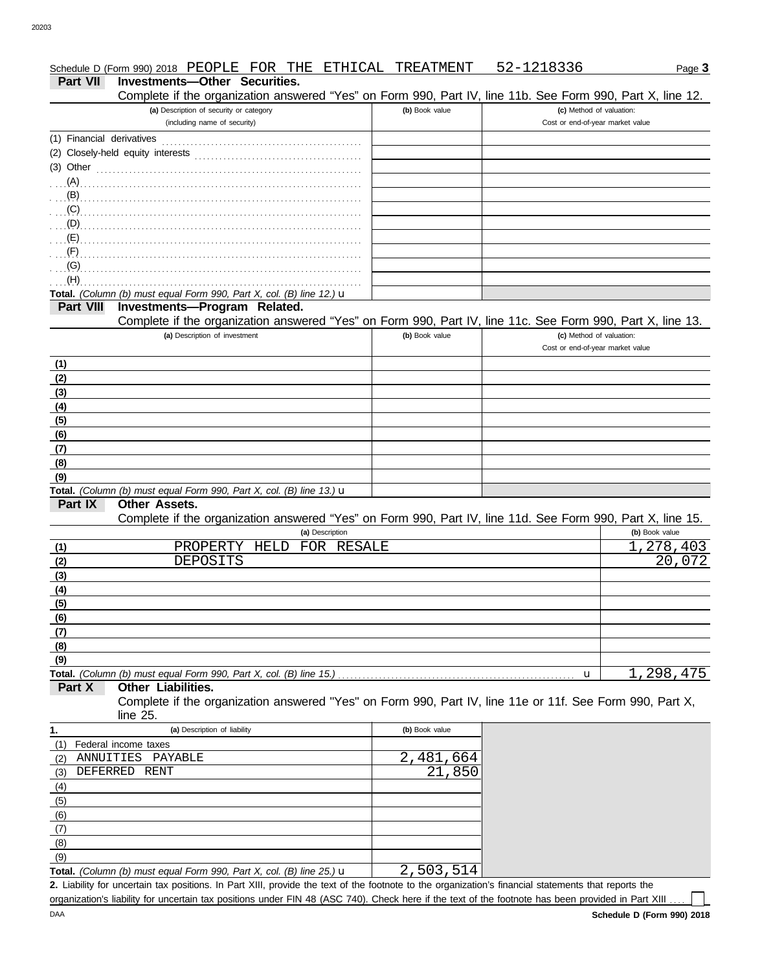|                           | Schedule D (Form 990) 2018 PEOPLE FOR THE ETHICAL TREATMENT                                                |                | 52-1218336                       | Page 3                    |
|---------------------------|------------------------------------------------------------------------------------------------------------|----------------|----------------------------------|---------------------------|
| <b>Part VII</b>           | Investments-Other Securities.                                                                              |                |                                  |                           |
|                           | Complete if the organization answered "Yes" on Form 990, Part IV, line 11b. See Form 990, Part X, line 12. |                |                                  |                           |
|                           | (a) Description of security or category                                                                    | (b) Book value | (c) Method of valuation:         |                           |
|                           | (including name of security)                                                                               |                | Cost or end-of-year market value |                           |
| (1) Financial derivatives |                                                                                                            |                |                                  |                           |
|                           |                                                                                                            |                |                                  |                           |
| $(3)$ Other               |                                                                                                            |                |                                  |                           |
|                           |                                                                                                            |                |                                  |                           |
|                           |                                                                                                            |                |                                  |                           |
|                           |                                                                                                            |                |                                  |                           |
|                           |                                                                                                            |                |                                  |                           |
|                           |                                                                                                            |                |                                  |                           |
|                           |                                                                                                            |                |                                  |                           |
|                           |                                                                                                            |                |                                  |                           |
| (H)                       | Total. (Column (b) must equal Form 990, Part X, col. (B) line 12.) u                                       |                |                                  |                           |
| <b>Part VIII</b>          | Investments-Program Related.                                                                               |                |                                  |                           |
|                           | Complete if the organization answered "Yes" on Form 990, Part IV, line 11c. See Form 990, Part X, line 13. |                |                                  |                           |
|                           | (a) Description of investment                                                                              | (b) Book value | (c) Method of valuation:         |                           |
|                           |                                                                                                            |                | Cost or end-of-year market value |                           |
| (1)                       |                                                                                                            |                |                                  |                           |
| (2)                       |                                                                                                            |                |                                  |                           |
| (3)                       |                                                                                                            |                |                                  |                           |
| (4)                       |                                                                                                            |                |                                  |                           |
| (5)                       |                                                                                                            |                |                                  |                           |
| (6)                       |                                                                                                            |                |                                  |                           |
| (7)                       |                                                                                                            |                |                                  |                           |
| (8)                       |                                                                                                            |                |                                  |                           |
| (9)                       |                                                                                                            |                |                                  |                           |
|                           | Total. (Column (b) must equal Form 990, Part X, col. (B) line 13.) $\mathbf u$                             |                |                                  |                           |
| Part IX                   | Other Assets.                                                                                              |                |                                  |                           |
|                           | Complete if the organization answered "Yes" on Form 990, Part IV, line 11d. See Form 990, Part X, line 15. |                |                                  |                           |
|                           | (a) Description                                                                                            |                |                                  | (b) Book value            |
| (1)                       | PROPERTY HELD<br>FOR RESALE                                                                                |                |                                  | $\overline{1}$ , 278, 403 |
| (2)                       | DEPOSITS                                                                                                   |                |                                  | $\overline{20}$ , 072     |
| (3)                       |                                                                                                            |                |                                  |                           |
| (4)                       |                                                                                                            |                |                                  |                           |
| (5)                       |                                                                                                            |                |                                  |                           |
| (6)<br>(7)                |                                                                                                            |                |                                  |                           |
| (8)                       |                                                                                                            |                |                                  |                           |
| (9)                       |                                                                                                            |                |                                  |                           |
|                           | Total. (Column (b) must equal Form 990, Part X, col. (B) line 15.)                                         |                | u                                | 1,298,475                 |
| Part X                    | Other Liabilities.                                                                                         |                |                                  |                           |
|                           | Complete if the organization answered "Yes" on Form 990, Part IV, line 11e or 11f. See Form 990, Part X,   |                |                                  |                           |
|                           | line 25.                                                                                                   |                |                                  |                           |
| 1.                        | (a) Description of liability                                                                               | (b) Book value |                                  |                           |
| (1)                       | Federal income taxes                                                                                       |                |                                  |                           |
| (2)                       | ANNUITIES PAYABLE                                                                                          | 2,481,664      |                                  |                           |
| (3)                       | DEFERRED RENT                                                                                              | 21,850         |                                  |                           |
| (4)                       |                                                                                                            |                |                                  |                           |
| (5)                       |                                                                                                            |                |                                  |                           |
| (6)                       |                                                                                                            |                |                                  |                           |
| (7)                       |                                                                                                            |                |                                  |                           |

Liability for uncertain tax positions. In Part XIII, provide the text of the footnote to the organization's financial statements that reports the **2. Total.** *(Column (b) must equal Form 990, Part X, col. (B) line 25.)* u 2,503,514

organization's liability for uncertain tax positions under FIN 48 (ASC 740). Check here if the text of the footnote has been provided in Part XIII.

 $\Box$ 

DAA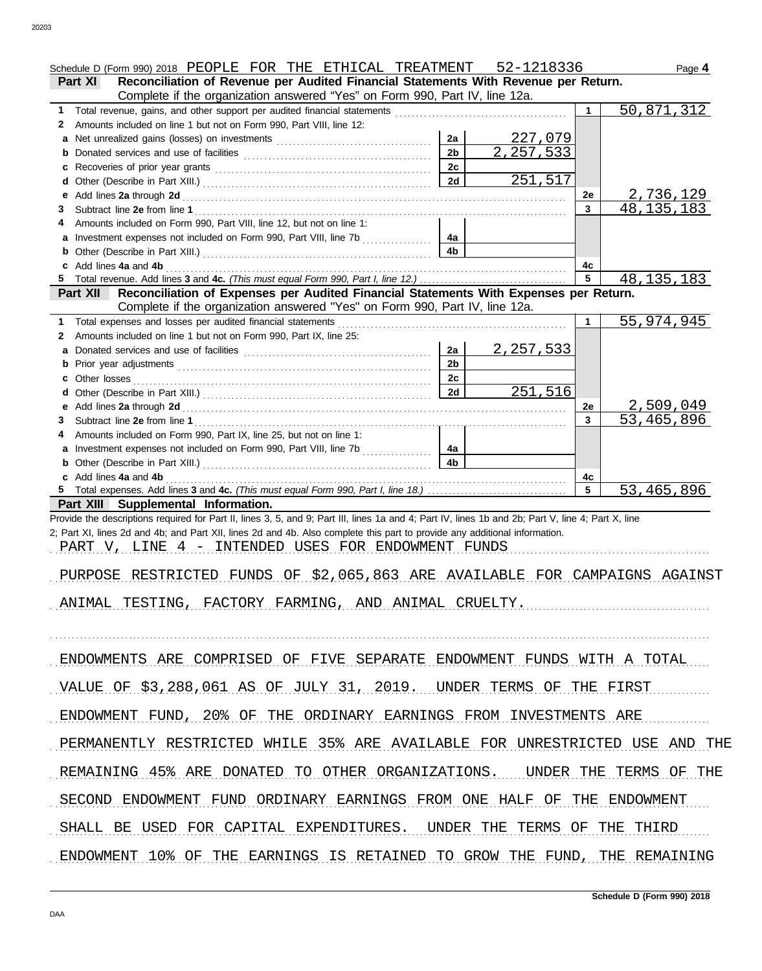|   | Schedule D (Form 990) 2018 PEOPLE FOR THE ETHICAL TREATMENT 52-1218336                                                                                                                                                              |                      |                               |                 | Page 4       |
|---|-------------------------------------------------------------------------------------------------------------------------------------------------------------------------------------------------------------------------------------|----------------------|-------------------------------|-----------------|--------------|
|   | Reconciliation of Revenue per Audited Financial Statements With Revenue per Return.<br>Part XI                                                                                                                                      |                      |                               |                 |              |
|   | Complete if the organization answered "Yes" on Form 990, Part IV, line 12a.                                                                                                                                                         |                      |                               |                 |              |
| 1 |                                                                                                                                                                                                                                     |                      |                               | $\mathbf 1$     | 50,871,312   |
| 2 | Amounts included on line 1 but not on Form 990, Part VIII, line 12:                                                                                                                                                                 |                      |                               |                 |              |
|   |                                                                                                                                                                                                                                     | 2a<br>2 <sub>b</sub> | <u>227,079</u><br>2, 257, 533 |                 |              |
| b |                                                                                                                                                                                                                                     | 2c                   |                               |                 |              |
| d |                                                                                                                                                                                                                                     | 2d                   | 251,517                       |                 |              |
| е |                                                                                                                                                                                                                                     |                      |                               | 2e              | 2,736,129    |
| 3 |                                                                                                                                                                                                                                     |                      |                               | 3 <sup>1</sup>  | 48, 135, 183 |
|   | Amounts included on Form 990, Part VIII, line 12, but not on line 1:                                                                                                                                                                |                      |                               |                 |              |
|   | a Investment expenses not included on Form 990, Part VIII, line 7b                                                                                                                                                                  | 4a                   |                               |                 |              |
|   |                                                                                                                                                                                                                                     | 4 <sub>b</sub>       |                               |                 |              |
| c | Add lines 4a and 4b <b>container and 4b</b> and 4b and 4b and 4b and 4b and 4b and 4b and 4b and 4b and 4b and 4b and 4b and 4b and 4b and 4b and 4b and 4b and 4b and 4b and 4b and 4b and 4b and 4b and 4b and 4b and 4b and 4b a |                      |                               | 4с              |              |
|   |                                                                                                                                                                                                                                     |                      |                               | $5\phantom{.0}$ | 48, 135, 183 |
|   | Reconciliation of Expenses per Audited Financial Statements With Expenses per Return.<br><b>Part XII</b>                                                                                                                            |                      |                               |                 |              |
|   | Complete if the organization answered "Yes" on Form 990, Part IV, line 12a.                                                                                                                                                         |                      |                               |                 |              |
| 1 | Total expenses and losses per audited financial statements                                                                                                                                                                          |                      |                               | $\mathbf 1$     | 55,974,945   |
| 2 | Amounts included on line 1 but not on Form 990, Part IX, line 25:                                                                                                                                                                   |                      |                               |                 |              |
| а |                                                                                                                                                                                                                                     | 2a<br>2 <sub>b</sub> | 2, 257, 533                   |                 |              |
| b |                                                                                                                                                                                                                                     | 2c                   |                               |                 |              |
| d |                                                                                                                                                                                                                                     | 2d                   | 251,516                       |                 |              |
|   |                                                                                                                                                                                                                                     |                      |                               | <b>2e</b>       | 2,509,049    |
| 3 |                                                                                                                                                                                                                                     |                      |                               | $\mathbf{3}$    | 53, 465, 896 |
|   | Amounts included on Form 990, Part IX, line 25, but not on line 1:                                                                                                                                                                  |                      |                               |                 |              |
|   | Investment expenses not included on Form 990, Part VIII, line 7b                                                                                                                                                                    | 4a                   |                               |                 |              |
|   | <b>b</b> Other (Describe in Part XIII.) <b>CONSIDENT Description Part XIII.</b>                                                                                                                                                     | 4 <sub>b</sub>       |                               |                 |              |
|   | c Add lines 4a and 4b                                                                                                                                                                                                               |                      |                               | 4с              |              |
|   |                                                                                                                                                                                                                                     |                      |                               | $5\overline{5}$ | 53,465,896   |
|   | Part XIII Supplemental Information.                                                                                                                                                                                                 |                      |                               |                 |              |
|   | Provide the descriptions required for Part II, lines 3, 5, and 9; Part III, lines 1a and 4; Part IV, lines 1b and 2b; Part V, line 4; Part X, line                                                                                  |                      |                               |                 |              |
|   | 2; Part XI, lines 2d and 4b; and Part XII, lines 2d and 4b. Also complete this part to provide any additional information.                                                                                                          |                      |                               |                 |              |
|   | PART V, LINE 4 - INTENDED USES FOR ENDOWMENT FUNDS                                                                                                                                                                                  |                      |                               |                 |              |
|   | PURPOSE RESTRICTED FUNDS OF \$2,065,863 ARE AVAILABLE FOR CAMPAIGNS AGAINST                                                                                                                                                         |                      |                               |                 |              |
|   |                                                                                                                                                                                                                                     |                      |                               |                 |              |
|   | ANIMAL TESTING, FACTORY FARMING, AND ANIMAL CRUELTY.                                                                                                                                                                                |                      |                               |                 |              |
|   |                                                                                                                                                                                                                                     |                      |                               |                 |              |
|   |                                                                                                                                                                                                                                     |                      |                               |                 |              |
|   |                                                                                                                                                                                                                                     |                      |                               |                 |              |
|   | ENDOWMENTS ARE COMPRISED OF FIVE SEPARATE ENDOWMENT FUNDS WITH A TOTAL                                                                                                                                                              |                      |                               |                 |              |
|   |                                                                                                                                                                                                                                     |                      |                               |                 |              |
|   | VALUE OF \$3,288,061 AS OF JULY 31, 2019. UNDER TERMS OF THE FIRST                                                                                                                                                                  |                      |                               |                 |              |
|   | ENDOWMENT FUND, 20% OF THE ORDINARY EARNINGS FROM INVESTMENTS ARE                                                                                                                                                                   |                      |                               |                 |              |
|   |                                                                                                                                                                                                                                     |                      |                               |                 |              |
|   | PERMANENTLY RESTRICTED WHILE 35% ARE AVAILABLE FOR UNRESTRICTED USE AND THE                                                                                                                                                         |                      |                               |                 |              |
|   |                                                                                                                                                                                                                                     |                      |                               |                 |              |
|   | REMAINING 45% ARE DONATED TO OTHER ORGANIZATIONS. UNDER THE TERMS OF THE                                                                                                                                                            |                      |                               |                 |              |
|   | SECOND ENDOWMENT FUND ORDINARY EARNINGS FROM ONE HALF OF THE ENDOWMENT                                                                                                                                                              |                      |                               |                 |              |
|   | SHALL BE USED FOR CAPITAL EXPENDITURES. UNDER THE TERMS OF THE THIRD                                                                                                                                                                |                      |                               |                 |              |
|   |                                                                                                                                                                                                                                     |                      |                               |                 |              |
|   | ENDOWMENT 10% OF THE EARNINGS IS RETAINED TO GROW THE FUND, THE REMAINING                                                                                                                                                           |                      |                               |                 |              |
|   |                                                                                                                                                                                                                                     |                      |                               |                 |              |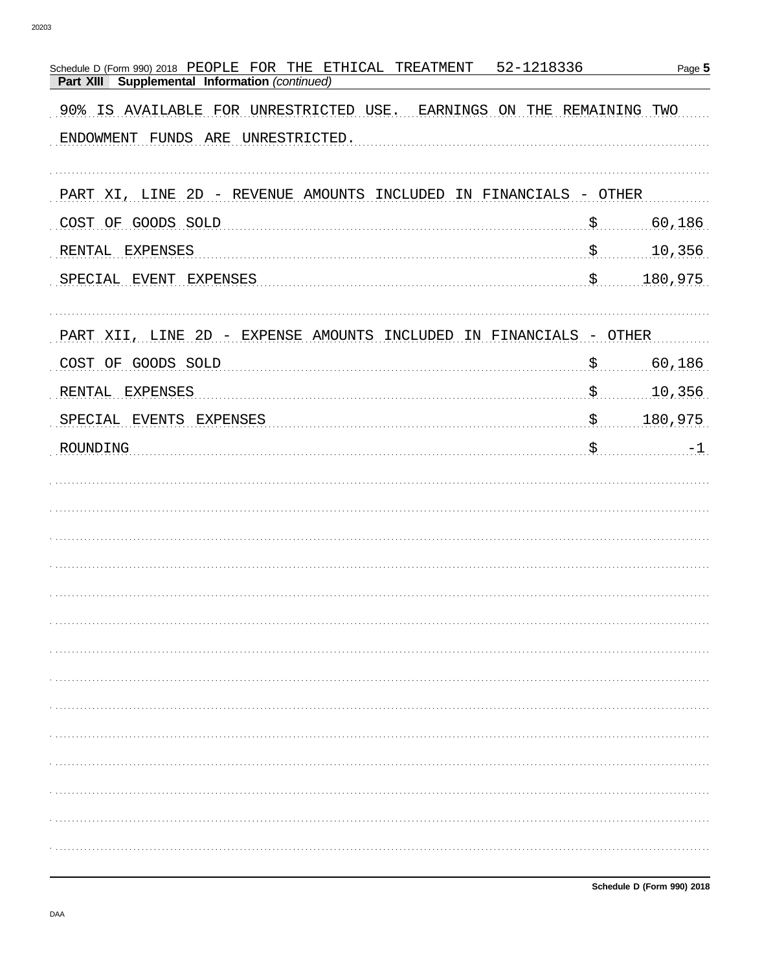| Schedule D (Form 990) 2018 PEOPLE FOR THE ETHICAL TREATMENT<br>52-1218336<br>Supplemental Information (continued)<br>Part XIII |               | Page 5   |
|--------------------------------------------------------------------------------------------------------------------------------|---------------|----------|
| 90% IS AVAILABLE FOR UNRESTRICTED USE. EARNINGS ON THE REMAINING TWO                                                           |               |          |
| ENDOWMENT FUNDS ARE UNRESTRICTED.                                                                                              |               |          |
|                                                                                                                                |               |          |
| PART XI, LINE 2D - REVENUE AMOUNTS INCLUDED IN FINANCIALS - OTHER                                                              |               |          |
| COST OF GOODS SOLD                                                                                                             | $S_{\ldots}$  | 60,186   |
| RENTAL EXPENSES                                                                                                                |               | 10,356   |
| SPECIAL EVENT EXPENSES                                                                                                         |               | 180,975  |
|                                                                                                                                |               |          |
| PART XII, LINE 2D - EXPENSE AMOUNTS INCLUDED IN FINANCIALS - OTHER                                                             |               |          |
| COST OF GOODS SOLD                                                                                                             | $\mathcal{S}$ | 60,186   |
| RENTAL EXPENSES                                                                                                                | . \$          | 10,356   |
| SPECIAL EVENTS EXPENSES                                                                                                        |               | 180,975  |
| ROUNDING                                                                                                                       |               | $5$ $-1$ |
|                                                                                                                                |               |          |
|                                                                                                                                |               |          |
|                                                                                                                                |               |          |
|                                                                                                                                |               |          |
|                                                                                                                                |               |          |
|                                                                                                                                |               |          |
|                                                                                                                                |               |          |
|                                                                                                                                |               |          |
|                                                                                                                                |               |          |
|                                                                                                                                |               |          |
|                                                                                                                                |               |          |
|                                                                                                                                |               |          |
|                                                                                                                                |               |          |
|                                                                                                                                |               |          |
|                                                                                                                                |               |          |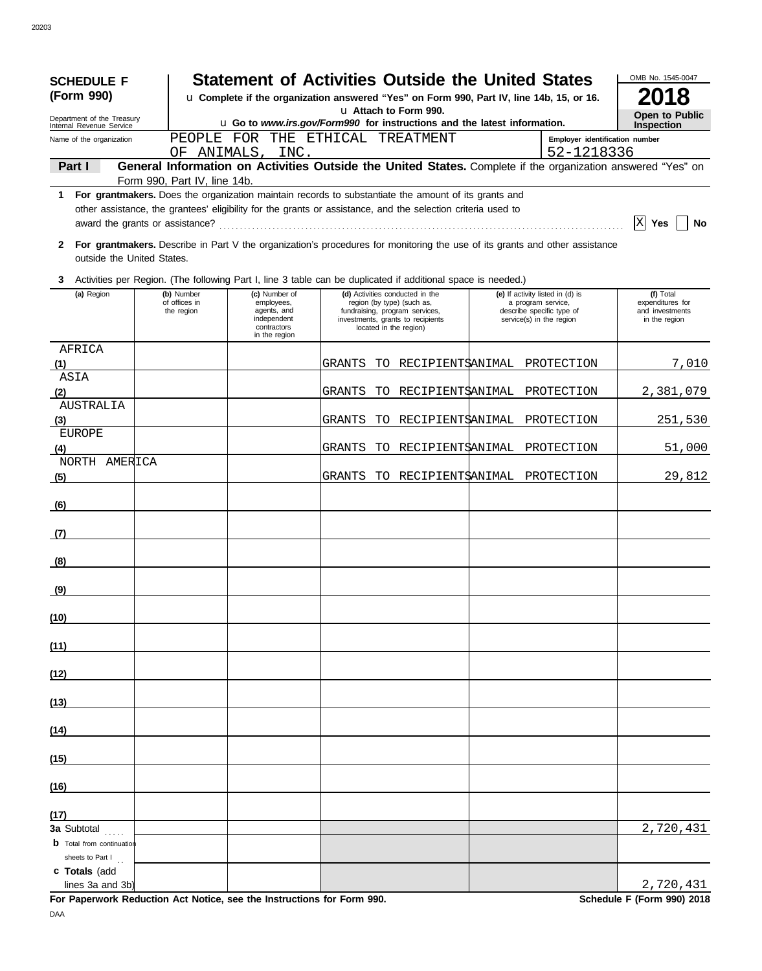| <b>SCHEDULE F</b>                                      |                              | <b>Statement of Activities Outside the United States</b>                                                                                                                                      |                            |        |     |                                                                                                              |  |                                                                                                                               |                                     |  |  |
|--------------------------------------------------------|------------------------------|-----------------------------------------------------------------------------------------------------------------------------------------------------------------------------------------------|----------------------------|--------|-----|--------------------------------------------------------------------------------------------------------------|--|-------------------------------------------------------------------------------------------------------------------------------|-------------------------------------|--|--|
| (Form 990)                                             |                              | u Complete if the organization answered "Yes" on Form 990, Part IV, line 14b, 15, or 16.<br>u Attach to Form 990.<br>u Go to www.irs.gov/Form990 for instructions and the latest information. |                            |        |     |                                                                                                              |  |                                                                                                                               |                                     |  |  |
| Department of the Treasury<br>Internal Revenue Service |                              |                                                                                                                                                                                               |                            |        |     |                                                                                                              |  |                                                                                                                               |                                     |  |  |
| Name of the organization                               |                              | PEOPLE FOR THE ETHICAL TREATMENT<br>Employer identification number                                                                                                                            |                            |        |     |                                                                                                              |  |                                                                                                                               |                                     |  |  |
|                                                        |                              |                                                                                                                                                                                               | OF ANIMALS, INC.           |        |     |                                                                                                              |  | 52-1218336                                                                                                                    |                                     |  |  |
| Part I                                                 | Form 990, Part IV, line 14b. |                                                                                                                                                                                               |                            |        |     |                                                                                                              |  | General Information on Activities Outside the United States. Complete if the organization answered "Yes" on                   |                                     |  |  |
| 1                                                      |                              |                                                                                                                                                                                               |                            |        |     | For grantmakers. Does the organization maintain records to substantiate the amount of its grants and         |  |                                                                                                                               |                                     |  |  |
|                                                        |                              |                                                                                                                                                                                               |                            |        |     | other assistance, the grantees' eligibility for the grants or assistance, and the selection criteria used to |  |                                                                                                                               |                                     |  |  |
|                                                        |                              |                                                                                                                                                                                               |                            |        |     |                                                                                                              |  |                                                                                                                               | $ X $ Yes<br>No                     |  |  |
|                                                        |                              |                                                                                                                                                                                               |                            |        |     |                                                                                                              |  | 2 For grantmakers. Describe in Part V the organization's procedures for monitoring the use of its grants and other assistance |                                     |  |  |
| outside the United States.                             |                              |                                                                                                                                                                                               |                            |        |     |                                                                                                              |  |                                                                                                                               |                                     |  |  |
| 3                                                      |                              |                                                                                                                                                                                               |                            |        |     | Activities per Region. (The following Part I, line 3 table can be duplicated if additional space is needed.) |  |                                                                                                                               |                                     |  |  |
| (a) Region                                             | (b) Number                   |                                                                                                                                                                                               | (c) Number of              |        |     | (d) Activities conducted in the                                                                              |  | (e) If activity listed in (d) is                                                                                              | (f) Total                           |  |  |
|                                                        | of offices in<br>the region  |                                                                                                                                                                                               | employees,<br>agents, and  |        |     | region (by type) (such as,<br>fundraising, program services,                                                 |  | a program service,<br>describe specific type of                                                                               | expenditures for<br>and investments |  |  |
|                                                        |                              |                                                                                                                                                                                               | independent<br>contractors |        |     | investments, grants to recipients<br>located in the region)                                                  |  | service(s) in the region                                                                                                      | in the region                       |  |  |
| AFRICA                                                 |                              |                                                                                                                                                                                               | in the region              |        |     |                                                                                                              |  |                                                                                                                               |                                     |  |  |
| (1)                                                    |                              |                                                                                                                                                                                               |                            | GRANTS | TO. |                                                                                                              |  | RECIPIENT\$ANIMAL PROTECTION                                                                                                  | 7,010                               |  |  |
| ASIA                                                   |                              |                                                                                                                                                                                               |                            |        |     |                                                                                                              |  |                                                                                                                               |                                     |  |  |
| (2)                                                    |                              |                                                                                                                                                                                               |                            | GRANTS | TO. | RECIPIENT\$ANIMAL                                                                                            |  | PROTECTION                                                                                                                    | 2,381,079                           |  |  |
| <b>AUSTRALIA</b>                                       |                              |                                                                                                                                                                                               |                            |        |     |                                                                                                              |  |                                                                                                                               |                                     |  |  |
| (3)                                                    |                              |                                                                                                                                                                                               |                            | GRANTS | TO. | RECIPIENTSANIMAL                                                                                             |  | PROTECTION                                                                                                                    | 251,530                             |  |  |
| <b>EUROPE</b>                                          |                              |                                                                                                                                                                                               |                            | GRANTS | TO. | RECIPIENT\$ANIMAL                                                                                            |  | PROTECTION                                                                                                                    | 51,000                              |  |  |
| (4)<br>NORTH AMERICA                                   |                              |                                                                                                                                                                                               |                            |        |     |                                                                                                              |  |                                                                                                                               |                                     |  |  |
| (5)                                                    |                              |                                                                                                                                                                                               |                            | GRANTS |     |                                                                                                              |  | TO RECIPIENT\$ANIMAL PROTECTION                                                                                               | 29,812                              |  |  |
|                                                        |                              |                                                                                                                                                                                               |                            |        |     |                                                                                                              |  |                                                                                                                               |                                     |  |  |
| (6)                                                    |                              |                                                                                                                                                                                               |                            |        |     |                                                                                                              |  |                                                                                                                               |                                     |  |  |
|                                                        |                              |                                                                                                                                                                                               |                            |        |     |                                                                                                              |  |                                                                                                                               |                                     |  |  |
| (7)                                                    |                              |                                                                                                                                                                                               |                            |        |     |                                                                                                              |  |                                                                                                                               |                                     |  |  |
| (8)                                                    |                              |                                                                                                                                                                                               |                            |        |     |                                                                                                              |  |                                                                                                                               |                                     |  |  |
|                                                        |                              |                                                                                                                                                                                               |                            |        |     |                                                                                                              |  |                                                                                                                               |                                     |  |  |
| (9)                                                    |                              |                                                                                                                                                                                               |                            |        |     |                                                                                                              |  |                                                                                                                               |                                     |  |  |
| (10)                                                   |                              |                                                                                                                                                                                               |                            |        |     |                                                                                                              |  |                                                                                                                               |                                     |  |  |
|                                                        |                              |                                                                                                                                                                                               |                            |        |     |                                                                                                              |  |                                                                                                                               |                                     |  |  |
| (11)                                                   |                              |                                                                                                                                                                                               |                            |        |     |                                                                                                              |  |                                                                                                                               |                                     |  |  |
| (12)                                                   |                              |                                                                                                                                                                                               |                            |        |     |                                                                                                              |  |                                                                                                                               |                                     |  |  |
|                                                        |                              |                                                                                                                                                                                               |                            |        |     |                                                                                                              |  |                                                                                                                               |                                     |  |  |
| (13)                                                   |                              |                                                                                                                                                                                               |                            |        |     |                                                                                                              |  |                                                                                                                               |                                     |  |  |
| (14)                                                   |                              |                                                                                                                                                                                               |                            |        |     |                                                                                                              |  |                                                                                                                               |                                     |  |  |
| (15)                                                   |                              |                                                                                                                                                                                               |                            |        |     |                                                                                                              |  |                                                                                                                               |                                     |  |  |
|                                                        |                              |                                                                                                                                                                                               |                            |        |     |                                                                                                              |  |                                                                                                                               |                                     |  |  |
| (16)                                                   |                              |                                                                                                                                                                                               |                            |        |     |                                                                                                              |  |                                                                                                                               |                                     |  |  |
| (17)                                                   |                              |                                                                                                                                                                                               |                            |        |     |                                                                                                              |  |                                                                                                                               |                                     |  |  |
| 3a Subtotal                                            |                              |                                                                                                                                                                                               |                            |        |     |                                                                                                              |  |                                                                                                                               | 2,720,431                           |  |  |
| <b>b</b> Total from continuation<br>sheets to Part I   |                              |                                                                                                                                                                                               |                            |        |     |                                                                                                              |  |                                                                                                                               |                                     |  |  |
| c Totals (add                                          |                              |                                                                                                                                                                                               |                            |        |     |                                                                                                              |  |                                                                                                                               |                                     |  |  |
| lines 3a and 3b)                                       |                              |                                                                                                                                                                                               |                            |        |     |                                                                                                              |  |                                                                                                                               | 2,720,431                           |  |  |

**For Paperwork Reduction Act Notice, see the Instructions for Form 990. Schedule F (Form 990) 2018** DAA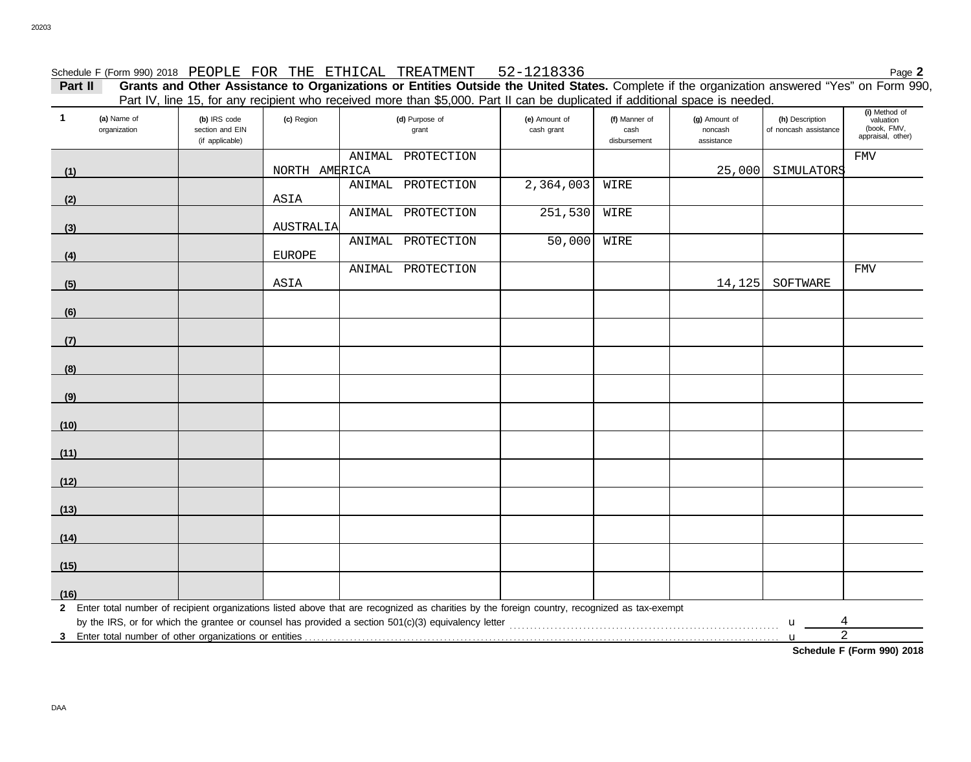# Schedule F (Form 990) 2018 PEOPLE FOR THE ETHICAL TREATMENT 52-1218336 Page **2**

**Part II Grants and Other Assistance to Organizations or Entities Outside the United States.** Complete if the organization answered "Yes" on Form 990, Part IV, line 15, for any recipient who received more than \$5,000. Part II can be duplicated if additional space is needed.

| $\mathbf{1}$ | (a) Name of<br>(b) IRS code<br>(c) Region<br>organization<br>section and EIN<br>(if applicable) |  |               | T all TV, line TJ, IUI ally Tecipierit who received more than \$0,000. I all in carried diplicated in additional space is needed.<br>(d) Purpose of<br>grant | (e) Amount of<br>cash grant | (f) Manner of<br>cash<br>disbursement | (g) Amount of<br>noncash<br>assistance | (h) Description<br>of noncash assistance | (i) Method of<br>valuation<br>(book, FMV,<br>appraisal, other) |
|--------------|-------------------------------------------------------------------------------------------------|--|---------------|--------------------------------------------------------------------------------------------------------------------------------------------------------------|-----------------------------|---------------------------------------|----------------------------------------|------------------------------------------|----------------------------------------------------------------|
|              |                                                                                                 |  |               | ANIMAL PROTECTION                                                                                                                                            |                             |                                       |                                        |                                          | ${\tt FMV}$                                                    |
| (1)          |                                                                                                 |  | NORTH AMERICA |                                                                                                                                                              |                             |                                       | 25,000                                 | SIMULATORS                               |                                                                |
|              |                                                                                                 |  |               | ANIMAL PROTECTION                                                                                                                                            | 2,364,003                   | WIRE                                  |                                        |                                          |                                                                |
| (2)          |                                                                                                 |  | ASIA          |                                                                                                                                                              |                             |                                       |                                        |                                          |                                                                |
|              |                                                                                                 |  |               | ANIMAL PROTECTION                                                                                                                                            | 251,530                     | WIRE                                  |                                        |                                          |                                                                |
| (3)          |                                                                                                 |  | AUSTRALIA     |                                                                                                                                                              |                             |                                       |                                        |                                          |                                                                |
|              |                                                                                                 |  |               | ANIMAL PROTECTION                                                                                                                                            | 50,000                      | WIRE                                  |                                        |                                          |                                                                |
| (4)          |                                                                                                 |  | EUROPE        |                                                                                                                                                              |                             |                                       |                                        |                                          |                                                                |
|              |                                                                                                 |  |               | ANIMAL PROTECTION                                                                                                                                            |                             |                                       |                                        |                                          | <b>FMV</b>                                                     |
| (5)          |                                                                                                 |  | ASIA          |                                                                                                                                                              |                             |                                       | 14,125                                 | SOFTWARE                                 |                                                                |
| (6)          |                                                                                                 |  |               |                                                                                                                                                              |                             |                                       |                                        |                                          |                                                                |
|              |                                                                                                 |  |               |                                                                                                                                                              |                             |                                       |                                        |                                          |                                                                |
| (7)          |                                                                                                 |  |               |                                                                                                                                                              |                             |                                       |                                        |                                          |                                                                |
| (8)          |                                                                                                 |  |               |                                                                                                                                                              |                             |                                       |                                        |                                          |                                                                |
|              |                                                                                                 |  |               |                                                                                                                                                              |                             |                                       |                                        |                                          |                                                                |
| (9)          |                                                                                                 |  |               |                                                                                                                                                              |                             |                                       |                                        |                                          |                                                                |
| (10)         |                                                                                                 |  |               |                                                                                                                                                              |                             |                                       |                                        |                                          |                                                                |
| (11)         |                                                                                                 |  |               |                                                                                                                                                              |                             |                                       |                                        |                                          |                                                                |
|              |                                                                                                 |  |               |                                                                                                                                                              |                             |                                       |                                        |                                          |                                                                |
| (12)         |                                                                                                 |  |               |                                                                                                                                                              |                             |                                       |                                        |                                          |                                                                |
| (13)         |                                                                                                 |  |               |                                                                                                                                                              |                             |                                       |                                        |                                          |                                                                |
| (14)         |                                                                                                 |  |               |                                                                                                                                                              |                             |                                       |                                        |                                          |                                                                |
| (15)         |                                                                                                 |  |               |                                                                                                                                                              |                             |                                       |                                        |                                          |                                                                |
|              |                                                                                                 |  |               |                                                                                                                                                              |                             |                                       |                                        |                                          |                                                                |
| (16)         |                                                                                                 |  |               |                                                                                                                                                              |                             |                                       |                                        |                                          |                                                                |
|              |                                                                                                 |  |               | 2 Enter total number of recipient organizations listed above that are recognized as charities by the foreign country, recognized as tax-exempt               |                             |                                       |                                        |                                          |                                                                |
|              |                                                                                                 |  |               |                                                                                                                                                              |                             |                                       |                                        | $\mathbf{u}$                             | 4                                                              |
|              |                                                                                                 |  |               |                                                                                                                                                              |                             |                                       |                                        | $\mathbf u$                              | $\overline{2}$                                                 |
|              |                                                                                                 |  |               |                                                                                                                                                              |                             |                                       |                                        |                                          | Schedule F (Form 990) 2018                                     |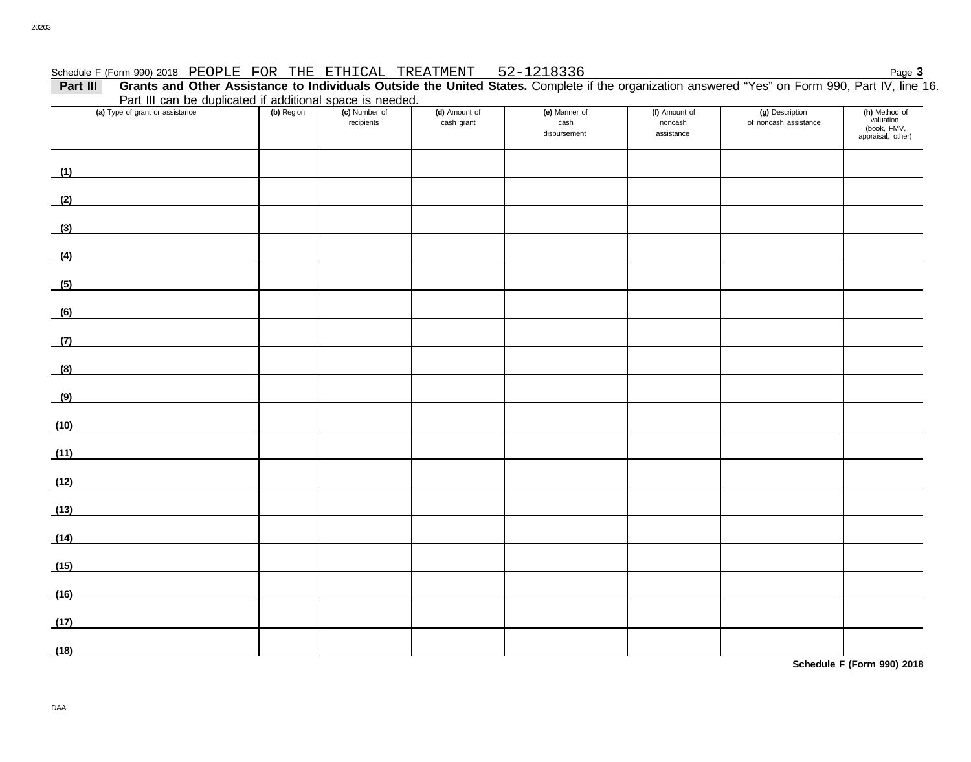#### Schedule F (Form 990) 2018 PEOPLE FOR THE ETHICAL TREATMENT 52-1218336

**Part III Grants and Other Assistance to Individuals Outside the United States.** Complete if the organization answered "Yes" on Form 990, Part IV, line 16. Part III can be duplicated if additional space is needed.

|      |                                                                                                                      | Part in can be duplicated if additional space is needed. |                             |                             |                                       |                                        |                                          |                                                                |  |  |  |  |  |
|------|----------------------------------------------------------------------------------------------------------------------|----------------------------------------------------------|-----------------------------|-----------------------------|---------------------------------------|----------------------------------------|------------------------------------------|----------------------------------------------------------------|--|--|--|--|--|
|      | (a) Type of grant or assistance                                                                                      | (b) Region                                               | (c) Number of<br>recipients | (d) Amount of<br>cash grant | (e) Manner of<br>cash<br>disbursement | (f) Amount of<br>noncash<br>assistance | (g) Description<br>of noncash assistance | (h) Method of<br>valuation<br>(book, FMV,<br>appraisal, other) |  |  |  |  |  |
| (1)  |                                                                                                                      |                                                          |                             |                             |                                       |                                        |                                          |                                                                |  |  |  |  |  |
| (2)  |                                                                                                                      |                                                          |                             |                             |                                       |                                        |                                          |                                                                |  |  |  |  |  |
| (3)  |                                                                                                                      |                                                          |                             |                             |                                       |                                        |                                          |                                                                |  |  |  |  |  |
| (4)  |                                                                                                                      |                                                          |                             |                             |                                       |                                        |                                          |                                                                |  |  |  |  |  |
| (5)  |                                                                                                                      |                                                          |                             |                             |                                       |                                        |                                          |                                                                |  |  |  |  |  |
| (6)  |                                                                                                                      |                                                          |                             |                             |                                       |                                        |                                          |                                                                |  |  |  |  |  |
| (7)  | <u> 1990 - Jan Barbara Barat, prima po</u>                                                                           |                                                          |                             |                             |                                       |                                        |                                          |                                                                |  |  |  |  |  |
| (8)  |                                                                                                                      |                                                          |                             |                             |                                       |                                        |                                          |                                                                |  |  |  |  |  |
| (9)  | <u> 1980 - Jan Stein Stein Stein Stein Stein Stein Stein Stein Stein Stein Stein Stein Stein Stein Stein Stein S</u> |                                                          |                             |                             |                                       |                                        |                                          |                                                                |  |  |  |  |  |
| (10) | <u>and the state of the state of the sta</u>                                                                         |                                                          |                             |                             |                                       |                                        |                                          |                                                                |  |  |  |  |  |
| (11) | <u> 1990 - Andrea Andrew Maria III (m. 1951)</u>                                                                     |                                                          |                             |                             |                                       |                                        |                                          |                                                                |  |  |  |  |  |
| (12) |                                                                                                                      |                                                          |                             |                             |                                       |                                        |                                          |                                                                |  |  |  |  |  |
| (13) |                                                                                                                      |                                                          |                             |                             |                                       |                                        |                                          |                                                                |  |  |  |  |  |
| (14) |                                                                                                                      |                                                          |                             |                             |                                       |                                        |                                          |                                                                |  |  |  |  |  |
| (15) |                                                                                                                      |                                                          |                             |                             |                                       |                                        |                                          |                                                                |  |  |  |  |  |
| (16) |                                                                                                                      |                                                          |                             |                             |                                       |                                        |                                          |                                                                |  |  |  |  |  |
| (17) |                                                                                                                      |                                                          |                             |                             |                                       |                                        |                                          |                                                                |  |  |  |  |  |
| (18) |                                                                                                                      |                                                          |                             |                             |                                       |                                        |                                          |                                                                |  |  |  |  |  |

**Schedule F (Form 990) 2018**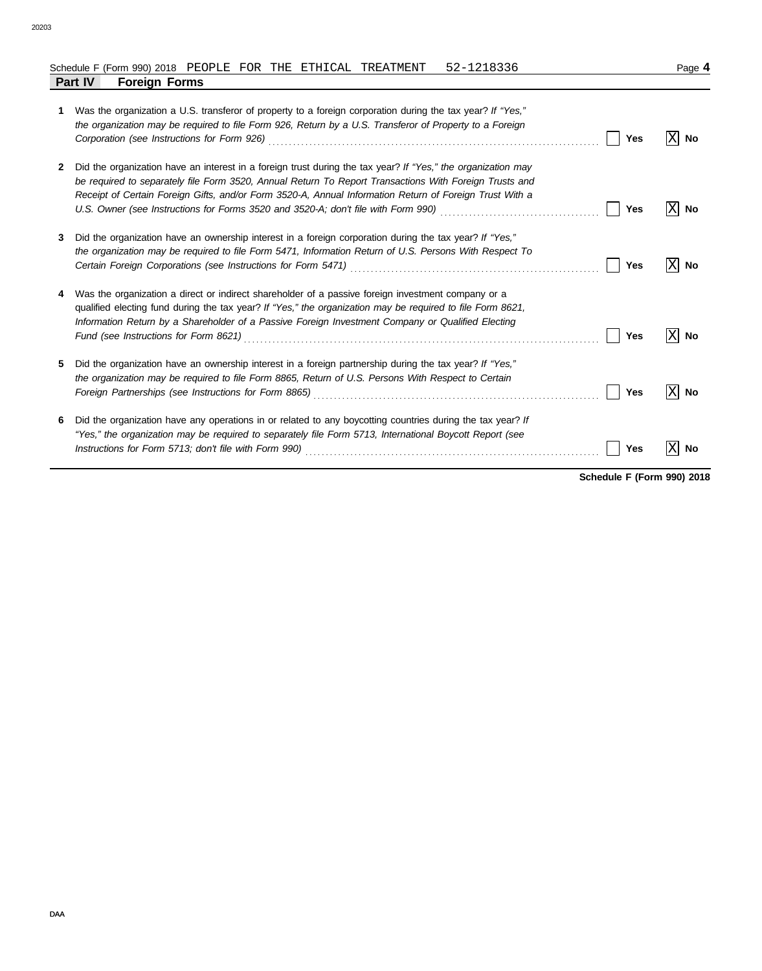#### 20203

| Schedule F (Form 990) 2018 PEOPLE FOR THE ETHICAL TREATMENT |  |  | 52-1218336 | Page |
|-------------------------------------------------------------|--|--|------------|------|

|   | <b>Part IV</b><br><b>Foreign Forms</b>                                                                                                                                                                                                                                                                                                                 |            |           |
|---|--------------------------------------------------------------------------------------------------------------------------------------------------------------------------------------------------------------------------------------------------------------------------------------------------------------------------------------------------------|------------|-----------|
| 1 | Was the organization a U.S. transferor of property to a foreign corporation during the tax year? If "Yes,"<br>the organization may be required to file Form 926, Return by a U.S. Transferor of Property to a Foreign<br>Corporation (see Instructions for Form 926) Material Corporation (See Instruction of See Instructions for Form                | <b>Yes</b> | ΙXΙ<br>No |
| 2 | Did the organization have an interest in a foreign trust during the tax year? If "Yes," the organization may<br>be required to separately file Form 3520, Annual Return To Report Transactions With Foreign Trusts and<br>Receipt of Certain Foreign Gifts, and/or Form 3520-A, Annual Information Return of Foreign Trust With a                      | Yes        | ΙXΙ<br>No |
| 3 | Did the organization have an ownership interest in a foreign corporation during the tax year? If "Yes,"<br>the organization may be required to file Form 5471, Information Return of U.S. Persons With Respect To                                                                                                                                      | <b>Yes</b> | ΙXΙ<br>No |
| 4 | Was the organization a direct or indirect shareholder of a passive foreign investment company or a<br>qualified electing fund during the tax year? If "Yes," the organization may be required to file Form 8621,<br>Information Return by a Shareholder of a Passive Foreign Investment Company or Qualified Electing                                  | Yes        | ΙXΙ<br>No |
| 5 | Did the organization have an ownership interest in a foreign partnership during the tax year? If "Yes,"<br>the organization may be required to file Form 8865, Return of U.S. Persons With Respect to Certain<br>Foreign Partnerships (see Instructions for Form 8865) [11] Conserved Conserved Partners Partnerships (see Instructions for Form 8865) | Yes        | X<br>No   |
| 6 | Did the organization have any operations in or related to any boycotting countries during the tax year? If<br>"Yes," the organization may be required to separately file Form 5713, International Boycott Report (see                                                                                                                                  | Yes        | No        |

**Schedule F (Form 990) 2018**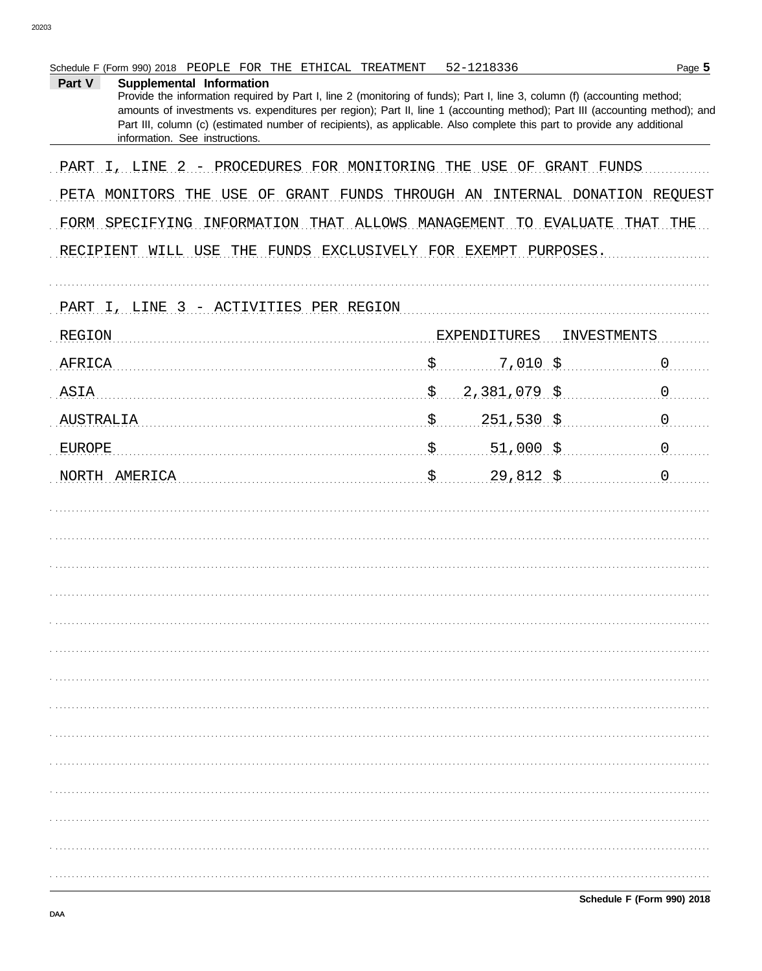| ган v<br><b>Supplemental Information</b><br>Provide the information required by Part I, line 2 (monitoring of funds); Part I, line 3, column (f) (accounting method;<br>amounts of investments vs. expenditures per region); Part II, line 1 (accounting method); Part III (accounting method); and<br>Part III, column (c) (estimated number of recipients), as applicable. Also complete this part to provide any additional<br>information. See instructions. |                      |             |   |
|------------------------------------------------------------------------------------------------------------------------------------------------------------------------------------------------------------------------------------------------------------------------------------------------------------------------------------------------------------------------------------------------------------------------------------------------------------------|----------------------|-------------|---|
| PART I, LINE 2 - PROCEDURES FOR MONITORING THE USE OF GRANT FUNDS                                                                                                                                                                                                                                                                                                                                                                                                |                      |             |   |
| PETA MONITORS THE USE OF GRANT FUNDS THROUGH AN INTERNAL DONATION REQUEST                                                                                                                                                                                                                                                                                                                                                                                        |                      |             |   |
| FORM SPECIFYING INFORMATION THAT ALLOWS MANAGEMENT TO EVALUATE THAT THE<br>RECIPIENT WILL USE THE FUNDS EXCLUSIVELY FOR EXEMPT PURPOSES.                                                                                                                                                                                                                                                                                                                         |                      |             |   |
| PART I, LINE 3 - ACTIVITIES PER REGION                                                                                                                                                                                                                                                                                                                                                                                                                           |                      |             |   |
| <b>REGION</b>                                                                                                                                                                                                                                                                                                                                                                                                                                                    | <b>EXPENDITURES</b>  | INVESTMENTS |   |
| AFRICA                                                                                                                                                                                                                                                                                                                                                                                                                                                           | \$<br>$7,010$ \$     |             | 0 |
| ASIA                                                                                                                                                                                                                                                                                                                                                                                                                                                             | \$<br>$2,381,079$ \$ |             | 0 |
| AUSTRALIA                                                                                                                                                                                                                                                                                                                                                                                                                                                        | \$<br>$251,530$ \$   |             | 0 |
| <b>EUROPE</b>                                                                                                                                                                                                                                                                                                                                                                                                                                                    | \$<br>$51,000$ \$    |             | 0 |
| NORTH AMERICA                                                                                                                                                                                                                                                                                                                                                                                                                                                    | \$<br>29,812,5       |             | 0 |
|                                                                                                                                                                                                                                                                                                                                                                                                                                                                  |                      |             |   |
|                                                                                                                                                                                                                                                                                                                                                                                                                                                                  |                      |             |   |
|                                                                                                                                                                                                                                                                                                                                                                                                                                                                  |                      |             |   |
|                                                                                                                                                                                                                                                                                                                                                                                                                                                                  |                      |             |   |
|                                                                                                                                                                                                                                                                                                                                                                                                                                                                  |                      |             |   |
|                                                                                                                                                                                                                                                                                                                                                                                                                                                                  |                      |             |   |
|                                                                                                                                                                                                                                                                                                                                                                                                                                                                  |                      |             |   |
|                                                                                                                                                                                                                                                                                                                                                                                                                                                                  |                      |             |   |
|                                                                                                                                                                                                                                                                                                                                                                                                                                                                  |                      |             |   |
|                                                                                                                                                                                                                                                                                                                                                                                                                                                                  |                      |             |   |
|                                                                                                                                                                                                                                                                                                                                                                                                                                                                  |                      |             |   |
|                                                                                                                                                                                                                                                                                                                                                                                                                                                                  |                      |             |   |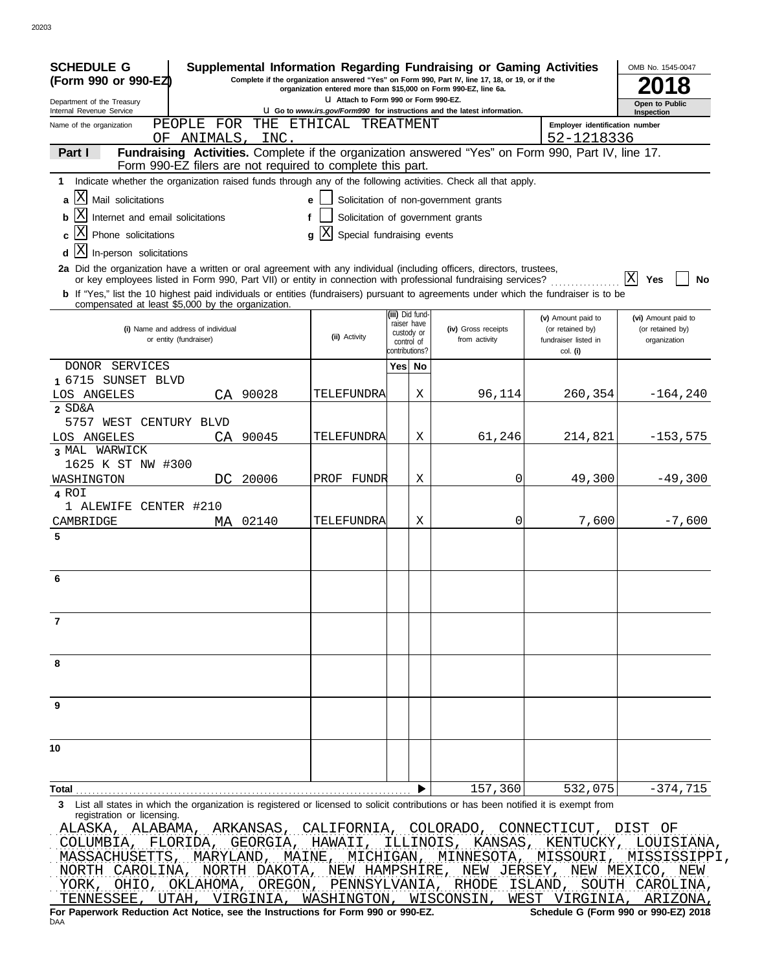| <b>SCHEDULE G</b><br>Supplemental Information Regarding Fundraising or Gaming Activities<br>(Form 990 or 990-EZ)                                                                                                                                               |                            |                                                                                 | Complete if the organization answered "Yes" on Form 990, Part IV, line 17, 18, or 19, or if the |                                                                            | OMB No. 1545-0047<br>8                                  |  |  |  |  |
|----------------------------------------------------------------------------------------------------------------------------------------------------------------------------------------------------------------------------------------------------------------|----------------------------|---------------------------------------------------------------------------------|-------------------------------------------------------------------------------------------------|----------------------------------------------------------------------------|---------------------------------------------------------|--|--|--|--|
| organization entered more than \$15,000 on Form 990-EZ, line 6a.<br>U Attach to Form 990 or Form 990-EZ.                                                                                                                                                       |                            |                                                                                 |                                                                                                 |                                                                            |                                                         |  |  |  |  |
| Department of the Treasury<br>Internal Revenue Service                                                                                                                                                                                                         |                            | <b>U Go to www.irs.gov/Form990 for instructions and the latest information.</b> |                                                                                                 |                                                                            |                                                         |  |  |  |  |
| FOR<br>THE<br>PEOPLE<br>Name of the organization<br>INC.<br>ΟF<br>ANIMALS,                                                                                                                                                                                     | ETHICAL TREATMENT          |                                                                                 |                                                                                                 | Employer identification number<br>52-1218336                               |                                                         |  |  |  |  |
| Fundraising Activities. Complete if the organization answered "Yes" on Form 990, Part IV, line 17.<br>Part I<br>Form 990-EZ filers are not required to complete this part.                                                                                     |                            |                                                                                 |                                                                                                 |                                                                            |                                                         |  |  |  |  |
| Indicate whether the organization raised funds through any of the following activities. Check all that apply.<br>1                                                                                                                                             |                            |                                                                                 |                                                                                                 |                                                                            |                                                         |  |  |  |  |
| ΙX<br>Mail solicitations<br>a                                                                                                                                                                                                                                  | e                          |                                                                                 | Solicitation of non-government grants                                                           |                                                                            |                                                         |  |  |  |  |
| IΧ<br>Internet and email solicitations<br>b                                                                                                                                                                                                                    | f                          |                                                                                 | Solicitation of government grants                                                               |                                                                            |                                                         |  |  |  |  |
| Phone solicitations                                                                                                                                                                                                                                            | Special fundraising events |                                                                                 |                                                                                                 |                                                                            |                                                         |  |  |  |  |
| X                                                                                                                                                                                                                                                              | q                          |                                                                                 |                                                                                                 |                                                                            |                                                         |  |  |  |  |
| In-person solicitations<br>d<br>2a Did the organization have a written or oral agreement with any individual (including officers, directors, trustees,                                                                                                         |                            |                                                                                 |                                                                                                 |                                                                            |                                                         |  |  |  |  |
| or key employees listed in Form 990, Part VII) or entity in connection with professional fundraising services?<br><b>b</b> If "Yes," list the 10 highest paid individuals or entities (fundraisers) pursuant to agreements under which the fundraiser is to be |                            |                                                                                 |                                                                                                 |                                                                            | X<br>Yes<br>No                                          |  |  |  |  |
| compensated at least \$5,000 by the organization.                                                                                                                                                                                                              |                            | (iii) Did fund-                                                                 |                                                                                                 |                                                                            |                                                         |  |  |  |  |
| (i) Name and address of individual<br>or entity (fundraiser)                                                                                                                                                                                                   | (ii) Activity              | raiser have<br>custody or<br>control of<br>contributions?                       | (iv) Gross receipts<br>from activity                                                            | (v) Amount paid to<br>(or retained by)<br>fundraiser listed in<br>col. (i) | (vi) Amount paid to<br>(or retained by)<br>organization |  |  |  |  |
| DONOR SERVICES                                                                                                                                                                                                                                                 |                            | Yes No                                                                          |                                                                                                 |                                                                            |                                                         |  |  |  |  |
| 1 6715 SUNSET BLVD                                                                                                                                                                                                                                             |                            |                                                                                 |                                                                                                 |                                                                            |                                                         |  |  |  |  |
| LOS ANGELES<br>90028<br>CA                                                                                                                                                                                                                                     | TELEFUNDRA                 | Χ                                                                               | 96,114                                                                                          | 260,354                                                                    | $-164, 240$                                             |  |  |  |  |
| 2 SD&A                                                                                                                                                                                                                                                         |                            |                                                                                 |                                                                                                 |                                                                            |                                                         |  |  |  |  |
| 5757 WEST CENTURY BLVD                                                                                                                                                                                                                                         |                            | Χ                                                                               |                                                                                                 |                                                                            |                                                         |  |  |  |  |
| LOS ANGELES<br>90045<br>СA<br>3 MAL WARWICK                                                                                                                                                                                                                    | TELEFUNDRA                 |                                                                                 | 61,246                                                                                          | 214,821                                                                    | $-153,575$                                              |  |  |  |  |
| 1625 K ST NW #300                                                                                                                                                                                                                                              |                            |                                                                                 |                                                                                                 |                                                                            |                                                         |  |  |  |  |
| 20006<br>WASHINGTON<br>DC.                                                                                                                                                                                                                                     | PROF FUNDR                 | Χ                                                                               | 0                                                                                               | 49,300                                                                     | $-49,300$                                               |  |  |  |  |
| 4 ROI                                                                                                                                                                                                                                                          |                            |                                                                                 |                                                                                                 |                                                                            |                                                         |  |  |  |  |
| 1 ALEWIFE CENTER #210                                                                                                                                                                                                                                          |                            |                                                                                 |                                                                                                 |                                                                            |                                                         |  |  |  |  |
| 02140<br>CAMBRIDGE<br>МA                                                                                                                                                                                                                                       | TELEFUNDRA                 | Χ                                                                               | 0                                                                                               | 7,600                                                                      | $-7,600$                                                |  |  |  |  |
| 5                                                                                                                                                                                                                                                              |                            |                                                                                 |                                                                                                 |                                                                            |                                                         |  |  |  |  |
| 6                                                                                                                                                                                                                                                              |                            |                                                                                 |                                                                                                 |                                                                            |                                                         |  |  |  |  |
| 7                                                                                                                                                                                                                                                              |                            |                                                                                 |                                                                                                 |                                                                            |                                                         |  |  |  |  |
|                                                                                                                                                                                                                                                                |                            |                                                                                 |                                                                                                 |                                                                            |                                                         |  |  |  |  |
|                                                                                                                                                                                                                                                                |                            |                                                                                 |                                                                                                 |                                                                            |                                                         |  |  |  |  |
|                                                                                                                                                                                                                                                                |                            |                                                                                 |                                                                                                 |                                                                            |                                                         |  |  |  |  |
|                                                                                                                                                                                                                                                                |                            |                                                                                 |                                                                                                 |                                                                            |                                                         |  |  |  |  |
|                                                                                                                                                                                                                                                                |                            |                                                                                 |                                                                                                 |                                                                            |                                                         |  |  |  |  |
|                                                                                                                                                                                                                                                                |                            |                                                                                 | 157,360                                                                                         | 532,075                                                                    | $-374,715$                                              |  |  |  |  |
| 3 List all states in which the organization is registered or licensed to solicit contributions or has been notified it is exempt from<br>registration or licensing                                                                                             |                            |                                                                                 |                                                                                                 |                                                                            |                                                         |  |  |  |  |
| ALASKA, ALABAMA, ARKANSAS, CALIFORNIA, COLORADO, CONNECTICUT, DIST OF<br>COLUMBIA, FLORIDA, GEORGIA, HAWAII, ILLINOIS, KANSAS, KENTUCKY, LOUISIANA,<br>MASSACHUSETTS, MARYLAND, MAINE, MICHIGAN, MINNESOTA, MISSOURI, MISSISSIPPI,                             |                            |                                                                                 |                                                                                                 |                                                                            |                                                         |  |  |  |  |
| NORTH CAROLINA, NORTH DAKOTA, NEW HAMPSHIRE, NEW JERSEY, NEW MEXICO, NEW                                                                                                                                                                                       |                            |                                                                                 |                                                                                                 |                                                                            |                                                         |  |  |  |  |

|     |                                                                                                                          |  |  |  |  |  |  |  |  |  |  | YORK, OHIO, OKLAHOMA, OREGON, PENNSYLVANIA, RHODE ISLAND, SOUTH CAROLINA, |
|-----|--------------------------------------------------------------------------------------------------------------------------|--|--|--|--|--|--|--|--|--|--|---------------------------------------------------------------------------|
|     |                                                                                                                          |  |  |  |  |  |  |  |  |  |  | TENNESSEE, UTAH, VIRGINIA, WASHINGTON, WISCONSIN, WEST VIRGINIA, ARIZONA, |
|     | Schedule G (Form 990 or 990-EZ) 2018<br>For Paperwork Reduction Act Notice, see the Instructions for Form 990 or 990-EZ. |  |  |  |  |  |  |  |  |  |  |                                                                           |
| DAA |                                                                                                                          |  |  |  |  |  |  |  |  |  |  |                                                                           |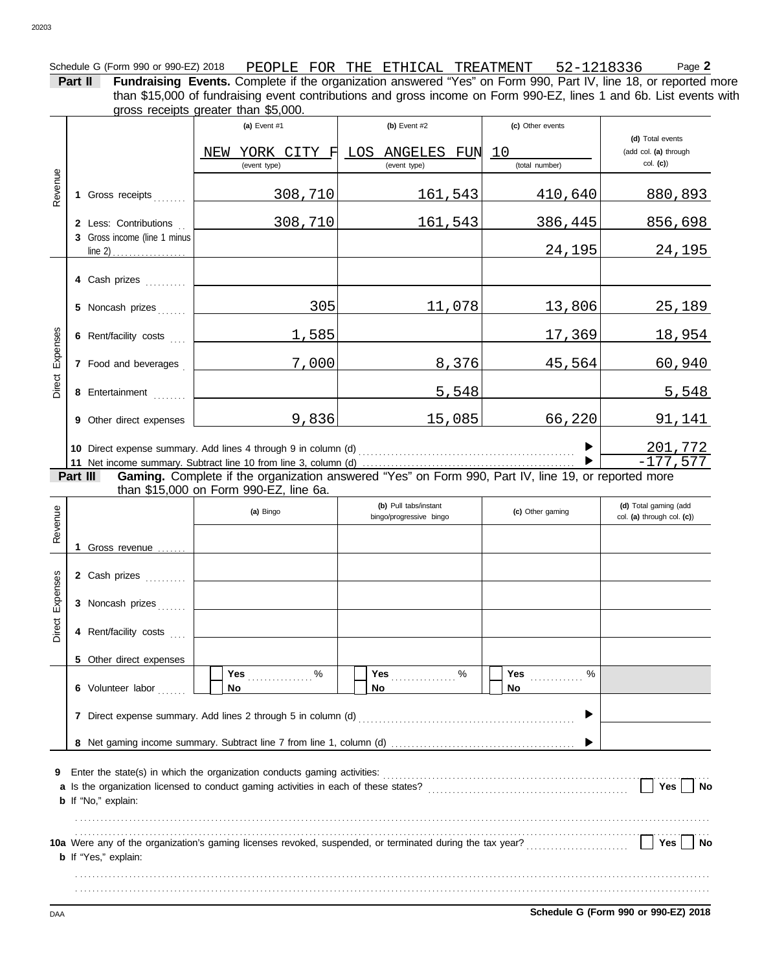Schedule G (Form 990 or 990-EZ) 2018 PEOPLE FOR THE ETHICAL TREATMENT 52-1218336 Page **2 Part II Fundraising Events.** Complete if the organization answered "Yes" on Form 990, Part IV, line 18, or reported more than \$15,000 of fundraising event contributions and gross income on Form 990-EZ, lines 1 and 6b. List events with

gross receipts greater than \$5,000.

**(a)** Event #1 **(b)** Event #2 **(c)** Other events **(d)** Total events NEW YORK CITY F LOS ANGELES FUN 10 (add col. **(a)** through col. **(c)**) (event type) (event type) (total number) Revenue 308,710 161,543 410,640 880,893 1 Gross receipts . . . . . . . 308,710 161,543 386,445 856,698 **2** Less: Contributions . . **3** Gross income (line 1 minus 24,195 24,195  $line 2)$ **4** Cash prizes **. . . . . . . . .** 305 11,078 13,806 25,189 **5** Noncash prizes . . . . . . Direct Expenses 1,585 1954 17,369 18,954 Expenses **6** Rent/facility costs .... 7,000 8,376 45,564 60,940 **7** Food and beverages . Direct 5,548 5,548 **8** Entertainment . . . . . . . . 9,836 15,085 66,220 91,141 Other direct expenses **9** 201,772  $\blacktriangleright$ Direct expense summary. Add lines 4 through 9 in column (d) . . . . . . . . . . . . . . . . . . . . . . . . . . . . . . . . . . . . . . . . . . . . . . . . . . . . . **10**  $\blacksquare$  $-177,577$ Net income summary. Subtract line 10 from line 3, column (d) . . . . . . . . . . . . . . . . . . . . . . . . . . . . . . . . . . . . . . . . . . . . . . . . . . . . **11** Gaming. Complete if the organization answered "Yes" on Form 990, Part IV, line 19, or reported more **Part III** than \$15,000 on Form 990-EZ, line 6a. **(d)** Total gaming (add **(b)** Pull tabs/instant Revenue **(a)** Bingo **(c)** Other gaming Direct Expenses Revenue bingo/progressive bingo **col.** (c) Unter gamming col. (a) through col. (c)) **1** Gross revenue . . . . . . . Expenses **2** Cash prizes **. . . . . . . . . 3** Noncash prizes . . . . . . Direct **4** Rent/facility costs ... **5** Other direct expenses **Yes** . . . . . . . . . . . . . . % Yes % **Yes** . . . . . . . . . . . . . . . . % **Yes** . . . . . . . . . . . . . **No No 6** Volunteer labor ....... **No** ▶ **7** Direct expense summary. Add lines 2 through 5 in column (d) . . . . . . . . . . . . . . . . . . . . . . . . . . . . . . . . . . . . . . . . . . . . . . . . . . . . .

**8** Net gaming income summary. Subtract line 7 from line 1, column (d) . . . . . . . . . . . . . . . . . . . . . . . . . . . . . . . . . . . . . . . . . . . . .

| <b>9</b> Enter the state(s) in which the organization conducts gaming activities:                                                        |     |  |
|------------------------------------------------------------------------------------------------------------------------------------------|-----|--|
| a Is the organization licensed to conduct gaming activities in each of these states?                                                     | Yes |  |
| <b>b</b> If "No," explain:                                                                                                               |     |  |
|                                                                                                                                          |     |  |
|                                                                                                                                          | Yes |  |
| 10a Were any of the organization's gaming licenses revoked, suspended, or terminated during the tax year?<br><b>b</b> If "Yes," explain: |     |  |
|                                                                                                                                          |     |  |
|                                                                                                                                          |     |  |
|                                                                                                                                          |     |  |

DAA **Schedule G (Form 990 or 990-EZ) 2018**

 $\blacktriangleright$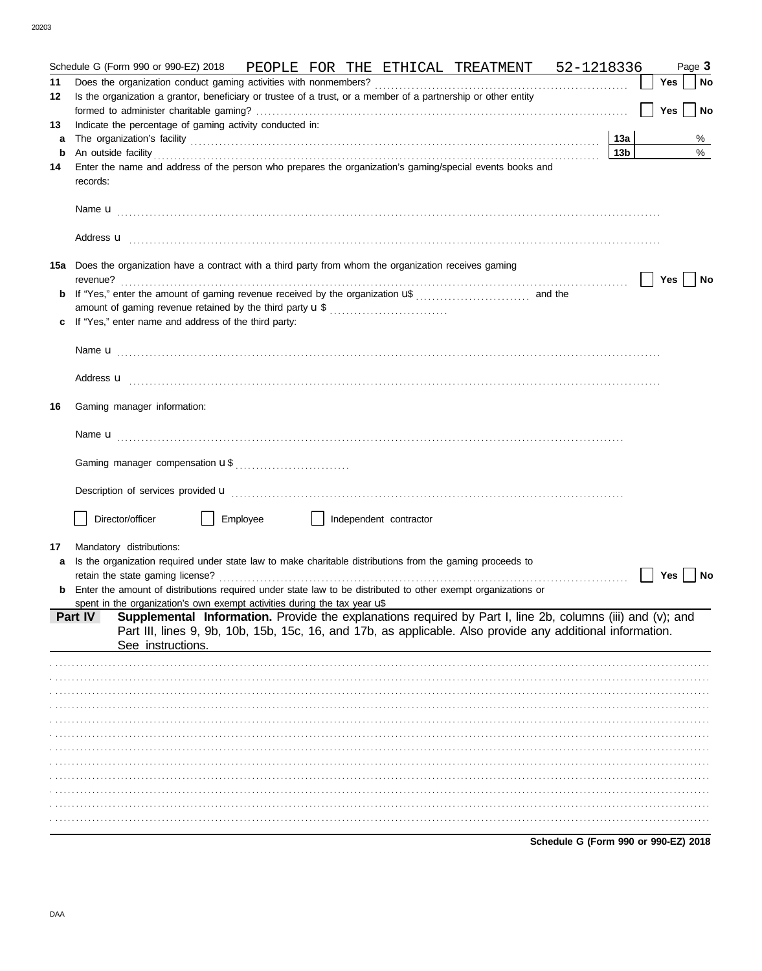|    | PEOPLE FOR THE ETHICAL TREATMENT 52-1218336<br>Schedule G (Form 990 or 990-EZ) 2018                                                                                                                                                       |                 |            | Page 3 |
|----|-------------------------------------------------------------------------------------------------------------------------------------------------------------------------------------------------------------------------------------------|-----------------|------------|--------|
| 11 |                                                                                                                                                                                                                                           |                 | Yes        | No     |
| 12 | Is the organization a grantor, beneficiary or trustee of a trust, or a member of a partnership or other entity                                                                                                                            |                 | <b>Yes</b> | No     |
| 13 | Indicate the percentage of gaming activity conducted in:                                                                                                                                                                                  |                 |            |        |
| a  |                                                                                                                                                                                                                                           | 13a             |            | %      |
| b  |                                                                                                                                                                                                                                           | 13 <sub>b</sub> |            | %      |
| 14 | Enter the name and address of the person who prepares the organization's gaming/special events books and<br>records:                                                                                                                      |                 |            |        |
|    |                                                                                                                                                                                                                                           |                 |            |        |
|    | Address <b>u</b> <u>contractive and the contractive and the contractive and the contractive and the contractive and the contractive and the contractive and contract and contract and contract and contract and contract and contract</u> |                 |            |        |
|    | 15a Does the organization have a contract with a third party from whom the organization receives gaming                                                                                                                                   |                 | Yes        | No     |
|    |                                                                                                                                                                                                                                           |                 |            |        |
|    | amount of gaming revenue retained by the third party <b>u</b> \$                                                                                                                                                                          |                 |            |        |
|    | If "Yes," enter name and address of the third party:                                                                                                                                                                                      |                 |            |        |
|    |                                                                                                                                                                                                                                           |                 |            |        |
|    |                                                                                                                                                                                                                                           |                 |            |        |
|    |                                                                                                                                                                                                                                           |                 |            |        |
|    | Address <b>u</b> <u>contractive and the contractive and the contractive and the contractive and the contractive and the contractive and the contractive and contract and contract and contract and contract and contract and contract</u> |                 |            |        |
| 16 | Gaming manager information:                                                                                                                                                                                                               |                 |            |        |
|    |                                                                                                                                                                                                                                           |                 |            |        |
|    |                                                                                                                                                                                                                                           |                 |            |        |
|    |                                                                                                                                                                                                                                           |                 |            |        |
|    |                                                                                                                                                                                                                                           |                 |            |        |
|    | Director/officer<br>Employee<br>Independent contractor                                                                                                                                                                                    |                 |            |        |
| 17 | Mandatory distributions:                                                                                                                                                                                                                  |                 |            |        |
| a  | Is the organization required under state law to make charitable distributions from the gaming proceeds to                                                                                                                                 |                 |            |        |
|    | retain the state gaming license?                                                                                                                                                                                                          |                 | Yes        | No     |
|    | Enter the amount of distributions required under state law to be distributed to other exempt organizations or                                                                                                                             |                 |            |        |
|    | spent in the organization's own exempt activities during the tax year $\mathbf{u}^*$                                                                                                                                                      |                 |            |        |
|    | Supplemental Information. Provide the explanations required by Part I, line 2b, columns (iii) and (v); and<br>Part IV<br>Part III, lines 9, 9b, 10b, 15b, 15c, 16, and 17b, as applicable. Also provide any additional information.       |                 |            |        |
|    | See instructions.                                                                                                                                                                                                                         |                 |            |        |
|    |                                                                                                                                                                                                                                           |                 |            |        |
|    |                                                                                                                                                                                                                                           |                 |            |        |
|    |                                                                                                                                                                                                                                           |                 |            |        |
|    |                                                                                                                                                                                                                                           |                 |            |        |
|    |                                                                                                                                                                                                                                           |                 |            |        |
|    |                                                                                                                                                                                                                                           |                 |            |        |
|    |                                                                                                                                                                                                                                           |                 |            |        |
|    |                                                                                                                                                                                                                                           |                 |            |        |
|    |                                                                                                                                                                                                                                           |                 |            |        |
|    |                                                                                                                                                                                                                                           |                 |            |        |
|    |                                                                                                                                                                                                                                           |                 |            |        |
|    | Schedule G (Form 990 or 990-EZ) 2018                                                                                                                                                                                                      |                 |            |        |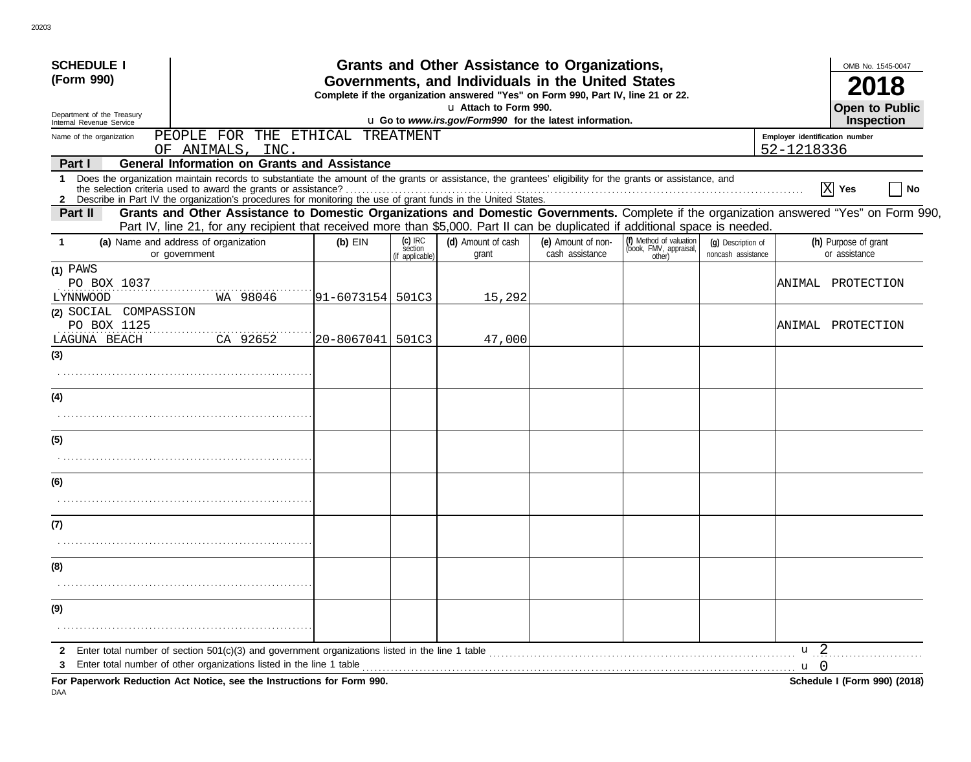| <b>SCHEDULE I</b>                                                                                                                                                                                                                                                                    |                                                                                  |                                         | Grants and Other Assistance to Organizations,                                                                                         |                                       |                                                             |                                          |                 | OMB No. 1545-0047                     |  |  |
|--------------------------------------------------------------------------------------------------------------------------------------------------------------------------------------------------------------------------------------------------------------------------------------|----------------------------------------------------------------------------------|-----------------------------------------|---------------------------------------------------------------------------------------------------------------------------------------|---------------------------------------|-------------------------------------------------------------|------------------------------------------|-----------------|---------------------------------------|--|--|
| (Form 990)                                                                                                                                                                                                                                                                           |                                                                                  |                                         | Governments, and Individuals in the United States<br>Complete if the organization answered "Yes" on Form 990, Part IV, line 21 or 22. |                                       |                                                             |                                          |                 |                                       |  |  |
| Department of the Treasury<br>Internal Revenue Service                                                                                                                                                                                                                               | u Attach to Form 990.<br>u Go to www.irs.gov/Form990 for the latest information. |                                         |                                                                                                                                       |                                       |                                                             |                                          |                 |                                       |  |  |
| PEOPLE FOR THE ETHICAL TREATMENT<br>Name of the organization<br>OF ANIMALS, INC.                                                                                                                                                                                                     | Employer identification number<br>52-1218336                                     | <b>Inspection</b>                       |                                                                                                                                       |                                       |                                                             |                                          |                 |                                       |  |  |
| <b>General Information on Grants and Assistance</b><br>Part I                                                                                                                                                                                                                        |                                                                                  |                                         |                                                                                                                                       |                                       |                                                             |                                          |                 |                                       |  |  |
| Does the organization maintain records to substantiate the amount of the grants or assistance, the grantees' eligibility for the grants or assistance, and<br>1<br>2 Describe in Part IV the organization's procedures for monitoring the use of grant funds in the United States.   |                                                                                  |                                         |                                                                                                                                       |                                       |                                                             |                                          |                 | $ X $ Yes<br>No                       |  |  |
| Grants and Other Assistance to Domestic Organizations and Domestic Governments. Complete if the organization answered "Yes" on Form 990,<br>Part II<br>Part IV, line 21, for any recipient that received more than \$5,000. Part II can be duplicated if additional space is needed. |                                                                                  |                                         |                                                                                                                                       |                                       |                                                             |                                          |                 |                                       |  |  |
| (a) Name and address of organization<br>or government                                                                                                                                                                                                                                | $(b)$ EIN                                                                        | $(c)$ IRC<br>section<br>(if applicable) | (d) Amount of cash<br>grant                                                                                                           | (e) Amount of non-<br>cash assistance | (f) Method of valuation<br>(book, FMV, appraisal,<br>other) | (q) Description of<br>noncash assistance |                 | (h) Purpose of grant<br>or assistance |  |  |
| $(1)$ PAWS<br>PO BOX 1037<br>WA 98046<br>LYNNWOOD                                                                                                                                                                                                                                    | 91-6073154 501C3                                                                 |                                         | 15,292                                                                                                                                |                                       |                                                             |                                          |                 | ANIMAL PROTECTION                     |  |  |
| (2) SOCIAL COMPASSION<br>PO BOX 1125                                                                                                                                                                                                                                                 |                                                                                  |                                         |                                                                                                                                       |                                       |                                                             |                                          |                 | ANIMAL PROTECTION                     |  |  |
| CA 92652<br>LAGUNA BEACH<br>(3)                                                                                                                                                                                                                                                      | 20-8067041 501C3                                                                 |                                         | 47,000                                                                                                                                |                                       |                                                             |                                          |                 |                                       |  |  |
|                                                                                                                                                                                                                                                                                      |                                                                                  |                                         |                                                                                                                                       |                                       |                                                             |                                          |                 |                                       |  |  |
| (4)                                                                                                                                                                                                                                                                                  |                                                                                  |                                         |                                                                                                                                       |                                       |                                                             |                                          |                 |                                       |  |  |
|                                                                                                                                                                                                                                                                                      |                                                                                  |                                         |                                                                                                                                       |                                       |                                                             |                                          |                 |                                       |  |  |
| (5)                                                                                                                                                                                                                                                                                  |                                                                                  |                                         |                                                                                                                                       |                                       |                                                             |                                          |                 |                                       |  |  |
|                                                                                                                                                                                                                                                                                      |                                                                                  |                                         |                                                                                                                                       |                                       |                                                             |                                          |                 |                                       |  |  |
| (6)                                                                                                                                                                                                                                                                                  |                                                                                  |                                         |                                                                                                                                       |                                       |                                                             |                                          |                 |                                       |  |  |
|                                                                                                                                                                                                                                                                                      |                                                                                  |                                         |                                                                                                                                       |                                       |                                                             |                                          |                 |                                       |  |  |
| (7)                                                                                                                                                                                                                                                                                  |                                                                                  |                                         |                                                                                                                                       |                                       |                                                             |                                          |                 |                                       |  |  |
|                                                                                                                                                                                                                                                                                      |                                                                                  |                                         |                                                                                                                                       |                                       |                                                             |                                          |                 |                                       |  |  |
| (8)                                                                                                                                                                                                                                                                                  |                                                                                  |                                         |                                                                                                                                       |                                       |                                                             |                                          |                 |                                       |  |  |
| (9)                                                                                                                                                                                                                                                                                  |                                                                                  |                                         |                                                                                                                                       |                                       |                                                             |                                          |                 |                                       |  |  |
|                                                                                                                                                                                                                                                                                      |                                                                                  |                                         |                                                                                                                                       |                                       |                                                             |                                          |                 |                                       |  |  |
| Enter total number of section 501(c)(3) and government organizations listed in the line 1 table<br>$\mathbf{2}$                                                                                                                                                                      |                                                                                  |                                         |                                                                                                                                       |                                       |                                                             |                                          | u <sub>2</sub>  |                                       |  |  |
| Enter total number of other organizations listed in the line 1 table<br>3<br>For Paperwork Reduction Act Notice, see the Instructions for Form 990.                                                                                                                                  |                                                                                  |                                         |                                                                                                                                       |                                       |                                                             |                                          | $\mathbf{u}$ () | Schedule I (Form 990) (2018)          |  |  |

20203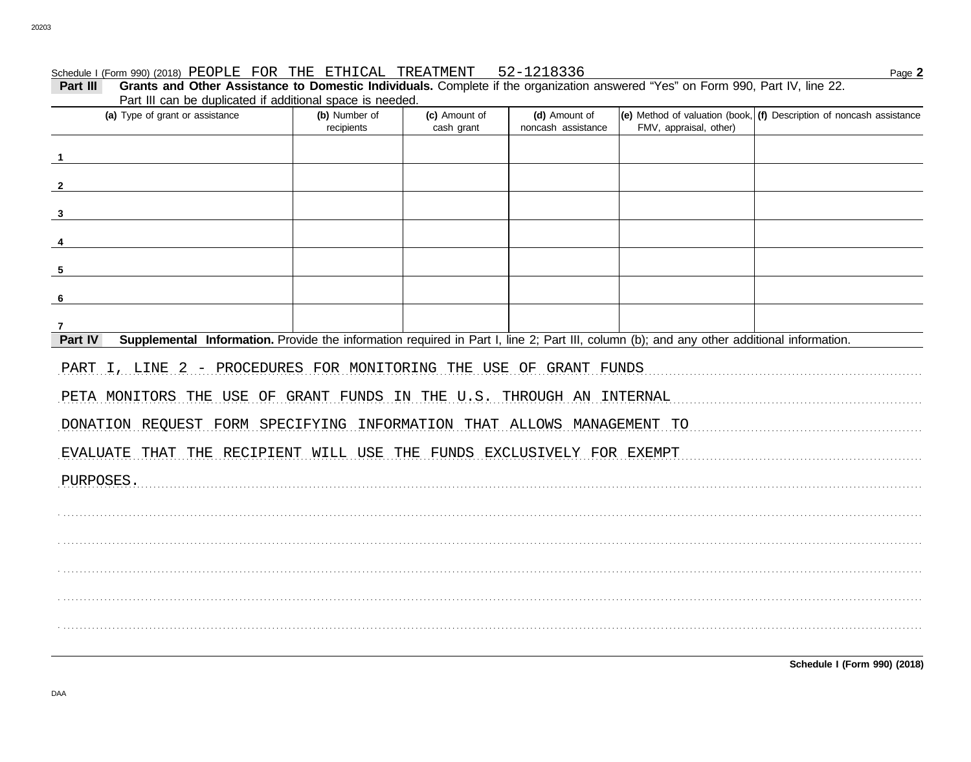## Schedule I (Form 990) (2018) PEOPLE FOR THE ETHICAL TREATMENT 52-1218336

Part III Grants and Other Assistance to Domestic Individuals. Complete if the organization answered "Yes" on Form 990, Part IV, line 22. Part III can be duplicated if additional space is needed

| r art in carr be duplicated in additional space is riceded.<br>(a) Type of grant or assistance                                                       | (b) Number of<br>recipients | (c) Amount of<br>cash grant | (d) Amount of<br>noncash assistance | FMV, appraisal, other) | (e) Method of valuation (book, $(f)$ Description of noncash assistance |
|------------------------------------------------------------------------------------------------------------------------------------------------------|-----------------------------|-----------------------------|-------------------------------------|------------------------|------------------------------------------------------------------------|
| $\blacksquare$                                                                                                                                       |                             |                             |                                     |                        |                                                                        |
| $\overline{\mathbf{2}}$                                                                                                                              |                             |                             |                                     |                        |                                                                        |
|                                                                                                                                                      |                             |                             |                                     |                        |                                                                        |
| $\mathbf{3}$                                                                                                                                         |                             |                             |                                     |                        |                                                                        |
| 4                                                                                                                                                    |                             |                             |                                     |                        |                                                                        |
| 5                                                                                                                                                    |                             |                             |                                     |                        |                                                                        |
| 6                                                                                                                                                    |                             |                             |                                     |                        |                                                                        |
| $\overline{7}$                                                                                                                                       |                             |                             |                                     |                        |                                                                        |
| Part IV<br>Supplemental Information. Provide the information required in Part I, line 2; Part III, column (b); and any other additional information. |                             |                             |                                     |                        |                                                                        |
| PART I, LINE 2 - PROCEDURES FOR MONITORING THE USE OF GRANT FUNDS                                                                                    |                             |                             |                                     |                        |                                                                        |
| PETA MONITORS THE USE OF GRANT FUNDS IN THE U.S. THROUGH AN INTERNAL                                                                                 |                             |                             |                                     |                        |                                                                        |
| DONATION REQUEST FORM SPECIFYING INFORMATION THAT ALLOWS MANAGEMENT TO                                                                               |                             |                             |                                     |                        |                                                                        |
| EVALUATE THAT THE RECIPIENT WILL USE THE FUNDS EXCLUSIVELY FOR EXEMPT                                                                                |                             |                             |                                     |                        |                                                                        |
| PURPOSES.                                                                                                                                            |                             |                             |                                     |                        |                                                                        |
|                                                                                                                                                      |                             |                             |                                     |                        |                                                                        |
|                                                                                                                                                      |                             |                             |                                     |                        |                                                                        |
|                                                                                                                                                      |                             |                             |                                     |                        |                                                                        |
|                                                                                                                                                      |                             |                             |                                     |                        |                                                                        |
|                                                                                                                                                      |                             |                             |                                     |                        |                                                                        |
|                                                                                                                                                      |                             |                             |                                     |                        |                                                                        |
|                                                                                                                                                      |                             |                             |                                     |                        |                                                                        |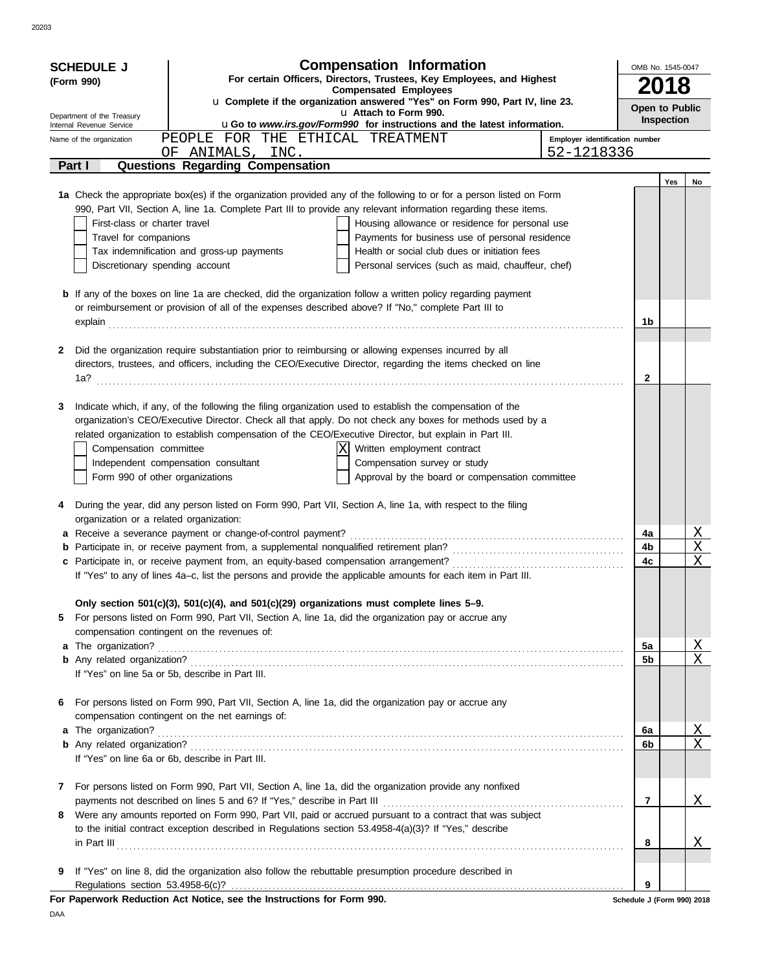DAA

|                                                                                                                                   | <b>Compensation Information</b><br><b>SCHEDULE J</b><br>For certain Officers, Directors, Trustees, Key Employees, and Highest<br>(Form 990) |                                                                        |                                                                                                                                                                                                                               |                                |                            | OMB No. 1545-0047 |                       |  |  |  |
|-----------------------------------------------------------------------------------------------------------------------------------|---------------------------------------------------------------------------------------------------------------------------------------------|------------------------------------------------------------------------|-------------------------------------------------------------------------------------------------------------------------------------------------------------------------------------------------------------------------------|--------------------------------|----------------------------|-------------------|-----------------------|--|--|--|
| <b>Compensated Employees</b>                                                                                                      |                                                                                                                                             |                                                                        |                                                                                                                                                                                                                               |                                |                            | 18                |                       |  |  |  |
| u Complete if the organization answered "Yes" on Form 990, Part IV, line 23.<br>u Attach to Form 990.                             |                                                                                                                                             |                                                                        |                                                                                                                                                                                                                               |                                |                            |                   | Open to Public        |  |  |  |
| Department of the Treasury<br>uGo to www.irs.gov/Form990 for instructions and the latest information.<br>Internal Revenue Service |                                                                                                                                             |                                                                        |                                                                                                                                                                                                                               |                                |                            |                   | Inspection            |  |  |  |
| Name of the organization                                                                                                          |                                                                                                                                             |                                                                        | PEOPLE FOR THE ETHICAL TREATMENT                                                                                                                                                                                              | Employer identification number |                            |                   |                       |  |  |  |
|                                                                                                                                   |                                                                                                                                             | OF ANIMALS, INC.                                                       |                                                                                                                                                                                                                               | 52-1218336                     |                            |                   |                       |  |  |  |
| Part I                                                                                                                            |                                                                                                                                             | <b>Questions Regarding Compensation</b>                                |                                                                                                                                                                                                                               |                                |                            |                   |                       |  |  |  |
|                                                                                                                                   |                                                                                                                                             |                                                                        |                                                                                                                                                                                                                               |                                |                            | Yes               | No                    |  |  |  |
|                                                                                                                                   |                                                                                                                                             |                                                                        | 1a Check the appropriate box(es) if the organization provided any of the following to or for a person listed on Form                                                                                                          |                                |                            |                   |                       |  |  |  |
|                                                                                                                                   |                                                                                                                                             |                                                                        | 990, Part VII, Section A, line 1a. Complete Part III to provide any relevant information regarding these items.                                                                                                               |                                |                            |                   |                       |  |  |  |
|                                                                                                                                   | First-class or charter travel<br>Travel for companions                                                                                      |                                                                        | Housing allowance or residence for personal use<br>Payments for business use of personal residence                                                                                                                            |                                |                            |                   |                       |  |  |  |
|                                                                                                                                   |                                                                                                                                             | Tax indemnification and gross-up payments                              | Health or social club dues or initiation fees                                                                                                                                                                                 |                                |                            |                   |                       |  |  |  |
|                                                                                                                                   | Discretionary spending account                                                                                                              |                                                                        | Personal services (such as maid, chauffeur, chef)                                                                                                                                                                             |                                |                            |                   |                       |  |  |  |
|                                                                                                                                   |                                                                                                                                             |                                                                        |                                                                                                                                                                                                                               |                                |                            |                   |                       |  |  |  |
|                                                                                                                                   |                                                                                                                                             |                                                                        | <b>b</b> If any of the boxes on line 1a are checked, did the organization follow a written policy regarding payment                                                                                                           |                                |                            |                   |                       |  |  |  |
|                                                                                                                                   |                                                                                                                                             |                                                                        | or reimbursement or provision of all of the expenses described above? If "No," complete Part III to                                                                                                                           |                                |                            |                   |                       |  |  |  |
|                                                                                                                                   |                                                                                                                                             |                                                                        | explain explain explaintenance and the set of the set of the set of the set of the set of the set of the set of the set of the set of the set of the set of the set of the set of the set of the set of the set of the set of |                                | 1b                         |                   |                       |  |  |  |
|                                                                                                                                   |                                                                                                                                             |                                                                        |                                                                                                                                                                                                                               |                                |                            |                   |                       |  |  |  |
| 2                                                                                                                                 |                                                                                                                                             |                                                                        | Did the organization require substantiation prior to reimbursing or allowing expenses incurred by all                                                                                                                         |                                |                            |                   |                       |  |  |  |
|                                                                                                                                   |                                                                                                                                             |                                                                        | directors, trustees, and officers, including the CEO/Executive Director, regarding the items checked on line                                                                                                                  |                                |                            |                   |                       |  |  |  |
| 1a?                                                                                                                               |                                                                                                                                             |                                                                        |                                                                                                                                                                                                                               |                                | 2                          |                   |                       |  |  |  |
|                                                                                                                                   |                                                                                                                                             |                                                                        |                                                                                                                                                                                                                               |                                |                            |                   |                       |  |  |  |
| 3                                                                                                                                 |                                                                                                                                             |                                                                        | Indicate which, if any, of the following the filing organization used to establish the compensation of the                                                                                                                    |                                |                            |                   |                       |  |  |  |
|                                                                                                                                   |                                                                                                                                             |                                                                        | organization's CEO/Executive Director. Check all that apply. Do not check any boxes for methods used by a                                                                                                                     |                                |                            |                   |                       |  |  |  |
|                                                                                                                                   |                                                                                                                                             |                                                                        | related organization to establish compensation of the CEO/Executive Director, but explain in Part III.                                                                                                                        |                                |                            |                   |                       |  |  |  |
|                                                                                                                                   | Compensation committee                                                                                                                      | Independent compensation consultant                                    | Written employment contract<br>Compensation survey or study                                                                                                                                                                   |                                |                            |                   |                       |  |  |  |
|                                                                                                                                   | Form 990 of other organizations                                                                                                             |                                                                        | Approval by the board or compensation committee                                                                                                                                                                               |                                |                            |                   |                       |  |  |  |
|                                                                                                                                   |                                                                                                                                             |                                                                        |                                                                                                                                                                                                                               |                                |                            |                   |                       |  |  |  |
| 4                                                                                                                                 |                                                                                                                                             |                                                                        | During the year, did any person listed on Form 990, Part VII, Section A, line 1a, with respect to the filing                                                                                                                  |                                |                            |                   |                       |  |  |  |
|                                                                                                                                   | organization or a related organization:                                                                                                     |                                                                        |                                                                                                                                                                                                                               |                                |                            |                   |                       |  |  |  |
|                                                                                                                                   |                                                                                                                                             |                                                                        |                                                                                                                                                                                                                               |                                | 4a                         |                   | <u>X</u>              |  |  |  |
|                                                                                                                                   |                                                                                                                                             |                                                                        | <b>b</b> Participate in, or receive payment from, a supplemental nonqualified retirement plan?                                                                                                                                |                                | 4b                         |                   | $\overline{\text{X}}$ |  |  |  |
|                                                                                                                                   |                                                                                                                                             |                                                                        |                                                                                                                                                                                                                               |                                | 4c                         |                   | X                     |  |  |  |
|                                                                                                                                   |                                                                                                                                             |                                                                        | If "Yes" to any of lines 4a-c, list the persons and provide the applicable amounts for each item in Part III.                                                                                                                 |                                |                            |                   |                       |  |  |  |
|                                                                                                                                   |                                                                                                                                             |                                                                        |                                                                                                                                                                                                                               |                                |                            |                   |                       |  |  |  |
|                                                                                                                                   |                                                                                                                                             |                                                                        | Only section 501(c)(3), 501(c)(4), and 501(c)(29) organizations must complete lines 5-9.                                                                                                                                      |                                |                            |                   |                       |  |  |  |
| 5.                                                                                                                                |                                                                                                                                             |                                                                        | For persons listed on Form 990, Part VII, Section A, line 1a, did the organization pay or accrue any                                                                                                                          |                                |                            |                   |                       |  |  |  |
|                                                                                                                                   |                                                                                                                                             | compensation contingent on the revenues of:                            |                                                                                                                                                                                                                               |                                |                            |                   |                       |  |  |  |
|                                                                                                                                   | a The organization?                                                                                                                         |                                                                        |                                                                                                                                                                                                                               |                                | 5a                         |                   | <u>X</u>              |  |  |  |
|                                                                                                                                   |                                                                                                                                             |                                                                        |                                                                                                                                                                                                                               |                                | 5b                         |                   | $\overline{X}$        |  |  |  |
|                                                                                                                                   |                                                                                                                                             | If "Yes" on line 5a or 5b, describe in Part III.                       |                                                                                                                                                                                                                               |                                |                            |                   |                       |  |  |  |
|                                                                                                                                   |                                                                                                                                             |                                                                        |                                                                                                                                                                                                                               |                                |                            |                   |                       |  |  |  |
| 6                                                                                                                                 |                                                                                                                                             | compensation contingent on the net earnings of:                        | For persons listed on Form 990, Part VII, Section A, line 1a, did the organization pay or accrue any                                                                                                                          |                                |                            |                   |                       |  |  |  |
|                                                                                                                                   | a The organization?                                                                                                                         |                                                                        |                                                                                                                                                                                                                               |                                | 6a                         |                   | <u>X</u>              |  |  |  |
|                                                                                                                                   |                                                                                                                                             |                                                                        |                                                                                                                                                                                                                               |                                | 6b                         |                   | X                     |  |  |  |
|                                                                                                                                   |                                                                                                                                             | If "Yes" on line 6a or 6b, describe in Part III.                       |                                                                                                                                                                                                                               |                                |                            |                   |                       |  |  |  |
|                                                                                                                                   |                                                                                                                                             |                                                                        |                                                                                                                                                                                                                               |                                |                            |                   |                       |  |  |  |
| $\mathbf{7}$                                                                                                                      |                                                                                                                                             |                                                                        | For persons listed on Form 990, Part VII, Section A, line 1a, did the organization provide any nonfixed                                                                                                                       |                                |                            |                   |                       |  |  |  |
|                                                                                                                                   |                                                                                                                                             |                                                                        |                                                                                                                                                                                                                               |                                | 7                          |                   | Χ                     |  |  |  |
| 8.                                                                                                                                |                                                                                                                                             |                                                                        | Were any amounts reported on Form 990, Part VII, paid or accrued pursuant to a contract that was subject                                                                                                                      |                                |                            |                   |                       |  |  |  |
|                                                                                                                                   |                                                                                                                                             |                                                                        | to the initial contract exception described in Regulations section 53.4958-4(a)(3)? If "Yes," describe                                                                                                                        |                                |                            |                   |                       |  |  |  |
|                                                                                                                                   |                                                                                                                                             |                                                                        | in Part III <b>Part III Part III Part III Part III Part III Part III Part III Part III Part III Part III Part III Part III Part II Part II Part II Part II Part II Part II Part II Part II</b>                                |                                | 8                          |                   | Χ                     |  |  |  |
|                                                                                                                                   |                                                                                                                                             |                                                                        |                                                                                                                                                                                                                               |                                |                            |                   |                       |  |  |  |
| 9                                                                                                                                 |                                                                                                                                             |                                                                        | If "Yes" on line 8, did the organization also follow the rebuttable presumption procedure described in                                                                                                                        |                                |                            |                   |                       |  |  |  |
|                                                                                                                                   |                                                                                                                                             |                                                                        |                                                                                                                                                                                                                               |                                | 9                          |                   |                       |  |  |  |
|                                                                                                                                   |                                                                                                                                             | For Paperwork Reduction Act Notice, see the Instructions for Form 990. |                                                                                                                                                                                                                               |                                | Schedule J (Form 990) 2018 |                   |                       |  |  |  |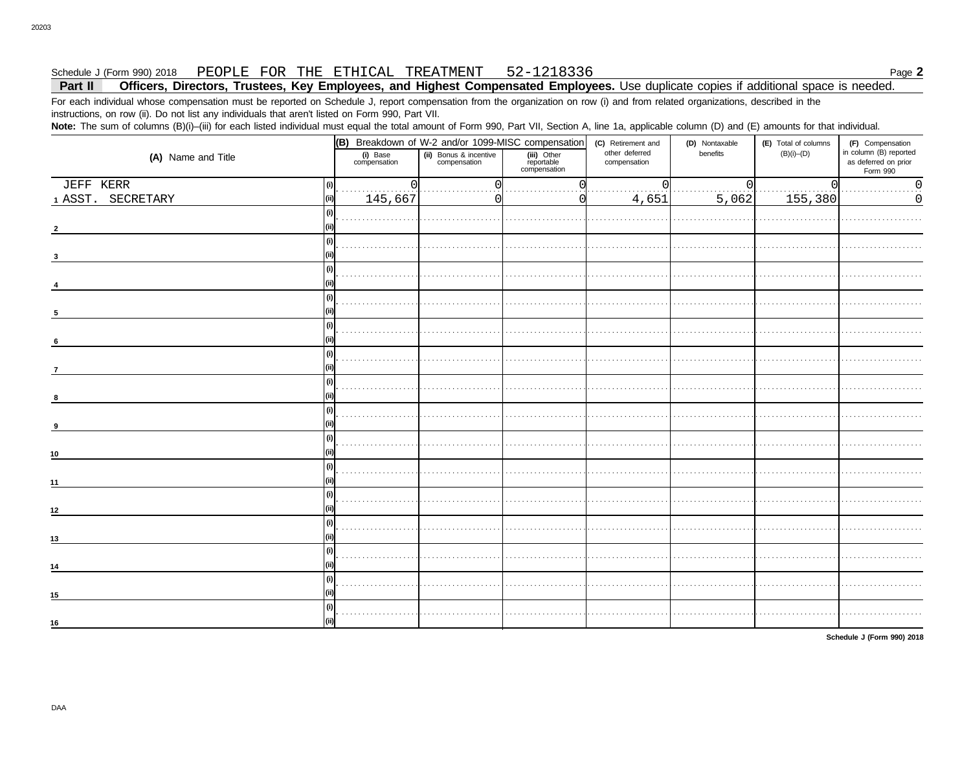### PEOPLE FOR THE ETHICAL TREATMENT 52-1218336 Schedule J (Form 990) 2018

### Officers, Directors, Trustees, Key Employees, and Highest Compensated Employees. Use duplicate copies if additional space is needed. Part II

For each individual whose compensation must be reported on Schedule J, report compensation from the organization on row (i) and from related organizations, described in the instructions, on row (ii). Do not list any individuals that aren't listed on Form 990, Part VII.

Note: The sum of columns (B)(i)-(iii) for each listed individual must equal the total amount of Form 990, Part VII, Section A, line 1a, applicable column (D) and (E) amounts for that individual.

|                            | (B) Breakdown of W-2 and/or 1099-MISC compensation                 |  |                                           | (C) Retirement and             | (D) Nontaxable | (E) Total of columns | (F) Compensation                                           |  |
|----------------------------|--------------------------------------------------------------------|--|-------------------------------------------|--------------------------------|----------------|----------------------|------------------------------------------------------------|--|
| (A) Name and Title         | (ii) Bonus & incentive<br>compensation<br>(i) Base<br>compensation |  | (iii) Other<br>reportable<br>compensation | other deferred<br>compensation | benefits       | $(B)(i)$ - $(D)$     | in column (B) reported<br>as deferred on prior<br>Form 990 |  |
| JEFF KERR<br>(i)           | $\Omega$                                                           |  |                                           |                                | $\Omega$       | 0                    | $\overline{0}$ .                                           |  |
| 1 ASST. SECRETARY<br>(iii) | 145,667                                                            |  |                                           | 4,651                          | 5,062          | 155,380              | $\mathbf 0$                                                |  |
| (i)                        |                                                                    |  |                                           |                                |                |                      |                                                            |  |
| (i)                        |                                                                    |  |                                           |                                |                |                      |                                                            |  |
| (i)                        |                                                                    |  |                                           |                                |                |                      |                                                            |  |
| (i)<br>-5                  |                                                                    |  |                                           |                                |                |                      |                                                            |  |
| (i)<br>6                   |                                                                    |  |                                           |                                |                |                      |                                                            |  |
| (i)<br>$\overline{7}$      |                                                                    |  |                                           |                                |                |                      |                                                            |  |
| (i)<br>8                   |                                                                    |  |                                           |                                |                |                      |                                                            |  |
| (i)<br>(ii)<br>9           |                                                                    |  |                                           |                                |                |                      |                                                            |  |
| (i)<br>10                  |                                                                    |  |                                           |                                |                |                      |                                                            |  |
| (i)<br>11                  |                                                                    |  |                                           |                                |                |                      |                                                            |  |
| (i)<br>12                  |                                                                    |  |                                           |                                |                |                      |                                                            |  |
| (i)<br>13                  |                                                                    |  |                                           |                                |                |                      |                                                            |  |
| (i)<br>(ii)<br>14          |                                                                    |  |                                           |                                |                |                      |                                                            |  |
| (i)<br>15                  |                                                                    |  |                                           |                                |                |                      |                                                            |  |
| (i)<br>16                  |                                                                    |  |                                           |                                |                |                      |                                                            |  |

Schedule J (Form 990) 2018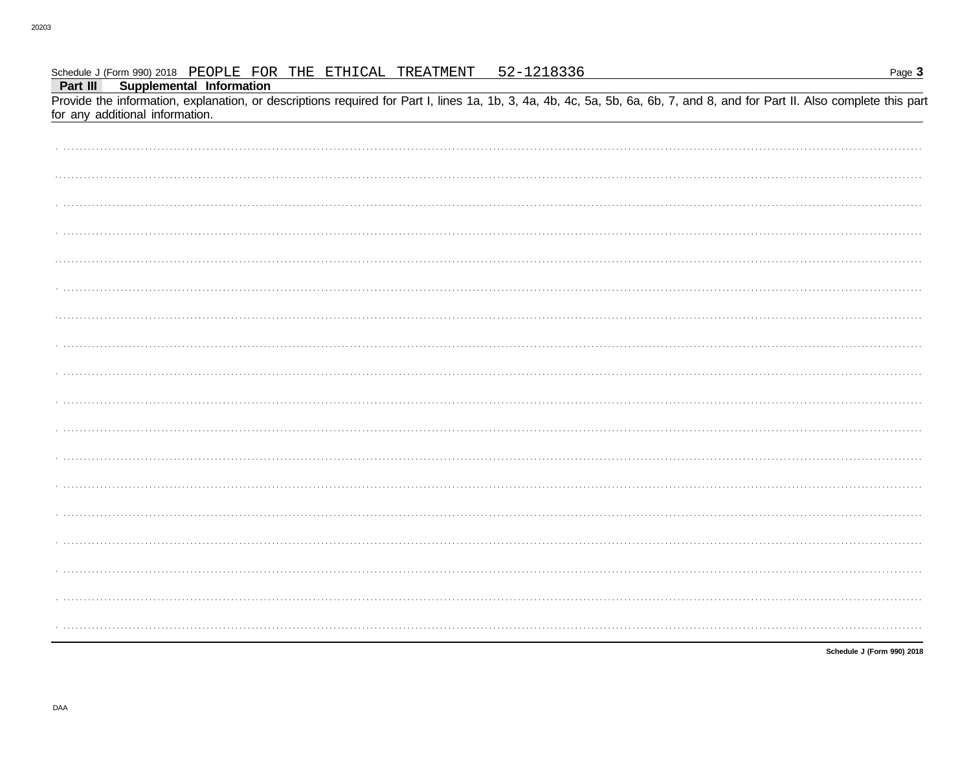### Schedule J (Form 990) 2018 PEOPLE FOR THE ETHICAI, TREATMENT 52-1218336

| <u>. ago - </u>                                                                                                                                                                                                                                    |
|----------------------------------------------------------------------------------------------------------------------------------------------------------------------------------------------------------------------------------------------------|
| Part III Supplemental Information<br>Provide the information, explanation, or descriptions required for Part I, lines 1a, 1b, 3, 4a, 4b, 4c, 5a, 5b, 6a, 6b, 7, and 8, and for Part II. Also complete this part<br>for any additional information. |
|                                                                                                                                                                                                                                                    |
|                                                                                                                                                                                                                                                    |
|                                                                                                                                                                                                                                                    |
|                                                                                                                                                                                                                                                    |
|                                                                                                                                                                                                                                                    |
|                                                                                                                                                                                                                                                    |
|                                                                                                                                                                                                                                                    |
|                                                                                                                                                                                                                                                    |
|                                                                                                                                                                                                                                                    |
|                                                                                                                                                                                                                                                    |
|                                                                                                                                                                                                                                                    |
|                                                                                                                                                                                                                                                    |
|                                                                                                                                                                                                                                                    |
|                                                                                                                                                                                                                                                    |
|                                                                                                                                                                                                                                                    |
|                                                                                                                                                                                                                                                    |
|                                                                                                                                                                                                                                                    |
|                                                                                                                                                                                                                                                    |
|                                                                                                                                                                                                                                                    |
|                                                                                                                                                                                                                                                    |
|                                                                                                                                                                                                                                                    |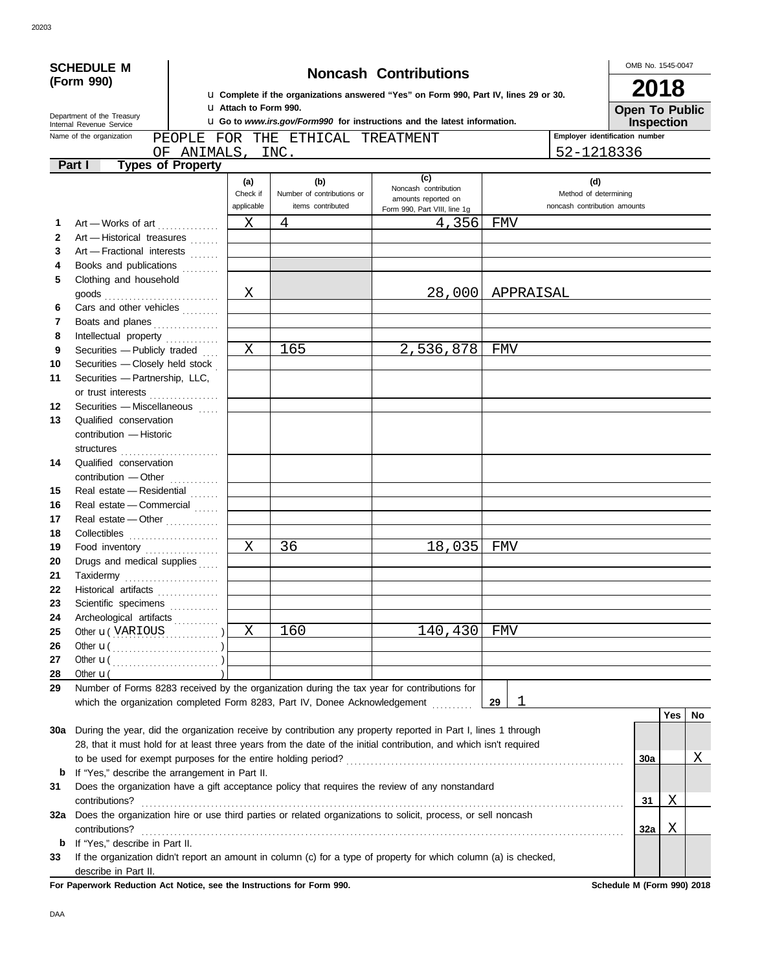|              | <b>SCHEDULE M</b><br><b>Noncash Contributions</b>                                                                                                                                                                    |                          |                                     |                            |                                                                                                                    |                              |     | OMB No. 1545-0047 |    |  |
|--------------|----------------------------------------------------------------------------------------------------------------------------------------------------------------------------------------------------------------------|--------------------------|-------------------------------------|----------------------------|--------------------------------------------------------------------------------------------------------------------|------------------------------|-----|-------------------|----|--|
|              | (Form 990)                                                                                                                                                                                                           |                          | 2018                                |                            |                                                                                                                    |                              |     |                   |    |  |
|              |                                                                                                                                                                                                                      |                          | <b>u</b> Attach to Form 990.        |                            | <b>u</b> Complete if the organizations answered "Yes" on Form 990, Part IV, lines 29 or 30.                        |                              |     |                   |    |  |
|              | Department of the Treasury                                                                                                                                                                                           |                          | <b>Open To Public</b><br>Inspection |                            |                                                                                                                    |                              |     |                   |    |  |
|              | <b>u</b> Go to <i>www.irs.gov/Form990</i> for instructions and the latest information.<br>Internal Revenue Service<br>Employer identification number<br>Name of the organization<br>PEOPLE FOR THE ETHICAL TREATMENT |                          |                                     |                            |                                                                                                                    |                              |     |                   |    |  |
|              |                                                                                                                                                                                                                      |                          |                                     | OF ANIMALS, INC.           |                                                                                                                    | 52-1218336                   |     |                   |    |  |
|              | Part I                                                                                                                                                                                                               | <b>Types of Property</b> |                                     |                            |                                                                                                                    |                              |     |                   |    |  |
|              |                                                                                                                                                                                                                      |                          | (a)                                 | (b)                        | (c)                                                                                                                | (d)                          |     |                   |    |  |
|              |                                                                                                                                                                                                                      |                          | Check if                            | Number of contributions or | Noncash contribution<br>amounts reported on                                                                        | Method of determining        |     |                   |    |  |
|              |                                                                                                                                                                                                                      |                          | applicable                          | items contributed          | Form 990, Part VIII, line 1q                                                                                       | noncash contribution amounts |     |                   |    |  |
| 1            | Art - Works of art                                                                                                                                                                                                   |                          | Χ                                   | 4                          | 4,356                                                                                                              | FMV                          |     |                   |    |  |
| $\mathbf{2}$ | Art - Historical treasures                                                                                                                                                                                           |                          |                                     |                            |                                                                                                                    |                              |     |                   |    |  |
| 3            | Art - Fractional interests                                                                                                                                                                                           |                          |                                     |                            |                                                                                                                    |                              |     |                   |    |  |
| 4            | Books and publications                                                                                                                                                                                               |                          |                                     |                            |                                                                                                                    |                              |     |                   |    |  |
| 5            | Clothing and household                                                                                                                                                                                               |                          |                                     |                            |                                                                                                                    |                              |     |                   |    |  |
|              |                                                                                                                                                                                                                      |                          | Χ                                   |                            |                                                                                                                    | 28,000 APPRAISAL             |     |                   |    |  |
| 6            | Cars and other vehicles [11, 11, 11]                                                                                                                                                                                 |                          |                                     |                            |                                                                                                                    |                              |     |                   |    |  |
| 7            | Boats and planes                                                                                                                                                                                                     |                          |                                     |                            |                                                                                                                    |                              |     |                   |    |  |
| 8            | Intellectual property                                                                                                                                                                                                |                          |                                     |                            |                                                                                                                    |                              |     |                   |    |  |
| 9            | Securities - Publicly traded                                                                                                                                                                                         |                          | X                                   | 165                        | 2,536,878                                                                                                          | FMV                          |     |                   |    |  |
| 10           | Securities - Closely held stock                                                                                                                                                                                      |                          |                                     |                            |                                                                                                                    |                              |     |                   |    |  |
| 11           | Securities - Partnership, LLC,                                                                                                                                                                                       |                          |                                     |                            |                                                                                                                    |                              |     |                   |    |  |
| 12           | or trust interests<br>Securities - Miscellaneous                                                                                                                                                                     |                          |                                     |                            |                                                                                                                    |                              |     |                   |    |  |
| 13           | Qualified conservation                                                                                                                                                                                               |                          |                                     |                            |                                                                                                                    |                              |     |                   |    |  |
|              | contribution - Historic                                                                                                                                                                                              |                          |                                     |                            |                                                                                                                    |                              |     |                   |    |  |
|              | structures                                                                                                                                                                                                           |                          |                                     |                            |                                                                                                                    |                              |     |                   |    |  |
| 14           | Qualified conservation                                                                                                                                                                                               |                          |                                     |                            |                                                                                                                    |                              |     |                   |    |  |
|              | contribution - Other                                                                                                                                                                                                 |                          |                                     |                            |                                                                                                                    |                              |     |                   |    |  |
| 15           | Real estate - Residential                                                                                                                                                                                            |                          |                                     |                            |                                                                                                                    |                              |     |                   |    |  |
| 16           | Real estate - Commercial                                                                                                                                                                                             |                          |                                     |                            |                                                                                                                    |                              |     |                   |    |  |
| 17           | Real estate — Other $\ldots$                                                                                                                                                                                         |                          |                                     |                            |                                                                                                                    |                              |     |                   |    |  |
| 18           |                                                                                                                                                                                                                      |                          |                                     |                            |                                                                                                                    |                              |     |                   |    |  |
| 19           | Food inventory                                                                                                                                                                                                       |                          | X                                   | 36                         | 18,035                                                                                                             | FMV                          |     |                   |    |  |
| 20           | Drugs and medical supplies                                                                                                                                                                                           |                          |                                     |                            |                                                                                                                    |                              |     |                   |    |  |
| 21           | Taxidermy                                                                                                                                                                                                            |                          |                                     |                            |                                                                                                                    |                              |     |                   |    |  |
| 22           | Historical artifacts                                                                                                                                                                                                 |                          |                                     |                            |                                                                                                                    |                              |     |                   |    |  |
| 23           | Scientific specimens                                                                                                                                                                                                 |                          |                                     |                            |                                                                                                                    |                              |     |                   |    |  |
| 24           | Archeological artifacts                                                                                                                                                                                              |                          |                                     |                            |                                                                                                                    |                              |     |                   |    |  |
| 25           | Other <b>u</b> (VARIOUS )                                                                                                                                                                                            |                          | X                                   | 160                        | 140,430                                                                                                            | FMV                          |     |                   |    |  |
| 26           |                                                                                                                                                                                                                      |                          |                                     |                            |                                                                                                                    |                              |     |                   |    |  |
| 27           |                                                                                                                                                                                                                      |                          |                                     |                            |                                                                                                                    |                              |     |                   |    |  |
| 28           | Other $\mathbf{u}$ (                                                                                                                                                                                                 |                          |                                     |                            |                                                                                                                    |                              |     |                   |    |  |
| 29           |                                                                                                                                                                                                                      |                          |                                     |                            | Number of Forms 8283 received by the organization during the tax year for contributions for                        |                              |     |                   |    |  |
|              |                                                                                                                                                                                                                      |                          |                                     |                            | which the organization completed Form 8283, Part IV, Donee Acknowledgement                                         | 29<br>1                      |     | <b>Yes</b>        | No |  |
| 30a          |                                                                                                                                                                                                                      |                          |                                     |                            | During the year, did the organization receive by contribution any property reported in Part I, lines 1 through     |                              |     |                   |    |  |
|              |                                                                                                                                                                                                                      |                          |                                     |                            | 28, that it must hold for at least three years from the date of the initial contribution, and which isn't required |                              |     |                   |    |  |
|              |                                                                                                                                                                                                                      |                          |                                     |                            |                                                                                                                    |                              | 30a |                   | Χ  |  |
| b            | If "Yes," describe the arrangement in Part II.                                                                                                                                                                       |                          |                                     |                            |                                                                                                                    |                              |     |                   |    |  |
| 31           |                                                                                                                                                                                                                      |                          |                                     |                            | Does the organization have a gift acceptance policy that requires the review of any nonstandard                    |                              |     |                   |    |  |
|              | contributions?                                                                                                                                                                                                       |                          |                                     |                            |                                                                                                                    |                              | 31  | Χ                 |    |  |
| 32a          |                                                                                                                                                                                                                      |                          |                                     |                            | Does the organization hire or use third parties or related organizations to solicit, process, or sell noncash      |                              |     |                   |    |  |
|              | contributions?                                                                                                                                                                                                       |                          |                                     |                            |                                                                                                                    |                              | 32a | Χ                 |    |  |
| b            | If "Yes," describe in Part II.                                                                                                                                                                                       |                          |                                     |                            |                                                                                                                    |                              |     |                   |    |  |
| 33           |                                                                                                                                                                                                                      |                          |                                     |                            | If the organization didn't report an amount in column (c) for a type of property for which column (a) is checked,  |                              |     |                   |    |  |
|              | describe in Part II.                                                                                                                                                                                                 |                          |                                     |                            |                                                                                                                    |                              |     |                   |    |  |

For Paperwork Reduction Act Notice, see the Instructions for Form 990. Schedule M (Form 990) 2018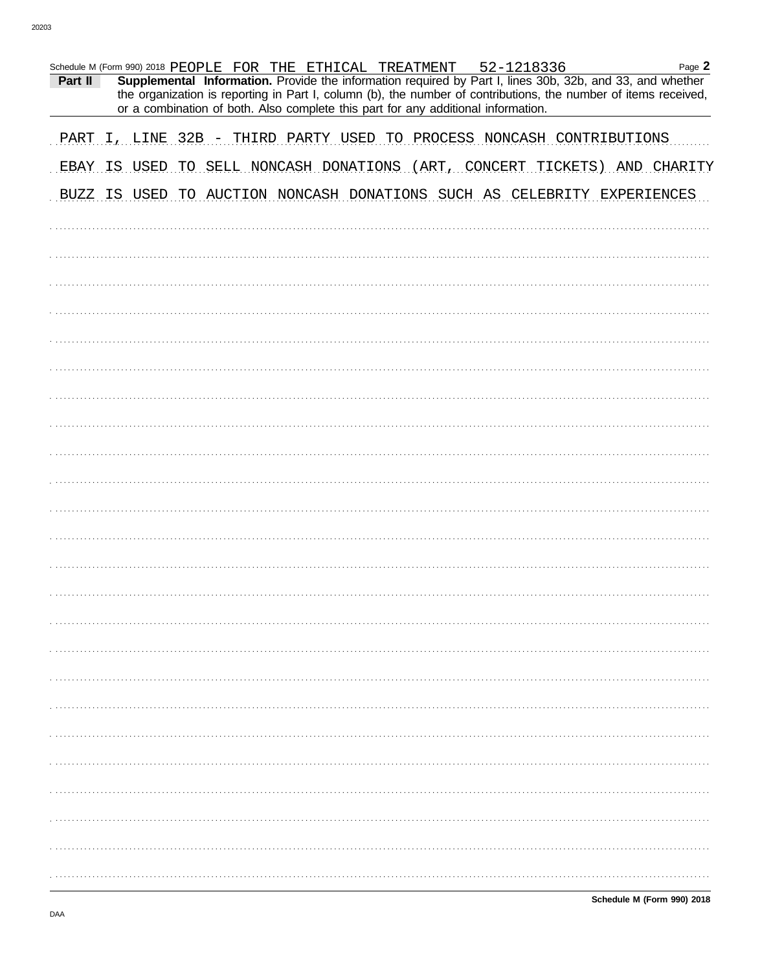| Schedule M (Form 990) 2018 PEOPLE FOR THE ETHICAL TREATMENT 52-1218336    |                                                                                   |  |  |  |  |  |  | Page 2                                                                                                                                                                                                                       |
|---------------------------------------------------------------------------|-----------------------------------------------------------------------------------|--|--|--|--|--|--|------------------------------------------------------------------------------------------------------------------------------------------------------------------------------------------------------------------------------|
| Part II                                                                   | or a combination of both. Also complete this part for any additional information. |  |  |  |  |  |  | Supplemental Information. Provide the information required by Part I, lines 30b, 32b, and 33, and whether<br>the organization is reporting in Part I, column (b), the number of contributions, the number of items received, |
|                                                                           |                                                                                   |  |  |  |  |  |  |                                                                                                                                                                                                                              |
| PART I, LINE 32B - THIRD PARTY USED TO PROCESS NONCASH CONTRIBUTIONS      |                                                                                   |  |  |  |  |  |  |                                                                                                                                                                                                                              |
| EBAY IS USED TO SELL NONCASH DONATIONS (ART, CONCERT TICKETS) AND CHARITY |                                                                                   |  |  |  |  |  |  |                                                                                                                                                                                                                              |
| BUZZ IS USED TO AUCTION NONCASH DONATIONS SUCH AS CELEBRITY EXPERIENCES   |                                                                                   |  |  |  |  |  |  |                                                                                                                                                                                                                              |
|                                                                           |                                                                                   |  |  |  |  |  |  |                                                                                                                                                                                                                              |
|                                                                           |                                                                                   |  |  |  |  |  |  |                                                                                                                                                                                                                              |
|                                                                           |                                                                                   |  |  |  |  |  |  |                                                                                                                                                                                                                              |
|                                                                           |                                                                                   |  |  |  |  |  |  |                                                                                                                                                                                                                              |
|                                                                           |                                                                                   |  |  |  |  |  |  |                                                                                                                                                                                                                              |
|                                                                           |                                                                                   |  |  |  |  |  |  |                                                                                                                                                                                                                              |
|                                                                           |                                                                                   |  |  |  |  |  |  |                                                                                                                                                                                                                              |
|                                                                           |                                                                                   |  |  |  |  |  |  |                                                                                                                                                                                                                              |
|                                                                           |                                                                                   |  |  |  |  |  |  |                                                                                                                                                                                                                              |
|                                                                           |                                                                                   |  |  |  |  |  |  |                                                                                                                                                                                                                              |
|                                                                           |                                                                                   |  |  |  |  |  |  |                                                                                                                                                                                                                              |
|                                                                           |                                                                                   |  |  |  |  |  |  |                                                                                                                                                                                                                              |
|                                                                           |                                                                                   |  |  |  |  |  |  |                                                                                                                                                                                                                              |
|                                                                           |                                                                                   |  |  |  |  |  |  |                                                                                                                                                                                                                              |
|                                                                           |                                                                                   |  |  |  |  |  |  |                                                                                                                                                                                                                              |
|                                                                           |                                                                                   |  |  |  |  |  |  |                                                                                                                                                                                                                              |
|                                                                           |                                                                                   |  |  |  |  |  |  |                                                                                                                                                                                                                              |
|                                                                           |                                                                                   |  |  |  |  |  |  |                                                                                                                                                                                                                              |
|                                                                           |                                                                                   |  |  |  |  |  |  |                                                                                                                                                                                                                              |
|                                                                           |                                                                                   |  |  |  |  |  |  |                                                                                                                                                                                                                              |
|                                                                           |                                                                                   |  |  |  |  |  |  |                                                                                                                                                                                                                              |
|                                                                           |                                                                                   |  |  |  |  |  |  |                                                                                                                                                                                                                              |
|                                                                           |                                                                                   |  |  |  |  |  |  |                                                                                                                                                                                                                              |
|                                                                           |                                                                                   |  |  |  |  |  |  |                                                                                                                                                                                                                              |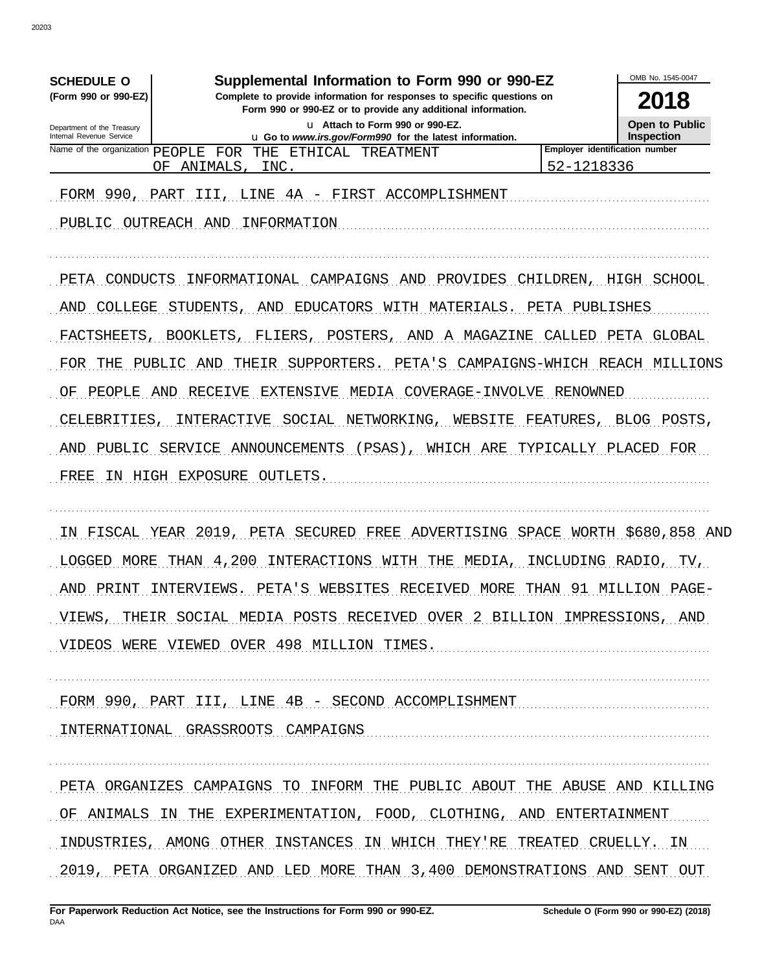| <b>SCHEDULE O</b>                                      | Supplemental Information to Form 990 or 990-EZ                                                                                                             |                | OMB No. 1545-0047                            |  |  |  |
|--------------------------------------------------------|------------------------------------------------------------------------------------------------------------------------------------------------------------|----------------|----------------------------------------------|--|--|--|
| (Form 990 or 990-EZ)                                   | 2018                                                                                                                                                       |                |                                              |  |  |  |
| Department of the Treasury<br>Internal Revenue Service | Form 990 or 990-EZ or to provide any additional information.<br>u Attach to Form 990 or 990-EZ.<br>u Go to www.irs.gov/Form990 for the latest information. |                |                                              |  |  |  |
| Name of the organization PEOPLE                        | FOR THE ETHICAL TREATMENT                                                                                                                                  |                | Inspection<br>Employer identification number |  |  |  |
| ΟF                                                     | ANIMALS,<br>INC.                                                                                                                                           | 52-1218336     |                                              |  |  |  |
| FORM 990,<br>PART                                      | LINE 4A - FIRST ACCOMPLISHMENT<br>III,                                                                                                                     |                |                                              |  |  |  |
| PUBLIC OUTREACH AND                                    | INFORMATION                                                                                                                                                |                |                                              |  |  |  |
| PETA<br>CONDUCTS                                       | CAMPAIGNS<br>INFORMATIONAL<br>AND<br>PROVIDES                                                                                                              | CHILDREN,      | HIGH SCHOOL                                  |  |  |  |
|                                                        | EDUCATORS WITH<br>MATERIALS.                                                                                                                               | PETA PUBLISHES |                                              |  |  |  |
| AND<br>COLLEGE                                         | STUDENTS<br>AND                                                                                                                                            |                |                                              |  |  |  |
| FACTSHEETS                                             | FLIERS<br>POSTERS,<br>BOOKLETS,<br>AND<br>A                                                                                                                | MAGAZINE       | CALLED PETA GLOBAL                           |  |  |  |
| FOR<br>THE<br>PUBLIC                                   | THEIR<br>SUPPORTERS.<br>PETA'S<br>AND                                                                                                                      |                | CAMPAIGNS-WHICH REACH MILLIONS               |  |  |  |
| PEOPLE<br>AND<br>ΟF                                    | MEDIA<br>RECEIVE<br>EXTENSIVE<br>COVERAGE-INVOLVE                                                                                                          | RENOWNED       |                                              |  |  |  |
| CELEBRITIES                                            | INTERACTIVE<br>SOCIAL NETWORKING,<br>WEBSITE                                                                                                               | FEATURES,      | BLOG POSTS,                                  |  |  |  |
| PUBLIC<br>AND                                          | SERVICE ANNOUNCEMENTS<br>$(PSAS)$ ,<br>WHICH ARE                                                                                                           |                | TYPICALLY PLACED FOR                         |  |  |  |
| FREE                                                   | IN HIGH EXPOSURE OUTLETS.                                                                                                                                  |                |                                              |  |  |  |
|                                                        |                                                                                                                                                            |                |                                              |  |  |  |
| ΤИ                                                     | FISCAL YEAR 2019, PETA SECURED FREE ADVERTISING SPACE WORTH \$680,858 AND                                                                                  |                |                                              |  |  |  |
| LOGGED<br>MORE                                         | THAN 4,200 INTERACTIONS WITH THE<br>MEDIA,                                                                                                                 |                | INCLUDING RADIO, TV,                         |  |  |  |
|                                                        |                                                                                                                                                            |                |                                              |  |  |  |
|                                                        | AND PRINT INTERVIEWS. PETA'S WEBSITES RECEIVED MORE THAN 91 MILLION PAGE-                                                                                  |                |                                              |  |  |  |
|                                                        | VIEWS, THEIR SOCIAL MEDIA POSTS RECEIVED OVER 2 BILLION IMPRESSIONS, AND                                                                                   |                |                                              |  |  |  |
|                                                        | VIDEOS WERE VIEWED OVER 498 MILLION TIMES.                                                                                                                 |                |                                              |  |  |  |
|                                                        | FORM 990, PART III, LINE 4B - SECOND ACCOMPLISHMENT                                                                                                        |                |                                              |  |  |  |
|                                                        | INTERNATIONAL GRASSROOTS CAMPAIGNS                                                                                                                         |                |                                              |  |  |  |
|                                                        |                                                                                                                                                            |                |                                              |  |  |  |
|                                                        | PETA ORGANIZES CAMPAIGNS TO INFORM THE PUBLIC ABOUT THE ABUSE AND KILLING                                                                                  |                |                                              |  |  |  |
|                                                        | OF ANIMALS IN THE EXPERIMENTATION, FOOD, CLOTHING, AND ENTERTAINMENT                                                                                       |                |                                              |  |  |  |
|                                                        | INDUSTRIES, AMONG OTHER INSTANCES IN WHICH THEY'RE TREATED CRUELLY. IN                                                                                     |                |                                              |  |  |  |
|                                                        | 2019, PETA ORGANIZED AND LED MORE THAN 3,400 DEMONSTRATIONS AND SENT OUT                                                                                   |                |                                              |  |  |  |
|                                                        |                                                                                                                                                            |                |                                              |  |  |  |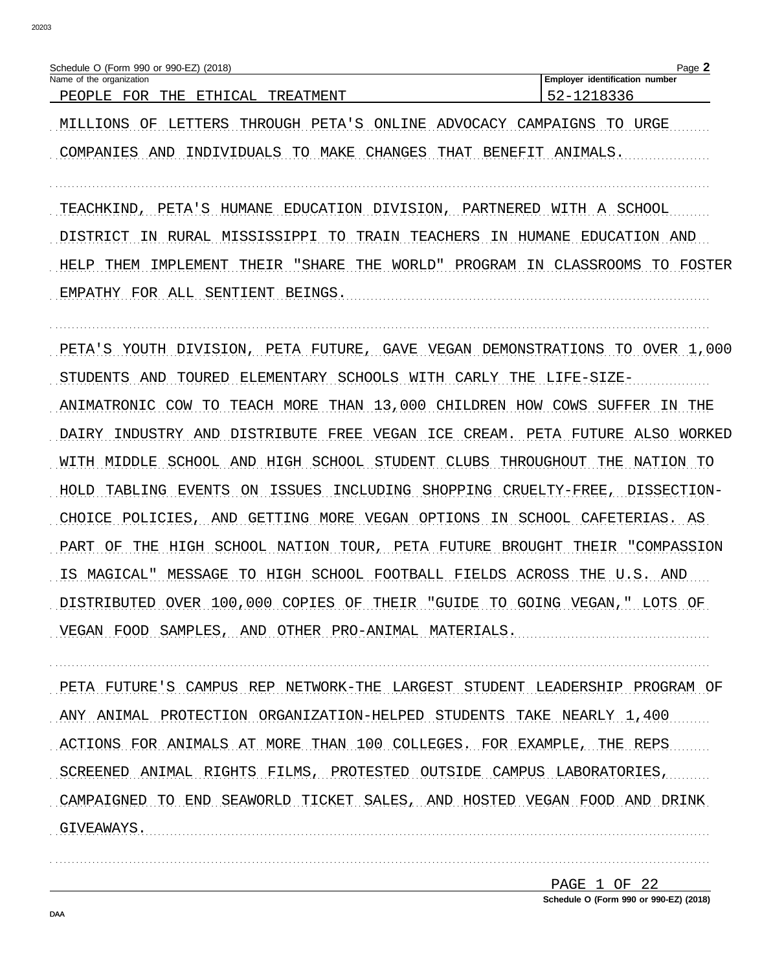| O (Form<br>า 990 or 990-EZ) (2018)<br>Schedule                                                                                         | Page                                  |
|----------------------------------------------------------------------------------------------------------------------------------------|---------------------------------------|
| Name of the organization                                                                                                               | ∟Emplover<br>identification<br>number |
| FOR<br>ᅲᄓᅚ<br>$\neg$ $\neg$ .<br><u> सम्पाद</u><br>᠇<br>. FATMFN ה<br>סידי<br>P F.O<br>∟י<br>. L. 1<br>٠г.<br>$\overline{\phantom{a}}$ | --<br>-                               |

MILLIONS OF LETTERS THROUGH PETA'S ONLINE ADVOCACY CAMPAIGNS TO URGE COMPANIES AND INDIVIDUALS TO MAKE CHANGES THAT BENEFIT ANIMALS.

TEACHKIND, PETA'S HUMANE EDUCATION DIVISION, PARTNERED WITH A SCHOOL

DISTRICT IN RURAL MISSISSIPPI TO TRAIN TEACHERS IN HUMANE EDUCATION AND HELP THEM IMPLEMENT THEIR "SHARE THE WORLD" PROGRAM IN CLASSROOMS TO FOSTER EMPATHY FOR ALL SENTIENT BEINGS.

PETA'S YOUTH DIVISION, PETA FUTURE, GAVE VEGAN DEMONSTRATIONS TO OVER 1,000 STUDENTS AND TOURED ELEMENTARY SCHOOLS WITH CARLY THE LIFE-SIZE-ANIMATRONIC COW TO TEACH MORE THAN 13,000 CHILDREN HOW COWS SUFFER IN THE DAIRY INDUSTRY AND DISTRIBUTE FREE VEGAN ICE CREAM. PETA FUTURE ALSO WORKED WITH MIDDLE SCHOOL AND HIGH SCHOOL STUDENT CLUBS THROUGHOUT THE NATION TO HOLD TABLING EVENTS ON ISSUES INCLUDING SHOPPING CRUELTY-FREE, DISSECTION-CHOICE POLICIES, AND GETTING MORE VEGAN OPTIONS IN SCHOOL CAFETERIAS. AS PART OF THE HIGH SCHOOL NATION TOUR, PETA FUTURE BROUGHT THEIR "COMPASSION IS MAGICAL" MESSAGE TO HIGH SCHOOL FOOTBALL FIELDS ACROSS THE U.S. AND DISTRIBUTED OVER 100,000 COPIES OF THEIR "GUIDE TO GOING VEGAN," LOTS OF VEGAN FOOD SAMPLES, AND OTHER PRO-ANIMAL MATERIALS.

PETA FUTURE'S CAMPUS REP NETWORK-THE LARGEST STUDENT LEADERSHIP PROGRAM OF ANY ANIMAL PROTECTION ORGANIZATION-HELPED STUDENTS TAKE NEARLY 1,400 ACTIONS FOR ANIMALS AT MORE THAN 100 COLLEGES. FOR EXAMPLE, THE REPS SCREENED ANIMAL RIGHTS FILMS, PROTESTED OUTSIDE CAMPUS LABORATORIES, CAMPAIGNED TO END SEAWORLD TICKET SALES, AND HOSTED VEGAN FOOD AND DRINK GIVEAWAYS. 

> PAGE 1 OF 22 Schedule O (Form 990 or 990-EZ) (2018)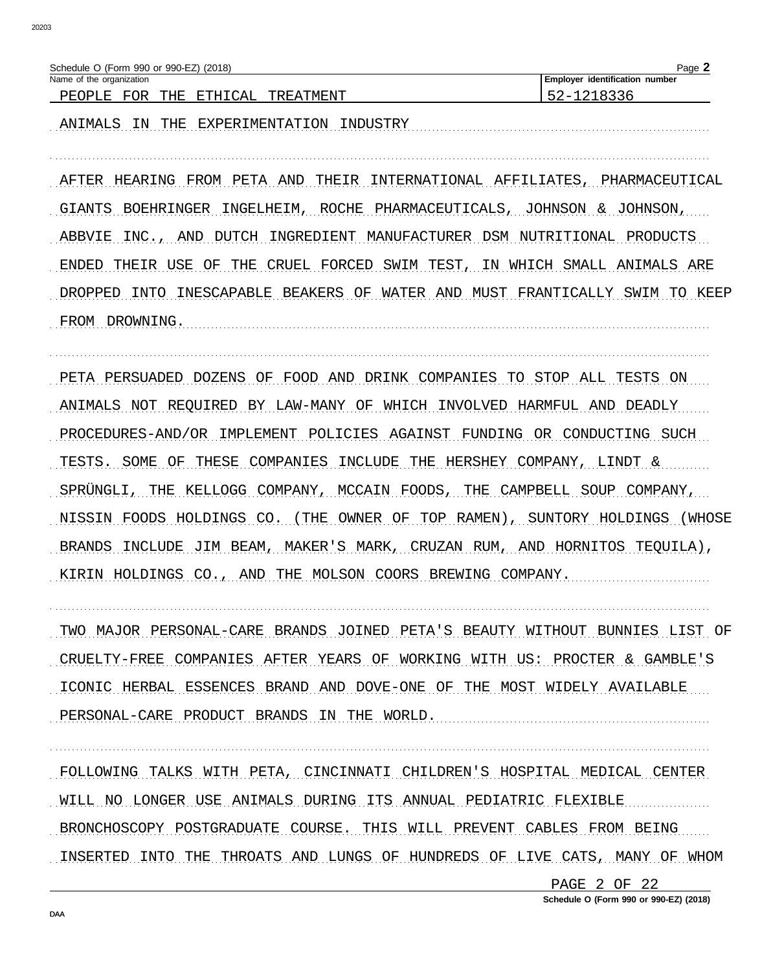| Schedule O (Form 990 or 990-EZ) (2018)       | $P$ aqe $\Box$                 |
|----------------------------------------------|--------------------------------|
| Name of the organization                     | Employer identification number |
| FOR<br>ETHICAL<br>THE<br>TREATMENT<br>PEOPLE | $\lambda -$                    |

ANIMALS IN THE EXPERIMENTATION INDUSTRY MARIORALLY AND AND AND ANGELES AND THE SEPTENT AND AN INDUSTRY

AFTER HEARING FROM PETA AND THEIR INTERNATIONAL AFFILIATES, PHARMACEUTICAL GIANTS BOEHRINGER INGELHEIM, ROCHE PHARMACEUTICALS, JOHNSON & JOHNSON, ABBVIE INC., AND DUTCH INGREDIENT MANUFACTURER DSM NUTRITIONAL PRODUCTS ENDED THEIR USE OF THE CRUEL FORCED SWIM TEST, IN WHICH SMALL ANIMALS ARE DROPPED INTO INESCAPABLE BEAKERS OF WATER AND MUST FRANTICALLY SWIM TO KEEP FROM DROWNING.

PETA PERSUADED DOZENS OF FOOD AND DRINK COMPANIES TO STOP ALL TESTS ON ANIMALS NOT REQUIRED BY LAW-MANY OF WHICH INVOLVED HARMFUL AND DEADLY PROCEDURES-AND/OR IMPLEMENT POLICIES AGAINST FUNDING OR CONDUCTING SUCH TESTS. SOME OF THESE COMPANIES INCLUDE THE HERSHEY COMPANY, LINDT & SPRÜNGLI, THE KELLOGG COMPANY, MCCAIN FOODS, THE CAMPBELL SOUP COMPANY, NISSIN FOODS HOLDINGS CO. (THE OWNER OF TOP RAMEN), SUNTORY HOLDINGS (WHOSE BRANDS INCLUDE JIM BEAM, MAKER'S MARK, CRUZAN RUM, AND HORNITOS TEQUILA), KIRIN HOLDINGS CO., AND THE MOLSON COORS BREWING COMPANY.

TWO MAJOR PERSONAL-CARE BRANDS JOINED PETA'S BEAUTY WITHOUT BUNNIES LIST OF CRUELTY-FREE COMPANIES AFTER YEARS OF WORKING WITH US: PROCTER & GAMBLE'S ICONIC HERBAL ESSENCES BRAND AND DOVE-ONE OF THE MOST WIDELY AVAILABLE PERSONAL-CARE PRODUCT BRANDS IN THE WORLD.

FOLLOWING TALKS WITH PETA, CINCINNATI CHILDREN'S HOSPITAL MEDICAL CENTER WILL NO LONGER USE ANIMALS DURING ITS ANNUAL PEDIATRIC FLEXIBLE BRONCHOSCOPY POSTGRADUATE COURSE. THIS WILL PREVENT CABLES FROM BEING INSERTED INTO THE THROATS AND LUNGS OF HUNDREDS OF LIVE CATS, MANY OF WHOM

> PAGE 2 OF 22 Schedule O (Form 990 or 990-EZ) (2018)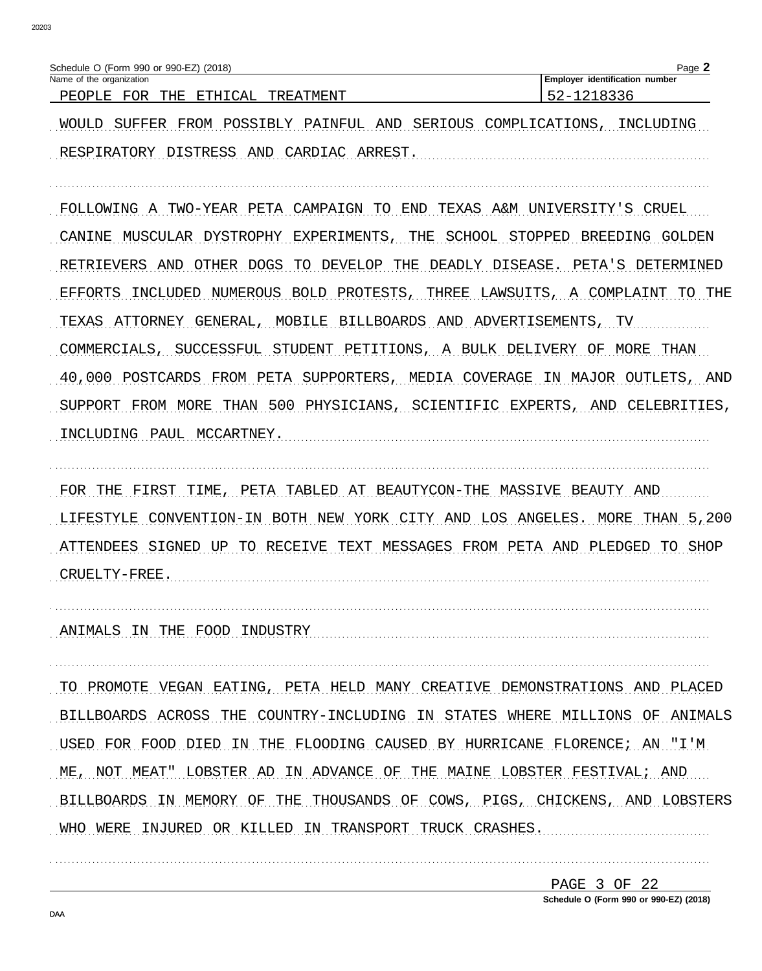| (2018)<br>(Form 990 or 990-EZ)<br>Schedule                                |                                                  | Page                                 |
|---------------------------------------------------------------------------|--------------------------------------------------|--------------------------------------|
| f the organization<br>Name of                                             |                                                  | identification<br>Emplover<br>number |
| ᅲᄓᄗ<br>ᇚᄉᇎ<br>אי<br>ए जान<br>PE (<br>ъ.<br>. L.J<br>. н<br>++++<br>◡<br>. | пт<br>ایا دے<br>'IVI H.'<br>∴N'<br>------------- | _                                    |

WOULD SUFFER FROM POSSIBLY PAINFUL AND SERIOUS COMPLICATIONS, INCLUDING RESPIRATORY DISTRESS AND CARDIAC ARREST.

FOLLOWING A TWO-YEAR PETA CAMPAIGN TO END TEXAS A&M UNIVERSITY'S CRUEL CANINE MUSCULAR DYSTROPHY EXPERIMENTS, THE SCHOOL STOPPED BREEDING GOLDEN RETRIEVERS AND OTHER DOGS TO DEVELOP THE DEADLY DISEASE. PETA'S DETERMINED EFFORTS INCLUDED NUMEROUS BOLD PROTESTS, THREE LAWSUITS, A COMPLAINT TO THE TEXAS ATTORNEY GENERAL, MOBILE BILLBOARDS AND ADVERTISEMENTS, TV COMMERCIALS, SUCCESSFUL STUDENT PETITIONS, A BULK DELIVERY OF MORE THAN 40,000 POSTCARDS FROM PETA SUPPORTERS, MEDIA COVERAGE IN MAJOR OUTLETS, AND SUPPORT FROM MORE THAN 500 PHYSICIANS, SCIENTIFIC EXPERTS, AND CELEBRITIES, INCLUDING PAUL MCCARTNEY.

FOR THE FIRST TIME, PETA TABLED AT BEAUTYCON-THE MASSIVE BEAUTY AND LIFESTYLE CONVENTION-IN BOTH NEW YORK CITY AND LOS ANGELES. MORE THAN 5,200 ATTENDEES SIGNED UP TO RECEIVE TEXT MESSAGES FROM PETA AND PLEDGED TO SHOP 

ANIMALS IN THE FOOD INDUSTRY MALL CONTROLLER AND THE FOOD INDUSTRY

TO PROMOTE VEGAN EATING, PETA HELD MANY CREATIVE DEMONSTRATIONS AND PLACED BILLBOARDS ACROSS THE COUNTRY-INCLUDING IN STATES WHERE MILLIONS OF ANIMALS USED FOR FOOD DIED IN THE FLOODING CAUSED BY HURRICANE FLORENCE; AN "I'M ME, NOT MEAT" LOBSTER AD IN ADVANCE OF THE MAINE LOBSTER FESTIVAL; AND BILLBOARDS IN MEMORY OF THE THOUSANDS OF COWS, PIGS, CHICKENS, AND LOBSTERS WHO WERE INJURED OR KILLED IN TRANSPORT TRUCK CRASHES.

> PAGE 3 OF 22 Schedule O (Form 990 or 990-EZ) (2018)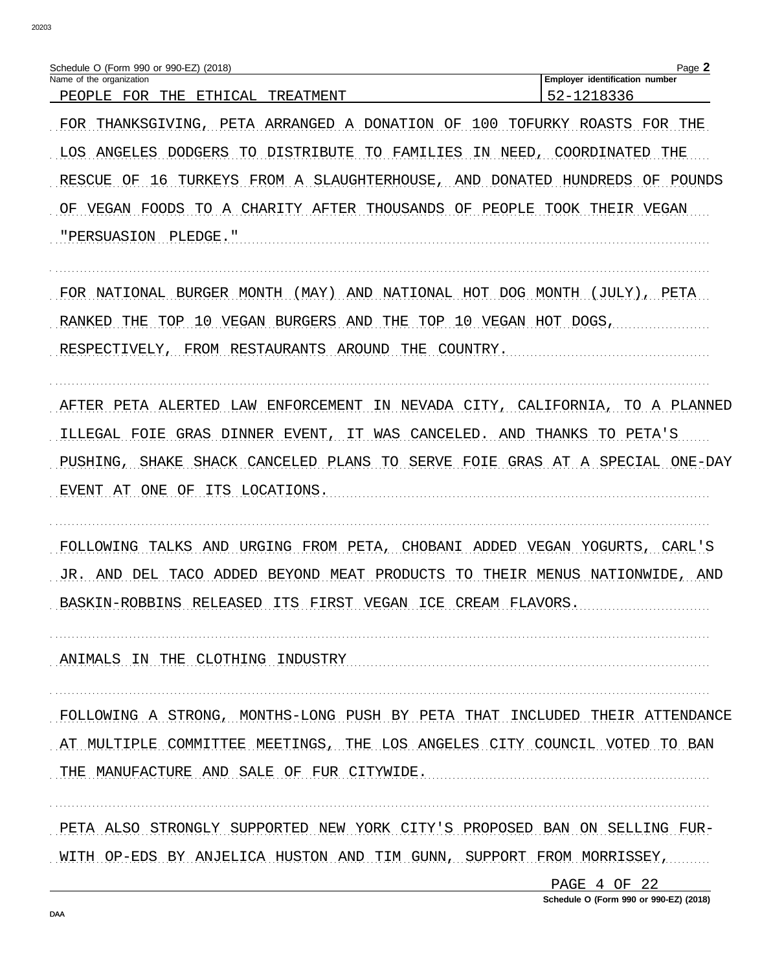| Schedule O (Form 990 or 990-EZ) (2018)                                             | Page 2                         |
|------------------------------------------------------------------------------------|--------------------------------|
| Name of the organization                                                           | Employer identification number |
| ETHICAL<br>FOR THE<br>TREATMENT<br>PEOPLE                                          | 52-1218336                     |
| THANKSGIVING, PETA ARRANGED A DONATION OF 100<br>FOR                               | TOFURKY ROASTS<br>FOR THE      |
| LOS ANGELES DODGERS TO DISTRIBUTE TO FAMILIES<br>NEED,<br>IN.                      | COORDINATED<br>THE             |
| 16 TURKEYS FROM A SLAUGHTERHOUSE, AND DONATED<br>OF.<br>RESCUE                     | HUNDREDS<br>ΟF<br>POUNDS       |
| THOUSANDS<br>AFTER<br>PEOPLE<br>ΩF<br>CHARTTY<br>OF<br>VEGAN<br>FOODS.<br>TO.<br>A | THETR<br>TOOK<br>VEGAN         |
| "PERSUASION<br>PLEDGE."                                                            |                                |
|                                                                                    |                                |

FOR NATIONAL BURGER MONTH (MAY) AND NATIONAL HOT DOG MONTH (JULY), PETA RANKED THE TOP 10 VEGAN BURGERS AND THE TOP 10 VEGAN HOT DOGS, RESPECTIVELY, FROM RESTAURANTS AROUND THE COUNTRY.

AFTER PETA ALERTED LAW ENFORCEMENT IN NEVADA CITY, CALIFORNIA, TO A PLANNED ILLEGAL FOIE GRAS DINNER EVENT, IT WAS CANCELED. AND THANKS TO PETA'S PUSHING, SHAKE SHACK CANCELED PLANS TO SERVE FOIE GRAS AT A SPECIAL ONE-DAY EVENT AT ONE OF ITS LOCATIONS.

FOLLOWING TALKS AND URGING FROM PETA, CHOBANI ADDED VEGAN YOGURTS, CARL'S JR. AND DEL TACO ADDED BEYOND MEAT PRODUCTS TO THEIR MENUS NATIONWIDE, AND BASKIN-ROBBINS RELEASED ITS FIRST VEGAN ICE CREAM FLAVORS.

ANIMALS IN THE CLOTHING INDUSTRY

FOLLOWING A STRONG, MONTHS-LONG PUSH BY PETA THAT INCLUDED THEIR ATTENDANCE AT MULTIPLE COMMITTEE MEETINGS, THE LOS ANGELES CITY COUNCIL VOTED TO BAN THE MANUFACTURE AND SALE OF FUR CITYMIDE.

PETA ALSO STRONGLY SUPPORTED NEW YORK CITY'S PROPOSED BAN ON SELLING FUR-WITH OP-EDS BY ANJELICA HUSTON AND TIM GUNN, SUPPORT FROM MORRISSEY,

> PAGE 4 OF 22 Schedule O (Form 990 or 990-EZ) (2018)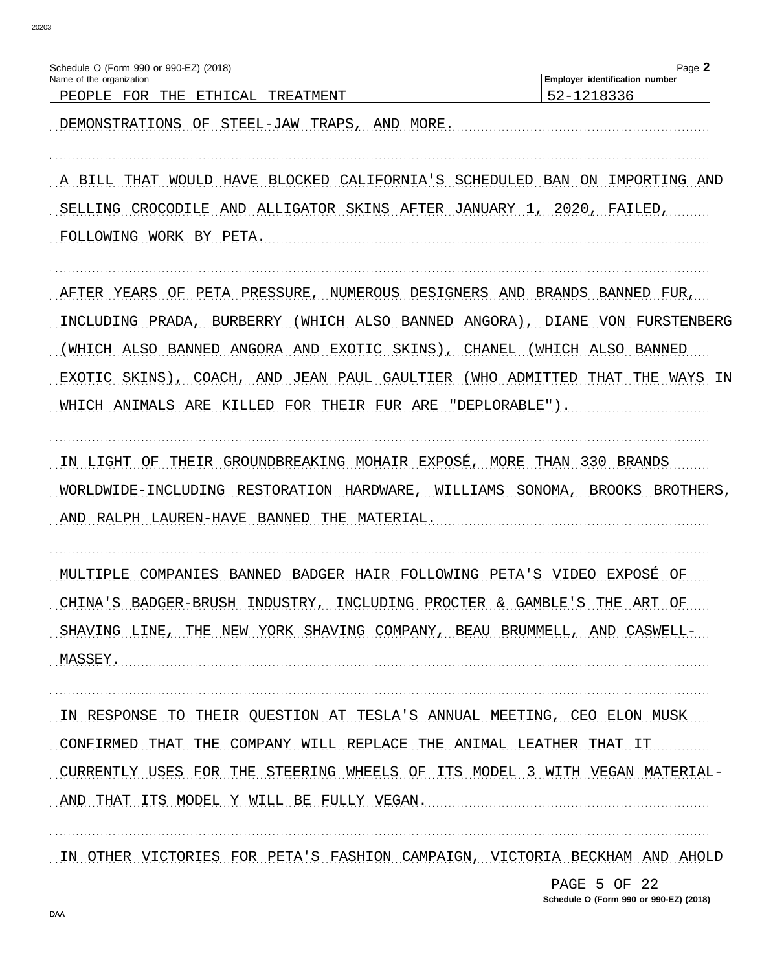| Schedule O (Form 990 or 990-EZ) (2018)                                        | Page 2                                       |
|-------------------------------------------------------------------------------|----------------------------------------------|
| Name of the organization<br>THE<br>PEOPLE FOR<br>ETHICAL<br>TREATMENT         | Employer identification number<br>52-1218336 |
| DEMONSTRATIONS OF STEEL-JAW TRAPS,<br>AND MORE.                               |                                              |
|                                                                               |                                              |
| A BILL THAT WOULD HAVE BLOCKED CALIFORNIA'S SCHEDULED BAN ON IMPORTING AND    |                                              |
| SELLING CROCODILE AND ALLIGATOR SKINS AFTER JANUARY 1, 2020, FAILED,          |                                              |
| FOLLOWING WORK BY PETA.                                                       |                                              |
| PETA PRESSURE, NUMEROUS DESIGNERS AND BRANDS BANNED FUR,<br>AFTER YEARS<br>OF |                                              |
| INCLUDING PRADA, BURBERRY<br>(WHICH ALSO BANNED<br>ANGORA)                    | VON FURSTENBERG<br>DIANE                     |
| SKINS), CHANEL<br>WHICH ALSO BANNED ANGORA AND<br>EXOTIC                      | (WHICH ALSO<br>BANNED                        |
| SKINS)<br>, COACH, AND<br>JEAN PAUL GAULTIER<br>EXOTIC                        | (WHO ADMITTED THAT<br>THE WAYS<br>IN         |
| "DEPLORABLE").<br>WHICH ANIMALS ARE KILLED FOR THEIR FUR ARE                  |                                              |
| THEIR GROUNDBREAKING MOHAIR EXPOSÉ, MORE THAN 330 BRANDS<br>IN LIGHT<br>OF    |                                              |
| WORLDWIDE-INCLUDING RESTORATION HARDWARE, WILLIAMS SONOMA, BROOKS             | BROTHERS,                                    |
| RALPH LAUREN-HAVE BANNED<br>MATERIAL.<br>AND<br>THE                           |                                              |
| BANNED BADGER HAIR FOLLOWING PETA'S VIDEO EXPOSÉ<br>MULTIPLE<br>COMPANTES     | ΟF                                           |
| CHINA'S BADGER-BRUSH INDUSTRY, INCLUDING PROCTER & GAMBLE'S THE ART OF        |                                              |
| SHAVING LINE, THE NEW YORK SHAVING COMPANY, BEAU BRUMMELL, AND CASWELL-       |                                              |
| MASSEY.                                                                       |                                              |
| IN RESPONSE TO THEIR OUESTION AT TESLA'S ANNUAL MEETING, CEO ELON MUSK        |                                              |
| THE COMPANY WILL REPLACE THE ANIMAL LEATHER THAT<br>CONFIRMED THAT            | IT -                                         |
| CURRENTLY USES FOR THE STEERING WHEELS OF ITS MODEL 3 WITH VEGAN MATERIAL-    |                                              |
| AND THAT<br>ITS MODEL Y WILL BE FULLY VEGAN.                                  |                                              |
| IN OTHER VICTORIES FOR PETA'S FASHION CAMPAIGN, VICTORIA BECKHAM AND AHOLD    |                                              |
|                                                                               | PAGE 5 OF 22                                 |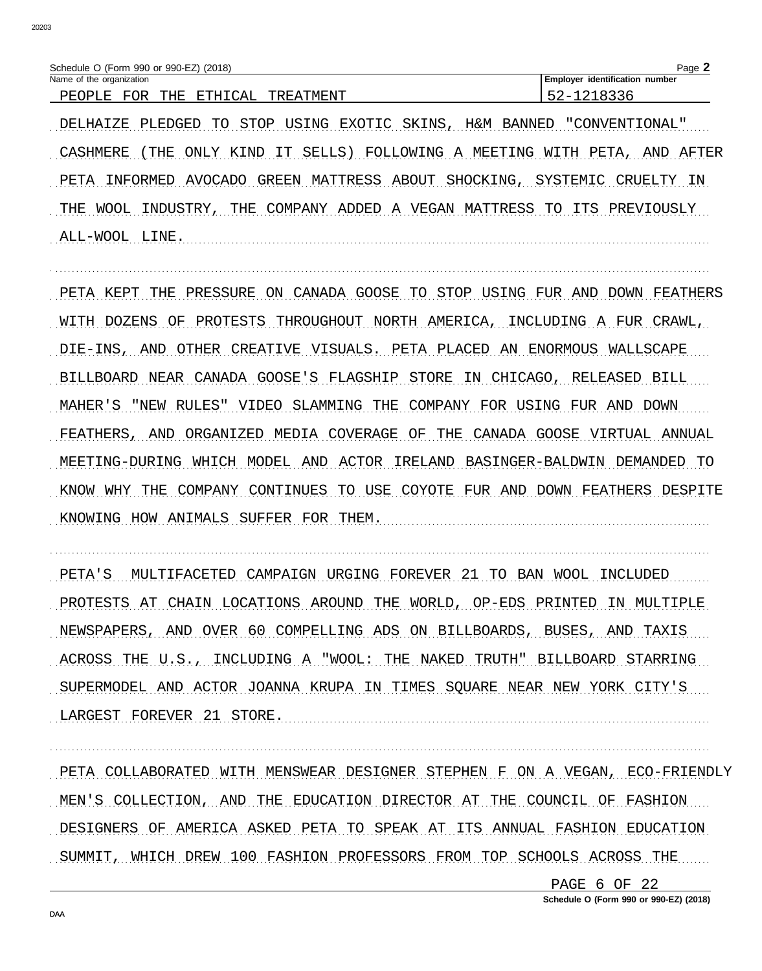| (Form 990 or 990-EZ) (2018)<br>Schedule C              |                  | Page                                   |
|--------------------------------------------------------|------------------|----------------------------------------|
| Name of the organization                               |                  | identification<br>. Emplover<br>number |
| FOR<br>$\cap$ AT.<br>ᅲᄓᄗ<br>सम्बद्धा<br>PF.OP1<br>. H. | 'ATMENT<br>TR F. |                                        |

DELHAIZE PLEDGED TO STOP USING EXOTIC SKINS, H&M BANNED "CONVENTIONAL" CASHMERE (THE ONLY KIND IT SELLS) FOLLOWING A MEETING WITH PETA, AND AFTER PETA INFORMED AVOCADO GREEN MATTRESS ABOUT SHOCKING, SYSTEMIC CRUELTY IN THE WOOL INDUSTRY, THE COMPANY ADDED A VEGAN MATTRESS TO ITS PREVIOUSLY ALL-WOOL LINE.

PETA KEPT THE PRESSURE ON CANADA GOOSE TO STOP USING FUR AND DOWN FEATHERS WITH DOZENS OF PROTESTS THROUGHOUT NORTH AMERICA, INCLUDING A FUR CRAWL, DIE-INS, AND OTHER CREATIVE VISUALS. PETA PLACED AN ENORMOUS WALLSCAPE BILLBOARD NEAR CANADA GOOSE'S FLAGSHIP STORE IN CHICAGO, RELEASED BILL MAHER'S "NEW RULES" VIDEO SLAMMING THE COMPANY FOR USING FUR AND DOWN FEATHERS, AND ORGANIZED MEDIA COVERAGE OF THE CANADA GOOSE VIRTUAL ANNUAL MEETING-DURING WHICH MODEL AND ACTOR IRELAND BASINGER-BALDWIN DEMANDED TO KNOW WHY THE COMPANY CONTINUES TO USE COYOTE FUR AND DOWN FEATHERS DESPITE KNOWING HOW ANIMALS SUFFER FOR THEM.

PETA'S MULTIFACETED CAMPAIGN URGING FOREVER 21 TO BAN WOOL INCLUDED PROTESTS AT CHAIN LOCATIONS AROUND THE WORLD, OP-EDS PRINTED IN MULTIPLE NEWSPAPERS, AND OVER 60 COMPELLING ADS ON BILLBOARDS, BUSES, AND TAXIS ACROSS THE U.S., INCLUDING A "WOOL: THE NAKED TRUTH" BILLBOARD STARRING SUPERMODEL AND ACTOR JOANNA KRUPA IN TIMES SQUARE NEAR NEW YORK CITY'S LARGEST FOREVER 21 STORE.

PETA COLLABORATED WITH MENSWEAR DESIGNER STEPHEN F ON A VEGAN, ECO-FRIENDLY MEN'S COLLECTION, AND THE EDUCATION DIRECTOR AT THE COUNCIL OF FASHION DESIGNERS OF AMERICA ASKED PETA TO SPEAK AT ITS ANNUAL FASHION EDUCATION SUMMIT, WHICH DREW 100 FASHION PROFESSORS FROM TOP SCHOOLS ACROSS THE

> PAGE 6 OF 22 Schedule O (Form 990 or 990-EZ) (2018)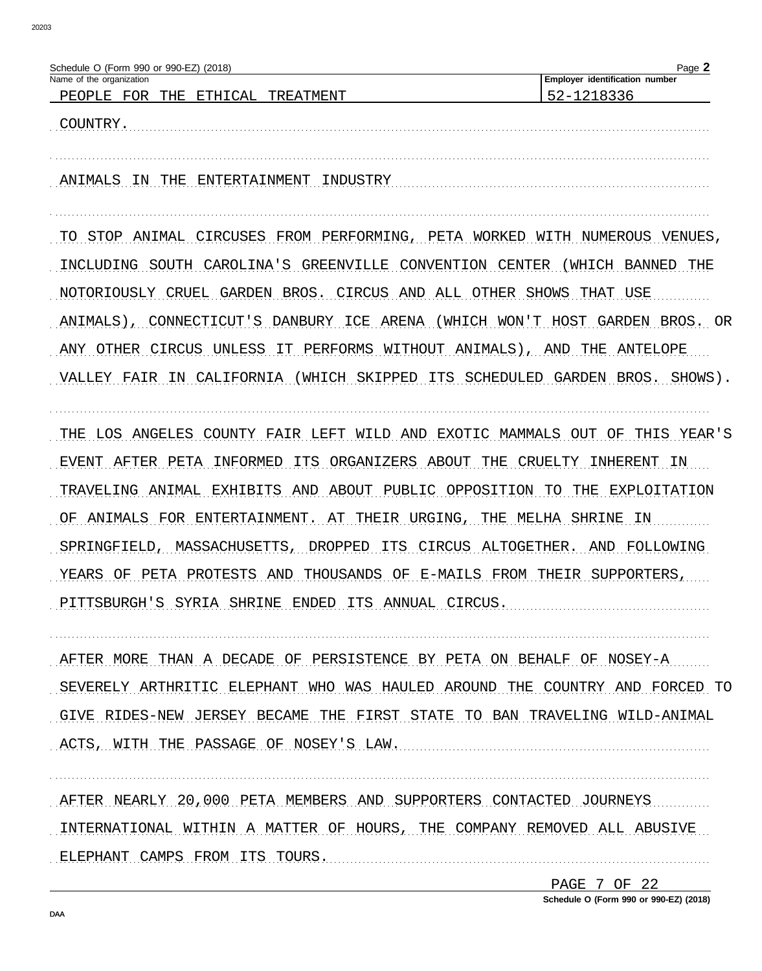| Schedule O (Form 990 or 990-EZ) (2018)                                 | Page 2                         |
|------------------------------------------------------------------------|--------------------------------|
| Name of the organization                                               | Employer identification number |
| ETHICAL<br>PEOPLE<br>FOR<br>THE<br>TREATMENT                           | 52-1218336                     |
|                                                                        |                                |
| COUNTRY.                                                               |                                |
|                                                                        |                                |
|                                                                        |                                |
| ENTERTAINMENT<br>ANIMALS<br>THE<br>INDUSTRY<br>TN                      |                                |
|                                                                        |                                |
|                                                                        |                                |
|                                                                        |                                |
| CIRCUSES<br>FROM PERFORMING,<br>STOP<br>ANIMAL<br>PETA<br>WORKED       | WITH NUMEROUS<br>VENUES        |
|                                                                        |                                |
| CAROLINA'S<br>GREENVILLE<br>CONVENTION<br>CENTER<br>SOUTH<br>INCLUDING | THE<br>WHICH<br>BANNED         |
| NOTORIOUSLY CRUEL GARDEN BROS. CIRCUS AND ALL OTHER SHOWS              | THAT USE                       |
|                                                                        |                                |
| ANIMALS)<br>DANBURY ICE ARENA<br>CONNECTICUT'S<br>(WHICH<br>WON'T      | HOST<br>GARDEN<br>BROS. OR     |
|                                                                        |                                |
| UNLESS IT PERFORMS WITHOUT ANIMALS)<br>CIRCUS<br>OTHER<br>ANY          | AND<br>THE<br>ANTELOPE         |

VALLEY FAIR IN CALIFORNIA (WHICH SKIPPED ITS SCHEDULED GARDEN BROS. SHOWS).

THE LOS ANGELES COUNTY FAIR LEFT WILD AND EXOTIC MAMMALS OUT OF THIS YEAR'S EVENT AFTER PETA INFORMED ITS ORGANIZERS ABOUT THE CRUELTY INHERENT IN TRAVELING ANIMAL EXHIBITS AND ABOUT PUBLIC OPPOSITION TO THE EXPLOITATION OF ANIMALS FOR ENTERTAINMENT. AT THEIR URGING, THE MELHA SHRINE IN SPRINGFIELD, MASSACHUSETTS, DROPPED ITS CIRCUS ALTOGETHER. AND FOLLOWING YEARS OF PETA PROTESTS AND THOUSANDS OF E-MAILS FROM THEIR SUPPORTERS, PITTSBURGH'S SYRIA SHRINE ENDED ITS ANNUAL CIRCUS.

AFTER MORE THAN A DECADE OF PERSISTENCE BY PETA ON BEHALF OF NOSEY-A SEVERELY ARTHRITIC ELEPHANT WHO WAS HAULED AROUND THE COUNTRY AND FORCED TO GIVE RIDES-NEW JERSEY BECAME THE FIRST STATE TO BAN TRAVELING WILD-ANIMAL ACTS, WITH THE PASSAGE OF NOSEY'S LAW. The contract of the contract of the set of the set of the set of the set of the set of the set of the set of the set of the set of the set of the set of the set of the set of the set

AFTER NEARLY 20,000 PETA MEMBERS AND SUPPORTERS CONTACTED JOURNEYS INTERNATIONAL WITHIN A MATTER OF HOURS, THE COMPANY REMOVED ALL ABUSIVE ELEPHANT CAMPS FROM ITS TOURS.

> PAGE 7 OF 22 Schedule O (Form 990 or 990-EZ) (2018)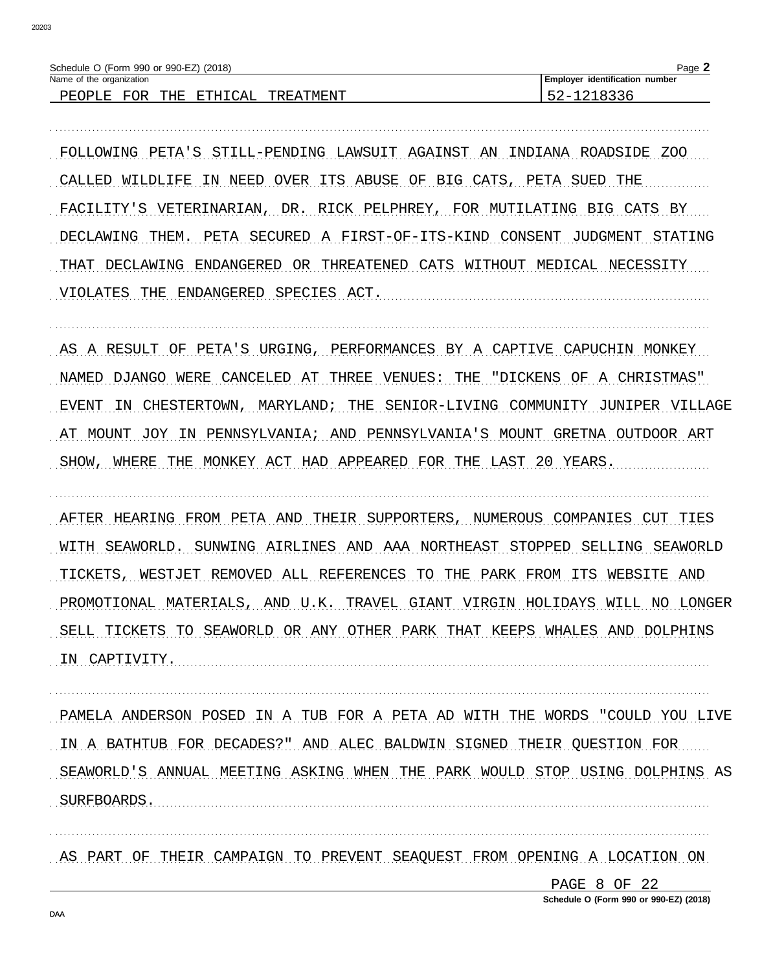| Schedule O (Form 990 or 990-EZ) (2018)                                             | Page,                                 |
|------------------------------------------------------------------------------------|---------------------------------------|
| Name of the organization                                                           | <b>Employer identification number</b> |
| FOR<br>THE.<br>$\neg$ $\neg$ .<br>ᆔᆔᅚᅚ<br>TREATMENT<br>PEOPLE.<br>$\overline{a}$ i |                                       |

FOLLOWING PETA'S STILL-PENDING LAWSUIT AGAINST AN INDIANA ROADSIDE ZOO CALLED MILDLIFE IN NEED OVER ITS ABUSE OF BIG CATS, PETA SUED THE FACILITY'S VETERINARIAN, DR. RICK PELPHREY, FOR MUTILATING BIG CATS BY DECLAWING THEM. PETA SECURED A FIRST-OF-ITS-KIND CONSENT JUDGMENT STATING THAT DECLAWING ENDANGERED OR THREATENED CATS WITHOUT MEDICAL NECESSITY VIOLATES THE ENDANGERED SPECIES ACT.

AS A RESULT OF PETA'S URGING, PERFORMANCES BY A CAPTIVE CAPUCHIN MONKEY NAMED DJANGO WERE CANCELED AT THREE VENUES: THE "DICKENS OF A CHRISTMAS" EVENT IN CHESTERTOWN, MARYLAND; THE SENIOR-LIVING COMMUNITY JUNIPER VILLAGE AT MOUNT JOY IN PENNSYLVANIA; AND PENNSYLVANIA'S MOUNT GRETNA OUTDOOR ART SHOW, WHERE THE MONKEY ACT HAD APPEARED FOR THE LAST 20 YEARS.

AFTER HEARING FROM PETA AND THEIR SUPPORTERS, NUMEROUS COMPANIES CUT TIES WITH SEAWORLD. SUNWING AIRLINES AND AAA NORTHEAST STOPPED SELLING SEAWORLD TICKETS, WESTJET REMOVED ALL REFERENCES TO THE PARK FROM ITS WEBSITE AND PROMOTIONAL MATERIALS, AND U.K. TRAVEL GIANT VIRGIN HOLIDAYS WILL NO LONGER SELL TICKETS TO SEAWORLD OR ANY OTHER PARK THAT KEEPS WHALES AND DOLPHINS IN CAPTIVITY.

PAMELA ANDERSON POSED IN A TUB FOR A PETA AD WITH THE WORDS "COULD YOU LIVE IN A BATHTUB FOR DECADES?" AND ALEC BALDWIN SIGNED THEIR QUESTION FOR SEAWORLD'S ANNUAL MEETING ASKING WHEN THE PARK WOULD STOP USING DOLPHINS AS SURFBOARDS.

AS PART OF THEIR CAMPAIGN TO PREVENT SEAQUEST FROM OPENING A LOCATION ON

PAGE 8 OF 22

Schedule O (Form 990 or 990-EZ) (2018)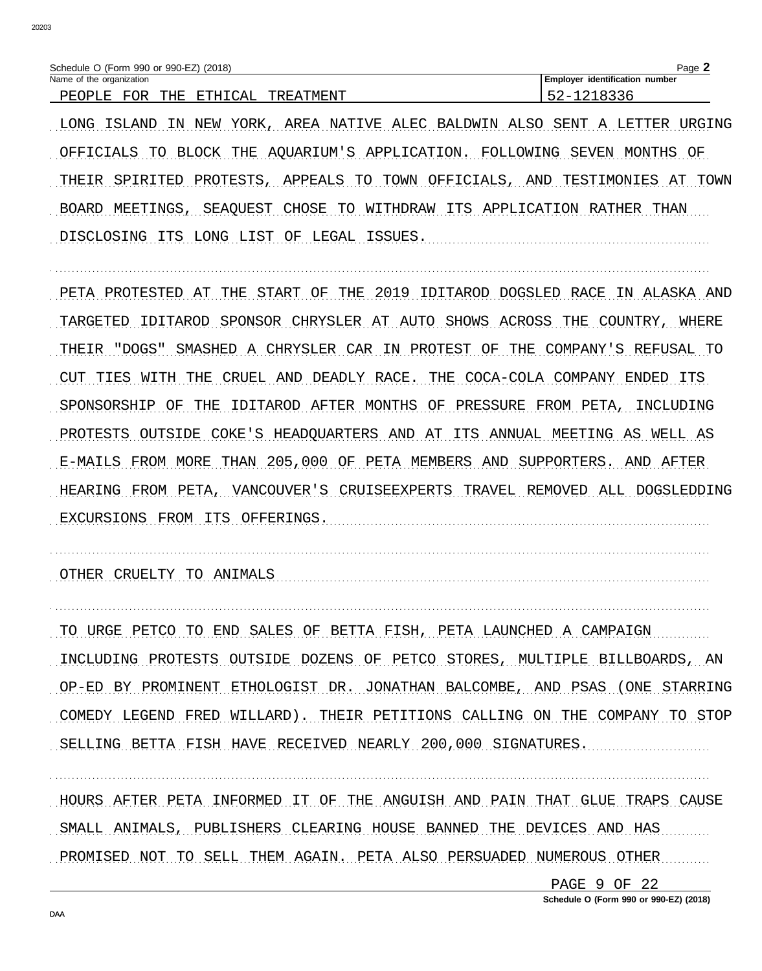| Schedule O (Form 990 or 990-EZ) (2018)                            | Page                                 |
|-------------------------------------------------------------------|--------------------------------------|
| Name of the organization                                          | identification<br>number<br>Employer |
| ∩∆1<br>ਸ∩ਸ<br>ᇚᇚᇅ<br>ת וס∩תם DE<br>THE.<br>™האידי µ<br>ᇚ<br>. RTM |                                      |

LONG ISLAND IN NEW YORK, AREA NATIVE ALEC BALDWIN ALSO SENT A LETTER URGING OFFICIALS TO BLOCK THE AOUARIUM'S APPLICATION. FOLLOWING SEVEN MONTHS OF THEIR SPIRITED PROTESTS, APPEALS TO TOWN OFFICIALS, AND TESTIMONIES AT TOWN BOARD MEETINGS, SEAQUEST CHOSE TO WITHDRAW ITS APPLICATION RATHER THAN DISCLOSING ITS LONG LIST OF LEGAL ISSUES.

PETA PROTESTED AT THE START OF THE 2019 IDITAROD DOGSLED RACE IN ALASKA AND TARGETED IDITAROD SPONSOR CHRYSLER AT AUTO SHOWS ACROSS THE COUNTRY, WHERE THEIR "DOGS" SMASHED A CHRYSLER CAR IN PROTEST OF THE COMPANY'S REFUSAL TO CUT TIES WITH THE CRUEL AND DEADLY RACE. THE COCA-COLA COMPANY ENDED ITS SPONSORSHIP OF THE IDITAROD AFTER MONTHS OF PRESSURE FROM PETA, INCLUDING PROTESTS OUTSIDE COKE'S HEADQUARTERS AND AT ITS ANNUAL MEETING AS WELL AS E-MAILS FROM MORE THAN 205,000 OF PETA MEMBERS AND SUPPORTERS. AND AFTER HEARING FROM PETA, VANCOUVER'S CRUISEEXPERTS TRAVEL REMOVED ALL DOGSLEDDING EXCURSIONS FROM ITS OFFERINGS.

OTHER CRUELTY TO ANIMALS CONSERVERSION CONTRACT AND ANIMALS

TO URGE PETCO TO END SALES OF BETTA FISH, PETA LAUNCHED A CAMPAIGN INCLUDING PROTESTS OUTSIDE DOZENS OF PETCO STORES, MULTIPLE BILLBOARDS, AN OP-ED BY PROMINENT ETHOLOGIST DR. JONATHAN BALCOMBE, AND PSAS (ONE STARRING COMEDY LEGEND FRED WILLARD). THEIR PETITIONS CALLING ON THE COMPANY TO STOP SELLING BETTA FISH HAVE RECEIVED NEARLY 200,000 SIGNATURES.

HOURS AFTER PETA INFORMED IT OF THE ANGUISH AND PAIN THAT GLUE TRAPS CAUSE SMALL ANIMALS, PUBLISHERS CLEARING HOUSE BANNED THE DEVICES AND HAS PROMISED NOT TO SELL THEM AGAIN. PETA ALSO PERSUADED NUMEROUS OTHER

> PAGE 9 OF 22 Schedule O (Form 990 or 990-EZ) (2018)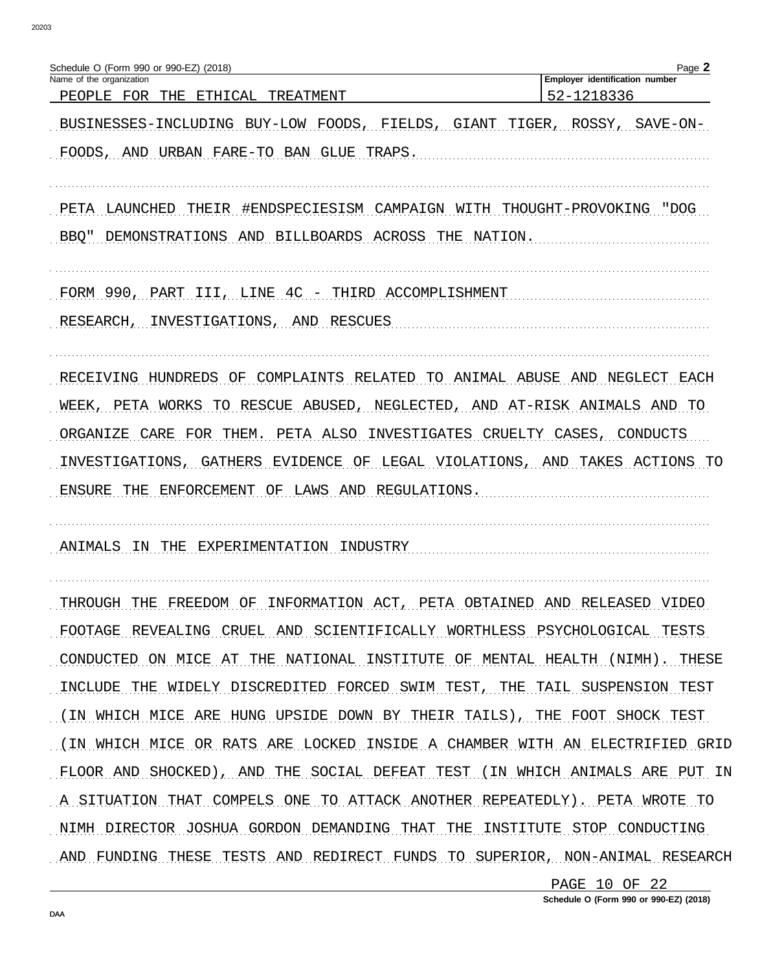| Schedule O (Form 990 or 990-EZ) (2018)<br>Name of the organization           | Page 2<br>Employer identification number  |
|------------------------------------------------------------------------------|-------------------------------------------|
| PEOPLE FOR<br>THE<br>ETHICAL<br>TREATMENT                                    | 52-1218336                                |
| BUSINESSES-INCLUDING BUY-LOW FOODS, FIELDS,                                  | GIANT TIGER, ROSSY,<br>SAVE-ON-           |
| FOODS,<br>AND URBAN FARE-TO BAN GLUE<br>TRAPS.                               |                                           |
| PETA LAUNCHED THEIR #ENDSPECIESISM CAMPAIGN WITH THOUGHT-PROVOKING "DOG      |                                           |
| BBO" DEMONSTRATIONS AND BILLBOARDS ACROSS THE NATION.                        |                                           |
| FORM 990, PART III, LINE 4C - THIRD ACCOMPLISHMENT                           |                                           |
| INVESTIGATIONS, AND<br>RESEARCH,<br>RESCUES                                  |                                           |
| OF COMPLAINTS RELATED TO ANIMAL ABUSE AND NEGLECT EACH<br>RECEIVING HUNDREDS |                                           |
| TO RESCUE ABUSED, NEGLECTED, AND AT-RISK ANIMALS AND TO<br>WEEK, PETA WORKS  |                                           |
| ORGANIZE CARE<br>FOR<br>PETA ALSO INVESTIGATES CRUELTY<br>THEM.              | CASES, CONDUCTS                           |
| INVESTIGATIONS, GATHERS<br>EVIDENCE                                          | OF LEGAL VIOLATIONS, AND TAKES ACTIONS TO |
| ENSURE THE ENFORCEMENT OF LAWS AND REGULATIONS.                              |                                           |
| ANIMALS<br>EXPERIMENTATION<br>TN.<br>THE<br>INDUSTRY                         |                                           |
| THROUGH THE FREEDOM OF INFORMATION ACT, PETA OBTAINED AND RELEASED VIDEO     |                                           |
| FOOTAGE REVEALING CRUEL AND SCIENTIFICALLY WORTHLESS PSYCHOLOGICAL TESTS     |                                           |
| CONDUCTED ON MICE AT THE NATIONAL INSTITUTE OF MENTAL HEALTH (NIMH). THESE   |                                           |
| INCLUDE THE WIDELY DISCREDITED FORCED SWIM TEST, THE TAIL SUSPENSION TEST    |                                           |
| (IN WHICH MICE ARE HUNG UPSIDE DOWN BY THEIR TAILS), THE FOOT SHOCK TEST     |                                           |
| (IN WHICH MICE OR RATS ARE LOCKED INSIDE A CHAMBER WITH AN ELECTRIFIED GRID  |                                           |
| FLOOR AND SHOCKED), AND THE SOCIAL DEFEAT TEST (IN WHICH ANIMALS ARE PUT IN  |                                           |
| A SITUATION THAT COMPELS ONE TO ATTACK ANOTHER REPEATEDLY). PETA WROTE TO    |                                           |
| NIMH DIRECTOR JOSHUA GORDON DEMANDING THAT THE INSTITUTE STOP CONDUCTING     |                                           |
| AND FUNDING THESE TESTS AND REDIRECT FUNDS TO SUPERIOR, NON-ANIMAL RESEARCH  |                                           |
|                                                                              | PAGE 10 OF 22                             |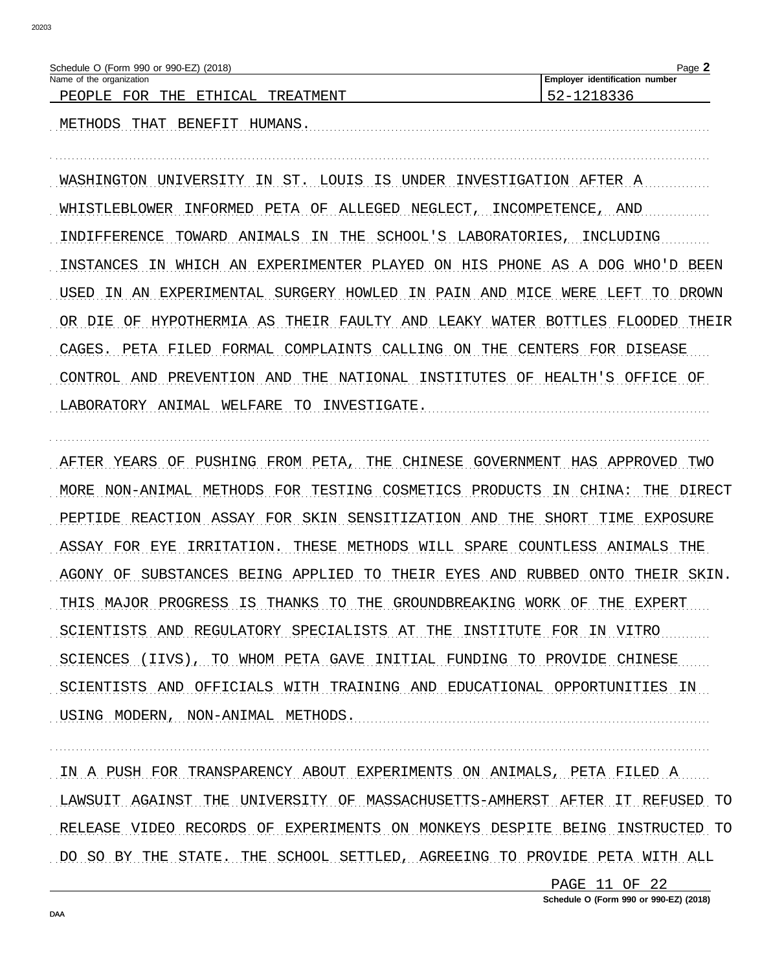| Schedule O (Form 990 or 990-EZ) (2018) |           | $Page \geq$                    |
|----------------------------------------|-----------|--------------------------------|
| Name of the organization               |           | Employer identification number |
| FOR<br>CAL<br>PEOPLE<br>THE<br>ETH T   | TREATMENT |                                |

METHODS THAT BENEFIT HUMANS.

WASHINGTON UNIVERSITY IN ST. LOUIS IS UNDER INVESTIGATION AFTER A WHISTLEBLOWER INFORMED PETA OF ALLEGED NEGLECT, INCOMPETENCE, AND INDIFFERENCE TOWARD ANIMALS IN THE SCHOOL'S LABORATORIES, INCLUDING INSTANCES IN WHICH AN EXPERIMENTER PLAYED ON HIS PHONE AS A DOG WHO'D BEEN USED IN AN EXPERIMENTAL SURGERY HOWLED IN PAIN AND MICE WERE LEFT TO DROWN OR DIE OF HYPOTHERMIA AS THEIR FAULTY AND LEAKY WATER BOTTLES FLOODED THEIR CAGES. PETA FILED FORMAL COMPLAINTS CALLING ON THE CENTERS FOR DISEASE CONTROL AND PREVENTION AND THE NATIONAL INSTITUTES OF HEALTH'S OFFICE OF LABORATORY ANIMAL WELFARE TO INVESTIGATE.

AFTER YEARS OF PUSHING FROM PETA, THE CHINESE GOVERNMENT HAS APPROVED TWO MORE NON-ANIMAL METHODS FOR TESTING COSMETICS PRODUCTS IN CHINA: THE DIRECT PEPTIDE REACTION ASSAY FOR SKIN SENSITIZATION AND THE SHORT TIME EXPOSURE ASSAY FOR EYE IRRITATION. THESE METHODS WILL SPARE COUNTLESS ANIMALS THE AGONY OF SUBSTANCES BEING APPLIED TO THEIR EYES AND RUBBED ONTO THEIR SKIN. THIS MAJOR PROGRESS IS THANKS TO THE GROUNDBREAKING WORK OF THE EXPERT SCIENTISTS AND REGULATORY SPECIALISTS AT THE INSTITUTE FOR IN VITRO SCIENCES (IIVS), TO WHOM PETA GAVE INITIAL FUNDING TO PROVIDE CHINESE SCIENTISTS AND OFFICIALS WITH TRAINING AND EDUCATIONAL OPPORTUNITIES IN USING MODERN, NON-ANIMAL METHODS.

IN A PUSH FOR TRANSPARENCY ABOUT EXPERIMENTS ON ANIMALS, PETA FILED A LAWSUIT AGAINST THE UNIVERSITY OF MASSACHUSETTS-AMHERST AFTER IT REFUSED TO RELEASE VIDEO RECORDS OF EXPERIMENTS ON MONKEYS DESPITE BEING INSTRUCTED TO DO SO BY THE STATE. THE SCHOOL SETTLED, AGREEING TO PROVIDE PETA WITH ALL

> PAGE 11 OF 22 Schedule O (Form 990 or 990-EZ) (2018)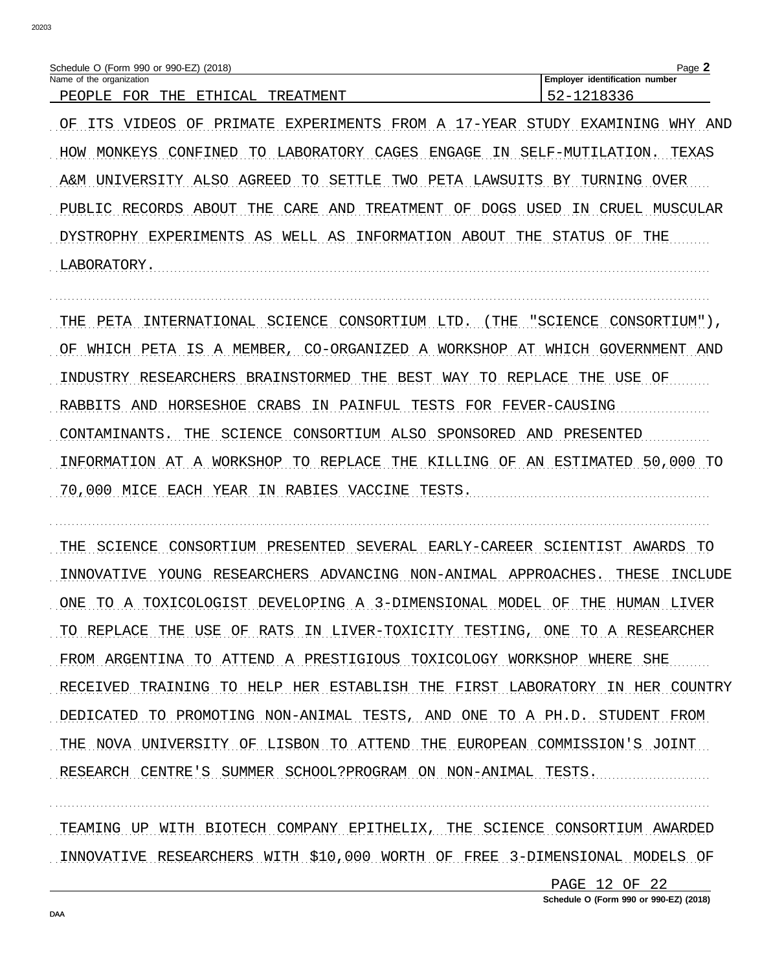| Schedule O (Form 990 or 990-EZ) (2018)               | Page                              |
|------------------------------------------------------|-----------------------------------|
| Name of the organization                             | identification number<br>Employer |
| ロワロ<br>∩∆1<br>군무단<br>ᅲᄓᅜ<br>TMFNT<br>ת זס חם<br>TRF. | $\overline{\phantom{0}}$          |

OF ITS VIDEOS OF PRIMATE EXPERIMENTS FROM A 17-YEAR STUDY EXAMINING WHY AND HOW MONKEYS CONFINED TO LABORATORY CAGES ENGAGE IN SELF-MUTILATION. TEXAS A&M UNIVERSITY ALSO AGREED TO SETTLE TWO PETA LAWSUITS BY TURNING OVER PUBLIC RECORDS ABOUT THE CARE AND TREATMENT OF DOGS USED IN CRUEL MUSCULAR DYSTROPHY EXPERIMENTS AS WELL AS INFORMATION ABOUT THE STATUS OF THE LABORATORY.

THE PETA INTERNATIONAL SCIENCE CONSORTIUM LTD. (THE "SCIENCE CONSORTIUM"), OF WHICH PETA IS A MEMBER, CO-ORGANIZED A WORKSHOP AT WHICH GOVERNMENT AND INDUSTRY RESEARCHERS BRAINSTORMED THE BEST WAY TO REPLACE THE USE OF RABBITS AND HORSESHOE CRABS IN PAINFUL TESTS FOR FEVER-CAUSING CONTAMINANTS. THE SCIENCE CONSORTIUM ALSO SPONSORED AND PRESENTED INFORMATION AT A WORKSHOP TO REPLACE THE KILLING OF AN ESTIMATED 50,000 TO 70,000 MICE EACH YEAR IN RABIES VACCINE TESTS.

THE SCIENCE CONSORTIUM PRESENTED SEVERAL EARLY-CAREER SCIENTIST AWARDS TO INNOVATIVE YOUNG RESEARCHERS ADVANCING NON-ANIMAL APPROACHES. THESE INCLUDE ONE TO A TOXICOLOGIST DEVELOPING A 3-DIMENSIONAL MODEL OF THE HUMAN LIVER TO REPLACE THE USE OF RATS IN LIVER-TOXICITY TESTING, ONE TO A RESEARCHER FROM ARGENTINA TO ATTEND A PRESTIGIOUS TOXICOLOGY WORKSHOP WHERE SHE RECEIVED TRAINING TO HELP HER ESTABLISH THE FIRST LABORATORY IN HER COUNTRY DEDICATED TO PROMOTING NON-ANIMAL TESTS, AND ONE TO A PH.D. STUDENT FROM THE NOVA UNIVERSITY OF LISBON TO ATTEND THE EUROPEAN COMMISSION'S JOINT RESEARCH CENTRE'S SUMMER SCHOOL?PROGRAM ON NON-ANIMAL TESTS.

TEAMING UP WITH BIOTECH COMPANY EPITHELIX, THE SCIENCE CONSORTIUM AWARDED INNOVATIVE RESEARCHERS WITH \$10,000 WORTH OF FREE 3-DIMENSIONAL MODELS OF

> PAGE 12 OF 22 Schedule O (Form 990 or 990-EZ) (2018)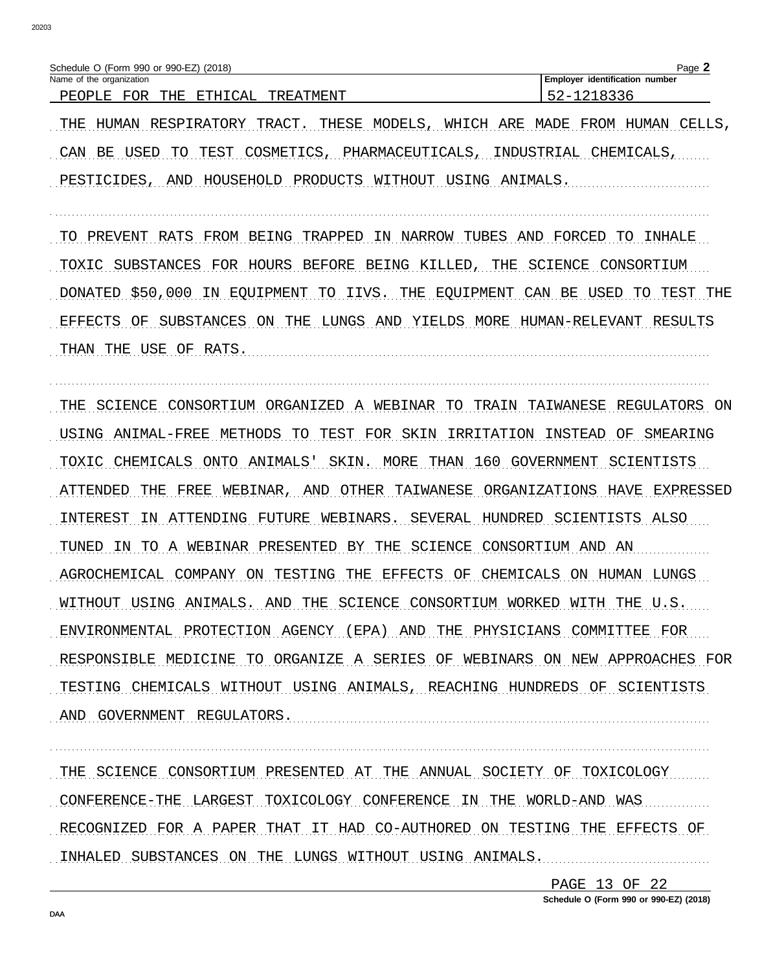| Schedule O (Form 990 or 990-EZ) (2018)                                     | Page.                          |
|----------------------------------------------------------------------------|--------------------------------|
| Name of the organization                                                   | Employer identification number |
| <b>GTUTOAT</b><br>ס∩ים<br>⊤ת∩יםת<br>TUG<br>- 17<br>חיו אים ואירי אים כוידי | . . <i>. .</i> .               |

THE HUMAN RESPIRATORY TRACT. THESE MODELS, WHICH ARE MADE FROM HUMAN CELLS, CAN BE USED TO TEST COSMETICS, PHARMACEUTICALS, INDUSTRIAL CHEMICALS, PESTICIDES, AND HOUSEHOLD PRODUCTS WITHOUT USING ANIMALS.

TO PREVENT RATS FROM BEING TRAPPED IN NARROW TUBES AND FORCED TO INHALE TOXIC SUBSTANCES FOR HOURS BEFORE BEING KILLED, THE SCIENCE CONSORTIUM DONATED \$50,000 IN EQUIPMENT TO IIVS. THE EQUIPMENT CAN BE USED TO TEST THE EFFECTS OF SUBSTANCES ON THE LUNGS AND YIELDS MORE HUMAN-RELEVANT RESULTS THAN THE USE OF RATS.

THE SCIENCE CONSORTIUM ORGANIZED A WEBINAR TO TRAIN TAIWANESE REGULATORS ON USING ANIMAL-FREE METHODS TO TEST FOR SKIN IRRITATION INSTEAD OF SMEARING TOXIC CHEMICALS ONTO ANIMALS' SKIN. MORE THAN 160 GOVERNMENT SCIENTISTS ATTENDED THE FREE WEBINAR, AND OTHER TAIWANESE ORGANIZATIONS HAVE EXPRESSED INTEREST IN ATTENDING FUTURE WEBINARS. SEVERAL HUNDRED SCIENTISTS ALSO TUNED IN TO A WEBINAR PRESENTED BY THE SCIENCE CONSORTIUM AND AN AGROCHEMICAL COMPANY ON TESTING THE EFFECTS OF CHEMICALS ON HUMAN LUNGS WITHOUT USING ANIMALS. AND THE SCIENCE CONSORTIUM WORKED WITH THE U.S. ENVIRONMENTAL PROTECTION AGENCY (EPA) AND THE PHYSICIANS COMMITTEE FOR RESPONSIBLE MEDICINE TO ORGANIZE A SERIES OF WEBINARS ON NEW APPROACHES FOR TESTING CHEMICALS WITHOUT USING ANIMALS, REACHING HUNDREDS OF SCIENTISTS AND GOVERNMENT REGULATORS.

THE SCIENCE CONSORTIUM PRESENTED AT THE ANNUAL SOCIETY OF TOXICOLOGY CONFERENCE-THE LARGEST TOXICOLOGY CONFERENCE IN THE WORLD-AND WAS RECOGNIZED FOR A PAPER THAT IT HAD CO-AUTHORED ON TESTING THE EFFECTS OF INHALED SUBSTANCES ON THE LUNGS WITHOUT USING ANIMALS.

PAGE 13 OF 22

Schedule O (Form 990 or 990-EZ) (2018)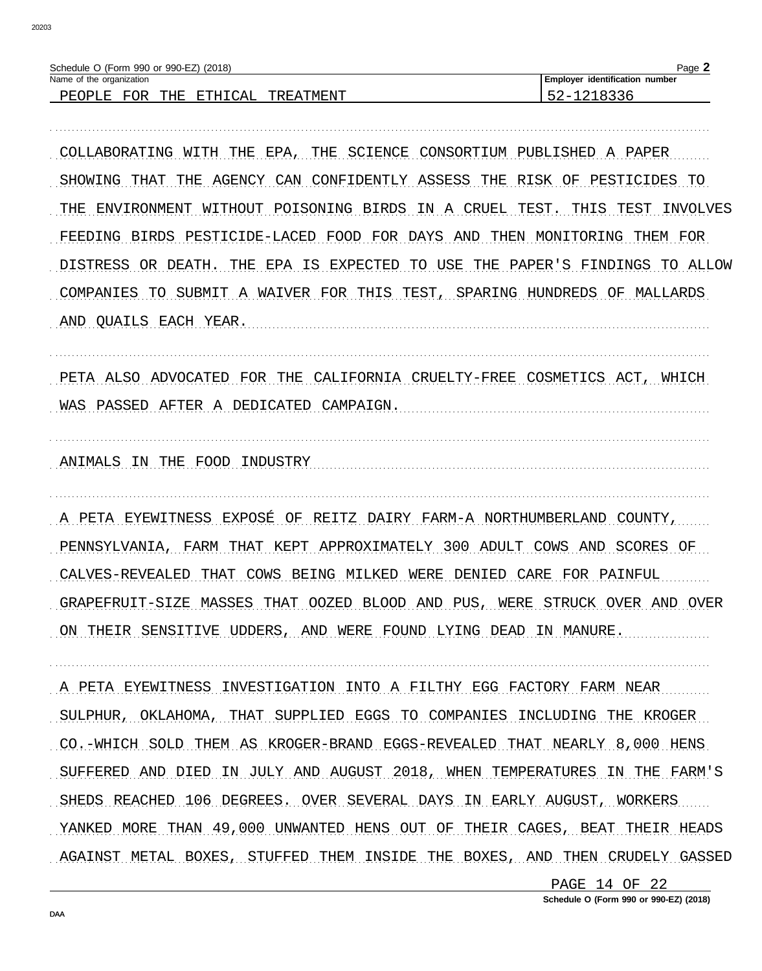| Schedule O (Form 990 or 990-EZ) (2018)                |                 | Page.                                 |
|-------------------------------------------------------|-----------------|---------------------------------------|
| Name of the organization                              |                 | <b>Employer identification number</b> |
| FOR<br>$C$ $\Delta$ 1<br>THF.<br>E.TH<br>PEOPLE.<br>. | TMF.NT<br>TREA' | <u>__</u><br>. <b>.</b>               |

COLLABORATING WITH THE EPA, THE SCIENCE CONSORTIUM PUBLISHED A PAPER SHOWING THAT THE AGENCY CAN CONFIDENTLY ASSESS THE RISK OF PESTICIDES TO THE ENVIRONMENT WITHOUT POISONING BIRDS IN A CRUEL TEST. THIS TEST INVOLVES FEEDING BIRDS PESTICIDE-LACED FOOD FOR DAYS AND THEN MONITORING THEM FOR DISTRESS OR DEATH. THE EPA IS EXPECTED TO USE THE PAPER'S FINDINGS TO ALLOW COMPANIES TO SUBMIT A WAIVER FOR THIS TEST, SPARING HUNDREDS OF MALLARDS AND QUAILS EACH YEAR.

PETA ALSO ADVOCATED FOR THE CALIFORNIA CRUELTY-FREE COSMETICS ACT, WHICH WAS PASSED AFTER A DEDICATED CAMPAIGN.

ANIMALS IN THE FOOD INDUSTRY

A PETA EYEWITNESS EXPOSÉ OF REITZ DAIRY FARM-A NORTHUMBERLAND COUNTY, PENNSYLVANIA, FARM THAT KEPT APPROXIMATELY 300 ADULT COWS AND SCORES OF CALVES-REVEALED THAT COWS BEING MILKED WERE DENIED CARE FOR PAINFUL GRAPEFRUIT-SIZE MASSES THAT OOZED BLOOD AND PUS, WERE STRUCK OVER AND OVER ON THEIR SENSITIVE UDDERS, AND WERE FOUND LYING DEAD IN MANURE.

A PETA EYEWITNESS INVESTIGATION INTO A FILTHY EGG FACTORY FARM NEAR SULPHUR, OKLAHOMA, THAT SUPPLIED EGGS TO COMPANIES INCLUDING THE KROGER CO.-WHICH SOLD THEM AS KROGER-BRAND EGGS-REVEALED THAT NEARLY 8,000 HENS SUFFERED AND DIED IN JULY AND AUGUST 2018, WHEN TEMPERATURES IN THE FARM'S SHEDS REACHED 106 DEGREES. OVER SEVERAL DAYS IN EARLY AUGUST, WORKERS YANKED MORE THAN 49,000 UNWANTED HENS OUT OF THEIR CAGES, BEAT THEIR HEADS AGAINST METAL BOXES, STUFFED THEM INSIDE THE BOXES, AND THEN CRUDELY GASSED

> PAGE 14 OF 22 Schedule O (Form 990 or 990-EZ) (2018)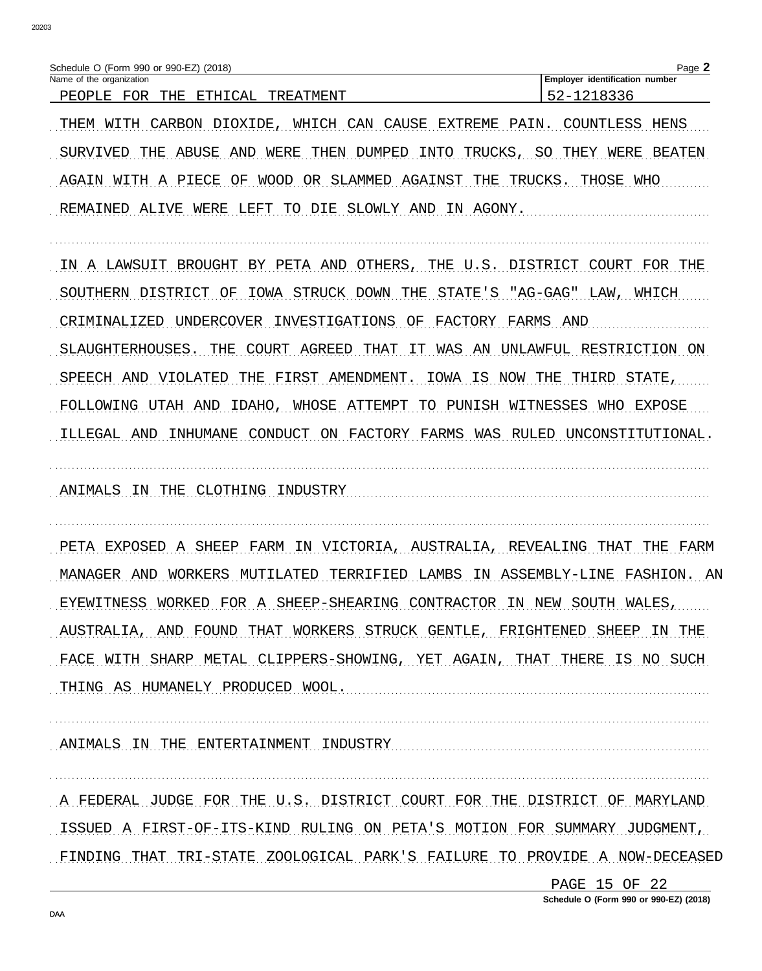| Schedule O (Form 990 or 990-EZ) (2018)<br>Name of the organization            | Page 2<br>Employer identification number |
|-------------------------------------------------------------------------------|------------------------------------------|
| PEOPLE FOR<br>THE<br><b>ETHICAL</b><br>TREATMENT                              | 52-1218336                               |
| WHICH CAN CAUSE<br>PAIN.<br>THEM WITH<br>CARBON<br>DIOXIDE,<br>EXTREME        | COUNTLESS<br>HENS                        |
| ABUSE<br>SURVIVED<br>AND<br>WERE<br>THEN DUMPED<br>INTO<br>TRUCKS, SO<br>THE  | THEY WERE<br>BEATEN                      |
| WOOD OR SLAMMED AGAINST THE<br>AGAIN WITH A PIECE<br>OF                       | THOSE WHO<br>TRUCKS.                     |
| TO DIE SLOWLY AND IN AGONY.<br>REMAINED<br>ALIVE<br>WERE<br>LEFT              |                                          |
| A LAWSUIT<br>BROUGHT<br>BY PETA AND<br>OTHERS, THE U.S. DISTRICT COURT<br>TN. | FOR<br>THE                               |
| SOUTHERN DISTRICT<br>STRUCK DOWN<br>THE<br>STATE'S<br>ΟF<br>IOWA              | "AG-GAG"<br>LAW,<br>WHICH                |
| CRIMINALIZED<br>INVESTIGATIONS<br>ΟF<br>FACTORY<br>FARMS<br>UNDERCOVER        | AND                                      |
| SLAUGHTERHOUSES.<br>THE<br>COURT<br>AGREED<br>THAT<br>WAS AN<br>TТ.           | UNLAWFUL RESTRICTION<br>ON.              |
| SPEECH AND<br>VIOLATED<br>FIRST<br>AMENDMENT.<br>IS<br>NOW<br>THE<br>IOWA     | STATE,<br>THE<br>THIRD                   |
| FOLLOWING UTAH AND<br>IDAHO,<br>WHOSE ATTEMPT<br>PUNISH<br>TO                 | WITNESSES<br>WHO<br>EXPOSE               |
| FACTORY FARMS WAS<br>ILLEGAL AND<br>INHUMANE<br>CONDUCT ON                    | RULED UNCONSTITUTIONAL.                  |
| ANIMALS IN THE CLOTHING<br>INDUSTRY                                           |                                          |
| PETA EXPOSED<br>A SHEEP<br>FARM IN<br>VICTORIA.<br>AUSTRALIA,                 | FARM<br>REVEALING<br>THAT<br>THE         |
| MANAGER AND<br>WORKERS<br>MUTILATED<br>TERRIFIED<br>LAMBS                     | IN ASSEMBLY-LINE<br>FASHION.<br>AN       |
| EYEWITNESS WORKED FOR A SHEEP-SHEARING CONTRACTOR IN NEW SOUTH WALES,         |                                          |
| AUSTRALIA, AND FOUND THAT WORKERS STRUCK GENTLE, FRIGHTENED SHEEP IN THE      |                                          |
| FACE WITH SHARP METAL CLIPPERS-SHOWING, YET AGAIN, THAT THERE IS NO SUCH      |                                          |
| THING AS HUMANELY PRODUCED WOOL.                                              |                                          |
| ANIMALS IN THE ENTERTAINMENT INDUSTRY                                         |                                          |
| A FEDERAL JUDGE FOR THE U.S. DISTRICT COURT FOR THE DISTRICT OF MARYLAND      |                                          |
| ISSUED A FIRST-OF-ITS-KIND RULING ON PETA'S MOTION FOR SUMMARY JUDGMENT,      |                                          |
| FINDING THAT TRI-STATE ZOOLOGICAL PARK'S FAILURE TO PROVIDE A NOW-DECEASED    |                                          |
|                                                                               | PAGE 15 OF 22                            |

Schedule O (Form 990 or 990-EZ) (2018)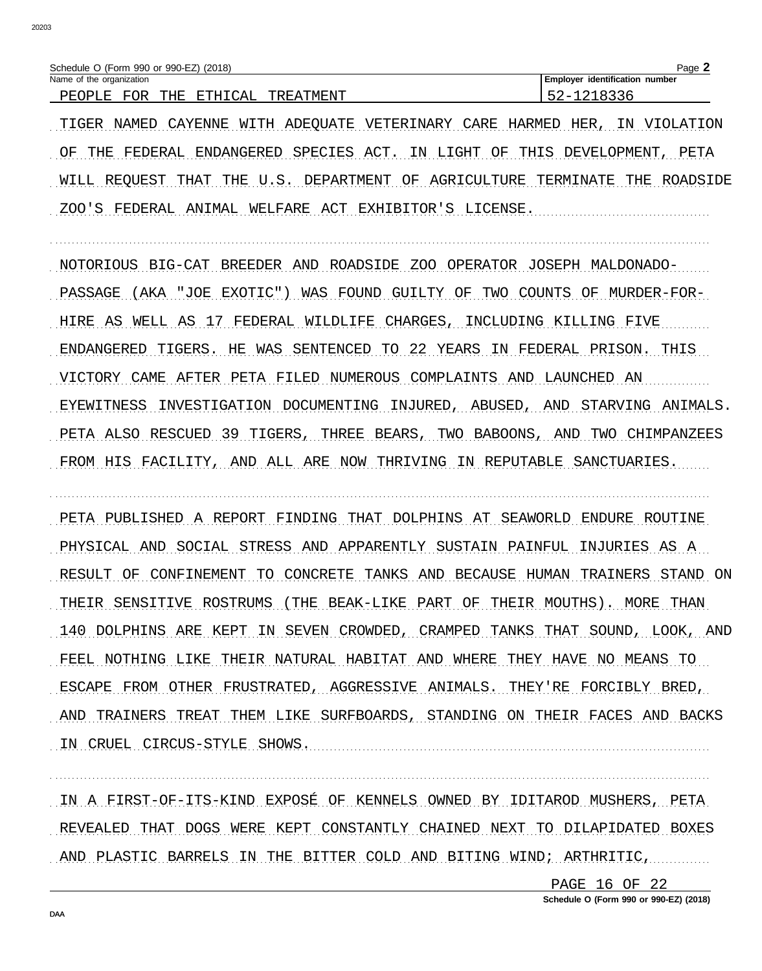| Schedule O (Form 990 or 990-EZ) (2018)                                                            | ⊾מבי<br>auc                       |
|---------------------------------------------------------------------------------------------------|-----------------------------------|
| Name of the organization                                                                          | identification number<br>Emplover |
| $\bigcap$ $\bigcap$ $\bigcap$<br>ם∩ים<br>7 טיחים<br>ㅠㅁㅠ<br>ים זחרשת<br>דיז אים ועדים א<br>. תסידי | . . <i>. .</i> .                  |

TIGER NAMED CAYENNE WITH ADEOUATE VETERINARY CARE HARMED HER, IN VIOLATION OF THE FEDERAL ENDANGERED SPECIES ACT. IN LIGHT OF THIS DEVELOPMENT, PETA WILL REQUEST THAT THE U.S. DEPARTMENT OF AGRICULTURE TERMINATE THE ROADSIDE ZOO'S FEDERAL ANIMAL WELFARE ACT EXHIBITOR'S LICENSE.

NOTORIOUS BIG-CAT BREEDER AND ROADSIDE ZOO OPERATOR JOSEPH MALDONADO-PASSAGE (AKA "JOE EXOTIC") WAS FOUND GUILTY OF TWO COUNTS OF MURDER-FOR-HIRE AS WELL AS 17 FEDERAL WILDLIFE CHARGES, INCLUDING KILLING FIVE ENDANGERED TIGERS. HE WAS SENTENCED TO 22 YEARS IN FEDERAL PRISON. THIS VICTORY CAME AFTER PETA FILED NUMEROUS COMPLAINTS AND LAUNCHED AN EYEWITNESS INVESTIGATION DOCUMENTING INJURED, ABUSED, AND STARVING ANIMALS. PETA ALSO RESCUED 39 TIGERS, THREE BEARS, TWO BABOONS, AND TWO CHIMPANZEES FROM HIS FACILITY, AND ALL ARE NOW THRIVING IN REPUTABLE SANCTUARIES.

PETA PUBLISHED A REPORT FINDING THAT DOLPHINS AT SEAWORLD ENDURE ROUTINE PHYSICAL AND SOCIAL STRESS AND APPARENTLY SUSTAIN PAINFUL INJURIES AS A RESULT OF CONFINEMENT TO CONCRETE TANKS AND BECAUSE HUMAN TRAINERS STAND ON THEIR SENSITIVE ROSTRUMS (THE BEAK-LIKE PART OF THEIR MOUTHS). MORE THAN 140 DOLPHINS ARE KEPT IN SEVEN CROWDED, CRAMPED TANKS THAT SOUND, LOOK, AND FEEL NOTHING LIKE THEIR NATURAL HABITAT AND WHERE THEY HAVE NO MEANS TO ESCAPE FROM OTHER FRUSTRATED, AGGRESSIVE ANIMALS. THEY'RE FORCIBLY BRED, AND TRAINERS TREAT THEM LIKE SURFBOARDS, STANDING ON THEIR FACES AND BACKS IN CRUEL CIRCUS-STYLE SHOWS.

IN A FIRST-OF-ITS-KIND EXPOSÉ OF KENNELS OWNED BY IDITAROD MUSHERS, PETA REVEALED THAT DOGS WERE KEPT CONSTANTLY CHAINED NEXT TO DILAPIDATED BOXES AND PLASTIC BARRELS IN THE BITTER COLD AND BITING WIND; ARTHRITIC,

> PAGE 16 OF 22 Schedule O (Form 990 or 990-EZ) (2018)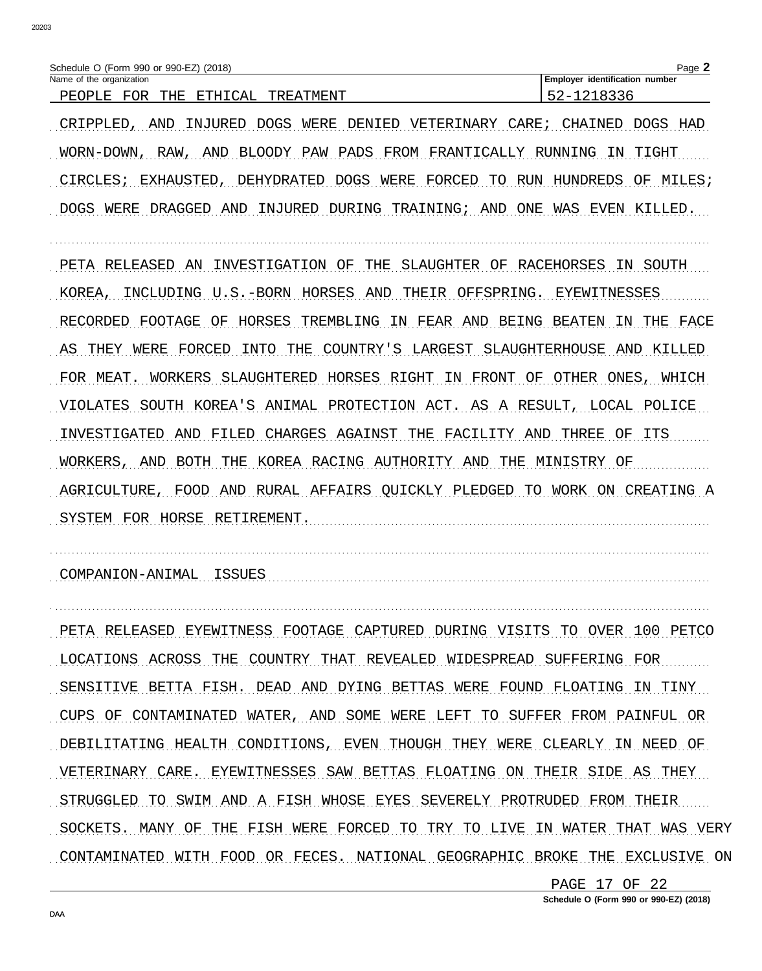| Schedule O (Form 990 or 990-EZ) (2018)   | Page                                                                                           |                                       |
|------------------------------------------|------------------------------------------------------------------------------------------------|---------------------------------------|
| Name of the organization                 |                                                                                                | <b>Employer identification number</b> |
| FOR<br>CAL<br>THE<br>PEOPJ<br>E.TH<br>∵± | $\mathrm{\lambda} \mathrm{T} \mathrm{\lambda} \mathrm{E} \mathrm{\lambda} \mathrm{T}$<br>TREAT |                                       |

CRIPPLED, AND INJURED DOGS WERE DENIED VETERINARY CARE; CHAINED DOGS HAD WORN-DOWN, RAW, AND BLOODY PAW PADS FROM FRANTICALLY RUNNING IN TIGHT CIRCLES; EXHAUSTED, DEHYDRATED DOGS WERE FORCED TO RUN HUNDREDS OF MILES; DOGS WERE DRAGGED AND INJURED DURING TRAINING; AND ONE WAS EVEN KILLED.

PETA RELEASED AN INVESTIGATION OF THE SLAUGHTER OF RACEHORSES IN SOUTH KOREA, INCLUDING U.S.-BORN HORSES AND THEIR OFFSPRING. EYEWITNESSES RECORDED FOOTAGE OF HORSES TREMBLING IN FEAR AND BEING BEATEN IN THE FACE AS THEY WERE FORCED INTO THE COUNTRY'S LARGEST SLAUGHTERHOUSE AND KILLED FOR MEAT. WORKERS SLAUGHTERED HORSES RIGHT IN FRONT OF OTHER ONES, WHICH VIOLATES SOUTH KOREA'S ANIMAL PROTECTION ACT. AS A RESULT, LOCAL POLICE INVESTIGATED AND FILED CHARGES AGAINST THE FACILITY AND THREE OF ITS WORKERS, AND BOTH THE KOREA RACING AUTHORITY AND THE MINISTRY OF AGRICULTURE, FOOD AND RURAL AFFAIRS OUICKLY PLEDGED TO WORK ON CREATING A SYSTEM FOR HORSE RETIREMENT.

COMPANION-ANIMAL ISSUES COMPANIES

PETA RELEASED EYEWITNESS FOOTAGE CAPTURED DURING VISITS TO OVER 100 PETCO LOCATIONS ACROSS THE COUNTRY THAT REVEALED WIDESPREAD SUFFERING FOR SENSITIVE BETTA FISH. DEAD AND DYING BETTAS WERE FOUND FLOATING IN TINY CUPS OF CONTAMINATED WATER, AND SOME WERE LEFT TO SUFFER FROM PAINFUL OR DEBILITATING HEALTH CONDITIONS, EVEN THOUGH THEY WERE CLEARLY IN NEED OF VETERINARY CARE. EYEWITNESSES SAW BETTAS FLOATING ON THEIR SIDE AS THEY STRUGGLED TO SWIM AND A FISH WHOSE EYES SEVERELY PROTRUDED FROM THEIR SOCKETS. MANY OF THE FISH WERE FORCED TO TRY TO LIVE IN WATER THAT WAS VERY CONTAMINATED WITH FOOD OR FECES. NATIONAL GEOGRAPHIC BROKE THE EXCLUSIVE ON

> PAGE 17 OF 22 Schedule O (Form 990 or 990-EZ) (2018)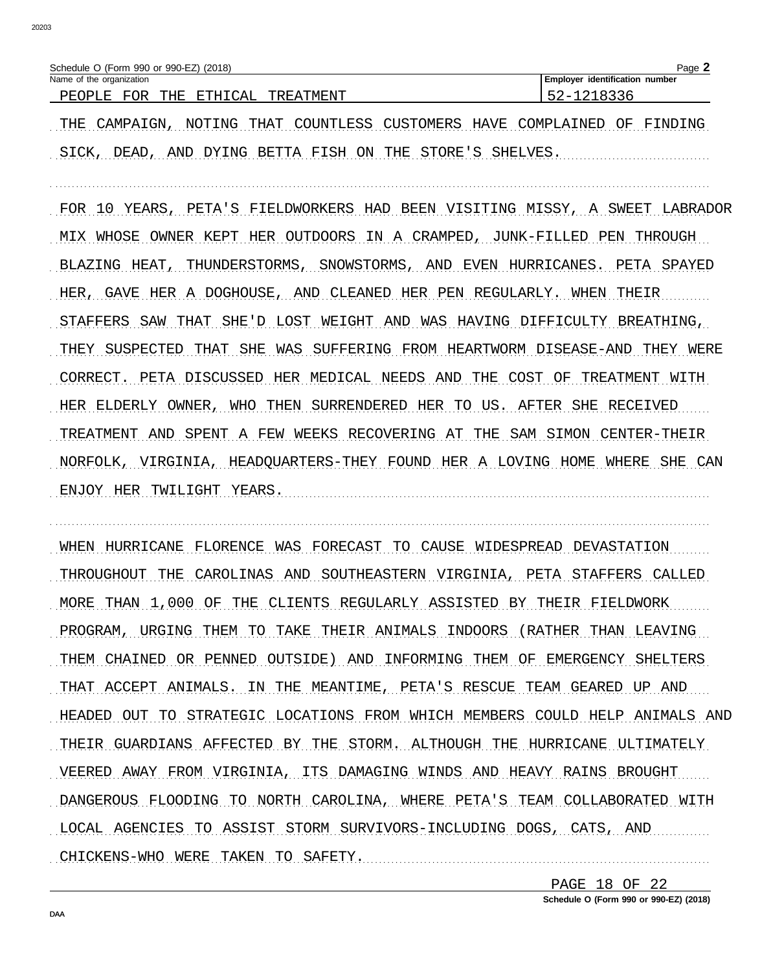| Schedule O (Form 990 or 990-EZ) (2018)                                | Page               |                                   |
|-----------------------------------------------------------------------|--------------------|-----------------------------------|
| Name of the organization                                              |                    | identification number<br>Employer |
| F∩R<br>$\neg$ $\Delta$ $\neg$<br>THE<br>고무다<br>PF.C<br>ושנ<br>LЕ<br>◡ | \'TMF.NT<br>ת סידי |                                   |

THE CAMPAIGN, NOTING THAT COUNTLESS CUSTOMERS HAVE COMPLAINED OF FINDING SICK, DEAD, AND DYING BETTA FISH ON THE STORE'S SHELVES.

FOR 10 YEARS, PETA'S FIELDWORKERS HAD BEEN VISITING MISSY, A SWEET LABRADOR MIX WHOSE OWNER KEPT HER OUTDOORS IN A CRAMPED, JUNK-FILLED PEN THROUGH BLAZING HEAT, THUNDERSTORMS, SNOWSTORMS, AND EVEN HURRICANES. PETA SPAYED HER, GAVE HER A DOGHOUSE, AND CLEANED HER PEN REGULARLY. WHEN THEIR STAFFERS SAW THAT SHE'D LOST WEIGHT AND WAS HAVING DIFFICULTY BREATHING, THEY SUSPECTED THAT SHE WAS SUFFERING FROM HEARTWORM DISEASE-AND THEY WERE CORRECT. PETA DISCUSSED HER MEDICAL NEEDS AND THE COST OF TREATMENT WITH HER ELDERLY OWNER, WHO THEN SURRENDERED HER TO US. AFTER SHE RECEIVED TREATMENT AND SPENT A FEW WEEKS RECOVERING AT THE SAM SIMON CENTER-THEIR NORFOLK, VIRGINIA, HEADQUARTERS-THEY FOUND HER A LOVING HOME WHERE SHE CAN ENJOY HER TWILIGHT YEARS. THE SERIES OF THE SERIES OF THE SERIES OF THE SERIES OF THE SERIES OF THE SERIES OF THE SERIES OF THE SERIES OF THE SERIES OF THE SERIES OF THE SERIES OF THE SERIES OF THE SERIES OF THE SERIES OF

WHEN HURRICANE FLORENCE WAS FORECAST TO CAUSE WIDESPREAD DEVASTATION THROUGHOUT THE CAROLINAS AND SOUTHEASTERN VIRGINIA, PETA STAFFERS CALLED MORE THAN 1,000 OF THE CLIENTS REGULARLY ASSISTED BY THEIR FIELDWORK PROGRAM, URGING THEM TO TAKE THEIR ANIMALS INDOORS (RATHER THAN LEAVING THEM CHAINED OR PENNED OUTSIDE) AND INFORMING THEM OF EMERGENCY SHELTERS THAT ACCEPT ANIMALS. IN THE MEANTIME, PETA'S RESCUE TEAM GEARED UP AND HEADED OUT TO STRATEGIC LOCATIONS FROM WHICH MEMBERS COULD HELP ANIMALS AND THEIR GUARDIANS AFFECTED BY THE STORM. ALTHOUGH THE HURRICANE ULTIMATELY VEERED AWAY FROM VIRGINIA, ITS DAMAGING WINDS AND HEAVY RAINS BROUGHT DANGEROUS FLOODING TO NORTH CAROLINA, WHERE PETA'S TEAM COLLABORATED WITH LOCAL AGENCIES TO ASSIST STORM SURVIVORS-INCLUDING DOGS, CATS, AND CHICKENS-WHO WERE TAKEN TO SAFETY.

> PAGE 18 OF 22 Schedule O (Form 990 or 990-EZ) (2018)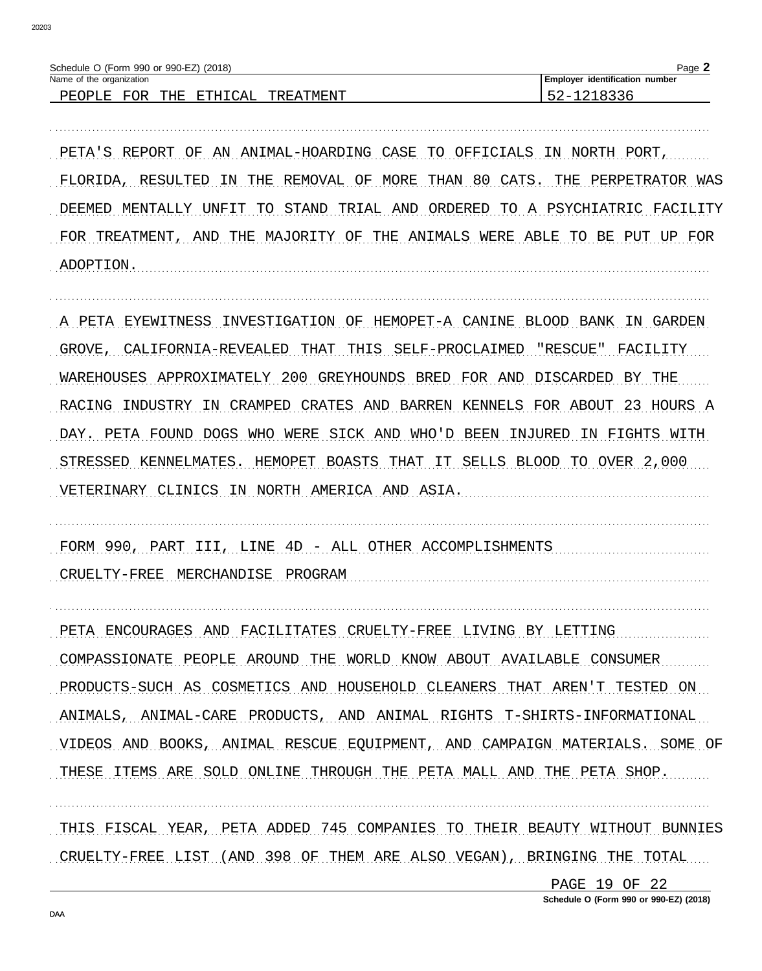| O (Form 990 or 990-EZ) (2018)                                                        | ⊶ה             |
|--------------------------------------------------------------------------------------|----------------|
| Schedule                                                                             | -duc           |
| Name of                                                                              | identification |
| organization                                                                         | number         |
| the                                                                                  | Employer       |
| FOR<br>THE<br>र गगरा<br>DF.(<br>$\Lambda$<br>' I\<br>◡<br>╌<br>∸<br>⊐≞<br>٠.,<br>--- | --             |

PETA'S REPORT OF AN ANIMAL-HOARDING CASE TO OFFICIALS IN NORTH PORT, FLORIDA, RESULTED IN THE REMOVAL OF MORE THAN 80 CATS. THE PERPETRATOR WAS DEEMED MENTALLY UNFIT TO STAND TRIAL AND ORDERED TO A PSYCHIATRIC FACILITY FOR TREATMENT, AND THE MAJORITY OF THE ANIMALS WERE ABLE TO BE PUT UP FOR ADOPTION.

A PETA EYEWITNESS INVESTIGATION OF HEMOPET-A CANINE BLOOD BANK IN GARDEN GROVE, CALIFORNIA-REVEALED THAT THIS SELF-PROCLAIMED "RESCUE" FACILITY WAREHOUSES APPROXIMATELY 200 GREYHOUNDS BRED FOR AND DISCARDED BY THE RACING INDUSTRY IN CRAMPED CRATES AND BARREN KENNELS FOR ABOUT 23 HOURS A DAY. PETA FOUND DOGS WHO WERE SICK AND WHO'D BEEN INJURED IN FIGHTS WITH STRESSED KENNELMATES. HEMOPET BOASTS THAT IT SELLS BLOOD TO OVER 2,000 VETERINARY CLINICS IN NORTH AMERICA AND ASIA.

FORM 990, PART III, LINE 4D - ALL OTHER ACCOMPLISHMENTS CRUELTY-FREE MERCHANDISE PROGRAM

PETA ENCOURAGES AND FACILITATES CRUELTY-FREE LIVING BY LETTING COMPASSIONATE PEOPLE AROUND THE WORLD KNOW ABOUT AVAILABLE CONSUMER PRODUCTS-SUCH AS COSMETICS AND HOUSEHOLD CLEANERS THAT AREN'T TESTED ON ANIMALS, ANIMAL-CARE PRODUCTS, AND ANIMAL RIGHTS T-SHIRTS-INFORMATIONAL VIDEOS AND BOOKS, ANIMAL RESCUE EQUIPMENT, AND CAMPAIGN MATERIALS. SOME OF THESE ITEMS ARE SOLD ONLINE THROUGH THE PETA MALL AND THE PETA SHOP.

THIS FISCAL YEAR, PETA ADDED 745 COMPANIES TO THEIR BEAUTY WITHOUT BUNNIES CRUELTY-FREE LIST (AND 398 OF THEM ARE ALSO VEGAN), BRINGING THE TOTAL

> PAGE 19 OF 22 Schedule O (Form 990 or 990-EZ) (2018)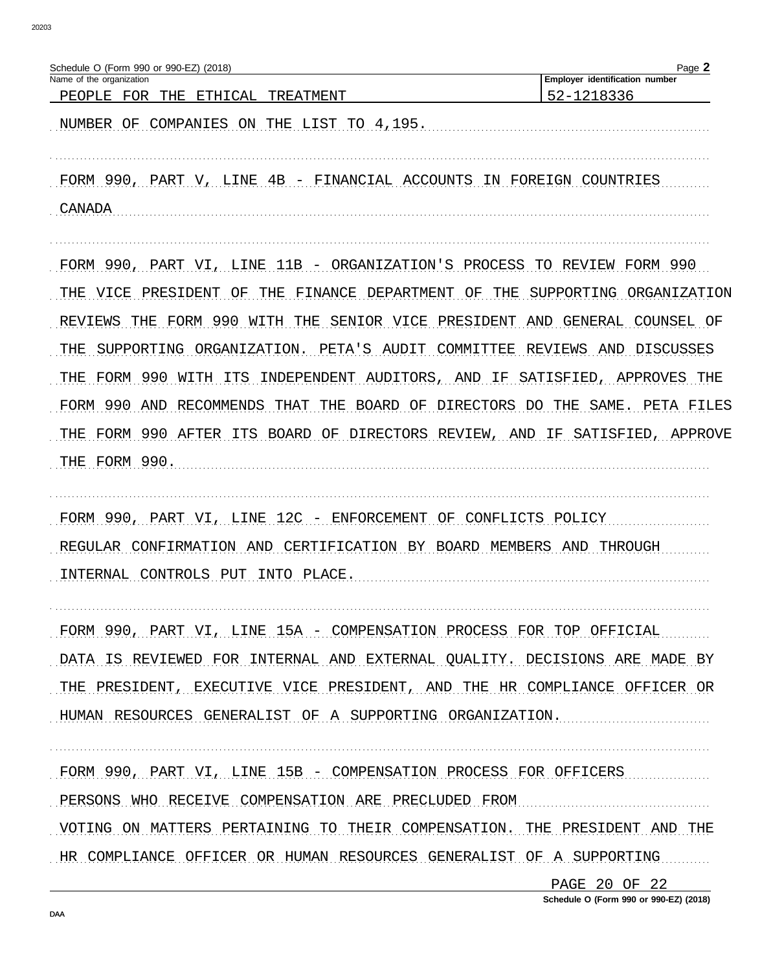| Schedule O (Form 990 or 990-EZ) (2018)<br>Name of the organization            | Page 2<br>Employer identification number |
|-------------------------------------------------------------------------------|------------------------------------------|
| PEOPLE<br>THE<br>TREATMENT<br>FOR<br>ETHICAL                                  | 52-1218336                               |
| COMPANIES ON THE LIST TO 4,195.<br>NUMBER OF                                  |                                          |
| FORM 990, PART V, LINE 4B - FINANCIAL ACCOUNTS IN FOREIGN COUNTRIES<br>CANADA |                                          |
| FORM 990, PART VI, LINE 11B - ORGANIZATION'S PROCESS TO REVIEW FORM 990       |                                          |
| THE VICE<br>PRESIDENT<br>OF<br>THE FINANCE DEPARTMENT                         | ΟF<br>SUPPORTING<br>ORGANIZATION<br>THE  |
| FORM 990<br>WITH THE SENIOR VICE PRESIDENT<br>REVIEWS<br>THE                  | AND GENERAL<br>COUNSEL OF                |
| ORGANIZATION. PETA'S<br>THE<br>SUPPORTING<br>AUDIT                            | DISCUSSES<br>COMMITTEE<br>REVIEWS<br>AND |
| FORM 990<br>WITH<br>ITS<br>INDEPENDENT AUDITORS, AND<br>THE                   | IF<br>SATISFIED,<br>APPROVES THE         |
| FORM 990<br>AND<br>RECOMMENDS<br>THE BOARD OF<br>THAT                         | DIRECTORS DO THE<br>SAME.<br>PETA FILES  |
| FORM 990 AFTER ITS BOARD OF DIRECTORS REVIEW, AND IF SATISFIED,<br>THE        | APPROVE                                  |
| THE FORM 990.                                                                 |                                          |
| FORM 990, PART VI, LINE 12C - ENFORCEMENT OF CONFLICTS POLICY                 |                                          |
| CERTIFICATION BY BOARD MEMBERS AND<br>REGULAR CONFIRMATION<br>AND             | THROUGH                                  |
| INTO PLACE<br>INTERNAL CONTROLS PUT                                           |                                          |
|                                                                               |                                          |
| FORM 990, PART VI, LINE 15A - COMPENSATION PROCESS FOR TOP OFFICIAL           |                                          |
| DATA IS REVIEWED FOR INTERNAL AND EXTERNAL QUALITY. DECISIONS ARE MADE BY     |                                          |
| THE PRESIDENT, EXECUTIVE VICE PRESIDENT, AND THE HR COMPLIANCE OFFICER OR     |                                          |
| HUMAN RESOURCES GENERALIST OF A SUPPORTING ORGANIZATION.                      |                                          |
| FORM 990, PART VI, LINE 15B - COMPENSATION PROCESS FOR OFFICERS               |                                          |
| PERSONS WHO RECEIVE COMPENSATION ARE PRECLUDED FROM                           |                                          |
| VOTING ON MATTERS PERTAINING TO THEIR COMPENSATION. THE PRESIDENT AND THE     |                                          |
| HR COMPLIANCE OFFICER OR HUMAN RESOURCES GENERALIST OF A SUPPORTING           |                                          |
|                                                                               |                                          |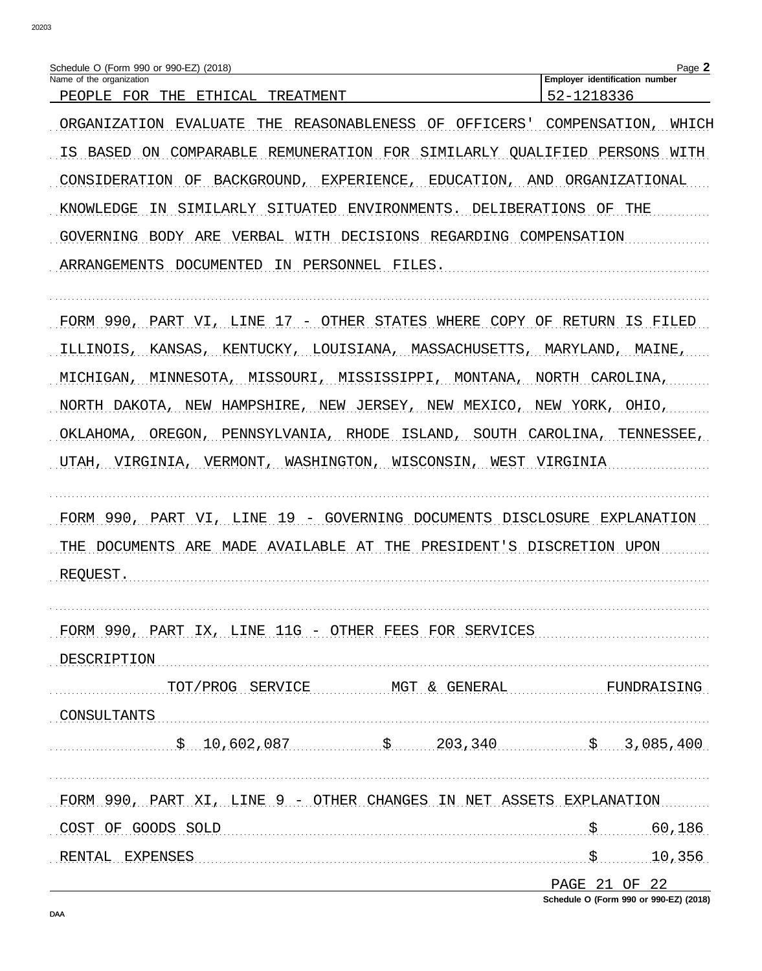| Name of the organization                                                                                                                                                                                 | Page 2<br>Employer identification number |
|----------------------------------------------------------------------------------------------------------------------------------------------------------------------------------------------------------|------------------------------------------|
| THE<br>PEOPLE FOR<br>ETHICAL<br>TREATMENT                                                                                                                                                                | 52-1218336                               |
| ORGANIZATION<br>EVALUATE<br>REASONABLENESS OF<br>OFFICERS'<br>THE                                                                                                                                        | COMPENSATION,<br>WHICH                   |
| COMPARABLE<br>REMUNERATION FOR SIMILARLY QUALIFIED PERSONS<br>IS BASED<br>ON                                                                                                                             | WITH                                     |
| CONSIDERATION<br>BACKGROUND, EXPERIENCE, EDUCATION,<br>ΟF                                                                                                                                                | AND<br>ORGANIZATIONAL                    |
| ENVIRONMENTS.<br>KNOWLEDGE<br>SIMILARLY<br>SITUATED<br>ΙN                                                                                                                                                | DELIBERATIONS<br>THE<br>OF               |
| GOVERNING<br>ARE<br>VERBAL<br>WITH DECISIONS REGARDING COMPENSATION<br>BODY                                                                                                                              |                                          |
| DOCUMENTED<br>PERSONNEL<br>ARRANGEMENTS<br>IN<br>FILES.                                                                                                                                                  |                                          |
|                                                                                                                                                                                                          |                                          |
| FORM 990,<br>17 - OTHER STATES WHERE<br>COPY<br>PART VI,<br>LINE                                                                                                                                         | ОF<br>RETURN<br>IS<br>FILED              |
| ILLINOIS.<br>KANSAS, KENTUCKY, LOUISIANA, MASSACHUSETTS, MARYLAND, MAINE,                                                                                                                                |                                          |
| MISSOURI,<br>MISSISSIPPI,<br>MICHIGAN,<br>MINNESOTA,<br>MONTANA,                                                                                                                                         | NORTH<br>CAROLINA,                       |
| NORTH DAKOTA, NEW HAMPSHIRE, NEW JERSEY, NEW<br>MEXICO,                                                                                                                                                  | NEW YORK, OHIO,                          |
| $\bigcap \Pi \bigcap \bigcap \Lambda$<br>$\bigcap \mathcal{I} \mathcal{I}$ $\uparrow$ $\uparrow$ $\uparrow$ $\bigcap \mathcal{I} \mathcal{I}$<br>$\pi$ TRIATATO 37 T $\pi$ 77 AT T A<br>חזוג זמד התחמזות | <b>EURNAL COLU</b>                       |

OKLAHOMA, OREGON, PENNSYLVANIA, RHODE ISLAND, SOUTH CAROLINA, TENNESSEE, UTAH, VIRGINIA, VERMONT, WASHINGTON, WISCONSIN, WEST VIRGINIA

FORM 990, PART VI, LINE 19 - GOVERNING DOCUMENTS DISCLOSURE EXPLANATION THE DOCUMENTS ARE MADE AVAILABLE AT THE PRESIDENT'S DISCRETION UPON REQUEST.

FORM 990, PART IX, LINE 11G - OTHER FEES FOR SERVICES DESCRIPTION TOT/PROG SERVICE MGT & GENERAL FUNDRAISING

CONSULTANTS  $\frac{10,602,087}{9}$  \$  $\frac{203,340}{9}$  \$ 3,085,400

FORM 990, PART XI, LINE 9 - OTHER CHANGES IN NET ASSETS EXPLANATION COST OF GOODS SOLD CONSTITUTION COST OF 60,186

PAGE 21 OF 22

Schedule O (Form 990 or 990-EZ) (2018)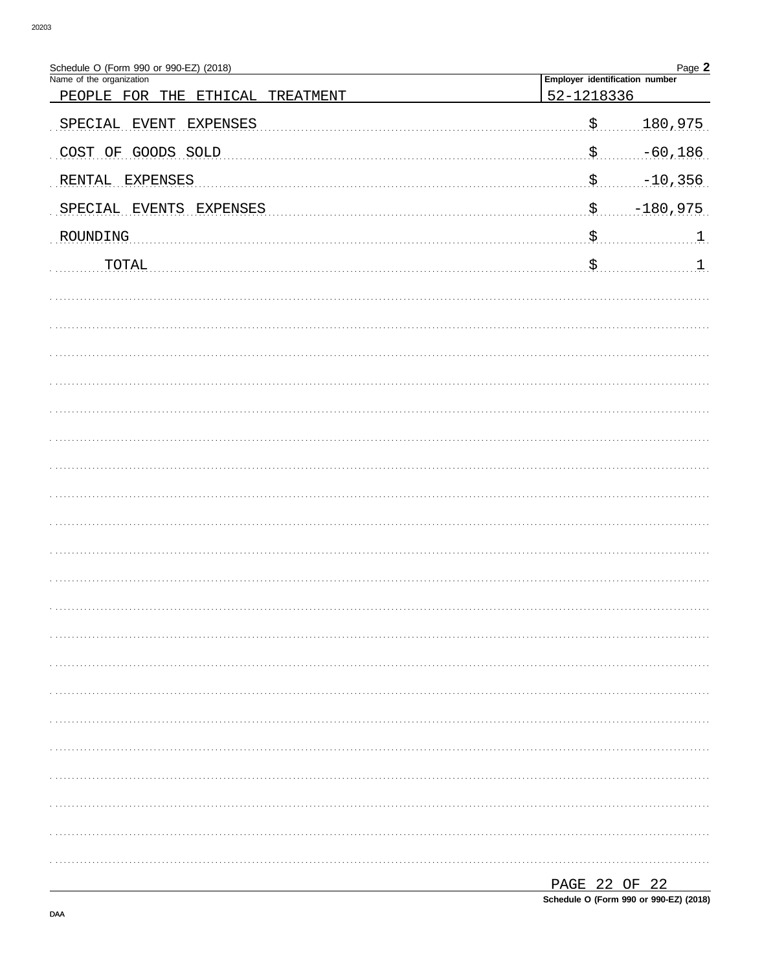| Schedule O (Form 990 or 990-EZ) (2018) |                                | Page 2           |
|----------------------------------------|--------------------------------|------------------|
| Name of the organization               | Employer identification number |                  |
| PEOPLE FOR THE<br>ETHICAL TREATMENT    | 52-1218336                     |                  |
| <b>EXPENSES</b><br>SPECIAL<br>EVENT    | $\mathfrak{S}$                 | 180,975          |
| COST OF GOODS SOLD                     |                                | $-60,186$        |
| RENTAL EXPENSES                        | . \$                           | $-10,356$        |
| SPECIAL EVENTS EXPENSES                |                                | $-180,975$       |
| ROUNDING                               |                                | $\mathbf{1}$     |
| TOTAL                                  | $\mathsf{S}_{\cdots}$          | $\mathfrak{1}$ . |
|                                        |                                |                  |
|                                        |                                |                  |
|                                        |                                |                  |
|                                        |                                |                  |
|                                        |                                |                  |
|                                        |                                |                  |
|                                        |                                |                  |
|                                        |                                |                  |
|                                        |                                |                  |
|                                        |                                |                  |
|                                        |                                |                  |
|                                        |                                |                  |
|                                        |                                |                  |
|                                        |                                |                  |
|                                        |                                |                  |
|                                        |                                |                  |
|                                        |                                |                  |
|                                        |                                |                  |
|                                        |                                |                  |
|                                        |                                |                  |
|                                        |                                |                  |
|                                        |                                |                  |
|                                        | PAGE 22 OF 22                  |                  |

Schedule O (Form 990 or 990-EZ) (2018)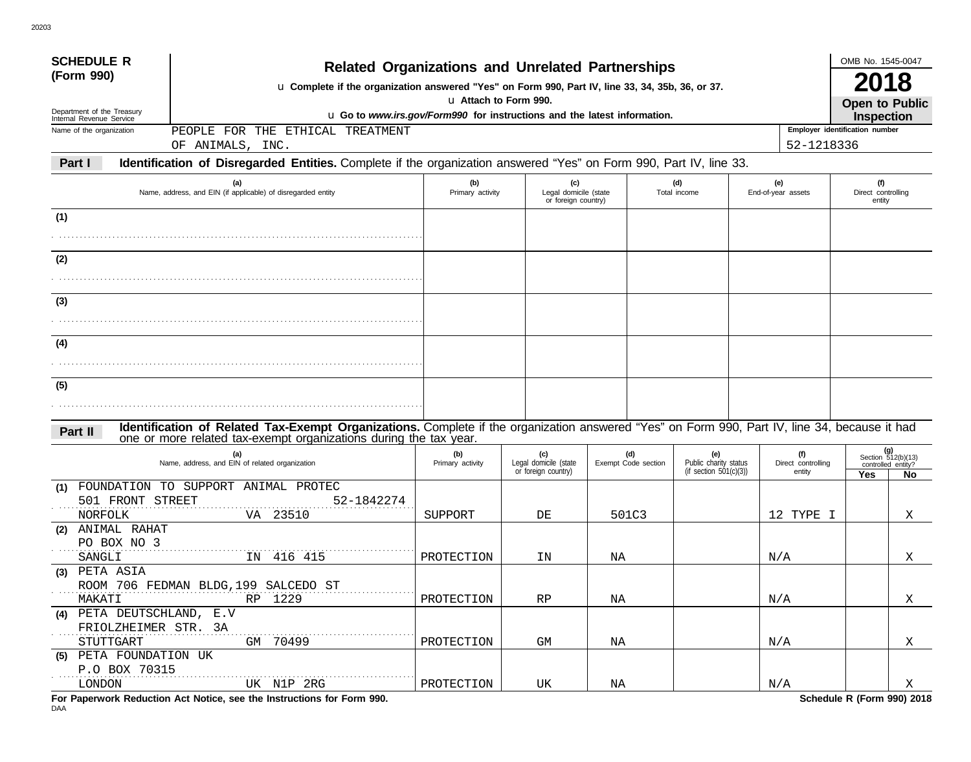| <b>SCHEDULE R</b>                                    |                                                                                                                                                                                                                                                                  |                  |                                              |                     |                                                 |  |                              | OMB No. 1545-0047                                   |                                          |  |
|------------------------------------------------------|------------------------------------------------------------------------------------------------------------------------------------------------------------------------------------------------------------------------------------------------------------------|------------------|----------------------------------------------|---------------------|-------------------------------------------------|--|------------------------------|-----------------------------------------------------|------------------------------------------|--|
| (Form 990)                                           | <b>Related Organizations and Unrelated Partnerships</b><br>u Complete if the organization answered "Yes" on Form 990, Part IV, line 33, 34, 35b, 36, or 37.<br>u Attach to Form 990.<br>u Go to www.irs.gov/Form990 for instructions and the latest information. |                  |                                              |                     |                                                 |  |                              |                                                     |                                          |  |
| Department of the Treasury                           |                                                                                                                                                                                                                                                                  |                  |                                              |                     |                                                 |  |                              |                                                     |                                          |  |
| Internal Revenue Service<br>Name of the organization | PEOPLE<br>FOR THE ETHICAL TREATMENT                                                                                                                                                                                                                              |                  |                                              |                     |                                                 |  |                              | <b>Inspection</b><br>Employer identification number |                                          |  |
|                                                      | OF ANIMALS, INC.                                                                                                                                                                                                                                                 |                  |                                              |                     |                                                 |  | 52-1218336                   |                                                     |                                          |  |
| Part I                                               | Identification of Disregarded Entities. Complete if the organization answered "Yes" on Form 990, Part IV, line 33.                                                                                                                                               |                  |                                              |                     |                                                 |  |                              |                                                     |                                          |  |
|                                                      | (a)                                                                                                                                                                                                                                                              | (b)              | (c)                                          |                     | (d)                                             |  | (e)                          | (f)                                                 |                                          |  |
|                                                      | Name, address, and EIN (if applicable) of disregarded entity                                                                                                                                                                                                     | Primary activity | Legal domicile (state<br>or foreign country) |                     | Total income                                    |  | End-of-year assets           | Direct controlling<br>entity                        |                                          |  |
| (1)                                                  |                                                                                                                                                                                                                                                                  |                  |                                              |                     |                                                 |  |                              |                                                     |                                          |  |
|                                                      |                                                                                                                                                                                                                                                                  |                  |                                              |                     |                                                 |  |                              |                                                     |                                          |  |
|                                                      |                                                                                                                                                                                                                                                                  |                  |                                              |                     |                                                 |  |                              |                                                     |                                          |  |
| (2)                                                  |                                                                                                                                                                                                                                                                  |                  |                                              |                     |                                                 |  |                              |                                                     |                                          |  |
|                                                      |                                                                                                                                                                                                                                                                  |                  |                                              |                     |                                                 |  |                              |                                                     |                                          |  |
| (3)                                                  |                                                                                                                                                                                                                                                                  |                  |                                              |                     |                                                 |  |                              |                                                     |                                          |  |
|                                                      |                                                                                                                                                                                                                                                                  |                  |                                              |                     |                                                 |  |                              |                                                     |                                          |  |
|                                                      |                                                                                                                                                                                                                                                                  |                  |                                              |                     |                                                 |  |                              |                                                     |                                          |  |
| (4)                                                  |                                                                                                                                                                                                                                                                  |                  |                                              |                     |                                                 |  |                              |                                                     |                                          |  |
|                                                      |                                                                                                                                                                                                                                                                  |                  |                                              |                     |                                                 |  |                              |                                                     |                                          |  |
| (5)                                                  |                                                                                                                                                                                                                                                                  |                  |                                              |                     |                                                 |  |                              |                                                     |                                          |  |
|                                                      |                                                                                                                                                                                                                                                                  |                  |                                              |                     |                                                 |  |                              |                                                     |                                          |  |
|                                                      |                                                                                                                                                                                                                                                                  |                  |                                              |                     |                                                 |  |                              |                                                     |                                          |  |
| Part II                                              | Identification of Related Tax-Exempt Organizations. Complete if the organization answered "Yes" on Form 990, Part IV, line 34, because it had<br>one or more related tax-exempt organizations during the tax year.                                               |                  |                                              |                     |                                                 |  |                              |                                                     |                                          |  |
|                                                      | (a)                                                                                                                                                                                                                                                              | (b)              | (c)                                          | (d)                 | (e)                                             |  | (f)                          |                                                     |                                          |  |
|                                                      | Name, address, and EIN of related organization                                                                                                                                                                                                                   | Primary activity | Legal domicile (state<br>or foreign country) | Exempt Code section | Public charity status<br>(if section 501(c)(3)) |  | Direct controlling<br>entity |                                                     | Section 512(b)(13)<br>controlled entity? |  |
| (1)                                                  | FOUNDATION TO SUPPORT ANIMAL PROTEC                                                                                                                                                                                                                              |                  |                                              |                     |                                                 |  |                              | Yes                                                 | No                                       |  |
| 501 FRONT STREET                                     | 52-1842274                                                                                                                                                                                                                                                       |                  |                                              |                     |                                                 |  |                              |                                                     |                                          |  |
| <b>NORFOLK</b>                                       | VA 23510                                                                                                                                                                                                                                                         | SUPPORT          | DE                                           | 501C3               |                                                 |  | 12 TYPE I                    |                                                     | Χ                                        |  |
| ANIMAL RAHAT<br>(2)                                  |                                                                                                                                                                                                                                                                  |                  |                                              |                     |                                                 |  |                              |                                                     |                                          |  |
| PO BOX NO 3<br>SANGLI                                | IN 416 415                                                                                                                                                                                                                                                       | PROTECTION       |                                              |                     |                                                 |  | N/A                          |                                                     |                                          |  |
| (3) PETA ASIA                                        |                                                                                                                                                                                                                                                                  |                  | ΙN                                           | NA                  |                                                 |  |                              |                                                     | Χ                                        |  |
|                                                      | ROOM 706 FEDMAN BLDG, 199 SALCEDO ST                                                                                                                                                                                                                             |                  |                                              |                     |                                                 |  |                              |                                                     |                                          |  |
| MAKATI                                               | RP 1229                                                                                                                                                                                                                                                          | PROTECTION       | RP                                           | NA                  |                                                 |  | $\mathrm{N}/\mathrm{A}$      |                                                     | Χ                                        |  |
| (4) PETA DEUTSCHLAND, E.V                            |                                                                                                                                                                                                                                                                  |                  |                                              |                     |                                                 |  |                              |                                                     |                                          |  |
| FRIOLZHEIMER STR. 3A                                 |                                                                                                                                                                                                                                                                  |                  |                                              |                     |                                                 |  |                              |                                                     |                                          |  |
| STUTTGART                                            | GM 70499                                                                                                                                                                                                                                                         | PROTECTION       | GM                                           | NA                  |                                                 |  | N/A                          |                                                     | X                                        |  |
| (5) PETA FOUNDATION UK<br>P.O BOX 70315              |                                                                                                                                                                                                                                                                  |                  |                                              |                     |                                                 |  |                              |                                                     |                                          |  |
| LONDON                                               | UK N1P 2RG                                                                                                                                                                                                                                                       | PROTECTION       | UK                                           | ΝA                  |                                                 |  | N/A                          |                                                     | X                                        |  |
|                                                      | For Paperwork Reduction Act Notice, see the Instructions for Form 990.                                                                                                                                                                                           |                  |                                              |                     |                                                 |  |                              | Schedule R (Form 990) 2018                          |                                          |  |

DAA

20203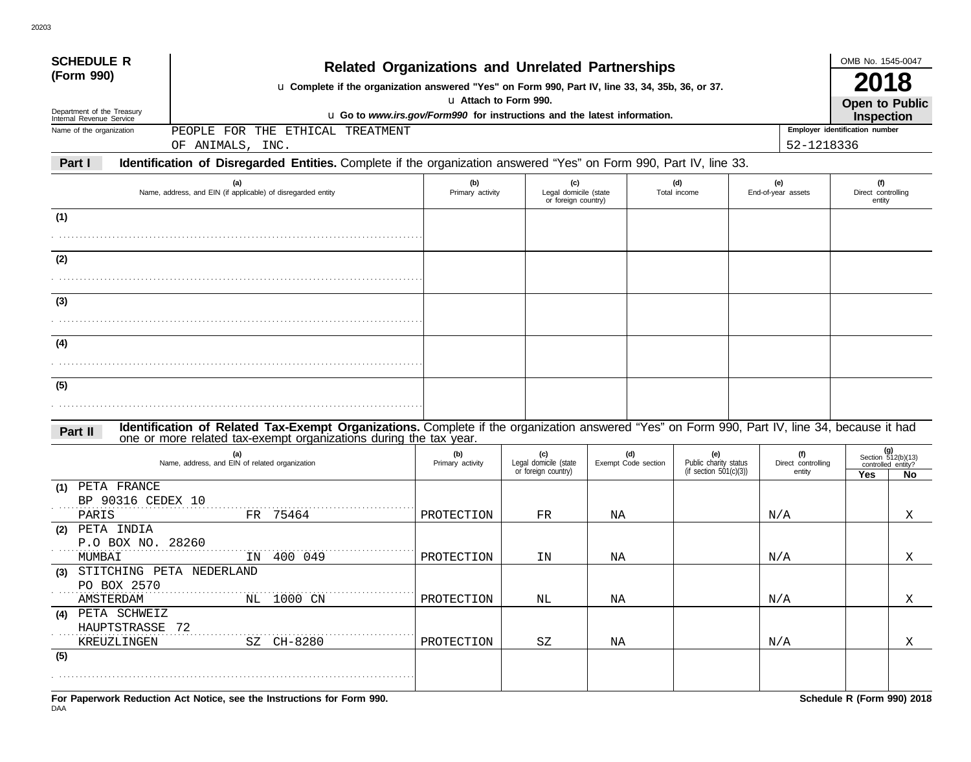| <b>SCHEDULE R</b>                                      |                                                                                                                                                                                                                    |                         |                                                     |    |                     |                                                 |  |                              | OMB No. 1545-0047                                   |                                                |  |
|--------------------------------------------------------|--------------------------------------------------------------------------------------------------------------------------------------------------------------------------------------------------------------------|-------------------------|-----------------------------------------------------|----|---------------------|-------------------------------------------------|--|------------------------------|-----------------------------------------------------|------------------------------------------------|--|
| (Form 990)                                             | <b>Related Organizations and Unrelated Partnerships</b><br>u Complete if the organization answered "Yes" on Form 990, Part IV, line 33, 34, 35b, 36, or 37.                                                        |                         |                                                     |    |                     |                                                 |  |                              |                                                     |                                                |  |
| Department of the Treasury<br>Internal Revenue Service | u Attach to Form 990.<br><b>Open to Public</b><br>u Go to www.irs.gov/Form990 for instructions and the latest information.                                                                                         |                         |                                                     |    |                     |                                                 |  |                              |                                                     |                                                |  |
| Name of the organization                               | FOR THE ETHICAL TREATMENT<br>PEOPLE                                                                                                                                                                                |                         |                                                     |    |                     |                                                 |  |                              | <b>Inspection</b><br>Employer identification number |                                                |  |
|                                                        | OF ANIMALS, INC.                                                                                                                                                                                                   |                         |                                                     |    |                     |                                                 |  | 52-1218336                   |                                                     |                                                |  |
| Part I                                                 | Identification of Disregarded Entities. Complete if the organization answered "Yes" on Form 990, Part IV, line 33.                                                                                                 |                         |                                                     |    |                     |                                                 |  |                              |                                                     |                                                |  |
|                                                        | (a)<br>Name, address, and EIN (if applicable) of disregarded entity                                                                                                                                                | (b)<br>Primary activity | (c)<br>Legal domicile (state<br>or foreign country) |    |                     | (d)<br>Total income                             |  | (e)<br>End-of-year assets    | (f)<br>Direct controlling<br>entity                 |                                                |  |
| (1)                                                    |                                                                                                                                                                                                                    |                         |                                                     |    |                     |                                                 |  |                              |                                                     |                                                |  |
|                                                        |                                                                                                                                                                                                                    |                         |                                                     |    |                     |                                                 |  |                              |                                                     |                                                |  |
|                                                        |                                                                                                                                                                                                                    |                         |                                                     |    |                     |                                                 |  |                              |                                                     |                                                |  |
| (2)                                                    |                                                                                                                                                                                                                    |                         |                                                     |    |                     |                                                 |  |                              |                                                     |                                                |  |
|                                                        |                                                                                                                                                                                                                    |                         |                                                     |    |                     |                                                 |  |                              |                                                     |                                                |  |
| (3)                                                    |                                                                                                                                                                                                                    |                         |                                                     |    |                     |                                                 |  |                              |                                                     |                                                |  |
|                                                        |                                                                                                                                                                                                                    |                         |                                                     |    |                     |                                                 |  |                              |                                                     |                                                |  |
| (4)                                                    |                                                                                                                                                                                                                    |                         |                                                     |    |                     |                                                 |  |                              |                                                     |                                                |  |
|                                                        |                                                                                                                                                                                                                    |                         |                                                     |    |                     |                                                 |  |                              |                                                     |                                                |  |
|                                                        |                                                                                                                                                                                                                    |                         |                                                     |    |                     |                                                 |  |                              |                                                     |                                                |  |
| (5)                                                    |                                                                                                                                                                                                                    |                         |                                                     |    |                     |                                                 |  |                              |                                                     |                                                |  |
|                                                        |                                                                                                                                                                                                                    |                         |                                                     |    |                     |                                                 |  |                              |                                                     |                                                |  |
| Part II                                                | Identification of Related Tax-Exempt Organizations. Complete if the organization answered "Yes" on Form 990, Part IV, line 34, because it had<br>one or more related tax-exempt organizations during the tax year. |                         |                                                     |    |                     |                                                 |  |                              |                                                     |                                                |  |
|                                                        | (a)                                                                                                                                                                                                                | (b)                     | (c)                                                 |    | (d)                 | (e)                                             |  | (f)                          |                                                     | (g)                                            |  |
|                                                        | Name, address, and EIN of related organization                                                                                                                                                                     | Primary activity        | Legal domicile (state<br>or foreign country)        |    | Exempt Code section | Public charity status<br>(if section 501(c)(3)) |  | Direct controlling<br>entity | Yes                                                 | Section 512(b)(13)<br>controlled entity?<br>No |  |
| (1) PETA FRANCE                                        |                                                                                                                                                                                                                    |                         |                                                     |    |                     |                                                 |  |                              |                                                     |                                                |  |
| BP 90316 CEDEX 10                                      |                                                                                                                                                                                                                    |                         |                                                     |    |                     |                                                 |  |                              |                                                     |                                                |  |
| PARIS<br>(2) PETA INDIA                                | 75464<br>FR                                                                                                                                                                                                        | PROTECTION              | FR                                                  | ΝA |                     |                                                 |  | N/A                          |                                                     | Χ                                              |  |
| P.O BOX NO. 28260                                      |                                                                                                                                                                                                                    |                         |                                                     |    |                     |                                                 |  |                              |                                                     |                                                |  |
| MUMBAI                                                 | IN 400 049                                                                                                                                                                                                         | PROTECTION              | ΙN                                                  | ΝA |                     |                                                 |  | N/A                          |                                                     | Χ                                              |  |
| (3) STITCHING PETA NEDERLAND                           |                                                                                                                                                                                                                    |                         |                                                     |    |                     |                                                 |  |                              |                                                     |                                                |  |
| PO BOX 2570<br>AMSTERDAM                               | NL 1000 CN                                                                                                                                                                                                         | PROTECTION              | NL                                                  | ΝA |                     |                                                 |  |                              |                                                     |                                                |  |
| (4) PETA SCHWEIZ                                       |                                                                                                                                                                                                                    |                         |                                                     |    |                     |                                                 |  | N/A                          |                                                     | X                                              |  |
| HAUPTSTRASSE 72                                        |                                                                                                                                                                                                                    |                         |                                                     |    |                     |                                                 |  |                              |                                                     |                                                |  |
| KREUZLINGEN                                            | SZ CH-8280                                                                                                                                                                                                         | PROTECTION              | SZ                                                  | NA |                     |                                                 |  | N/A                          |                                                     | X                                              |  |
| (5)                                                    |                                                                                                                                                                                                                    |                         |                                                     |    |                     |                                                 |  |                              |                                                     |                                                |  |
|                                                        |                                                                                                                                                                                                                    |                         |                                                     |    |                     |                                                 |  |                              |                                                     |                                                |  |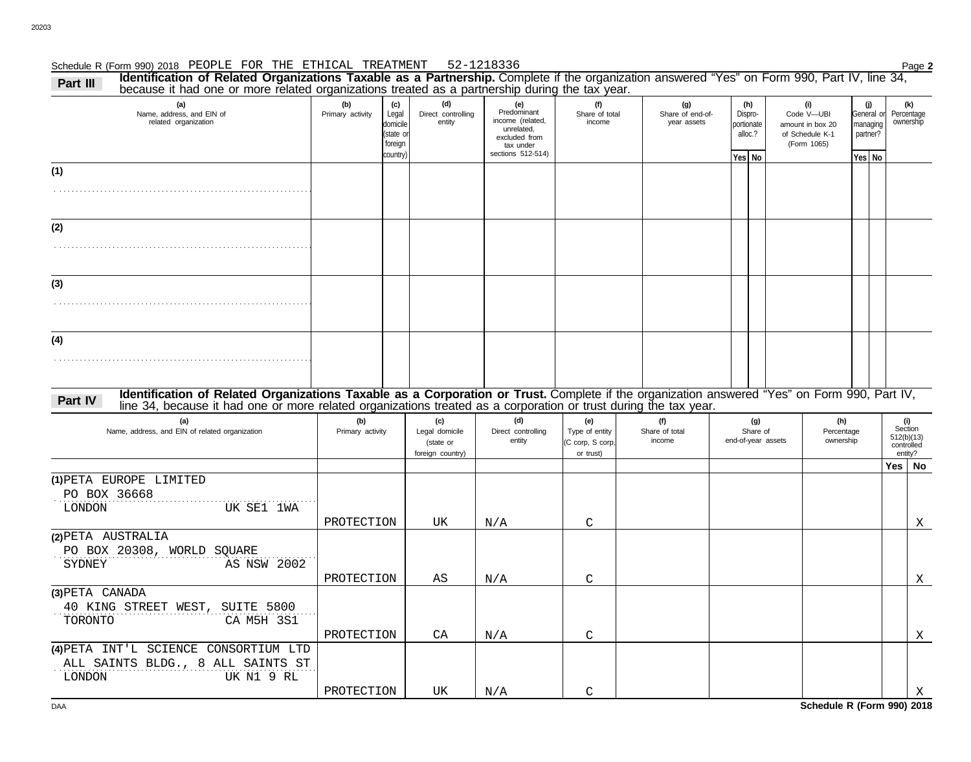### Schedule R (Form 990) 2018 Page **2** PEOPLE FOR THE ETHICAL TREATMENT 52-1218336

Part III Identification of Related Organizations Taxable as a Partnership. Complete if the organization answered "Yes" on Form 990, Part IV, line 34, Part IV, line 34, Part IV, line 34,

| (a)<br>Name, address, and EIN of<br>related organization                                                                                                                                                                                                                    | (b)<br>Primary activity  | (c)<br>Legal<br>domicile<br>(state or<br>foreign<br>country) | (d)<br>Direct controlling<br>entity                    | (e)<br>Predominant<br>income (related,<br>unrelated,<br>excluded from<br>tax under<br>sections 512-514) | (f)<br>Share of total<br>income                        | (g)<br>Share of end-of-<br>year assets | (h)<br>Dispro-<br>portionate<br>alloc.?<br>Yes No |                    | (i)<br>Code V-UBI<br>amount in box 20<br>of Schedule K-1<br>(Form 1065) | (j)<br>General or<br>managing<br>partner?<br>Yes No | (k)<br>Percentage<br>ownership                        |
|-----------------------------------------------------------------------------------------------------------------------------------------------------------------------------------------------------------------------------------------------------------------------------|--------------------------|--------------------------------------------------------------|--------------------------------------------------------|---------------------------------------------------------------------------------------------------------|--------------------------------------------------------|----------------------------------------|---------------------------------------------------|--------------------|-------------------------------------------------------------------------|-----------------------------------------------------|-------------------------------------------------------|
| (1)                                                                                                                                                                                                                                                                         |                          |                                                              |                                                        |                                                                                                         |                                                        |                                        |                                                   |                    |                                                                         |                                                     |                                                       |
|                                                                                                                                                                                                                                                                             |                          |                                                              |                                                        |                                                                                                         |                                                        |                                        |                                                   |                    |                                                                         |                                                     |                                                       |
| (2)                                                                                                                                                                                                                                                                         |                          |                                                              |                                                        |                                                                                                         |                                                        |                                        |                                                   |                    |                                                                         |                                                     |                                                       |
| (3)                                                                                                                                                                                                                                                                         |                          |                                                              |                                                        |                                                                                                         |                                                        |                                        |                                                   |                    |                                                                         |                                                     |                                                       |
| (4)                                                                                                                                                                                                                                                                         |                          |                                                              |                                                        |                                                                                                         |                                                        |                                        |                                                   |                    |                                                                         |                                                     |                                                       |
| Identification of Related Organizations Taxable as a Corporation or Trust. Complete if the organization answered "Yes" on Form 990, Part IV,<br>Part IV<br>line 34, because it had one or more related organizations treated as a corporation or trust during the tax year. |                          |                                                              |                                                        |                                                                                                         |                                                        |                                        |                                                   |                    |                                                                         |                                                     |                                                       |
| (a)<br>Name, address, and EIN of related organization                                                                                                                                                                                                                       | (b)<br>Primary activity  |                                                              | (c)<br>Legal domicile<br>(state or<br>foreign country) | (d)<br>Direct controlling<br>entity                                                                     | (e)<br>Type of entity<br>(C corp, S corp,<br>or trust) | (f)<br>Share of total<br>income        | (g)<br>Share of                                   | end-of-year assets | (h)<br>Percentage<br>ownership                                          |                                                     | (i)<br>Section<br>512(b)(13)<br>controlled<br>entity? |
| (1) PETA EUROPE LIMITED<br>PO BOX 36668                                                                                                                                                                                                                                     |                          |                                                              |                                                        |                                                                                                         |                                                        |                                        |                                                   |                    |                                                                         |                                                     | Yes   No                                              |
| LONDON<br>UK SE1 1WA                                                                                                                                                                                                                                                        | PROTECTION               |                                                              | UK                                                     | N/A                                                                                                     | $\mathcal{C}$                                          |                                        |                                                   |                    |                                                                         |                                                     | X                                                     |
| (2) PETA AUSTRALIA<br>PO BOX 20308, WORLD SQUARE<br>SYDNEY<br>AS NSW 2002                                                                                                                                                                                                   | PROTECTION               |                                                              | AS                                                     | N/A                                                                                                     | $\mathcal{C}$                                          |                                        |                                                   |                    |                                                                         |                                                     | Χ                                                     |
| (3) PETA CANADA<br>40 KING STREET WEST, SUITE 5800<br>CA M5H 3S1<br>TORONTO                                                                                                                                                                                                 |                          |                                                              |                                                        |                                                                                                         |                                                        |                                        |                                                   |                    |                                                                         |                                                     |                                                       |
| (4) PETA INT'L SCIENCE CONSORTIUM LTD<br>ALL SAINTS BLDG., 8 ALL SAINTS ST<br>UK N1 9 RL<br><b>LONDON</b>                                                                                                                                                                   | PROTECTION<br>PROTECTION |                                                              | CA<br>UK                                               | N/A                                                                                                     | $\mathcal{C}$<br>C                                     |                                        |                                                   |                    |                                                                         |                                                     | X                                                     |
|                                                                                                                                                                                                                                                                             |                          |                                                              |                                                        | N/A                                                                                                     |                                                        |                                        |                                                   |                    |                                                                         |                                                     | Χ                                                     |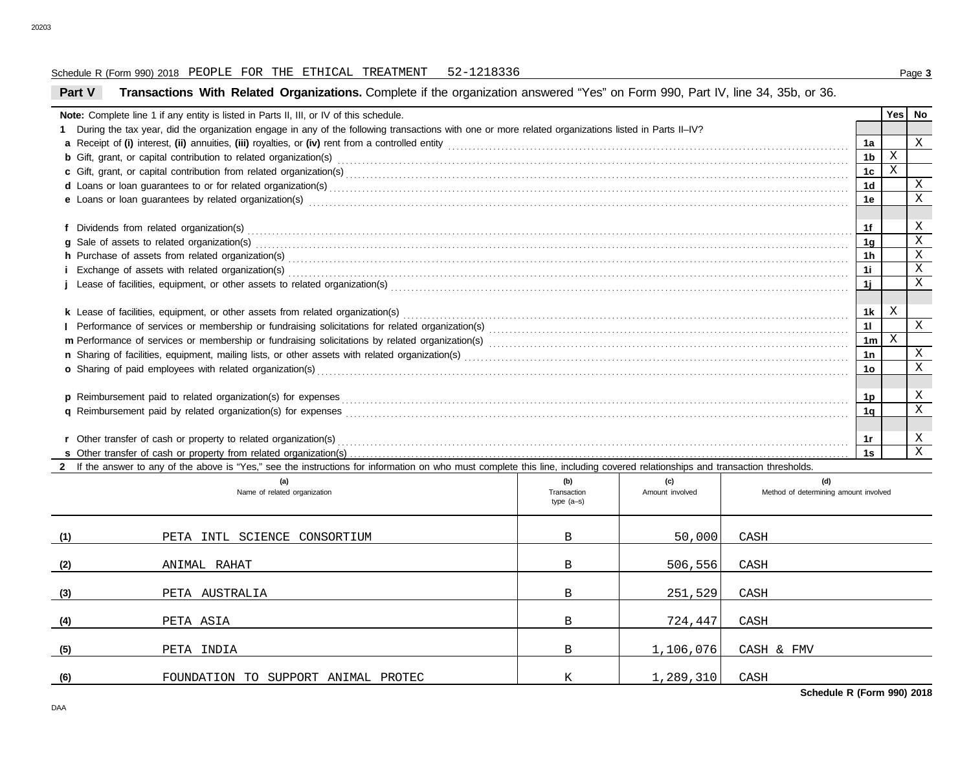## Schedule R (Form 990) 2018 Page **3** PEOPLE FOR THE ETHICAL TREATMENT 52-1218336

## **Part V Transactions With Related Organizations.** Complete if the organization answered "Yes" on Form 990, Part IV, line 34, 35b, or 36.

|     | Note: Complete line 1 if any entity is listed in Parts II, III, or IV of this schedule.                                                                                                                                             |                             |                 |                                       |                | Yes <sub>1</sub> | No                        |  |  |  |
|-----|-------------------------------------------------------------------------------------------------------------------------------------------------------------------------------------------------------------------------------------|-----------------------------|-----------------|---------------------------------------|----------------|------------------|---------------------------|--|--|--|
|     | During the tax year, did the organization engage in any of the following transactions with one or more related organizations listed in Parts II–IV?                                                                                 |                             |                 |                                       |                |                  |                           |  |  |  |
|     |                                                                                                                                                                                                                                     |                             |                 |                                       |                |                  |                           |  |  |  |
|     | <b>b</b> Gift, grant, or capital contribution to related organization(s) contained as a contained as a contained as a contribution to related organization(s) contained as a contained by Cift, grant, or capital contribution to r |                             |                 |                                       | 1 <sub>b</sub> | $\mathbf X$      |                           |  |  |  |
|     | c Gift, grant, or capital contribution from related organization(s) encourance contains and contains a contribution from related organization(s) encourance contains and contribution from related organization(s)                  |                             |                 |                                       | 1 <sub>c</sub> | X                |                           |  |  |  |
|     |                                                                                                                                                                                                                                     |                             |                 |                                       | 1 <sub>d</sub> |                  | X                         |  |  |  |
|     | e Loans or loan guarantees by related organization(s) contact the contract contact the contract or loan guarantees by related organization(s) contact the contact the contact of contact the contact or contact the contact or      |                             |                 |                                       | 1e             |                  | X                         |  |  |  |
|     |                                                                                                                                                                                                                                     |                             |                 |                                       |                |                  |                           |  |  |  |
|     |                                                                                                                                                                                                                                     |                             |                 |                                       | 1f             |                  | Χ                         |  |  |  |
|     | g Sale of assets to related organization(s) encourance contained and account of the set of assets to related organization(s)                                                                                                        |                             |                 |                                       | <u> 1g</u>     |                  | $\mathbf X$               |  |  |  |
|     |                                                                                                                                                                                                                                     |                             |                 |                                       | 1h             |                  | $\mathbf X$               |  |  |  |
|     |                                                                                                                                                                                                                                     |                             |                 |                                       | 1i             |                  | $\mathbf{X}$              |  |  |  |
|     |                                                                                                                                                                                                                                     |                             |                 |                                       | 1j             |                  | $\mathbf x$               |  |  |  |
|     |                                                                                                                                                                                                                                     |                             |                 |                                       |                |                  |                           |  |  |  |
|     |                                                                                                                                                                                                                                     |                             |                 |                                       | 1k             | X                |                           |  |  |  |
|     |                                                                                                                                                                                                                                     |                             |                 |                                       | 11             |                  | X                         |  |  |  |
|     |                                                                                                                                                                                                                                     |                             |                 |                                       | 1 <sub>m</sub> | X                |                           |  |  |  |
|     |                                                                                                                                                                                                                                     |                             |                 |                                       | 1n             |                  | $\boldsymbol{\mathrm{X}}$ |  |  |  |
|     | o Sharing of paid employees with related organization(s) encourance contains an account of the state of paid employees with related organization(s)                                                                                 |                             |                 |                                       | 1 <sub>o</sub> |                  | $\mathbf X$               |  |  |  |
|     |                                                                                                                                                                                                                                     |                             |                 |                                       |                |                  |                           |  |  |  |
|     |                                                                                                                                                                                                                                     |                             |                 |                                       | 1p             |                  | Χ                         |  |  |  |
|     |                                                                                                                                                                                                                                     |                             |                 |                                       | 1 <sub>a</sub> |                  | $\mathbf X$               |  |  |  |
|     |                                                                                                                                                                                                                                     |                             |                 |                                       |                |                  |                           |  |  |  |
|     | r Other transfer of cash or property to related organization(s)                                                                                                                                                                     |                             |                 |                                       | 1r             |                  | X                         |  |  |  |
|     |                                                                                                                                                                                                                                     |                             |                 |                                       | 1s             |                  | $\mathbf{X}$              |  |  |  |
|     | 2 If the answer to any of the above is "Yes," see the instructions for information on who must complete this line, including covered relationships and transaction thresholds.                                                      |                             |                 |                                       |                |                  |                           |  |  |  |
|     | (a)                                                                                                                                                                                                                                 | (b)                         | (c)             | (d)                                   |                |                  |                           |  |  |  |
|     | Name of related organization                                                                                                                                                                                                        | Transaction<br>type $(a-s)$ | Amount involved | Method of determining amount involved |                |                  |                           |  |  |  |
|     |                                                                                                                                                                                                                                     |                             |                 |                                       |                |                  |                           |  |  |  |
|     |                                                                                                                                                                                                                                     |                             |                 |                                       |                |                  |                           |  |  |  |
| (1) | PETA INTL SCIENCE CONSORTIUM                                                                                                                                                                                                        | B                           | 50,000          | CASH                                  |                |                  |                           |  |  |  |
|     |                                                                                                                                                                                                                                     |                             |                 |                                       |                |                  |                           |  |  |  |
| (2) | ANIMAL RAHAT                                                                                                                                                                                                                        | B                           | 506,556         | CASH                                  |                |                  |                           |  |  |  |

PETA AUSTRALIA CASH CASH B 251,529 CASH

PETA ASIA B 724,447 CASH

FOUNDATION TO SUPPORT ANIMAL PROTEC  $K = \begin{bmatrix} 1,289,310 & CASH \end{bmatrix}$ 

PETA INDIA B 1,106,076 CASH & FMV

**Schedule R (Form 990) 2018**

**(2)**

**(3)**

**(4)**

**(5)**

**(6)**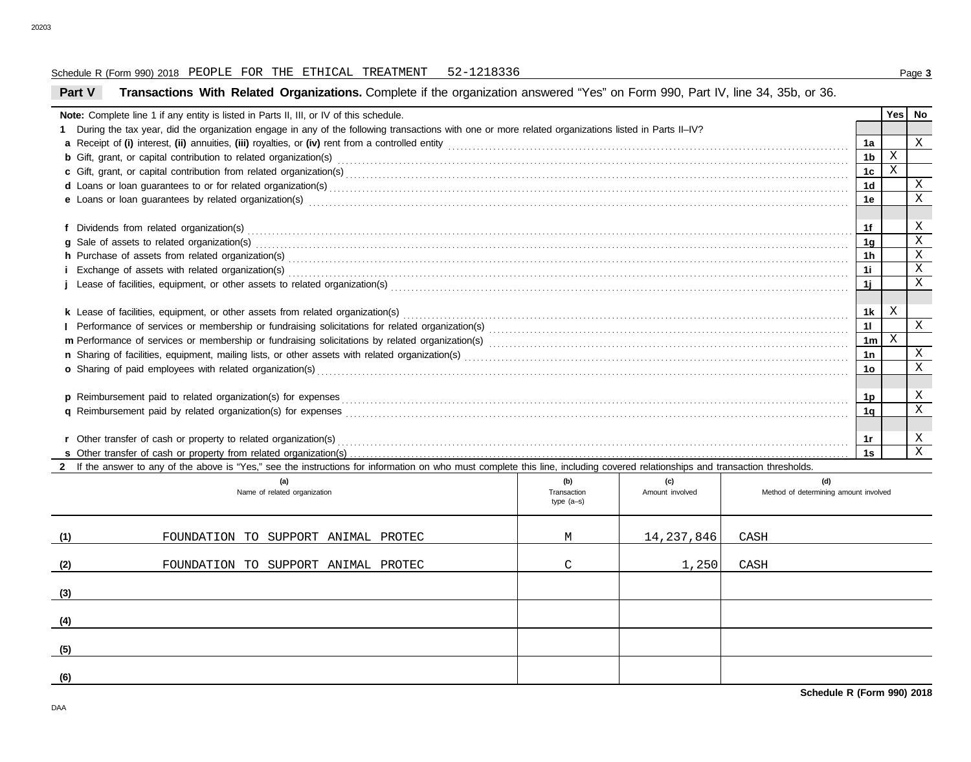## Schedule R (Form 990) 2018 Page **3** PEOPLE FOR THE ETHICAL TREATMENT 52-1218336

# **Part V Transactions With Related Organizations.** Complete if the organization answered "Yes" on Form 990, Part IV, line 34, 35b, or 36.

|     | Note: Complete line 1 if any entity is listed in Parts II, III, or IV of this schedule.                                                                                                                                        |                                    |                        |      |                                              |                | <b>Yes</b>   | No           |  |  |
|-----|--------------------------------------------------------------------------------------------------------------------------------------------------------------------------------------------------------------------------------|------------------------------------|------------------------|------|----------------------------------------------|----------------|--------------|--------------|--|--|
|     | During the tax year, did the organization engage in any of the following transactions with one or more related organizations listed in Parts II-IV?                                                                            |                                    |                        |      |                                              |                |              |              |  |  |
|     |                                                                                                                                                                                                                                |                                    |                        |      |                                              |                |              |              |  |  |
|     |                                                                                                                                                                                                                                |                                    |                        |      |                                              | 1 <sub>b</sub> | $\mathbf X$  |              |  |  |
|     |                                                                                                                                                                                                                                |                                    |                        |      |                                              | 1c             | $\mathbf X$  |              |  |  |
|     |                                                                                                                                                                                                                                |                                    |                        |      |                                              | 1 <sub>d</sub> |              | Χ            |  |  |
|     | e Loans or loan guarantees by related organization(s) encourance contract the contract contract of the contract or contract or contract or contract or contract or contract or contract or contract or contract or contract or |                                    |                        |      |                                              | 1e             |              | $\mathbf x$  |  |  |
|     |                                                                                                                                                                                                                                |                                    |                        |      |                                              |                |              | Χ            |  |  |
|     |                                                                                                                                                                                                                                |                                    |                        |      |                                              | 1f             |              | $\mathbf X$  |  |  |
|     | g Sale of assets to related organization(s) encourance contains and contained a state of assets to related organization(s)                                                                                                     |                                    |                        |      |                                              | 1q             |              | $\mathbf X$  |  |  |
|     |                                                                                                                                                                                                                                |                                    |                        |      |                                              | 1h             |              | $\mathbf x$  |  |  |
|     |                                                                                                                                                                                                                                |                                    |                        |      |                                              | 1i             |              | X            |  |  |
|     |                                                                                                                                                                                                                                |                                    |                        |      |                                              | 1j             |              |              |  |  |
|     |                                                                                                                                                                                                                                |                                    |                        |      |                                              | 1k             | X            |              |  |  |
|     |                                                                                                                                                                                                                                |                                    |                        |      |                                              | 11             |              | X            |  |  |
|     |                                                                                                                                                                                                                                |                                    |                        |      |                                              | 1 <sub>m</sub> | $\mathbf{X}$ |              |  |  |
|     |                                                                                                                                                                                                                                |                                    |                        |      |                                              | 1n             |              | Χ            |  |  |
|     | o Sharing of paid employees with related organization(s)                                                                                                                                                                       |                                    |                        |      |                                              | 1 <sub>0</sub> |              | X            |  |  |
|     |                                                                                                                                                                                                                                |                                    |                        |      |                                              |                |              |              |  |  |
|     |                                                                                                                                                                                                                                |                                    |                        |      |                                              | 1p             |              | Χ            |  |  |
|     |                                                                                                                                                                                                                                |                                    |                        |      |                                              | 1q             |              | X            |  |  |
|     |                                                                                                                                                                                                                                |                                    |                        |      |                                              |                |              |              |  |  |
|     | r Other transfer of cash or property to related organization(s)                                                                                                                                                                |                                    |                        |      |                                              | 1r             |              | X            |  |  |
|     |                                                                                                                                                                                                                                |                                    |                        |      |                                              | 1s             |              | $\mathbf{X}$ |  |  |
|     | 2 If the answer to any of the above is "Yes," see the instructions for information on who must complete this line, including covered relationships and transaction thresholds.                                                 |                                    |                        |      |                                              |                |              |              |  |  |
|     | (a)<br>Name of related organization                                                                                                                                                                                            | (b)<br>Transaction<br>type $(a-s)$ | (c)<br>Amount involved |      | (d)<br>Method of determining amount involved |                |              |              |  |  |
| (1) | FOUNDATION TO SUPPORT ANIMAL PROTEC                                                                                                                                                                                            | M                                  | 14, 237, 846           | CASH |                                              |                |              |              |  |  |
| (2) | FOUNDATION TO SUPPORT ANIMAL PROTEC                                                                                                                                                                                            | $\mathcal{C}$                      | 1,250                  | CASH |                                              |                |              |              |  |  |
| (3) |                                                                                                                                                                                                                                |                                    |                        |      |                                              |                |              |              |  |  |
| (4) |                                                                                                                                                                                                                                |                                    |                        |      |                                              |                |              |              |  |  |
| (5) |                                                                                                                                                                                                                                |                                    |                        |      |                                              |                |              |              |  |  |
|     |                                                                                                                                                                                                                                |                                    |                        |      |                                              |                |              |              |  |  |

**(6)**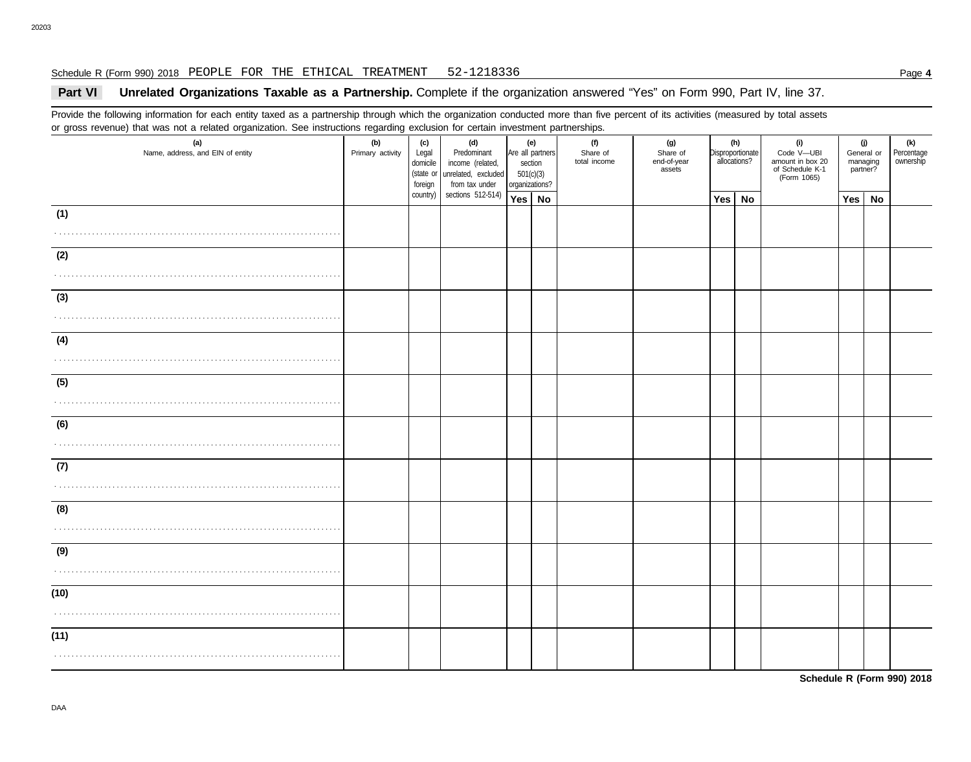#### Schedule R (Form 990) 2018 Page **4** PEOPLE FOR THE ETHICAL TREATMENT 52-1218336

# **Part VI** Unrelated Organizations Taxable as a Partnership. Complete if the organization answered "Yes" on Form 990, Part IV, line 37.

Provide the following information for each entity taxed as a partnership through which the organization conducted more than five percent of its activities (measured by total assets or gross revenue) that was not a related organization. See instructions regarding exclusion for certain investment partnerships.

| (a)<br>Name, address, and EIN of entity | ັ<br>(b)<br>Primary activity | (c)<br>Legal<br>domicile<br>(state or<br>foreign | (d)<br>Predominant<br>income (related,<br>unrelated, excluded<br>from tax under | (e)<br>Are all partners<br>section<br>501(c)(3)<br>organizations? |           | (f)<br>Share of<br>total income | (g)<br>Share of<br>end-of-year<br>assets | (h)<br>Disproportionate<br>allocations? |    | (i)<br>Code V-UBI<br>amount in box 20<br>of Schedule K-1<br>(Form 1065) | (j)<br>General or<br>managing<br>partner? | (k)<br>Percentage<br>ownership |
|-----------------------------------------|------------------------------|--------------------------------------------------|---------------------------------------------------------------------------------|-------------------------------------------------------------------|-----------|---------------------------------|------------------------------------------|-----------------------------------------|----|-------------------------------------------------------------------------|-------------------------------------------|--------------------------------|
|                                         |                              | country)                                         | sections 512-514)                                                               | Yes                                                               | <b>No</b> |                                 |                                          | <b>Yes</b>                              | No |                                                                         | Yes   No                                  |                                |
| (1)                                     |                              |                                                  |                                                                                 |                                                                   |           |                                 |                                          |                                         |    |                                                                         |                                           |                                |
|                                         |                              |                                                  |                                                                                 |                                                                   |           |                                 |                                          |                                         |    |                                                                         |                                           |                                |
| (2)                                     |                              |                                                  |                                                                                 |                                                                   |           |                                 |                                          |                                         |    |                                                                         |                                           |                                |
|                                         |                              |                                                  |                                                                                 |                                                                   |           |                                 |                                          |                                         |    |                                                                         |                                           |                                |
| (3)                                     |                              |                                                  |                                                                                 |                                                                   |           |                                 |                                          |                                         |    |                                                                         |                                           |                                |
|                                         |                              |                                                  |                                                                                 |                                                                   |           |                                 |                                          |                                         |    |                                                                         |                                           |                                |
| (4)                                     |                              |                                                  |                                                                                 |                                                                   |           |                                 |                                          |                                         |    |                                                                         |                                           |                                |
|                                         |                              |                                                  |                                                                                 |                                                                   |           |                                 |                                          |                                         |    |                                                                         |                                           |                                |
| (5)                                     |                              |                                                  |                                                                                 |                                                                   |           |                                 |                                          |                                         |    |                                                                         |                                           |                                |
|                                         |                              |                                                  |                                                                                 |                                                                   |           |                                 |                                          |                                         |    |                                                                         |                                           |                                |
| (6)                                     |                              |                                                  |                                                                                 |                                                                   |           |                                 |                                          |                                         |    |                                                                         |                                           |                                |
|                                         |                              |                                                  |                                                                                 |                                                                   |           |                                 |                                          |                                         |    |                                                                         |                                           |                                |
| (7)                                     |                              |                                                  |                                                                                 |                                                                   |           |                                 |                                          |                                         |    |                                                                         |                                           |                                |
|                                         |                              |                                                  |                                                                                 |                                                                   |           |                                 |                                          |                                         |    |                                                                         |                                           |                                |
| (8)                                     |                              |                                                  |                                                                                 |                                                                   |           |                                 |                                          |                                         |    |                                                                         |                                           |                                |
|                                         |                              |                                                  |                                                                                 |                                                                   |           |                                 |                                          |                                         |    |                                                                         |                                           |                                |
| (9)                                     |                              |                                                  |                                                                                 |                                                                   |           |                                 |                                          |                                         |    |                                                                         |                                           |                                |
|                                         |                              |                                                  |                                                                                 |                                                                   |           |                                 |                                          |                                         |    |                                                                         |                                           |                                |
| (10)                                    |                              |                                                  |                                                                                 |                                                                   |           |                                 |                                          |                                         |    |                                                                         |                                           |                                |
|                                         |                              |                                                  |                                                                                 |                                                                   |           |                                 |                                          |                                         |    |                                                                         |                                           |                                |
| (11)                                    |                              |                                                  |                                                                                 |                                                                   |           |                                 |                                          |                                         |    |                                                                         |                                           |                                |
|                                         |                              |                                                  |                                                                                 |                                                                   |           |                                 |                                          |                                         |    |                                                                         |                                           |                                |

**Schedule R (Form 990) 2018**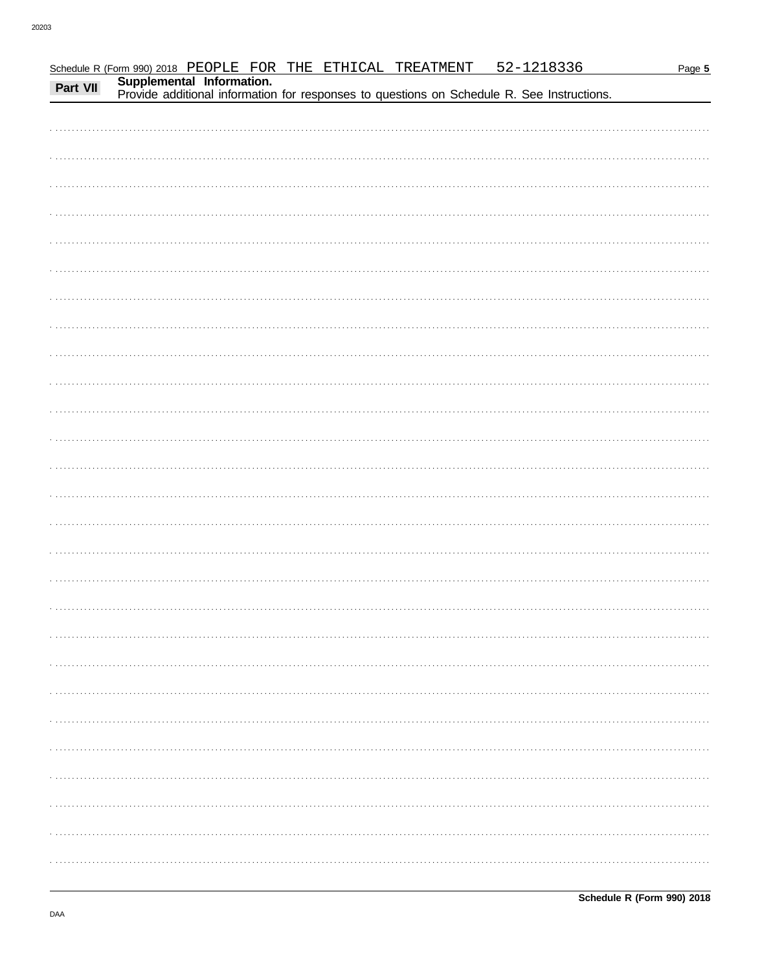|  |  |  |                                                                                                                                                                                                            | Page 5 |
|--|--|--|------------------------------------------------------------------------------------------------------------------------------------------------------------------------------------------------------------|--------|
|  |  |  |                                                                                                                                                                                                            |        |
|  |  |  | Schedule R (Form 990) 2018 PEOPLE FOR THE ETHICAL TREATMENT 52-1218336<br>Part VII Supplemental Information.<br>Provide additional information for responses to questions on Schedule R. See Instructions. |        |
|  |  |  |                                                                                                                                                                                                            |        |
|  |  |  |                                                                                                                                                                                                            |        |
|  |  |  |                                                                                                                                                                                                            |        |
|  |  |  |                                                                                                                                                                                                            |        |
|  |  |  |                                                                                                                                                                                                            |        |
|  |  |  |                                                                                                                                                                                                            |        |
|  |  |  |                                                                                                                                                                                                            |        |
|  |  |  |                                                                                                                                                                                                            |        |
|  |  |  |                                                                                                                                                                                                            |        |
|  |  |  |                                                                                                                                                                                                            |        |
|  |  |  |                                                                                                                                                                                                            |        |
|  |  |  |                                                                                                                                                                                                            |        |
|  |  |  |                                                                                                                                                                                                            |        |
|  |  |  |                                                                                                                                                                                                            |        |
|  |  |  |                                                                                                                                                                                                            |        |
|  |  |  |                                                                                                                                                                                                            |        |
|  |  |  |                                                                                                                                                                                                            |        |
|  |  |  |                                                                                                                                                                                                            |        |
|  |  |  |                                                                                                                                                                                                            |        |
|  |  |  |                                                                                                                                                                                                            |        |
|  |  |  |                                                                                                                                                                                                            |        |
|  |  |  |                                                                                                                                                                                                            |        |
|  |  |  |                                                                                                                                                                                                            |        |
|  |  |  |                                                                                                                                                                                                            |        |
|  |  |  |                                                                                                                                                                                                            |        |
|  |  |  |                                                                                                                                                                                                            |        |
|  |  |  |                                                                                                                                                                                                            |        |
|  |  |  |                                                                                                                                                                                                            |        |
|  |  |  |                                                                                                                                                                                                            |        |
|  |  |  |                                                                                                                                                                                                            |        |
|  |  |  |                                                                                                                                                                                                            |        |
|  |  |  |                                                                                                                                                                                                            |        |
|  |  |  |                                                                                                                                                                                                            |        |
|  |  |  |                                                                                                                                                                                                            |        |
|  |  |  |                                                                                                                                                                                                            |        |
|  |  |  |                                                                                                                                                                                                            |        |
|  |  |  |                                                                                                                                                                                                            |        |
|  |  |  |                                                                                                                                                                                                            |        |
|  |  |  |                                                                                                                                                                                                            |        |
|  |  |  |                                                                                                                                                                                                            |        |
|  |  |  |                                                                                                                                                                                                            |        |
|  |  |  |                                                                                                                                                                                                            |        |
|  |  |  |                                                                                                                                                                                                            |        |
|  |  |  |                                                                                                                                                                                                            |        |
|  |  |  |                                                                                                                                                                                                            |        |
|  |  |  |                                                                                                                                                                                                            |        |
|  |  |  |                                                                                                                                                                                                            |        |
|  |  |  |                                                                                                                                                                                                            |        |
|  |  |  |                                                                                                                                                                                                            |        |
|  |  |  |                                                                                                                                                                                                            |        |
|  |  |  |                                                                                                                                                                                                            |        |
|  |  |  |                                                                                                                                                                                                            |        |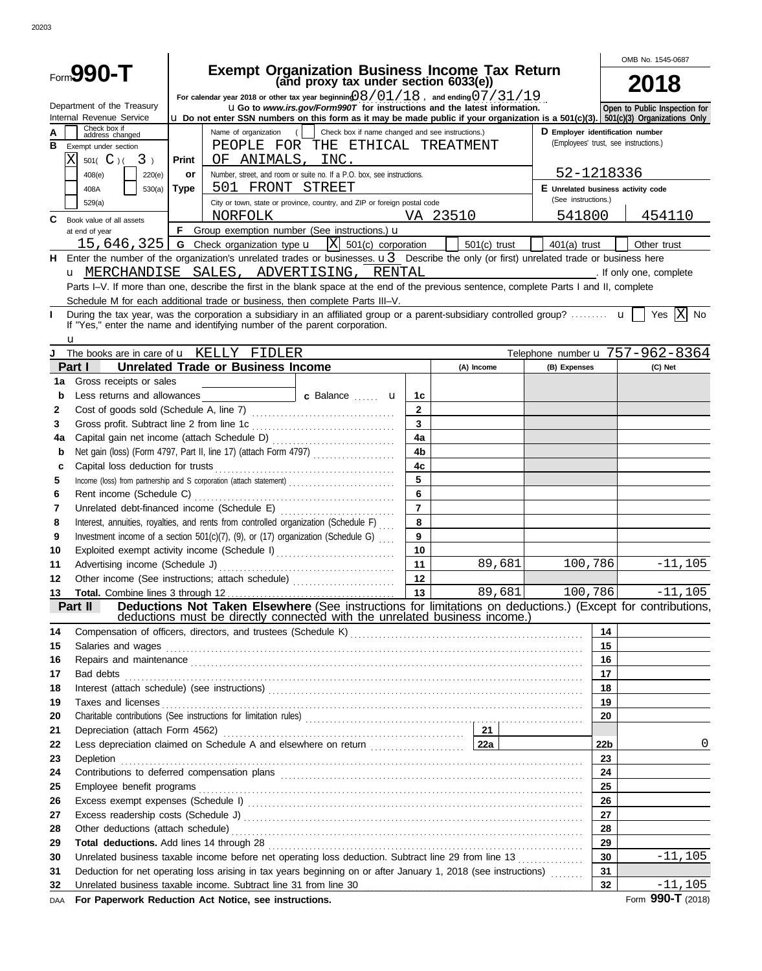|            | Form <b>990-T</b>                                                                  |             |                                           | <b>Exempt Organization Business Income Tax Return</b>                                                                                                                                                                               |                |            |                |                                                                           |                       | OMB No. 1545-0687                                                                                                                                                                                                             |
|------------|------------------------------------------------------------------------------------|-------------|-------------------------------------------|-------------------------------------------------------------------------------------------------------------------------------------------------------------------------------------------------------------------------------------|----------------|------------|----------------|---------------------------------------------------------------------------|-----------------------|-------------------------------------------------------------------------------------------------------------------------------------------------------------------------------------------------------------------------------|
|            |                                                                                    |             |                                           | (and proxy tax under section 6033(e))                                                                                                                                                                                               |                |            |                |                                                                           |                       | <b>2018</b>                                                                                                                                                                                                                   |
|            | Department of the Treasury                                                         |             |                                           | For calendar year 2018 or other tax year beginning $0.8/01/18$ , and ending $0.7/31/19$<br><b>uGo</b> to www.irs.gov/Form990T for instructions and the latest information.                                                          |                |            |                |                                                                           |                       | Open to Public Inspection for                                                                                                                                                                                                 |
|            | Internal Revenue Service<br>Check box if                                           |             |                                           | <b>u</b> Do not enter SSN numbers on this form as it may be made public if your organization is a $501(c)(3)$ . $501(c)(3)$ Organizations Only                                                                                      |                |            |                |                                                                           |                       |                                                                                                                                                                                                                               |
|            | address changed                                                                    |             | Name of organization                      | Check box if name changed and see instructions.)<br>$\left($                                                                                                                                                                        |                |            |                | D Employer identification number<br>(Employees' trust, see instructions.) |                       |                                                                                                                                                                                                                               |
| в          | Exempt under section<br>Χ<br>3 <sub>1</sub>                                        |             | OF ANIMALS, INC.                          | PEOPLE FOR THE ETHICAL TREATMENT                                                                                                                                                                                                    |                |            |                |                                                                           |                       |                                                                                                                                                                                                                               |
|            | 501( $C$ )(                                                                        | Print<br>or |                                           | Number, street, and room or suite no. If a P.O. box, see instructions.                                                                                                                                                              |                |            |                | 52-1218336                                                                |                       |                                                                                                                                                                                                                               |
|            | 408(e)<br>220(e)<br>408A<br>530(a)                                                 | <b>Type</b> | 501 FRONT STREET                          |                                                                                                                                                                                                                                     |                |            |                | E Unrelated business activity code                                        |                       |                                                                                                                                                                                                                               |
|            | 529(a)                                                                             |             |                                           | City or town, state or province, country, and ZIP or foreign postal code                                                                                                                                                            |                |            |                | (See instructions.)                                                       |                       |                                                                                                                                                                                                                               |
| C          | Book value of all assets                                                           |             | NORFOLK                                   |                                                                                                                                                                                                                                     |                | VA 23510   |                | 541800                                                                    |                       | 454110                                                                                                                                                                                                                        |
|            | at end of year                                                                     |             |                                           | F Group exemption number (See instructions.) $\mathbf u$                                                                                                                                                                            |                |            |                |                                                                           |                       |                                                                                                                                                                                                                               |
|            | 15,646,325                                                                         |             | <b>G</b> Check organization type <b>u</b> | $ X $ 501(c) corporation                                                                                                                                                                                                            |                |            | $501(c)$ trust | $401(a)$ trust                                                            |                       | Other trust                                                                                                                                                                                                                   |
|            |                                                                                    |             |                                           | H Enter the number of the organization's unrelated trades or businesses. $u3$ Describe the only (or first) unrelated trade or business here                                                                                         |                |            |                |                                                                           |                       |                                                                                                                                                                                                                               |
|            |                                                                                    |             |                                           | u MERCHANDISE SALES, ADVERTISING, RENTAL                                                                                                                                                                                            |                |            |                |                                                                           |                       | and the state of the state of the state of the state of the state of the state of the state of the state of the state of the state of the state of the state of the state of the state of the state of the state of the state |
|            |                                                                                    |             |                                           | Parts I-V. If more than one, describe the first in the blank space at the end of the previous sentence, complete Parts I and II, complete                                                                                           |                |            |                |                                                                           |                       |                                                                                                                                                                                                                               |
|            |                                                                                    |             |                                           | Schedule M for each additional trade or business, then complete Parts III-V.                                                                                                                                                        |                |            |                |                                                                           |                       |                                                                                                                                                                                                                               |
| L          |                                                                                    |             |                                           | During the tax year, was the corporation a subsidiary in an affiliated group or a parent-subsidiary controlled group? $\mathbf{u}$<br>If "Yes," enter the name and identifying number of the parent corporation.                    |                |            |                |                                                                           |                       | X <br>Yes<br>No                                                                                                                                                                                                               |
|            | u                                                                                  |             |                                           |                                                                                                                                                                                                                                     |                |            |                |                                                                           |                       |                                                                                                                                                                                                                               |
|            | The books are in care of <b>u</b> KELLY FIDLER                                     |             |                                           |                                                                                                                                                                                                                                     |                |            |                |                                                                           |                       | Telephone number u 757-962-8364                                                                                                                                                                                               |
|            | Part I                                                                             |             | <b>Unrelated Trade or Business Income</b> |                                                                                                                                                                                                                                     |                | (A) Income |                | (B) Expenses                                                              |                       | (C) Net                                                                                                                                                                                                                       |
| 1a         | Gross receipts or sales                                                            |             |                                           |                                                                                                                                                                                                                                     |                |            |                |                                                                           |                       |                                                                                                                                                                                                                               |
| b          |                                                                                    |             |                                           |                                                                                                                                                                                                                                     | 1c             |            |                |                                                                           |                       |                                                                                                                                                                                                                               |
| 2          |                                                                                    |             |                                           |                                                                                                                                                                                                                                     | $\overline{2}$ |            |                |                                                                           |                       |                                                                                                                                                                                                                               |
| 3          |                                                                                    |             |                                           |                                                                                                                                                                                                                                     | $\mathbf{3}$   |            |                |                                                                           |                       |                                                                                                                                                                                                                               |
| 4a         |                                                                                    |             |                                           |                                                                                                                                                                                                                                     | 4a             |            |                |                                                                           |                       |                                                                                                                                                                                                                               |
| b          | 4 <sub>b</sub><br>Net gain (loss) (Form 4797, Part II, line 17) (attach Form 4797) |             |                                           |                                                                                                                                                                                                                                     |                |            |                |                                                                           |                       |                                                                                                                                                                                                                               |
| c          |                                                                                    |             |                                           |                                                                                                                                                                                                                                     | 4 <sub>c</sub> |            |                |                                                                           |                       |                                                                                                                                                                                                                               |
| 5          |                                                                                    |             |                                           | Income (loss) from partnership and S corporation (attach statement)                                                                                                                                                                 | 5              |            |                |                                                                           |                       |                                                                                                                                                                                                                               |
| 6          | Rent income (Schedule C)                                                           |             |                                           |                                                                                                                                                                                                                                     | 6              |            |                |                                                                           |                       |                                                                                                                                                                                                                               |
| 7          | Unrelated debt-financed income (Schedule E)                                        |             |                                           |                                                                                                                                                                                                                                     | $\overline{7}$ |            |                |                                                                           |                       |                                                                                                                                                                                                                               |
| 8<br>9     |                                                                                    |             |                                           | Interest, annuities, royalties, and rents from controlled organization (Schedule F)<br>Investment income of a section 501(c)(7), (9), or (17) organization (Schedule G)                                                             | 8<br>9         |            |                |                                                                           |                       |                                                                                                                                                                                                                               |
| 10         |                                                                                    |             |                                           | Exploited exempt activity income (Schedule I)                                                                                                                                                                                       | 10             |            |                |                                                                           |                       |                                                                                                                                                                                                                               |
| 11         | Advertising income (Schedule J)                                                    |             |                                           |                                                                                                                                                                                                                                     | 11             |            | 89,681         | 100,786                                                                   |                       | $-11, 105$                                                                                                                                                                                                                    |
| 12         |                                                                                    |             |                                           | Other income (See instructions; attach schedule)                                                                                                                                                                                    | 12             |            |                |                                                                           |                       |                                                                                                                                                                                                                               |
| 13         |                                                                                    |             |                                           |                                                                                                                                                                                                                                     | 13             |            | 89,681         | 100,786                                                                   |                       | $-11,105$                                                                                                                                                                                                                     |
|            | Part II                                                                            |             |                                           | Deductions Not Taken Elsewhere (See instructions for limitations on deductions.) (Except for contributions,                                                                                                                         |                |            |                |                                                                           |                       |                                                                                                                                                                                                                               |
|            |                                                                                    |             |                                           | deductions must be directly connected with the unrelated business income.)                                                                                                                                                          |                |            |                |                                                                           |                       |                                                                                                                                                                                                                               |
| 14         |                                                                                    |             |                                           |                                                                                                                                                                                                                                     |                |            |                |                                                                           | 14                    |                                                                                                                                                                                                                               |
| 15         |                                                                                    |             |                                           | Salaries and wages <b>construction and construction</b> and construction of the construction of the construction of the construction of the construction of the construction of the construction of the construction of the constru |                |            |                |                                                                           | 15                    |                                                                                                                                                                                                                               |
| 16         |                                                                                    |             |                                           | Repairs and maintenance <i>communication</i> and all the main contract of the main contract of the main contract of the main contract of the main contract of the main contract of the main contract of the main contract of the ma |                |            |                |                                                                           | 16<br>17 <sub>2</sub> |                                                                                                                                                                                                                               |
| 17<br>18   |                                                                                    |             |                                           | Bad debts <u>with continuum control and the control of the control of the control of the control of</u>                                                                                                                             |                |            |                |                                                                           | 18                    |                                                                                                                                                                                                                               |
| 19         |                                                                                    |             |                                           |                                                                                                                                                                                                                                     |                |            |                |                                                                           | 19                    |                                                                                                                                                                                                                               |
| 20         |                                                                                    |             |                                           |                                                                                                                                                                                                                                     |                |            |                |                                                                           | 20                    |                                                                                                                                                                                                                               |
| 21         |                                                                                    |             |                                           |                                                                                                                                                                                                                                     |                |            |                |                                                                           |                       |                                                                                                                                                                                                                               |
| 22         |                                                                                    |             |                                           | Less depreciation claimed on Schedule A and elsewhere on return <b>Election Constant Laza</b>                                                                                                                                       |                |            |                |                                                                           | 22 <sub>b</sub>       | 0                                                                                                                                                                                                                             |
| 23         |                                                                                    |             |                                           |                                                                                                                                                                                                                                     |                |            |                |                                                                           | 23                    |                                                                                                                                                                                                                               |
| 24         |                                                                                    |             |                                           | Contributions to deferred compensation plans [11] contract the contract of the contributions to deferred compensation plans                                                                                                         |                |            |                |                                                                           | 24                    |                                                                                                                                                                                                                               |
| 25         |                                                                                    |             |                                           |                                                                                                                                                                                                                                     |                |            |                |                                                                           | 25                    |                                                                                                                                                                                                                               |
| 26         |                                                                                    |             |                                           |                                                                                                                                                                                                                                     |                |            |                |                                                                           | 26                    |                                                                                                                                                                                                                               |
| 27         |                                                                                    |             |                                           |                                                                                                                                                                                                                                     |                |            |                |                                                                           | 27                    |                                                                                                                                                                                                                               |
| 28         |                                                                                    |             |                                           |                                                                                                                                                                                                                                     |                |            |                |                                                                           | 28                    |                                                                                                                                                                                                                               |
| 29         |                                                                                    |             |                                           |                                                                                                                                                                                                                                     |                |            |                |                                                                           | 29                    |                                                                                                                                                                                                                               |
| 30         |                                                                                    |             |                                           | Unrelated business taxable income before net operating loss deduction. Subtract line 29 from line 13                                                                                                                                |                |            |                |                                                                           | 30                    | $-11, 105$                                                                                                                                                                                                                    |
| 31         |                                                                                    |             |                                           | Deduction for net operating loss arising in tax years beginning on or after January 1, 2018 (see instructions)                                                                                                                      |                |            |                |                                                                           | 31                    |                                                                                                                                                                                                                               |
| 32         | Unrelated business taxable income. Subtract line 31 from line 30                   |             |                                           |                                                                                                                                                                                                                                     |                |            |                |                                                                           | 32                    | $-11,105$<br>Form 990-T (2018)                                                                                                                                                                                                |
| <b>DAA</b> | For Paperwork Reduction Act Notice, see instructions.                              |             |                                           |                                                                                                                                                                                                                                     |                |            |                |                                                                           |                       |                                                                                                                                                                                                                               |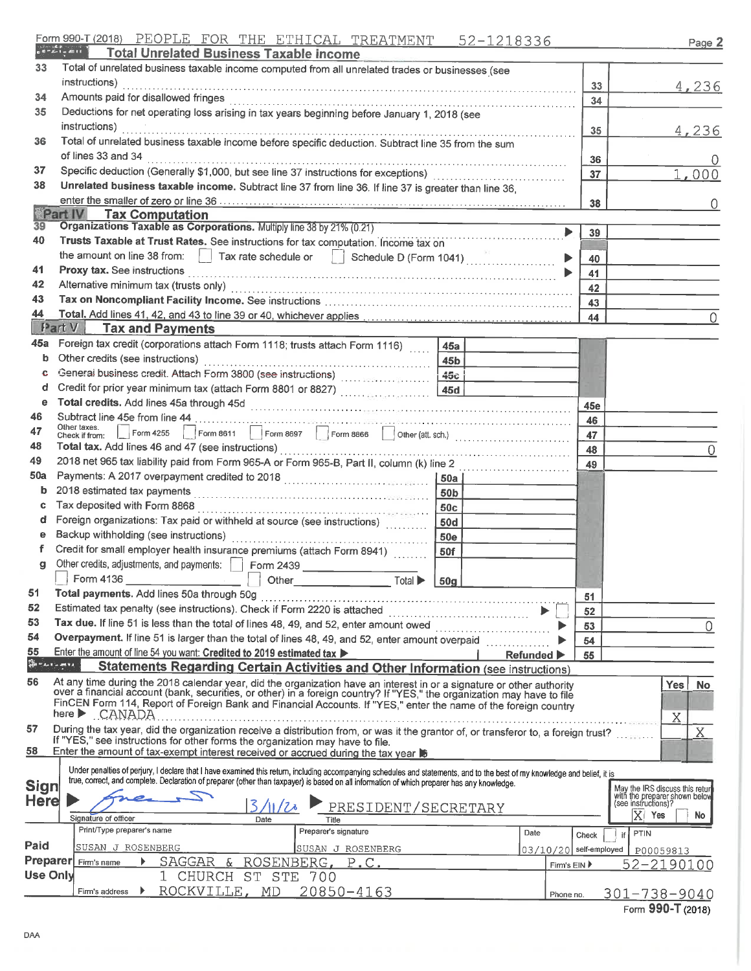| Form 990-T (2018) PEOPLE FOR THE ETHICAL TREATMENT 52-1218336 |  |  |  |  |  |  |
|---------------------------------------------------------------|--|--|--|--|--|--|
|---------------------------------------------------------------|--|--|--|--|--|--|

|--|--|

|                 | <b>Total Unrelated Business Taxable income</b>                                                                                                                                                                                    |                                |                        |                                                                                         |
|-----------------|-----------------------------------------------------------------------------------------------------------------------------------------------------------------------------------------------------------------------------------|--------------------------------|------------------------|-----------------------------------------------------------------------------------------|
| 33              | Total of unrelated business taxable income computed from all unrelated trades or businesses (see                                                                                                                                  |                                |                        |                                                                                         |
|                 | instructions)                                                                                                                                                                                                                     |                                | 33                     | 4,236                                                                                   |
| 34              |                                                                                                                                                                                                                                   |                                |                        |                                                                                         |
| 35              | Deductions for net operating loss arising in tax years beginning before January 1, 2018 (see                                                                                                                                      |                                | 34                     |                                                                                         |
|                 | instructions)                                                                                                                                                                                                                     |                                |                        |                                                                                         |
| 36              |                                                                                                                                                                                                                                   |                                | 35                     | 4,236                                                                                   |
|                 | Total of unrelated business taxable income before specific deduction. Subtract line 35 from the sum                                                                                                                               |                                |                        |                                                                                         |
|                 | of lines 33 and 34                                                                                                                                                                                                                |                                | 36                     |                                                                                         |
| 37              |                                                                                                                                                                                                                                   |                                | 37                     | 1,000                                                                                   |
| 38              | Unrelated business taxable income. Subtract line 37 from line 36. If line 37 is greater than line 36,                                                                                                                             |                                |                        |                                                                                         |
|                 |                                                                                                                                                                                                                                   |                                | 38                     | $\left( \right)$                                                                        |
|                 | Part IV<br><b>Tax Computation</b>                                                                                                                                                                                                 |                                |                        |                                                                                         |
| 39              | Organizations Taxable as Corporations. Multiply line 38 by 21% (0.21)                                                                                                                                                             |                                | ▶<br>39                |                                                                                         |
| 40              | Trusts Taxable at Trust Rates. See instructions for tax computation. Income tax on                                                                                                                                                |                                |                        |                                                                                         |
|                 | the amount on line 38 from:     Tax rate schedule or     Schedule D (Form 1041)                                                                                                                                                   |                                | 40                     |                                                                                         |
| 41              |                                                                                                                                                                                                                                   |                                | 41                     |                                                                                         |
| 42              |                                                                                                                                                                                                                                   |                                | 42                     |                                                                                         |
| 43              |                                                                                                                                                                                                                                   |                                | 43                     |                                                                                         |
| 44              |                                                                                                                                                                                                                                   |                                | 44                     | 0                                                                                       |
|                 | <b>Fart V</b> Tax and Payments                                                                                                                                                                                                    |                                |                        |                                                                                         |
| 45a             | Foreign tax credit (corporations attach Form 1118; trusts attach Form 1116)                                                                                                                                                       | 45a                            |                        |                                                                                         |
| b               | Other credits (see instructions)                                                                                                                                                                                                  | 45 <sub>b</sub>                |                        |                                                                                         |
| -C.             |                                                                                                                                                                                                                                   | 45c                            |                        |                                                                                         |
| d               |                                                                                                                                                                                                                                   | 45d                            |                        |                                                                                         |
| е               |                                                                                                                                                                                                                                   |                                | 45e                    |                                                                                         |
| 46              | Subtract line 45e from line 44                                                                                                                                                                                                    |                                | 46                     |                                                                                         |
| 47              | Other taxes.<br>Check if from:                                                                                                                                                                                                    |                                | 47                     |                                                                                         |
| 48              | Total tax. Add lines 46 and 47 (see instructions)                                                                                                                                                                                 |                                | 48                     | 0                                                                                       |
| 49              | 2018 net 965 tax liability paid from Form 965-A or Form 965-B, Part II, column (k) line 2                                                                                                                                         |                                | 49                     |                                                                                         |
| 50a             |                                                                                                                                                                                                                                   | i 50a l                        |                        |                                                                                         |
| b               | 2018 estimated tax payments                                                                                                                                                                                                       | 50 <sub>b</sub>                |                        |                                                                                         |
| c               | Tax deposited with Form 8868                                                                                                                                                                                                      | 50 <sub>c</sub>                |                        |                                                                                         |
| đ               | Foreign organizations: Tax paid or withheld at source (see instructions)                                                                                                                                                          | <b>50d</b>                     |                        |                                                                                         |
| е               | Backup withholding (see instructions)                                                                                                                                                                                             | <b>50e</b>                     |                        |                                                                                         |
| Ť.              | Credit for small employer health insurance premiums (attach Form 8941)                                                                                                                                                            | 50f                            |                        |                                                                                         |
| g               | Other credits, adjustments, and payments:     Form 2439                                                                                                                                                                           |                                |                        |                                                                                         |
|                 |                                                                                                                                                                                                                                   |                                |                        |                                                                                         |
| 51 -            | Other <b>Communication</b><br>Total ▶<br>Total payments. Add lines 50a through 50g                                                                                                                                                | 50 <sub>g</sub>                |                        |                                                                                         |
| 52              |                                                                                                                                                                                                                                   |                                | 51                     |                                                                                         |
| 53              | Estimated tax penalty (see instructions). Check if Form 2220 is attached                                                                                                                                                          |                                | 52                     |                                                                                         |
|                 | Tax due. If line 51 is less than the total of lines 48, 49, and 52, enter amount owed                                                                                                                                             |                                | 53                     | 0                                                                                       |
| 54              | Overpayment. If line 51 is larger than the total of lines 48, 49, and 52, enter amount overpaid                                                                                                                                   |                                | 54                     |                                                                                         |
| 55<br>Services  | Enter the amount of line 54 you want: Credited to 2019 estimated tax >                                                                                                                                                            | Refunded $\blacktriangleright$ | 55                     |                                                                                         |
|                 | Statements Regarding Certain Activities and Other Information (see instructions)                                                                                                                                                  |                                |                        |                                                                                         |
| 56              | At any time during the 2018 calendar year, did the organization have an interest in or a signature or other authority<br>over a financial account (bank, securities, or other) in a foreign country? If "YES," the organization m |                                |                        | Yes.<br>No                                                                              |
|                 | FinCEN Form 114, Report of Foreign Bank and Financial Accounts. If "YES," enter the name of the foreign country                                                                                                                   |                                |                        |                                                                                         |
|                 | here CANADA                                                                                                                                                                                                                       |                                |                        | Χ                                                                                       |
| 57              | During the tax year, did the organization receive a distribution from, or was it the grantor of, or transferor to, a foreign trust?                                                                                               |                                |                        | Χ                                                                                       |
|                 | If "YES," see instructions for other forms the organization may have to file.                                                                                                                                                     |                                |                        |                                                                                         |
| 58              | Enter the amount of tax-exempt interest received or accrued during the tax year                                                                                                                                                   |                                |                        |                                                                                         |
|                 | Under penalties of perjury, I declare that I have examined this return, including accompanying schedules and statements, and to the best of my knowledge and belief, it is                                                        |                                |                        |                                                                                         |
| Sign            | true, correct, and complete. Declaration of preparer (other than taxpayer) is based on all information of which preparer has any knowledge.                                                                                       |                                |                        |                                                                                         |
| <b>Here</b>     |                                                                                                                                                                                                                                   |                                |                        | May the IRS discuss this return<br>with the preparer shown below<br>(see instructions)? |
|                 | PRESIDENT/SECRETARY<br>Signature of officer<br>Date<br>Title                                                                                                                                                                      |                                |                        | $X$ Yes<br><b>No</b>                                                                    |
|                 | Print/Type preparer's name<br>Preparer's signature                                                                                                                                                                                | Date                           |                        | PTIN                                                                                    |
| Paid            | SUSAN J ROSENBERG                                                                                                                                                                                                                 |                                | Check<br>if            |                                                                                         |
| Preparer        | SUSAN J ROSENBERG<br>ROSENBERG, P.C.<br>SAGGAR<br>&<br>Firm's name                                                                                                                                                                |                                | 03/10/20 self-employed | P00059813                                                                               |
| <b>Use Only</b> | CHURCH ST STE                                                                                                                                                                                                                     |                                | Firm's EIN ▶           | 52-2190100                                                                              |
|                 | 700                                                                                                                                                                                                                               |                                |                        |                                                                                         |
|                 | ROCKVILLE, MD<br>$20850 - 4163$<br>Firm's address                                                                                                                                                                                 |                                | Phone no.              | 301-738-9040                                                                            |

Form 990-T (2018)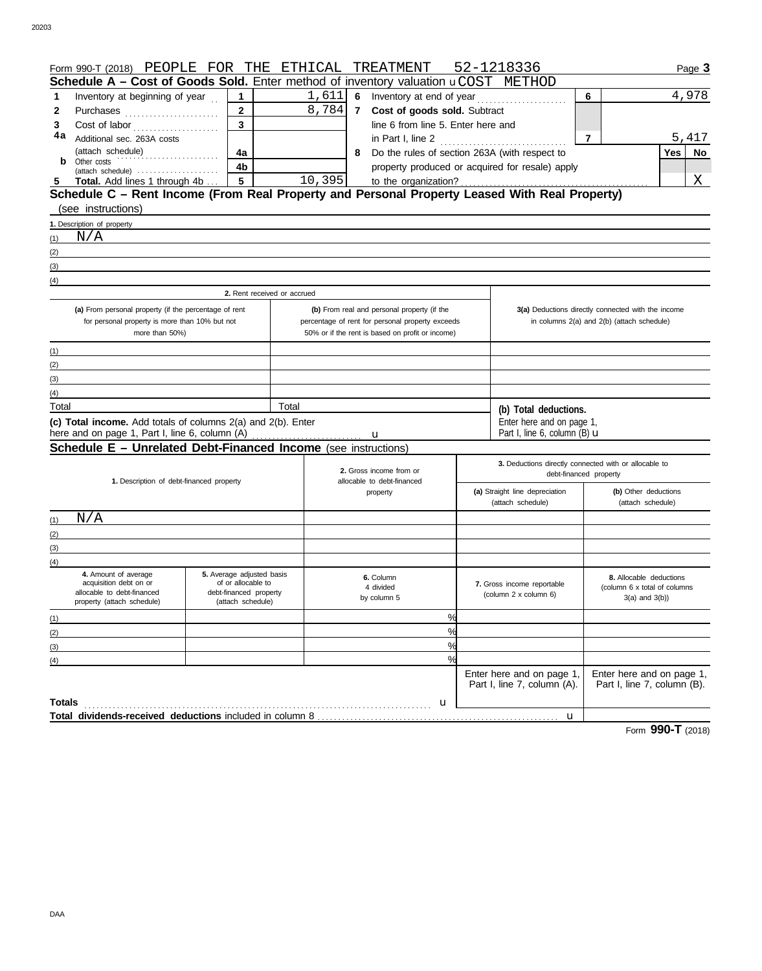| Form 990-T (2018) PEOPLE FOR THE ETHICAL                                                      |                                                 |                             |                | TREATMENT                                        | 52-1218336                                            | Page 3                                              |  |
|-----------------------------------------------------------------------------------------------|-------------------------------------------------|-----------------------------|----------------|--------------------------------------------------|-------------------------------------------------------|-----------------------------------------------------|--|
| Schedule A - Cost of Goods Sold. Enter method of inventory valuation uCOST METHOD             |                                                 |                             |                |                                                  |                                                       |                                                     |  |
| Inventory at beginning of year<br>1                                                           | $\mathbf{1}$                                    |                             |                | $1,611$ 6 Inventory at end of year               |                                                       | 4,978<br>6                                          |  |
| Purchases<br>2                                                                                | $\mathbf{2}$                                    | 8,784                       | $7\phantom{0}$ | Cost of goods sold. Subtract                     |                                                       |                                                     |  |
| 3<br>Cost of labor                                                                            | $\mathbf{3}$                                    |                             |                | line 6 from line 5. Enter here and               |                                                       |                                                     |  |
| 4a<br>Additional sec. 263A costs                                                              |                                                 |                             |                | in Part I, line 2                                |                                                       | 5,417<br>7                                          |  |
| (attach schedule)                                                                             | 4a<br>.                                         |                             |                | 8 Do the rules of section 263A (with respect to  |                                                       | Yes<br>No                                           |  |
| Other costs<br>b                                                                              | 4b                                              |                             |                |                                                  | property produced or acquired for resale) apply       |                                                     |  |
| (attach schedule)<br>Total. Add lines 1 through 4b<br>5                                       | 5                                               | 10,395                      |                | to the organization?                             |                                                       | Χ                                                   |  |
| Schedule C - Rent Income (From Real Property and Personal Property Leased With Real Property) |                                                 |                             |                |                                                  |                                                       |                                                     |  |
| (see instructions)                                                                            |                                                 |                             |                |                                                  |                                                       |                                                     |  |
| 1. Description of property                                                                    |                                                 |                             |                |                                                  |                                                       |                                                     |  |
| N/A<br>(1)                                                                                    |                                                 |                             |                |                                                  |                                                       |                                                     |  |
|                                                                                               |                                                 |                             |                |                                                  |                                                       |                                                     |  |
| (2)                                                                                           |                                                 |                             |                |                                                  |                                                       |                                                     |  |
| (3)                                                                                           |                                                 |                             |                |                                                  |                                                       |                                                     |  |
| (4)                                                                                           |                                                 |                             |                |                                                  |                                                       |                                                     |  |
|                                                                                               |                                                 | 2. Rent received or accrued |                |                                                  |                                                       |                                                     |  |
| (a) From personal property (if the percentage of rent                                         |                                                 |                             |                | (b) From real and personal property (if the      |                                                       | 3(a) Deductions directly connected with the income  |  |
| for personal property is more than 10% but not                                                |                                                 |                             |                | percentage of rent for personal property exceeds |                                                       | in columns 2(a) and 2(b) (attach schedule)          |  |
| more than 50%)                                                                                |                                                 |                             |                | 50% or if the rent is based on profit or income) |                                                       |                                                     |  |
| (1)                                                                                           |                                                 |                             |                |                                                  |                                                       |                                                     |  |
| (2)                                                                                           |                                                 |                             |                |                                                  |                                                       |                                                     |  |
| (3)                                                                                           |                                                 |                             |                |                                                  |                                                       |                                                     |  |
| (4)                                                                                           |                                                 |                             |                |                                                  |                                                       |                                                     |  |
| Total                                                                                         |                                                 | Total                       |                |                                                  | (b) Total deductions.                                 |                                                     |  |
| (c) Total income. Add totals of columns 2(a) and 2(b). Enter                                  |                                                 |                             |                |                                                  | Enter here and on page 1,                             |                                                     |  |
| here and on page 1, Part I, line 6, column (A)                                                |                                                 |                             |                | u                                                | Part I, line 6, column $(B)$ u                        |                                                     |  |
| <b>Schedule E - Unrelated Debt-Financed Income</b> (see instructions)                         |                                                 |                             |                |                                                  |                                                       |                                                     |  |
|                                                                                               |                                                 |                             |                |                                                  | 3. Deductions directly connected with or allocable to |                                                     |  |
|                                                                                               |                                                 |                             |                | 2. Gross income from or                          | debt-financed property                                |                                                     |  |
|                                                                                               | 1. Description of debt-financed property        |                             |                | allocable to debt-financed<br>property           | (a) Straight line depreciation                        | (b) Other deductions                                |  |
|                                                                                               |                                                 |                             |                |                                                  | (attach schedule)                                     | (attach schedule)                                   |  |
| N/A                                                                                           |                                                 |                             |                |                                                  |                                                       |                                                     |  |
| (1)                                                                                           |                                                 |                             |                |                                                  |                                                       |                                                     |  |
| (2)                                                                                           |                                                 |                             |                |                                                  |                                                       |                                                     |  |
| (3)                                                                                           |                                                 |                             |                |                                                  |                                                       |                                                     |  |
| (4)                                                                                           |                                                 |                             |                |                                                  |                                                       |                                                     |  |
| 4. Amount of average<br>acquisition debt on or                                                | 5. Average adjusted basis<br>of or allocable to |                             |                | 6. Column                                        | 7. Gross income reportable                            | 8. Allocable deductions                             |  |
| allocable to debt-financed                                                                    | debt-financed property                          |                             |                | 4 divided<br>by column 5                         | (column 2 x column 6)                                 | (column 6 x total of columns<br>$3(a)$ and $3(b)$ ) |  |
| property (attach schedule)                                                                    | (attach schedule)                               |                             |                |                                                  |                                                       |                                                     |  |
| (1)                                                                                           |                                                 |                             |                | %                                                |                                                       |                                                     |  |
| (2)                                                                                           |                                                 |                             |                | $\frac{0}{c}$                                    |                                                       |                                                     |  |
| (3)                                                                                           |                                                 |                             |                | $\frac{9}{6}$                                    |                                                       |                                                     |  |
| (4)                                                                                           |                                                 |                             |                | $\frac{0}{6}$                                    |                                                       |                                                     |  |
|                                                                                               |                                                 |                             |                |                                                  | Enter here and on page 1,                             | Enter here and on page 1,                           |  |
|                                                                                               |                                                 |                             |                |                                                  | Part I, line 7, column (A).                           | Part I, line 7, column (B).                         |  |
| <b>Totals</b>                                                                                 |                                                 |                             |                | u                                                |                                                       |                                                     |  |
|                                                                                               |                                                 |                             |                |                                                  | u                                                     |                                                     |  |

Form **990-T** (2018)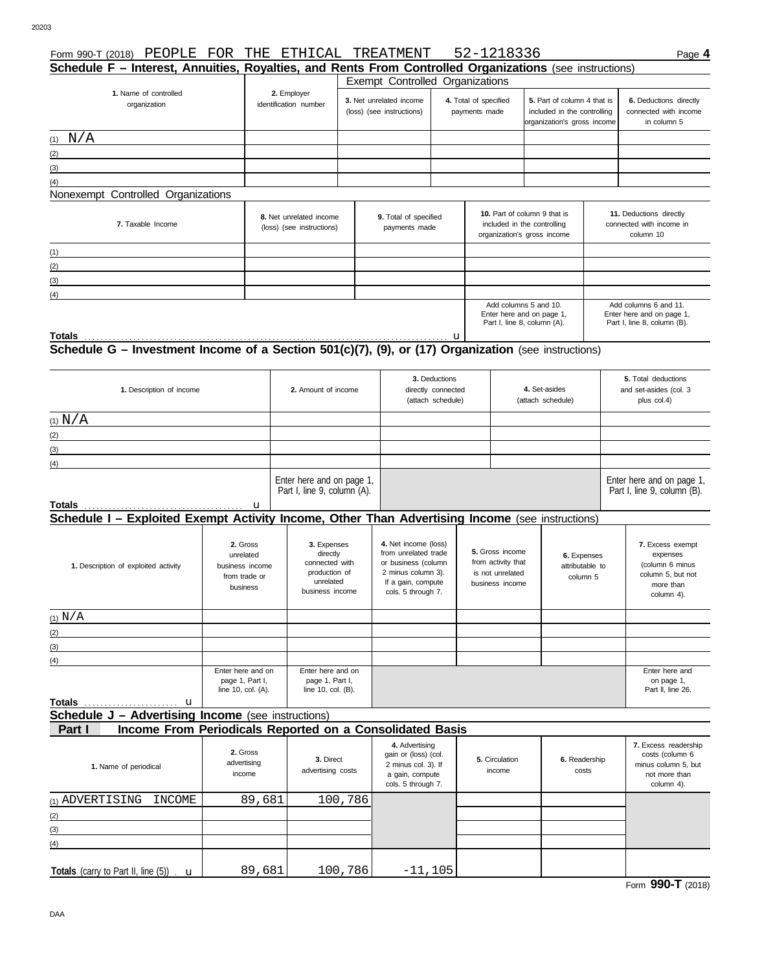| Schedule F - Interest, Annuities, Royalties, and Rents From Controlled Organizations (see instructions)<br>Exempt Controlled Organizations<br>1. Name of controlled<br>2. Employer<br>3. Net unrelated income<br>4. Total of specified<br>5. Part of column 4 that is<br>organization<br>identification number<br>(loss) (see instructions)<br>included in the controlling<br>payments made<br>organization's gross income<br>in column 5<br>(1) $N/A$<br>(2)<br><u> 1989 - Johann Barbara, martxa alemaniar a</u><br>(3)<br><u> 1989 - Johann Stein, mars an t-Amerikaansk kommunister (</u><br>(4)<br>Nonexempt Controlled Organizations<br>10. Part of column 9 that is<br>11. Deductions directly<br>8. Net unrelated income<br>9. Total of specified<br>7. Taxable Income<br>included in the controlling<br>connected with income in<br>(loss) (see instructions)<br>payments made<br>organization's gross income<br>column 10<br>(1)<br>the control of the control of the control of the control of the control of the control of<br>(2)<br>the control of the control of the control of the control of the control of the control of<br>(3)<br><u> 1989 - Johann Harry Harry Harry Harry Harry Harry Harry Harry Harry Harry Harry Harry Harry Harry Harry Harry</u><br>(4)<br>Add columns 5 and 10.<br>Add columns 6 and 11.<br>Enter here and on page 1,<br>Enter here and on page 1,<br>Part I, line 8, column (A).<br>Part I, line 8, column (B).<br>3. Deductions<br>5. Total deductions<br>1. Description of income<br>2. Amount of income<br>directly connected<br>4. Set-asides<br>and set-asides (col. 3<br>(attach schedule)<br>(attach schedule)<br>plus col.4)<br>(1) $N/A$<br>(2)<br><u> 1989 - Johann Stoff, deutscher Stoffen und der Stoffen und der Stoffen und der Stoffen und der Stoffen und der</u><br>(3)<br><u> 1989 - Johann Stein, fransk politik (f. 1989)</u><br>(4)<br>Enter here and on page 1,<br>Enter here and on page 1,<br>Part I, line 9, column (A).<br>Part I, line 9, column (B).<br>Schedule I - Exploited Exempt Activity Income, Other Than Advertising Income (see instructions)<br>4. Net income (loss)<br>2. Gross<br>3. Expenses<br>7. Excess exempt<br>5. Gross income<br>from unrelated trade<br>directly<br>unrelated<br>6. Expenses<br>expenses<br>from activity that<br>connected with<br>or business (column<br>(column 6 minus<br>1. Description of exploited activity<br>business income<br>attributable to<br>production of<br>2 minus column 3).<br>is not unrelated<br>column 5, but not<br>from trade or<br>column 5<br>unrelated<br>If a gain, compute<br>business income<br>more than<br>business<br>business income<br>cols. 5 through 7.<br>column 4).<br>(1) N/A<br>(2)<br>(3)<br>(4)<br>Enter here and on<br>Enter here and on<br>Enter here and<br>page 1, Part I,<br>page 1, Part I,<br>on page 1,<br>line 10, col. (A).<br>line 10, col. (B).<br>Part II, line 26.<br>Totals<br>u<br><b>Schedule J - Advertising Income</b> (see instructions)<br>Income From Periodicals Reported on a Consolidated Basis<br>Part I<br>4. Advertising<br>2. Gross<br>gain or (loss) (col.<br>costs (column 6<br>3. Direct<br>5. Circulation<br>6. Readership<br>advertising<br>2 minus col. 3). If<br>1. Name of periodical<br>advertising costs<br>income<br>costs<br>income<br>a gain, compute<br>not more than<br>cols. 5 through 7.<br>column 4).<br>(1) ADVERTISING<br>89,681<br>100,786<br>INCOME<br>(2)<br>(3) | Form 990-T (2018) PEOPLE | THE<br>FOR | ETHICAL | TREATMENT |  | 52-1218336 |  |  | Page 4                                          |
|---------------------------------------------------------------------------------------------------------------------------------------------------------------------------------------------------------------------------------------------------------------------------------------------------------------------------------------------------------------------------------------------------------------------------------------------------------------------------------------------------------------------------------------------------------------------------------------------------------------------------------------------------------------------------------------------------------------------------------------------------------------------------------------------------------------------------------------------------------------------------------------------------------------------------------------------------------------------------------------------------------------------------------------------------------------------------------------------------------------------------------------------------------------------------------------------------------------------------------------------------------------------------------------------------------------------------------------------------------------------------------------------------------------------------------------------------------------------------------------------------------------------------------------------------------------------------------------------------------------------------------------------------------------------------------------------------------------------------------------------------------------------------------------------------------------------------------------------------------------------------------------------------------------------------------------------------------------------------------------------------------------------------------------------------------------------------------------------------------------------------------------------------------------------------------------------------------------------------------------------------------------------------------------------------------------------------------------------------------------------------------------------------------------------------------------------------------------------------------------------------------------------------------------------------------------------------------------------------------------------------------------------------------------------------------------------------------------------------------------------------------------------------------------------------------------------------------------------------------------------------------------------------------------------------------------------------------------------------------------------------------------------------------------------------------------------------------------------------------------------------------------------------------------------------------------------------------------------------------------------------------------------------------------------------------------------------------------------------------------------------------------------------------------------------------------------------------------------------------|--------------------------|------------|---------|-----------|--|------------|--|--|-------------------------------------------------|
|                                                                                                                                                                                                                                                                                                                                                                                                                                                                                                                                                                                                                                                                                                                                                                                                                                                                                                                                                                                                                                                                                                                                                                                                                                                                                                                                                                                                                                                                                                                                                                                                                                                                                                                                                                                                                                                                                                                                                                                                                                                                                                                                                                                                                                                                                                                                                                                                                                                                                                                                                                                                                                                                                                                                                                                                                                                                                                                                                                                                                                                                                                                                                                                                                                                                                                                                                                                                                                                                                 |                          |            |         |           |  |            |  |  |                                                 |
|                                                                                                                                                                                                                                                                                                                                                                                                                                                                                                                                                                                                                                                                                                                                                                                                                                                                                                                                                                                                                                                                                                                                                                                                                                                                                                                                                                                                                                                                                                                                                                                                                                                                                                                                                                                                                                                                                                                                                                                                                                                                                                                                                                                                                                                                                                                                                                                                                                                                                                                                                                                                                                                                                                                                                                                                                                                                                                                                                                                                                                                                                                                                                                                                                                                                                                                                                                                                                                                                                 |                          |            |         |           |  |            |  |  | 6. Deductions directly<br>connected with income |
|                                                                                                                                                                                                                                                                                                                                                                                                                                                                                                                                                                                                                                                                                                                                                                                                                                                                                                                                                                                                                                                                                                                                                                                                                                                                                                                                                                                                                                                                                                                                                                                                                                                                                                                                                                                                                                                                                                                                                                                                                                                                                                                                                                                                                                                                                                                                                                                                                                                                                                                                                                                                                                                                                                                                                                                                                                                                                                                                                                                                                                                                                                                                                                                                                                                                                                                                                                                                                                                                                 |                          |            |         |           |  |            |  |  |                                                 |
|                                                                                                                                                                                                                                                                                                                                                                                                                                                                                                                                                                                                                                                                                                                                                                                                                                                                                                                                                                                                                                                                                                                                                                                                                                                                                                                                                                                                                                                                                                                                                                                                                                                                                                                                                                                                                                                                                                                                                                                                                                                                                                                                                                                                                                                                                                                                                                                                                                                                                                                                                                                                                                                                                                                                                                                                                                                                                                                                                                                                                                                                                                                                                                                                                                                                                                                                                                                                                                                                                 |                          |            |         |           |  |            |  |  |                                                 |
|                                                                                                                                                                                                                                                                                                                                                                                                                                                                                                                                                                                                                                                                                                                                                                                                                                                                                                                                                                                                                                                                                                                                                                                                                                                                                                                                                                                                                                                                                                                                                                                                                                                                                                                                                                                                                                                                                                                                                                                                                                                                                                                                                                                                                                                                                                                                                                                                                                                                                                                                                                                                                                                                                                                                                                                                                                                                                                                                                                                                                                                                                                                                                                                                                                                                                                                                                                                                                                                                                 |                          |            |         |           |  |            |  |  |                                                 |
|                                                                                                                                                                                                                                                                                                                                                                                                                                                                                                                                                                                                                                                                                                                                                                                                                                                                                                                                                                                                                                                                                                                                                                                                                                                                                                                                                                                                                                                                                                                                                                                                                                                                                                                                                                                                                                                                                                                                                                                                                                                                                                                                                                                                                                                                                                                                                                                                                                                                                                                                                                                                                                                                                                                                                                                                                                                                                                                                                                                                                                                                                                                                                                                                                                                                                                                                                                                                                                                                                 |                          |            |         |           |  |            |  |  |                                                 |
|                                                                                                                                                                                                                                                                                                                                                                                                                                                                                                                                                                                                                                                                                                                                                                                                                                                                                                                                                                                                                                                                                                                                                                                                                                                                                                                                                                                                                                                                                                                                                                                                                                                                                                                                                                                                                                                                                                                                                                                                                                                                                                                                                                                                                                                                                                                                                                                                                                                                                                                                                                                                                                                                                                                                                                                                                                                                                                                                                                                                                                                                                                                                                                                                                                                                                                                                                                                                                                                                                 |                          |            |         |           |  |            |  |  |                                                 |
|                                                                                                                                                                                                                                                                                                                                                                                                                                                                                                                                                                                                                                                                                                                                                                                                                                                                                                                                                                                                                                                                                                                                                                                                                                                                                                                                                                                                                                                                                                                                                                                                                                                                                                                                                                                                                                                                                                                                                                                                                                                                                                                                                                                                                                                                                                                                                                                                                                                                                                                                                                                                                                                                                                                                                                                                                                                                                                                                                                                                                                                                                                                                                                                                                                                                                                                                                                                                                                                                                 |                          |            |         |           |  |            |  |  |                                                 |
|                                                                                                                                                                                                                                                                                                                                                                                                                                                                                                                                                                                                                                                                                                                                                                                                                                                                                                                                                                                                                                                                                                                                                                                                                                                                                                                                                                                                                                                                                                                                                                                                                                                                                                                                                                                                                                                                                                                                                                                                                                                                                                                                                                                                                                                                                                                                                                                                                                                                                                                                                                                                                                                                                                                                                                                                                                                                                                                                                                                                                                                                                                                                                                                                                                                                                                                                                                                                                                                                                 |                          |            |         |           |  |            |  |  |                                                 |
|                                                                                                                                                                                                                                                                                                                                                                                                                                                                                                                                                                                                                                                                                                                                                                                                                                                                                                                                                                                                                                                                                                                                                                                                                                                                                                                                                                                                                                                                                                                                                                                                                                                                                                                                                                                                                                                                                                                                                                                                                                                                                                                                                                                                                                                                                                                                                                                                                                                                                                                                                                                                                                                                                                                                                                                                                                                                                                                                                                                                                                                                                                                                                                                                                                                                                                                                                                                                                                                                                 |                          |            |         |           |  |            |  |  |                                                 |
|                                                                                                                                                                                                                                                                                                                                                                                                                                                                                                                                                                                                                                                                                                                                                                                                                                                                                                                                                                                                                                                                                                                                                                                                                                                                                                                                                                                                                                                                                                                                                                                                                                                                                                                                                                                                                                                                                                                                                                                                                                                                                                                                                                                                                                                                                                                                                                                                                                                                                                                                                                                                                                                                                                                                                                                                                                                                                                                                                                                                                                                                                                                                                                                                                                                                                                                                                                                                                                                                                 |                          |            |         |           |  |            |  |  |                                                 |
|                                                                                                                                                                                                                                                                                                                                                                                                                                                                                                                                                                                                                                                                                                                                                                                                                                                                                                                                                                                                                                                                                                                                                                                                                                                                                                                                                                                                                                                                                                                                                                                                                                                                                                                                                                                                                                                                                                                                                                                                                                                                                                                                                                                                                                                                                                                                                                                                                                                                                                                                                                                                                                                                                                                                                                                                                                                                                                                                                                                                                                                                                                                                                                                                                                                                                                                                                                                                                                                                                 |                          |            |         |           |  |            |  |  |                                                 |
|                                                                                                                                                                                                                                                                                                                                                                                                                                                                                                                                                                                                                                                                                                                                                                                                                                                                                                                                                                                                                                                                                                                                                                                                                                                                                                                                                                                                                                                                                                                                                                                                                                                                                                                                                                                                                                                                                                                                                                                                                                                                                                                                                                                                                                                                                                                                                                                                                                                                                                                                                                                                                                                                                                                                                                                                                                                                                                                                                                                                                                                                                                                                                                                                                                                                                                                                                                                                                                                                                 |                          |            |         |           |  |            |  |  |                                                 |
|                                                                                                                                                                                                                                                                                                                                                                                                                                                                                                                                                                                                                                                                                                                                                                                                                                                                                                                                                                                                                                                                                                                                                                                                                                                                                                                                                                                                                                                                                                                                                                                                                                                                                                                                                                                                                                                                                                                                                                                                                                                                                                                                                                                                                                                                                                                                                                                                                                                                                                                                                                                                                                                                                                                                                                                                                                                                                                                                                                                                                                                                                                                                                                                                                                                                                                                                                                                                                                                                                 |                          |            |         |           |  |            |  |  |                                                 |
|                                                                                                                                                                                                                                                                                                                                                                                                                                                                                                                                                                                                                                                                                                                                                                                                                                                                                                                                                                                                                                                                                                                                                                                                                                                                                                                                                                                                                                                                                                                                                                                                                                                                                                                                                                                                                                                                                                                                                                                                                                                                                                                                                                                                                                                                                                                                                                                                                                                                                                                                                                                                                                                                                                                                                                                                                                                                                                                                                                                                                                                                                                                                                                                                                                                                                                                                                                                                                                                                                 |                          |            |         |           |  |            |  |  |                                                 |
|                                                                                                                                                                                                                                                                                                                                                                                                                                                                                                                                                                                                                                                                                                                                                                                                                                                                                                                                                                                                                                                                                                                                                                                                                                                                                                                                                                                                                                                                                                                                                                                                                                                                                                                                                                                                                                                                                                                                                                                                                                                                                                                                                                                                                                                                                                                                                                                                                                                                                                                                                                                                                                                                                                                                                                                                                                                                                                                                                                                                                                                                                                                                                                                                                                                                                                                                                                                                                                                                                 |                          |            |         |           |  |            |  |  |                                                 |
|                                                                                                                                                                                                                                                                                                                                                                                                                                                                                                                                                                                                                                                                                                                                                                                                                                                                                                                                                                                                                                                                                                                                                                                                                                                                                                                                                                                                                                                                                                                                                                                                                                                                                                                                                                                                                                                                                                                                                                                                                                                                                                                                                                                                                                                                                                                                                                                                                                                                                                                                                                                                                                                                                                                                                                                                                                                                                                                                                                                                                                                                                                                                                                                                                                                                                                                                                                                                                                                                                 |                          |            |         |           |  |            |  |  |                                                 |
|                                                                                                                                                                                                                                                                                                                                                                                                                                                                                                                                                                                                                                                                                                                                                                                                                                                                                                                                                                                                                                                                                                                                                                                                                                                                                                                                                                                                                                                                                                                                                                                                                                                                                                                                                                                                                                                                                                                                                                                                                                                                                                                                                                                                                                                                                                                                                                                                                                                                                                                                                                                                                                                                                                                                                                                                                                                                                                                                                                                                                                                                                                                                                                                                                                                                                                                                                                                                                                                                                 |                          |            |         |           |  |            |  |  |                                                 |
|                                                                                                                                                                                                                                                                                                                                                                                                                                                                                                                                                                                                                                                                                                                                                                                                                                                                                                                                                                                                                                                                                                                                                                                                                                                                                                                                                                                                                                                                                                                                                                                                                                                                                                                                                                                                                                                                                                                                                                                                                                                                                                                                                                                                                                                                                                                                                                                                                                                                                                                                                                                                                                                                                                                                                                                                                                                                                                                                                                                                                                                                                                                                                                                                                                                                                                                                                                                                                                                                                 |                          |            |         |           |  |            |  |  |                                                 |
|                                                                                                                                                                                                                                                                                                                                                                                                                                                                                                                                                                                                                                                                                                                                                                                                                                                                                                                                                                                                                                                                                                                                                                                                                                                                                                                                                                                                                                                                                                                                                                                                                                                                                                                                                                                                                                                                                                                                                                                                                                                                                                                                                                                                                                                                                                                                                                                                                                                                                                                                                                                                                                                                                                                                                                                                                                                                                                                                                                                                                                                                                                                                                                                                                                                                                                                                                                                                                                                                                 |                          |            |         |           |  |            |  |  |                                                 |
|                                                                                                                                                                                                                                                                                                                                                                                                                                                                                                                                                                                                                                                                                                                                                                                                                                                                                                                                                                                                                                                                                                                                                                                                                                                                                                                                                                                                                                                                                                                                                                                                                                                                                                                                                                                                                                                                                                                                                                                                                                                                                                                                                                                                                                                                                                                                                                                                                                                                                                                                                                                                                                                                                                                                                                                                                                                                                                                                                                                                                                                                                                                                                                                                                                                                                                                                                                                                                                                                                 |                          |            |         |           |  |            |  |  |                                                 |
|                                                                                                                                                                                                                                                                                                                                                                                                                                                                                                                                                                                                                                                                                                                                                                                                                                                                                                                                                                                                                                                                                                                                                                                                                                                                                                                                                                                                                                                                                                                                                                                                                                                                                                                                                                                                                                                                                                                                                                                                                                                                                                                                                                                                                                                                                                                                                                                                                                                                                                                                                                                                                                                                                                                                                                                                                                                                                                                                                                                                                                                                                                                                                                                                                                                                                                                                                                                                                                                                                 |                          |            |         |           |  |            |  |  |                                                 |
|                                                                                                                                                                                                                                                                                                                                                                                                                                                                                                                                                                                                                                                                                                                                                                                                                                                                                                                                                                                                                                                                                                                                                                                                                                                                                                                                                                                                                                                                                                                                                                                                                                                                                                                                                                                                                                                                                                                                                                                                                                                                                                                                                                                                                                                                                                                                                                                                                                                                                                                                                                                                                                                                                                                                                                                                                                                                                                                                                                                                                                                                                                                                                                                                                                                                                                                                                                                                                                                                                 |                          |            |         |           |  |            |  |  |                                                 |
|                                                                                                                                                                                                                                                                                                                                                                                                                                                                                                                                                                                                                                                                                                                                                                                                                                                                                                                                                                                                                                                                                                                                                                                                                                                                                                                                                                                                                                                                                                                                                                                                                                                                                                                                                                                                                                                                                                                                                                                                                                                                                                                                                                                                                                                                                                                                                                                                                                                                                                                                                                                                                                                                                                                                                                                                                                                                                                                                                                                                                                                                                                                                                                                                                                                                                                                                                                                                                                                                                 |                          |            |         |           |  |            |  |  |                                                 |
|                                                                                                                                                                                                                                                                                                                                                                                                                                                                                                                                                                                                                                                                                                                                                                                                                                                                                                                                                                                                                                                                                                                                                                                                                                                                                                                                                                                                                                                                                                                                                                                                                                                                                                                                                                                                                                                                                                                                                                                                                                                                                                                                                                                                                                                                                                                                                                                                                                                                                                                                                                                                                                                                                                                                                                                                                                                                                                                                                                                                                                                                                                                                                                                                                                                                                                                                                                                                                                                                                 |                          |            |         |           |  |            |  |  |                                                 |
|                                                                                                                                                                                                                                                                                                                                                                                                                                                                                                                                                                                                                                                                                                                                                                                                                                                                                                                                                                                                                                                                                                                                                                                                                                                                                                                                                                                                                                                                                                                                                                                                                                                                                                                                                                                                                                                                                                                                                                                                                                                                                                                                                                                                                                                                                                                                                                                                                                                                                                                                                                                                                                                                                                                                                                                                                                                                                                                                                                                                                                                                                                                                                                                                                                                                                                                                                                                                                                                                                 |                          |            |         |           |  |            |  |  |                                                 |
|                                                                                                                                                                                                                                                                                                                                                                                                                                                                                                                                                                                                                                                                                                                                                                                                                                                                                                                                                                                                                                                                                                                                                                                                                                                                                                                                                                                                                                                                                                                                                                                                                                                                                                                                                                                                                                                                                                                                                                                                                                                                                                                                                                                                                                                                                                                                                                                                                                                                                                                                                                                                                                                                                                                                                                                                                                                                                                                                                                                                                                                                                                                                                                                                                                                                                                                                                                                                                                                                                 |                          |            |         |           |  |            |  |  |                                                 |
|                                                                                                                                                                                                                                                                                                                                                                                                                                                                                                                                                                                                                                                                                                                                                                                                                                                                                                                                                                                                                                                                                                                                                                                                                                                                                                                                                                                                                                                                                                                                                                                                                                                                                                                                                                                                                                                                                                                                                                                                                                                                                                                                                                                                                                                                                                                                                                                                                                                                                                                                                                                                                                                                                                                                                                                                                                                                                                                                                                                                                                                                                                                                                                                                                                                                                                                                                                                                                                                                                 |                          |            |         |           |  |            |  |  |                                                 |
|                                                                                                                                                                                                                                                                                                                                                                                                                                                                                                                                                                                                                                                                                                                                                                                                                                                                                                                                                                                                                                                                                                                                                                                                                                                                                                                                                                                                                                                                                                                                                                                                                                                                                                                                                                                                                                                                                                                                                                                                                                                                                                                                                                                                                                                                                                                                                                                                                                                                                                                                                                                                                                                                                                                                                                                                                                                                                                                                                                                                                                                                                                                                                                                                                                                                                                                                                                                                                                                                                 |                          |            |         |           |  |            |  |  |                                                 |
|                                                                                                                                                                                                                                                                                                                                                                                                                                                                                                                                                                                                                                                                                                                                                                                                                                                                                                                                                                                                                                                                                                                                                                                                                                                                                                                                                                                                                                                                                                                                                                                                                                                                                                                                                                                                                                                                                                                                                                                                                                                                                                                                                                                                                                                                                                                                                                                                                                                                                                                                                                                                                                                                                                                                                                                                                                                                                                                                                                                                                                                                                                                                                                                                                                                                                                                                                                                                                                                                                 |                          |            |         |           |  |            |  |  |                                                 |
|                                                                                                                                                                                                                                                                                                                                                                                                                                                                                                                                                                                                                                                                                                                                                                                                                                                                                                                                                                                                                                                                                                                                                                                                                                                                                                                                                                                                                                                                                                                                                                                                                                                                                                                                                                                                                                                                                                                                                                                                                                                                                                                                                                                                                                                                                                                                                                                                                                                                                                                                                                                                                                                                                                                                                                                                                                                                                                                                                                                                                                                                                                                                                                                                                                                                                                                                                                                                                                                                                 |                          |            |         |           |  |            |  |  |                                                 |
|                                                                                                                                                                                                                                                                                                                                                                                                                                                                                                                                                                                                                                                                                                                                                                                                                                                                                                                                                                                                                                                                                                                                                                                                                                                                                                                                                                                                                                                                                                                                                                                                                                                                                                                                                                                                                                                                                                                                                                                                                                                                                                                                                                                                                                                                                                                                                                                                                                                                                                                                                                                                                                                                                                                                                                                                                                                                                                                                                                                                                                                                                                                                                                                                                                                                                                                                                                                                                                                                                 |                          |            |         |           |  |            |  |  |                                                 |
|                                                                                                                                                                                                                                                                                                                                                                                                                                                                                                                                                                                                                                                                                                                                                                                                                                                                                                                                                                                                                                                                                                                                                                                                                                                                                                                                                                                                                                                                                                                                                                                                                                                                                                                                                                                                                                                                                                                                                                                                                                                                                                                                                                                                                                                                                                                                                                                                                                                                                                                                                                                                                                                                                                                                                                                                                                                                                                                                                                                                                                                                                                                                                                                                                                                                                                                                                                                                                                                                                 |                          |            |         |           |  |            |  |  |                                                 |
|                                                                                                                                                                                                                                                                                                                                                                                                                                                                                                                                                                                                                                                                                                                                                                                                                                                                                                                                                                                                                                                                                                                                                                                                                                                                                                                                                                                                                                                                                                                                                                                                                                                                                                                                                                                                                                                                                                                                                                                                                                                                                                                                                                                                                                                                                                                                                                                                                                                                                                                                                                                                                                                                                                                                                                                                                                                                                                                                                                                                                                                                                                                                                                                                                                                                                                                                                                                                                                                                                 |                          |            |         |           |  |            |  |  |                                                 |
|                                                                                                                                                                                                                                                                                                                                                                                                                                                                                                                                                                                                                                                                                                                                                                                                                                                                                                                                                                                                                                                                                                                                                                                                                                                                                                                                                                                                                                                                                                                                                                                                                                                                                                                                                                                                                                                                                                                                                                                                                                                                                                                                                                                                                                                                                                                                                                                                                                                                                                                                                                                                                                                                                                                                                                                                                                                                                                                                                                                                                                                                                                                                                                                                                                                                                                                                                                                                                                                                                 |                          |            |         |           |  |            |  |  | 7. Excess readership<br>minus column 5, but     |
|                                                                                                                                                                                                                                                                                                                                                                                                                                                                                                                                                                                                                                                                                                                                                                                                                                                                                                                                                                                                                                                                                                                                                                                                                                                                                                                                                                                                                                                                                                                                                                                                                                                                                                                                                                                                                                                                                                                                                                                                                                                                                                                                                                                                                                                                                                                                                                                                                                                                                                                                                                                                                                                                                                                                                                                                                                                                                                                                                                                                                                                                                                                                                                                                                                                                                                                                                                                                                                                                                 |                          |            |         |           |  |            |  |  |                                                 |
|                                                                                                                                                                                                                                                                                                                                                                                                                                                                                                                                                                                                                                                                                                                                                                                                                                                                                                                                                                                                                                                                                                                                                                                                                                                                                                                                                                                                                                                                                                                                                                                                                                                                                                                                                                                                                                                                                                                                                                                                                                                                                                                                                                                                                                                                                                                                                                                                                                                                                                                                                                                                                                                                                                                                                                                                                                                                                                                                                                                                                                                                                                                                                                                                                                                                                                                                                                                                                                                                                 |                          |            |         |           |  |            |  |  |                                                 |
|                                                                                                                                                                                                                                                                                                                                                                                                                                                                                                                                                                                                                                                                                                                                                                                                                                                                                                                                                                                                                                                                                                                                                                                                                                                                                                                                                                                                                                                                                                                                                                                                                                                                                                                                                                                                                                                                                                                                                                                                                                                                                                                                                                                                                                                                                                                                                                                                                                                                                                                                                                                                                                                                                                                                                                                                                                                                                                                                                                                                                                                                                                                                                                                                                                                                                                                                                                                                                                                                                 |                          |            |         |           |  |            |  |  |                                                 |
|                                                                                                                                                                                                                                                                                                                                                                                                                                                                                                                                                                                                                                                                                                                                                                                                                                                                                                                                                                                                                                                                                                                                                                                                                                                                                                                                                                                                                                                                                                                                                                                                                                                                                                                                                                                                                                                                                                                                                                                                                                                                                                                                                                                                                                                                                                                                                                                                                                                                                                                                                                                                                                                                                                                                                                                                                                                                                                                                                                                                                                                                                                                                                                                                                                                                                                                                                                                                                                                                                 |                          |            |         |           |  |            |  |  |                                                 |
| (4)                                                                                                                                                                                                                                                                                                                                                                                                                                                                                                                                                                                                                                                                                                                                                                                                                                                                                                                                                                                                                                                                                                                                                                                                                                                                                                                                                                                                                                                                                                                                                                                                                                                                                                                                                                                                                                                                                                                                                                                                                                                                                                                                                                                                                                                                                                                                                                                                                                                                                                                                                                                                                                                                                                                                                                                                                                                                                                                                                                                                                                                                                                                                                                                                                                                                                                                                                                                                                                                                             |                          |            |         |           |  |            |  |  |                                                 |
| 89,681<br>100,786<br>$-11,105$<br>Totals (carry to Part II, line $(5)$ ) $\mathbf{u}$                                                                                                                                                                                                                                                                                                                                                                                                                                                                                                                                                                                                                                                                                                                                                                                                                                                                                                                                                                                                                                                                                                                                                                                                                                                                                                                                                                                                                                                                                                                                                                                                                                                                                                                                                                                                                                                                                                                                                                                                                                                                                                                                                                                                                                                                                                                                                                                                                                                                                                                                                                                                                                                                                                                                                                                                                                                                                                                                                                                                                                                                                                                                                                                                                                                                                                                                                                                           |                          |            |         |           |  |            |  |  |                                                 |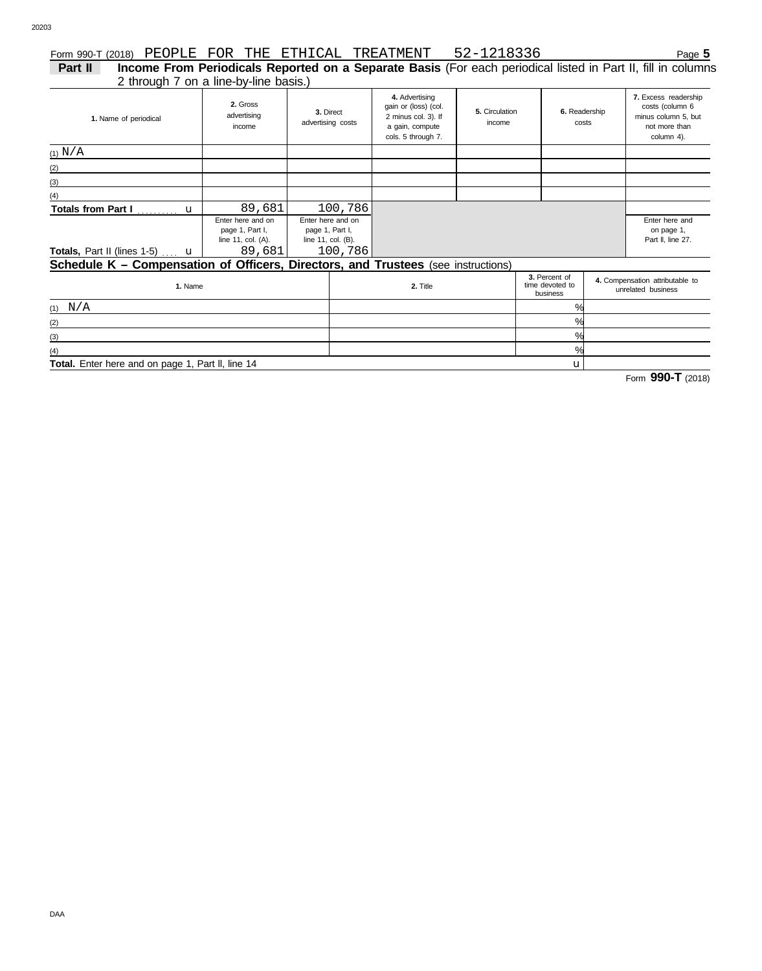(3) (4)

# Form 990-T (2018) Page **5** PEOPLE FOR THE ETHICAL TREATMENT 52-1218336

2 through 7 on a line-by-line basis.) **Part II Income From Periodicals Reported on a Separate Basis** (For each periodical listed in Part II, fill in columns

| 1. Name of periodical                                                                    | 2. Gross<br>advertising<br>income                                    | 3. Direct<br>advertising costs |                                                    | 4. Advertising<br>gain or (loss) (col.<br>2 minus col. 3). If<br>a gain, compute<br>cols. 5 through 7. | 5. Circulation<br>income | 6. Readership<br>costs                       |  | 7. Excess readership<br>costs (column 6<br>minus column 5, but<br>not more than<br>column 4). |  |
|------------------------------------------------------------------------------------------|----------------------------------------------------------------------|--------------------------------|----------------------------------------------------|--------------------------------------------------------------------------------------------------------|--------------------------|----------------------------------------------|--|-----------------------------------------------------------------------------------------------|--|
| (1) N/A                                                                                  |                                                                      |                                |                                                    |                                                                                                        |                          |                                              |  |                                                                                               |  |
| (2)                                                                                      |                                                                      |                                |                                                    |                                                                                                        |                          |                                              |  |                                                                                               |  |
| (3)                                                                                      |                                                                      |                                |                                                    |                                                                                                        |                          |                                              |  |                                                                                               |  |
| (4)                                                                                      |                                                                      |                                |                                                    |                                                                                                        |                          |                                              |  |                                                                                               |  |
| Totals from Part I  u                                                                    | 89,681                                                               |                                | 100,786                                            |                                                                                                        |                          |                                              |  |                                                                                               |  |
| Totals, Part II (lines 1-5)  u                                                           | Enter here and on<br>page 1, Part I,<br>line 11, col. (A).<br>89,681 | page 1, Part I,                | Enter here and on<br>line 11, col. (B).<br>100,786 |                                                                                                        |                          |                                              |  | Enter here and<br>on page 1,<br>Part II, line 27.                                             |  |
| <b>Schedule K - Compensation of Officers, Directors, and Trustees</b> (see instructions) |                                                                      |                                |                                                    |                                                                                                        |                          |                                              |  |                                                                                               |  |
| 1. Name                                                                                  |                                                                      |                                |                                                    | 2. Title                                                                                               |                          | 3. Percent of<br>time devoted to<br>business |  | 4. Compensation attributable to<br>unrelated business                                         |  |
| (1) $N/A$                                                                                |                                                                      |                                |                                                    |                                                                                                        |                          | $\%$                                         |  |                                                                                               |  |
| (2)                                                                                      |                                                                      |                                |                                                    |                                                                                                        |                          | %                                            |  |                                                                                               |  |

**Total.** Enter here and on page 1, Part ll, line 14

Form **990-T** (2018)

u

%  $\overline{\gamma_{0}}$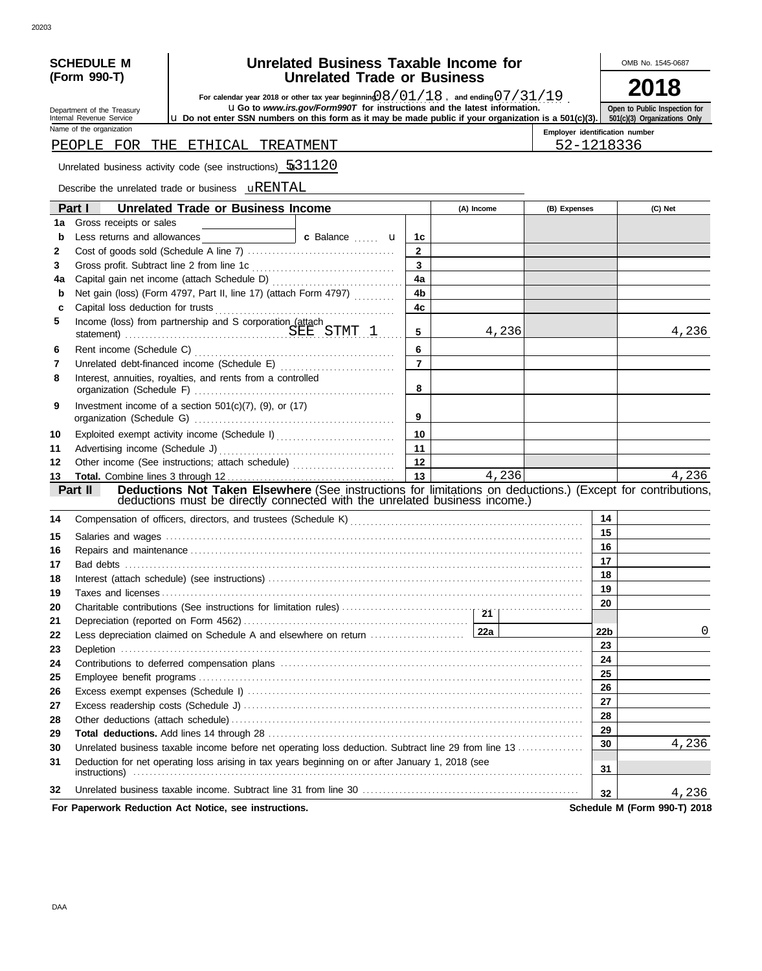| SCHEDULE M   |  |
|--------------|--|
| (Form 990-T) |  |

Department of the Treasury Internal Revenue Service Name of the organization

# **SCHEDULE M**  $\bigcup$  **Unrelated Business Taxable Income for**  $\bigcup$  OMB No. 1545-0687 **Unrelated Trade or Business**

**2018**

For calendar year 2018 or other tax year beginning  $0.8 \div 0.1 \div 1.8$ , and ending  $0.7 \div 3.1 \div 1.9$ .<br>**uGo to** www.irs.gov/Form990T for instructions and the latest information.

u **Do not enter SSN numbers on this form as it may be made public if your organization is a 501(c)(3).**

**Open to Public Inspection for 501(c)(3) Organizations Only**

**Employer identification number**

### PEOPLE FOR THE ETHICAL TREATMENT FOR THE STRICAL TREATMENT

Unrelated business activity code (see instructions)  $\sqrt{531120}$ 

Describe the unrelated trade or business **uRENTAL** 

|                          | Part I<br><b>Unrelated Trade or Business Income</b>                                                                                                                                                                            |                         | (A) Income | (B) Expenses    | (C) Net                      |
|--------------------------|--------------------------------------------------------------------------------------------------------------------------------------------------------------------------------------------------------------------------------|-------------------------|------------|-----------------|------------------------------|
| 1a                       | Gross receipts or sales                                                                                                                                                                                                        |                         |            |                 |                              |
| b                        | c Balance <b>u</b>                                                                                                                                                                                                             | 1c                      |            |                 |                              |
| $\mathbf{2}$             |                                                                                                                                                                                                                                | $\mathbf{2}$            |            |                 |                              |
| 3                        |                                                                                                                                                                                                                                | $\overline{\mathbf{3}}$ |            |                 |                              |
| 4a                       |                                                                                                                                                                                                                                | 4a                      |            |                 |                              |
| b                        | Net gain (loss) (Form 4797, Part II, line 17) (attach Form 4797)                                                                                                                                                               | 4 <sub>b</sub>          |            |                 |                              |
| C                        |                                                                                                                                                                                                                                | 4c                      |            |                 |                              |
| 5                        | Income (loss) from partnership and S corporation (attach<br>statement) SEE STMT 1                                                                                                                                              | 5                       | 4,236      |                 | 4,236                        |
| 6                        |                                                                                                                                                                                                                                | 6                       |            |                 |                              |
| $\overline{\phantom{a}}$ |                                                                                                                                                                                                                                | $\overline{7}$          |            |                 |                              |
| 8                        | Interest, annuities, royalties, and rents from a controlled                                                                                                                                                                    | 8                       |            |                 |                              |
| 9                        | Investment income of a section $501(c)(7)$ , (9), or (17)                                                                                                                                                                      | 9                       |            |                 |                              |
| 10                       | Exploited exempt activity income (Schedule I)                                                                                                                                                                                  | 10                      |            |                 |                              |
| 11                       |                                                                                                                                                                                                                                | 11                      |            |                 |                              |
| 12                       |                                                                                                                                                                                                                                | 12                      |            |                 |                              |
| 13                       |                                                                                                                                                                                                                                | 13                      | 4,236      |                 | 4,236                        |
|                          | Deductions Not Taken Elsewhere (See instructions for limitations on deductions.) (Except for contributions,<br>Part II                                                                                                         |                         |            |                 |                              |
|                          | deductions must be directly connected with the unrelated business income.)                                                                                                                                                     |                         |            |                 |                              |
| 14                       | Compensation of officers, directors, and trustees (Schedule K) [11] Compensation of officers, directors, and trustees (Schedule K) [11] Compensation of officers, directors, and trustees (Schedule K) [11] Compensation of th |                         |            | 14              |                              |
| 15                       |                                                                                                                                                                                                                                |                         |            | 15              |                              |
| 16                       |                                                                                                                                                                                                                                |                         |            | 16              |                              |
| 17                       |                                                                                                                                                                                                                                |                         |            | 17              |                              |
| 18                       |                                                                                                                                                                                                                                |                         |            | 18              |                              |
| 19                       |                                                                                                                                                                                                                                |                         |            | 19              |                              |
| 20                       |                                                                                                                                                                                                                                |                         |            | 20              |                              |
| 21                       |                                                                                                                                                                                                                                |                         |            |                 |                              |
| 22                       |                                                                                                                                                                                                                                |                         |            | 22 <sub>b</sub> | 0                            |
| 23                       |                                                                                                                                                                                                                                |                         |            | 23              |                              |
| 24                       |                                                                                                                                                                                                                                |                         |            | 24              |                              |
| 25                       |                                                                                                                                                                                                                                |                         |            | 25              |                              |
| 26                       |                                                                                                                                                                                                                                |                         |            | 26              |                              |
| 27                       |                                                                                                                                                                                                                                |                         |            | 27              |                              |
| 28                       |                                                                                                                                                                                                                                |                         |            | 28              |                              |
| 29                       |                                                                                                                                                                                                                                |                         |            | 29              |                              |
| 30                       | Unrelated business taxable income before net operating loss deduction. Subtract line 29 from line 13                                                                                                                           |                         |            | 30              | 4,236                        |
| 31                       | Deduction for net operating loss arising in tax years beginning on or after January 1, 2018 (see                                                                                                                               |                         |            | 31              |                              |
| 32                       |                                                                                                                                                                                                                                |                         |            | 32              | 4,236                        |
|                          | For Paperwork Reduction Act Notice, see instructions.                                                                                                                                                                          |                         |            |                 | Schedule M (Form 990-T) 2018 |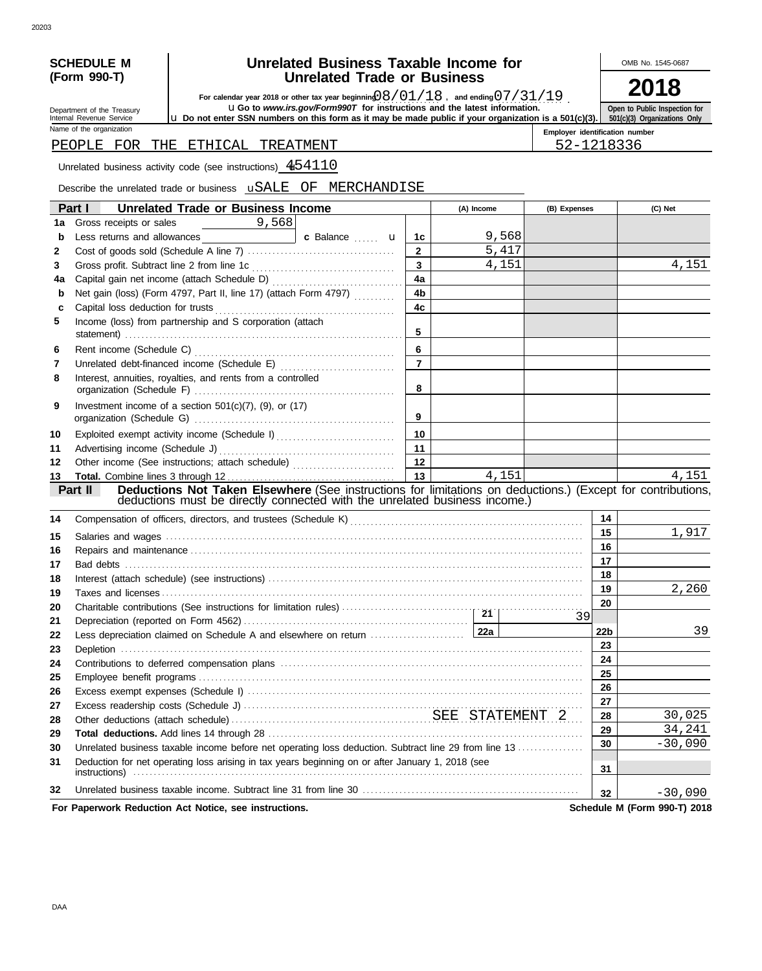| SCHEDULE M   |  |
|--------------|--|
| (Form 990-T) |  |

# **SCHEDULE M**  $\bigcup$  **Unrelated Business Taxable Income for**  $\bigcup$  OMB No. 1545-0687 **Unrelated Trade or Business**

For calendar year 2018 or other tax year beginning  $0.8 \div 0.1 \div 1.8$ , and ending  $0.7 \div 3.1 \div 1.9$ .<br>**uGo to** www.irs.gov/Form990T for instructions and the latest information.

**2018 Open to Public Inspection for 501(c)(3) Organizations Only**

Department of the Treasury Internal Revenue Service Name of the organization

u **Do not enter SSN numbers on this form as it may be made public if your organization is a 501(c)(3).**

**Employer identification number**

# PEOPLE FOR THE ETHICAL TREATMENT FOR THE STRICAL TREATMENT

Unrelated business activity code (see instructions)  $454110$ 

Describe the unrelated trade or business  $\overline{\text{uSALE}}$  OF MERCHANDISE

|    | Part I<br><b>Unrelated Trade or Business Income</b>                                                                                                                                                                           |                | (A) Income |       | (B) Expenses |                 | (C) Net                      |
|----|-------------------------------------------------------------------------------------------------------------------------------------------------------------------------------------------------------------------------------|----------------|------------|-------|--------------|-----------------|------------------------------|
| 1a | 9,568<br>Gross receipts or sales<br><u> 1999 - Jan Jan Jawa</u>                                                                                                                                                               |                |            |       |              |                 |                              |
| b  | c Balance <b>u</b>                                                                                                                                                                                                            | 1c             |            | 9,568 |              |                 |                              |
| 2  |                                                                                                                                                                                                                               | $\mathbf{2}$   |            | 5,417 |              |                 |                              |
| 3  |                                                                                                                                                                                                                               | $\mathbf{3}$   |            | 4,151 |              |                 | 4,151                        |
| 4a |                                                                                                                                                                                                                               | 4a             |            |       |              |                 |                              |
| b  | Net gain (loss) (Form 4797, Part II, line 17) (attach Form 4797)                                                                                                                                                              | 4 <sub>b</sub> |            |       |              |                 |                              |
| C  |                                                                                                                                                                                                                               | 4c             |            |       |              |                 |                              |
| 5  | Income (loss) from partnership and S corporation (attach                                                                                                                                                                      | 5              |            |       |              |                 |                              |
| 6  |                                                                                                                                                                                                                               | 6              |            |       |              |                 |                              |
| 7  |                                                                                                                                                                                                                               | $\overline{7}$ |            |       |              |                 |                              |
| 8  | Interest, annuities, royalties, and rents from a controlled                                                                                                                                                                   | 8              |            |       |              |                 |                              |
| 9  | Investment income of a section $501(c)(7)$ , (9), or (17)                                                                                                                                                                     | 9              |            |       |              |                 |                              |
| 10 | Exploited exempt activity income (Schedule I)                                                                                                                                                                                 | 10             |            |       |              |                 |                              |
| 11 |                                                                                                                                                                                                                               | 11             |            |       |              |                 |                              |
| 12 | Other income (See instructions; attach schedule)                                                                                                                                                                              | 12             |            |       |              |                 |                              |
| 13 |                                                                                                                                                                                                                               | 13             |            | 4,151 |              |                 | 4,151                        |
|    | Deductions Not Taken Elsewhere (See instructions for limitations on deductions.) (Except for contributions,<br>Part II                                                                                                        |                |            |       |              |                 |                              |
|    | deductions must be directly connected with the unrelated business income.)                                                                                                                                                    |                |            |       |              |                 |                              |
| 14 | Compensation of officers, directors, and trustees (Schedule K) [11] [2010] [2010] [2010] [2010] [2010] [2010] [3010] [3010] [3010] [3010] [3010] [3010] [3010] [3010] [3010] [3010] [3010] [3010] [3010] [3010] [3010] [3010] |                |            |       |              | 14              |                              |
| 15 |                                                                                                                                                                                                                               |                |            |       |              | 15              | 1,917                        |
| 16 |                                                                                                                                                                                                                               |                |            |       |              | 16              |                              |
| 17 |                                                                                                                                                                                                                               |                |            |       |              | 17              |                              |
| 18 |                                                                                                                                                                                                                               |                |            |       |              | 18              |                              |
| 19 |                                                                                                                                                                                                                               |                |            |       |              | 19              | 2,260                        |
| 20 |                                                                                                                                                                                                                               |                |            |       |              | 20              |                              |
| 21 |                                                                                                                                                                                                                               |                |            |       | 39           |                 |                              |
| 22 |                                                                                                                                                                                                                               |                |            |       |              | 22 <sub>b</sub> | 39                           |
| 23 |                                                                                                                                                                                                                               |                |            |       |              | 23<br>24        |                              |
| 24 |                                                                                                                                                                                                                               |                |            |       |              | 25              |                              |
| 25 |                                                                                                                                                                                                                               |                |            |       |              | 26              |                              |
| 26 |                                                                                                                                                                                                                               |                |            |       |              | 27              |                              |
| 27 |                                                                                                                                                                                                                               |                |            |       |              | 28              | 30,025                       |
| 28 |                                                                                                                                                                                                                               |                |            |       |              | 29              | 34,241                       |
| 29 |                                                                                                                                                                                                                               |                |            |       |              | 30              | $-30,090$                    |
| 30 | Unrelated business taxable income before net operating loss deduction. Subtract line 29 from line 13                                                                                                                          |                |            |       |              |                 |                              |
| 31 | Deduction for net operating loss arising in tax years beginning on or after January 1, 2018 (see                                                                                                                              |                |            |       |              | 31              |                              |
| 32 |                                                                                                                                                                                                                               |                |            |       |              | 32              | $-30,090$                    |
|    | For Paperwork Reduction Act Notice, see instructions.                                                                                                                                                                         |                |            |       |              |                 | Schedule M (Form 990-T) 2018 |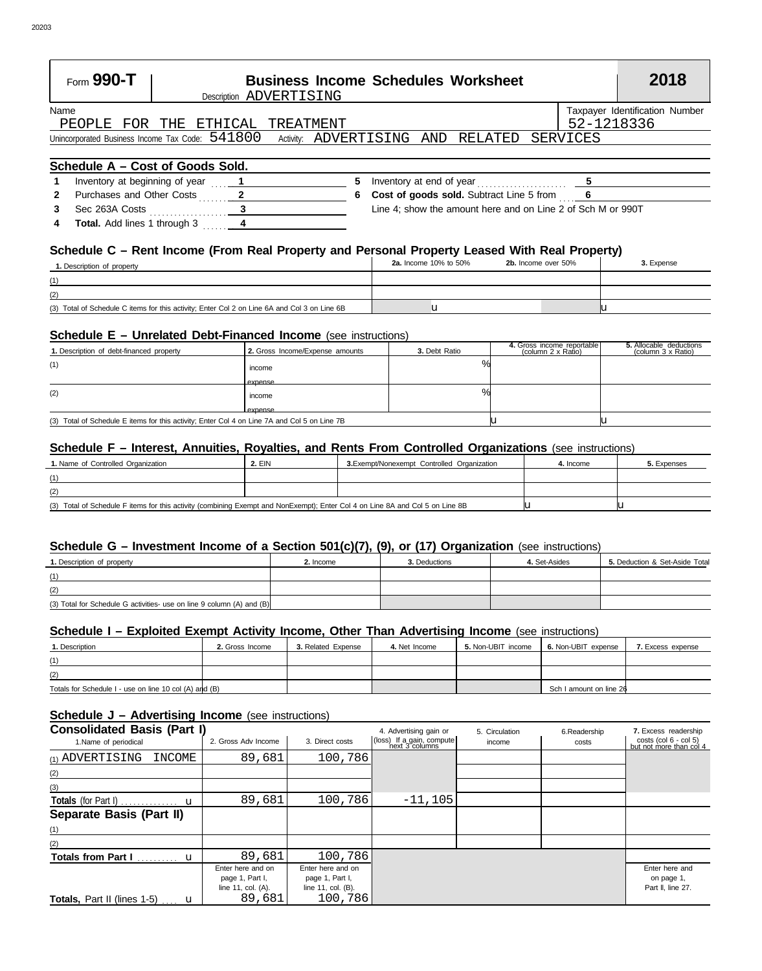|                | Form 990-T                                          |                         |           |    |  | <b>Business Income Schedules Worksheet</b>                  |            |                                | 2018 |
|----------------|-----------------------------------------------------|-------------------------|-----------|----|--|-------------------------------------------------------------|------------|--------------------------------|------|
|                |                                                     | Description ADVERTISING |           |    |  |                                                             |            |                                |      |
| Name           |                                                     |                         |           |    |  |                                                             |            | Taxpayer Identification Number |      |
|                | PEOPLE FOR THE                                      | ETHICAL                 | TREATMENT |    |  |                                                             | 52-1218336 |                                |      |
|                | Unincorporated Business Income Tax Code: $\,541800$ |                         |           |    |  | Activity: ADVERTISING AND RELATED SERVICES                  |            |                                |      |
|                |                                                     |                         |           |    |  |                                                             |            |                                |      |
|                | Schedule A - Cost of Goods Sold.                    |                         |           |    |  |                                                             |            |                                |      |
| 1              | Inventory at beginning of year 1                    |                         |           | 5. |  | Inventory at end of year $\frac{5}{2}$                      |            |                                |      |
| $\overline{2}$ | Purchases and Other Costs 2                         |                         |           | 6. |  | <b>Cost of goods sold.</b> Subtract Line 5 from 6           |            |                                |      |
| $3^{\circ}$    | Sec 263A Costs 3                                    |                         |           |    |  | Line 4; show the amount here and on Line 2 of Sch M or 990T |            |                                |      |
|                |                                                     |                         |           |    |  |                                                             |            |                                |      |

### **Schedule C – Rent Income (From Real Property and Personal Property Leased With Real Property)**

| 1. Description of property                                                                   | <b>2a.</b> Income 10% to 50% | 2b. Income over 50% | - -<br>3. Expense |
|----------------------------------------------------------------------------------------------|------------------------------|---------------------|-------------------|
| (1)                                                                                          |                              |                     |                   |
| (2)                                                                                          |                              |                     |                   |
| (3) Total of Schedule C items for this activity; Enter Col 2 on Line 6A and Col 3 on Line 6B |                              |                     |                   |

### **Schedule E – Unrelated Debt-Financed Income** (see instructions)

**Total.** Add lines 1 through 3 . . . . . . . . **4 4**

| 1. Description of debt-financed property                                                     | 2. Gross Income/Expense amounts | 3. Debt Ratio      | 4. Gross income reportable<br>(column 2 x Ratio) | 5. Allocable deductions<br>(column 3 x Ratio) |
|----------------------------------------------------------------------------------------------|---------------------------------|--------------------|--------------------------------------------------|-----------------------------------------------|
| (1)                                                                                          | income<br>expense               | $\mathbf{O}/$      |                                                  |                                               |
| (2)                                                                                          | income<br>expense               | $\frac{0}{\alpha}$ |                                                  |                                               |
| (3) Total of Schedule E items for this activity; Enter Col 4 on Line 7A and Col 5 on Line 7B |                                 |                    |                                                  |                                               |

#### **Schedule F – Interest, Annuities, Royalties, and Rents From Controlled Organizations** (see instructions)

| 1. Name of Controlled Organization                                                                                            | <b>2. EIN</b> | 3. Exempt/Nonexempt Controlled Organization | 4. Income | 5. Expenses |
|-------------------------------------------------------------------------------------------------------------------------------|---------------|---------------------------------------------|-----------|-------------|
| (1)                                                                                                                           |               |                                             |           |             |
| (2)                                                                                                                           |               |                                             |           |             |
| (3) Total of Schedule F items for this activity (combining Exempt and NonExempt); Enter Col 4 on Line 8A and Col 5 on Line 8B |               |                                             |           |             |

#### **Schedule G – Investment Income of a Section 501(c)(7), (9), or (17) Organization** (see instructions)

| 1. Description of property                                            | 2. Income | 3. Deductions | 4. Set-Asides | 5. Deduction & Set-Aside Total |
|-----------------------------------------------------------------------|-----------|---------------|---------------|--------------------------------|
| (1)                                                                   |           |               |               |                                |
| (2)                                                                   |           |               |               |                                |
| (3) Total for Schedule G activities- use on line 9 column (A) and (B) |           |               |               |                                |

#### **Schedule I – Exploited Exempt Activity Income, Other Than Advertising Income** (see instructions)

| <b>1. Description</b>                                  | 2. Gross Income | 3. Related Expense | 4. Net Income | 5. Non-UBIT income | 6. Non-UBIT expense     | 7. Excess expense |
|--------------------------------------------------------|-----------------|--------------------|---------------|--------------------|-------------------------|-------------------|
| (1)                                                    |                 |                    |               |                    |                         |                   |
| (2)                                                    |                 |                    |               |                    |                         |                   |
| Totals for Schedule I - use on line 10 col (A) and (B) |                 |                    |               |                    | Sch I amount on line 26 |                   |

#### **Schedule J – Advertising Income** (see instructions)

| <b>Consolidated Basis (Part I)</b>                   |                                                            |                                                            | 4. Advertising gain or                      | 5. Circulation | 6.Readership | 7. Excess readership                              |
|------------------------------------------------------|------------------------------------------------------------|------------------------------------------------------------|---------------------------------------------|----------------|--------------|---------------------------------------------------|
| 1.Name of periodical                                 | 2. Gross Adv Income                                        | 3. Direct costs                                            | (loss) If a gain, compute<br>next 3 columns | income         | costs        | costs (col 6 - col 5)<br>but not more than col 4  |
| (1) ADVERTISING<br><b>INCOME</b>                     | 89,681                                                     | 100,786                                                    |                                             |                |              |                                                   |
| (2)                                                  |                                                            |                                                            |                                             |                |              |                                                   |
| (3)                                                  |                                                            |                                                            |                                             |                |              |                                                   |
|                                                      | 89,681                                                     | 100,786                                                    | $-11,105$                                   |                |              |                                                   |
| <b>Separate Basis (Part II)</b>                      |                                                            |                                                            |                                             |                |              |                                                   |
| (1)                                                  |                                                            |                                                            |                                             |                |              |                                                   |
| (2)                                                  |                                                            |                                                            |                                             |                |              |                                                   |
| <b>Totals from Part I</b><br>$\mathbf u$<br><u>.</u> | 89,681                                                     | 100,786                                                    |                                             |                |              |                                                   |
|                                                      | Enter here and on<br>page 1, Part I,<br>line 11, col. (A). | Enter here and on<br>page 1, Part I,<br>line 11, col. (B). |                                             |                |              | Enter here and<br>on page 1,<br>Part II, line 27. |
| <b>Totals, Part II (lines 1-5) u</b>                 | 89,681                                                     | 100,786                                                    |                                             |                |              |                                                   |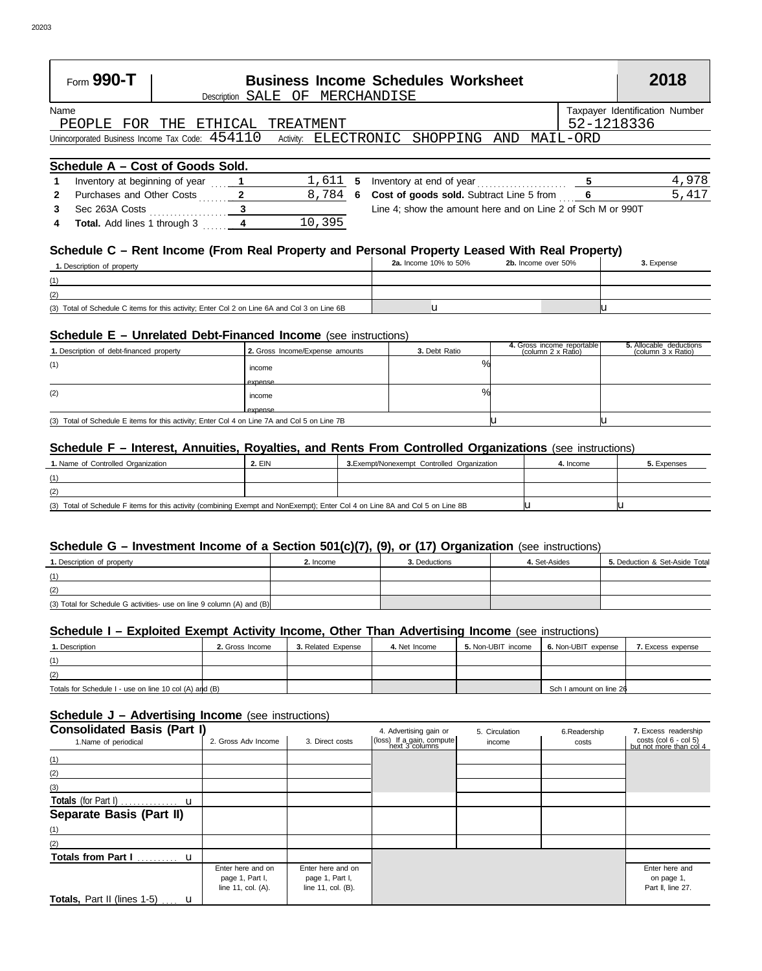| Form $990 - T$                                                                             |  | <b>Business Income Schedules Worksheet</b><br>Description SALE OF MERCHANDISE |  |            |                                | 2018  |
|--------------------------------------------------------------------------------------------|--|-------------------------------------------------------------------------------|--|------------|--------------------------------|-------|
| Name                                                                                       |  |                                                                               |  |            | Taxpayer Identification Number |       |
| PEOPLE FOR THE ETHICAL TREATMENT                                                           |  |                                                                               |  | 52-1218336 |                                |       |
| Unincorporated Business Income Tax Code: 454110 Activity: ELECTRONIC SHOPPING AND MAIL-ORD |  |                                                                               |  |            |                                |       |
| Schedule A - Cost of Goods Sold.                                                           |  |                                                                               |  |            |                                |       |
| Inventory at beginning of year                                                             |  | $1.611$ 5 Inventory at end of year                                            |  |            |                                | 4,978 |

|   | Inventory at beginning of year      |        | $1,611$ 5 Inventory at end of year                          | 4,978 |
|---|-------------------------------------|--------|-------------------------------------------------------------|-------|
| 2 | Purchases and Other Costs           |        | 8,784 6 Cost of goods sold. Subtract Line 5 from            | 5,417 |
|   | Sec 263A Costs                      |        | Line 4; show the amount here and on Line 2 of Sch M or 990T |       |
| 4 | <b>Total.</b> Add lines 1 through 3 | 10,395 |                                                             |       |

## **Schedule C – Rent Income (From Real Property and Personal Property Leased With Real Property)**

| 1. Description of property                                                                   | <b>2a.</b> Income 10% to 50% | 2b. Income over 50% | 3. Expense |
|----------------------------------------------------------------------------------------------|------------------------------|---------------------|------------|
| (1)                                                                                          |                              |                     |            |
| (2)                                                                                          |                              |                     |            |
| (3) Total of Schedule C items for this activity; Enter Col 2 on Line 6A and Col 3 on Line 6B |                              |                     |            |

## **Schedule E – Unrelated Debt-Financed Income** (see instructions)

| 1. Description of debt-financed property                                                     | 2. Gross Income/Expense amounts | 3. Debt Ratio | 4. Gross income reportable<br>(column 2 x Ratio) | 5. Allocable deductions<br>(column 3 x Ratio) |
|----------------------------------------------------------------------------------------------|---------------------------------|---------------|--------------------------------------------------|-----------------------------------------------|
| (1)                                                                                          | income<br>expense               | O/2           |                                                  |                                               |
| (2)                                                                                          | income<br>expense               | $\%$          |                                                  |                                               |
| (3) Total of Schedule E items for this activity; Enter Col 4 on Line 7A and Col 5 on Line 7B |                                 |               |                                                  |                                               |

#### **Schedule F – Interest, Annuities, Royalties, and Rents From Controlled Organizations** (see instructions)

| 1. Name of Controlled Organization                                                                                            | <b>2. EIN</b> | 3. Exempt/Nonexempt Controlled Organization | 4. Income | 5. Expenses |
|-------------------------------------------------------------------------------------------------------------------------------|---------------|---------------------------------------------|-----------|-------------|
| (1)                                                                                                                           |               |                                             |           |             |
| (2)                                                                                                                           |               |                                             |           |             |
| (3) Total of Schedule F items for this activity (combining Exempt and NonExempt); Enter Col 4 on Line 8A and Col 5 on Line 8B |               |                                             |           |             |

#### **Schedule G – Investment Income of a Section 501(c)(7), (9), or (17) Organization** (see instructions)

| 1. Description of property                                            | 2. Income | 3. Deductions | 4. Set-Asides | 5. Deduction & Set-Aside Total |
|-----------------------------------------------------------------------|-----------|---------------|---------------|--------------------------------|
| (1)                                                                   |           |               |               |                                |
| (2)                                                                   |           |               |               |                                |
| (3) Total for Schedule G activities- use on line 9 column (A) and (B) |           |               |               |                                |

#### **Schedule I – Exploited Exempt Activity Income, Other Than Advertising Income** (see instructions)

| <b>1. Description</b>                                  | 2. Gross Income | 3. Related Expense | 4. Net Income | 5. Non-UBIT income | 6. Non-UBIT expense     | 7. Excess expense |
|--------------------------------------------------------|-----------------|--------------------|---------------|--------------------|-------------------------|-------------------|
| (1)                                                    |                 |                    |               |                    |                         |                   |
| (2)                                                    |                 |                    |               |                    |                         |                   |
| Totals for Schedule I - use on line 10 col (A) and (B) |                 |                    |               |                    | Sch I amount on line 26 |                   |

#### **Schedule J – Advertising Income** (see instructions)

| <b>Consolidated Basis (Part I)</b><br>1.Name of periodical | 2. Gross Adv Income                                        | 3. Direct costs                                            | 4. Advertising gain or<br>(loss) If a gain, compute | 5. Circulation<br>income | 6.Readership<br>costs | 7. Excess readership<br>costs (col 6 - col 5)<br>but not more than col 4 |
|------------------------------------------------------------|------------------------------------------------------------|------------------------------------------------------------|-----------------------------------------------------|--------------------------|-----------------------|--------------------------------------------------------------------------|
| (1)                                                        |                                                            |                                                            |                                                     |                          |                       |                                                                          |
| (2)                                                        |                                                            |                                                            |                                                     |                          |                       |                                                                          |
| (3)                                                        |                                                            |                                                            |                                                     |                          |                       |                                                                          |
|                                                            |                                                            |                                                            |                                                     |                          |                       |                                                                          |
| Separate Basis (Part II)                                   |                                                            |                                                            |                                                     |                          |                       |                                                                          |
| (1)                                                        |                                                            |                                                            |                                                     |                          |                       |                                                                          |
| (2)                                                        |                                                            |                                                            |                                                     |                          |                       |                                                                          |
|                                                            |                                                            |                                                            |                                                     |                          |                       |                                                                          |
|                                                            | Enter here and on<br>page 1, Part I,<br>line 11, col. (A). | Enter here and on<br>page 1, Part I,<br>line 11, col. (B). |                                                     |                          |                       | Enter here and<br>on page 1,<br>Part II, line 27.                        |
| Totals, Part II (lines 1-5)  u                             |                                                            |                                                            |                                                     |                          |                       |                                                                          |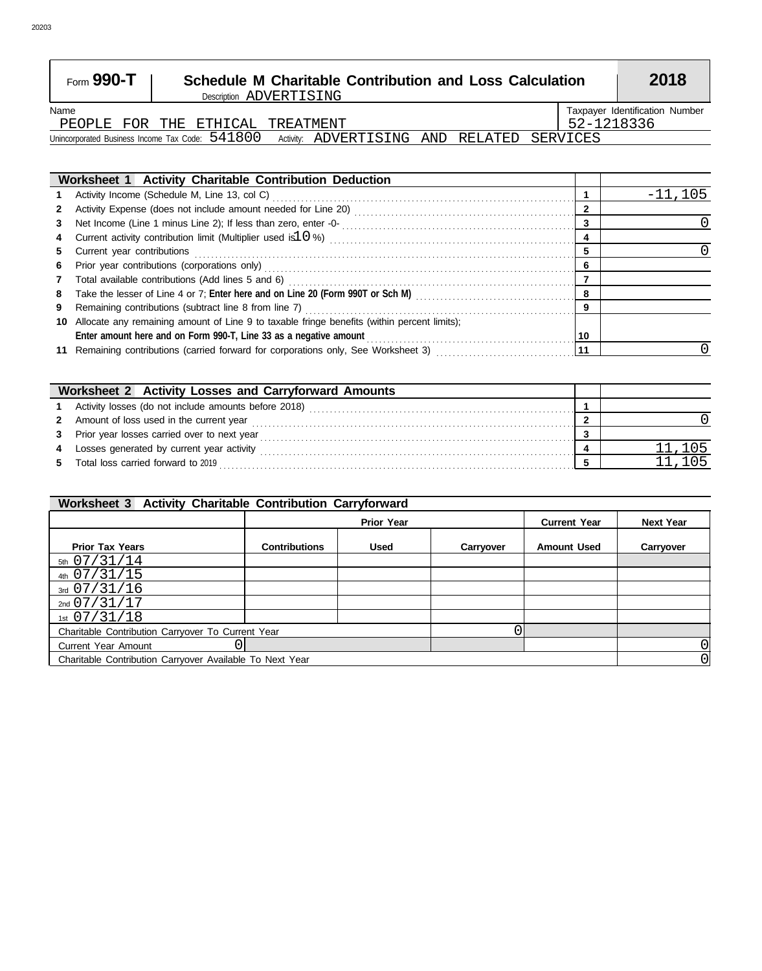| Form $990 - T$                                    | <b>Schedule M Charitable Contribution and Loss Calculation</b><br>Description ADVERTISING |                                   |  |  |            | 2018                           |  |
|---------------------------------------------------|-------------------------------------------------------------------------------------------|-----------------------------------|--|--|------------|--------------------------------|--|
| Name                                              |                                                                                           |                                   |  |  |            | Taxpayer Identification Number |  |
| PEOPLE FOR THE ETHICAL TREATMENT                  |                                                                                           |                                   |  |  | 52-1218336 |                                |  |
| Unincorporated Business Income Tax Code: $541800$ |                                                                                           | Activity: ADVERTISING AND RELATED |  |  | SERVICES   |                                |  |

|    | Worksheet 1 Activity Charitable Contribution Deduction                                                                                                                                                                         |    |           |
|----|--------------------------------------------------------------------------------------------------------------------------------------------------------------------------------------------------------------------------------|----|-----------|
|    |                                                                                                                                                                                                                                |    | $-11.105$ |
|    |                                                                                                                                                                                                                                |    |           |
| 3  |                                                                                                                                                                                                                                | 3  |           |
| 4  | Current activity contribution limit (Multiplier used is 10%) Multimana and the contract control of the contribution of the current contribution of the current control of the current control of the current current current c |    |           |
| 5. | Current year contributions                                                                                                                                                                                                     | 5  |           |
| 6  | Prior year contributions (corporations only) [11] prior contracts and contributions (corporations only) [11] prior contributions and contributions on the contracts of the contracts of the contracts of the contracts of the  | 6  |           |
|    | Total available contributions (Add lines 5 and 6) Mathematics and the contract of the system and available contributions (Add lines 5 and 6)                                                                                   |    |           |
| 8  | Take the lesser of Line 4 or 7; Enter here and on Line 20 (Form 990T or Sch M)                                                                                                                                                 | 8  |           |
| 9  |                                                                                                                                                                                                                                | 9  |           |
| 10 | Allocate any remaining amount of Line 9 to taxable fringe benefits (within percent limits);                                                                                                                                    |    |           |
|    | Enter amount here and on Form 990-T, Line 33 as a negative amount <b>Enter amount Enter amount</b> here and on Form 990-T, Line 33 as a negative amount                                                                        | 10 |           |
|    |                                                                                                                                                                                                                                | 11 |           |

|    | Worksheet 2 Activity Losses and Carryforward Amounts   |  |
|----|--------------------------------------------------------|--|
|    | 1 Activity losses (do not include amounts before 2018) |  |
|    | 2 Amount of loss used in the current year              |  |
|    | 3 Prior year losses carried over to next year          |  |
| 4  | Losses generated by current year activity              |  |
| 5. | Total loss carried forward to 2019                     |  |

#### 1st 07/31/18 2nd 07/31/17 3rd 07/31/16 4th 5th 07/31/14 Charitable Contribution Carryover Available To Next Year Current Year Amount Charitable Contribution Carryover To Current Year **Prior Tax Years Contributions Used Carryover Amount Used Carryover Prior Year Current Year Next Year Worksheet 3 Activity Charitable Contribution Carryforward** 07/31/15  $\overline{0}$ 0 0  $\overline{0}$

 $\sqrt{ }$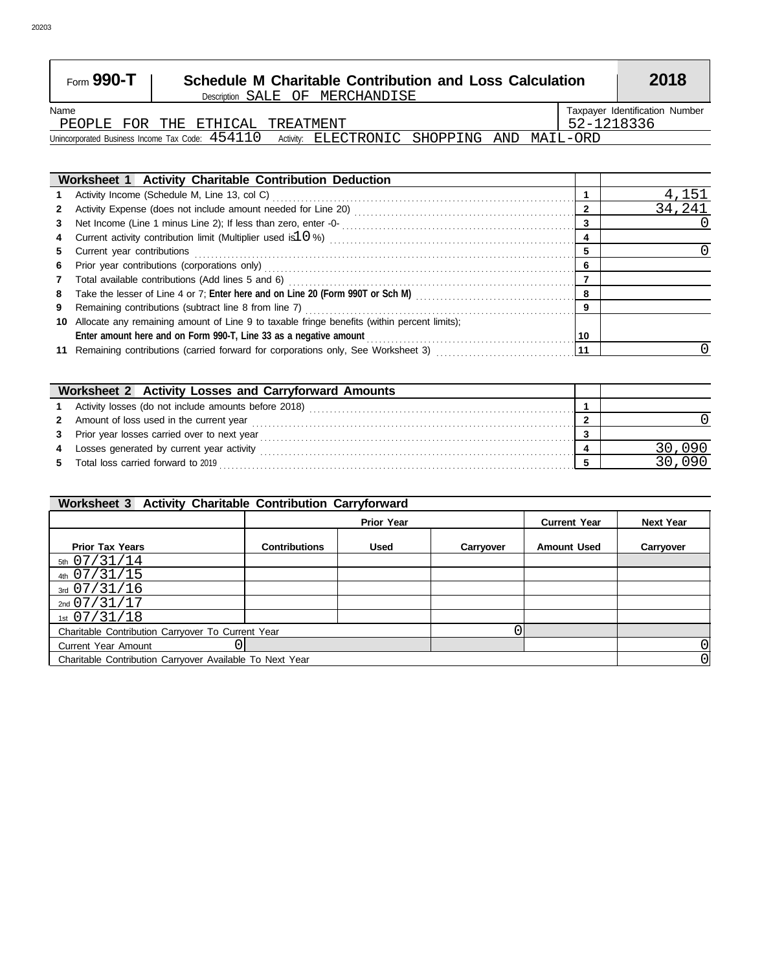| Form 990-T                                        | Description SALE OF MERCHANDISE | <b>Schedule M Charitable Contribution and Loss Calculation</b> |            | 2018                           |
|---------------------------------------------------|---------------------------------|----------------------------------------------------------------|------------|--------------------------------|
| Name                                              |                                 |                                                                |            | Taxpayer Identification Number |
| PEOPLE FOR THE ETHICAL TREATMENT                  |                                 |                                                                | 52-1218336 |                                |
| Unincorporated Business Income Tax Code: $454110$ |                                 | Activity: ELECTRONIC SHOPPING AND MAIL-ORD                     |            |                                |

 $\overline{\phantom{0}}$ 

|             | Worksheet 1 Activity Charitable Contribution Deduction                                                        |    |        |
|-------------|---------------------------------------------------------------------------------------------------------------|----|--------|
|             |                                                                                                               |    | 4,151  |
| $2^{\circ}$ |                                                                                                               | 2  | 34,241 |
|             |                                                                                                               | 3  |        |
|             |                                                                                                               | 4  |        |
| 5.          |                                                                                                               | 5  |        |
| 6.          |                                                                                                               | 6  |        |
| $7^{\circ}$ |                                                                                                               |    |        |
| 8           | Take the lesser of Line 4 or 7; Enter here and on Line 20 (Form 990T or Sch M) [[[[[[[[[[[[[[[[[[[[[[[[[[[[[[ | 8  |        |
| 9           |                                                                                                               | 9  |        |
|             | 10 Allocate any remaining amount of Line 9 to taxable fringe benefits (within percent limits);                |    |        |
|             |                                                                                                               | 10 |        |
|             |                                                                                                               | 11 |        |

|    | Worksheet 2 Activity Losses and Carryforward Amounts |  |
|----|------------------------------------------------------|--|
|    | Activity losses (do not include amounts before 2018) |  |
|    | 2 Amount of loss used in the current year            |  |
| 3  | Prior year losses carried over to next year          |  |
| 4  | Losses generated by current year activity            |  |
| 5. | Total loss carried forward to 2019                   |  |

#### 1st 07/31/18 2nd 07/31/17 3rd 07/31/16 4th 5th 07/31/14 Charitable Contribution Carryover Available To Next Year Current Year Amount Charitable Contribution Carryover To Current Year **Prior Tax Years Contributions Used Carryover Amount Used Carryover Prior Year Current Year Next Year Worksheet 3 Activity Charitable Contribution Carryforward** 07/31/15  $\overline{0}$ 0 0  $\overline{0}$

 $\sqrt{ }$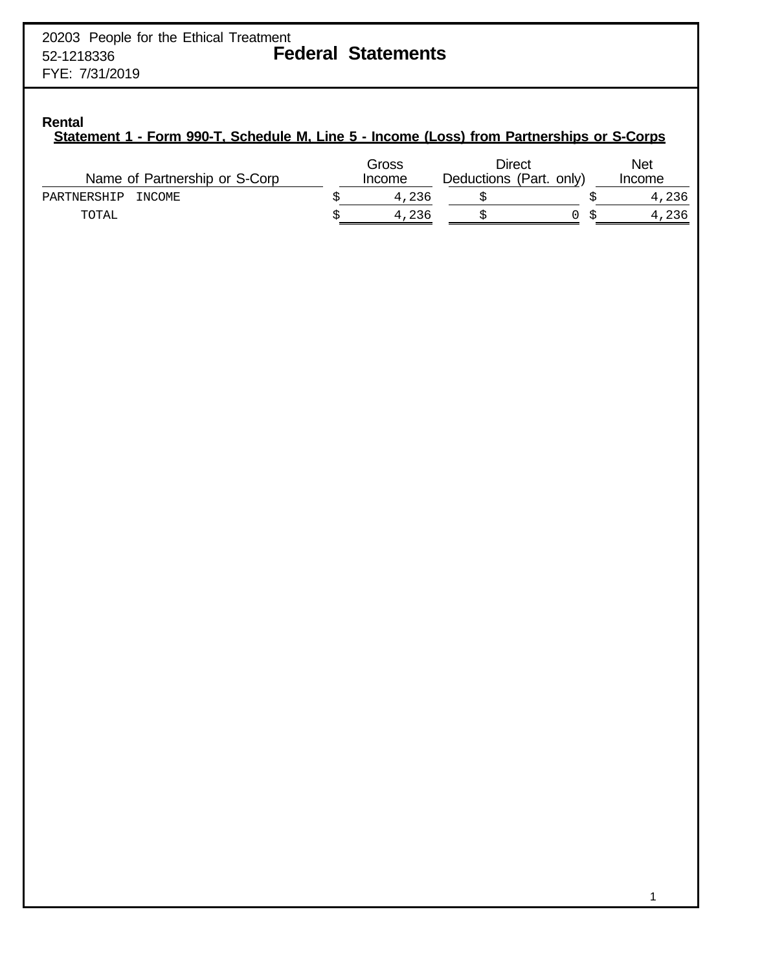# **Rental**

# **Statement 1 - Form 990-T, Schedule M, Line 5 - Income (Loss) from Partnerships or S-Corps**

| Name of Partnership or S-Corp | Gross<br>Income | Direct<br>Deductions (Part. only) | <b>Net</b><br>Income |
|-------------------------------|-----------------|-----------------------------------|----------------------|
| PARTNERSHIP<br>INCOME         | 4,236           |                                   | 4,236                |
| TOTAL                         | 4,236           |                                   | 4,236                |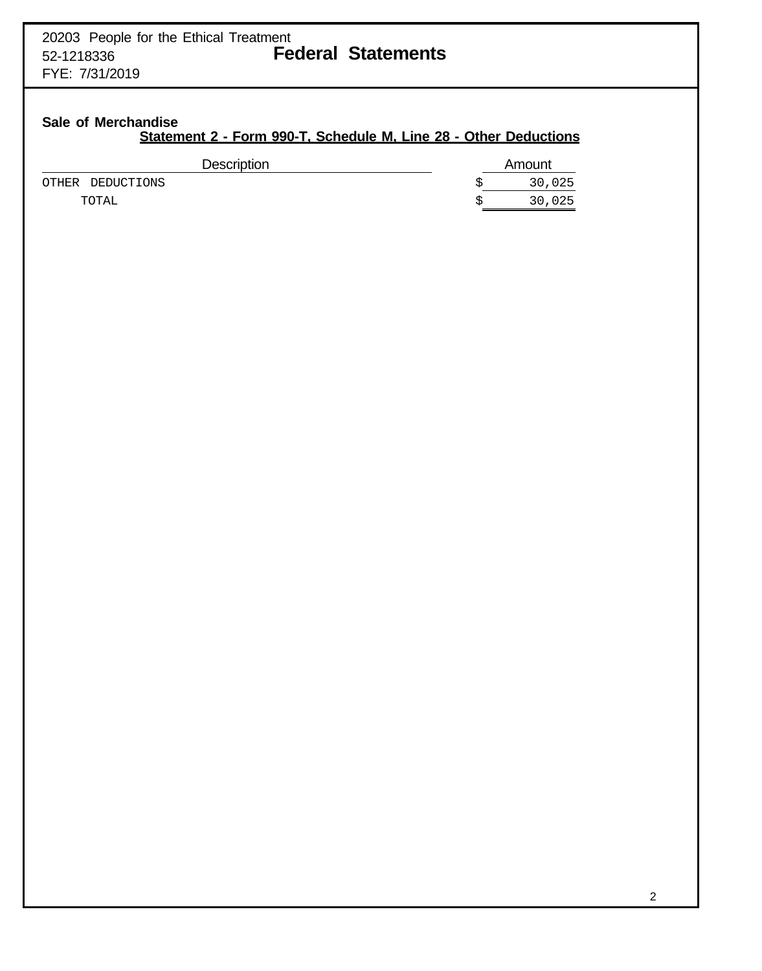# **Sale of Merchandise**

# **Statement 2 - Form 990-T, Schedule M, Line 28 - Other Deductions**

| <b>Description</b> | Amount |
|--------------------|--------|
| OTHER DEDUCTIONS   | 30,025 |
| TOTAL              | 30,025 |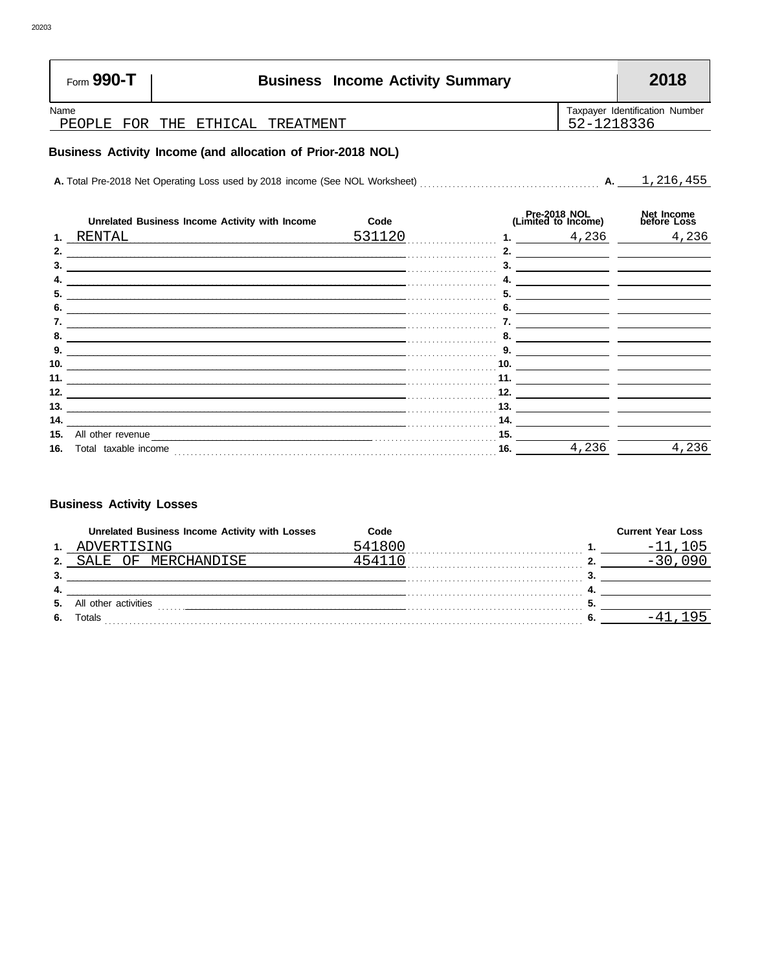| Form 990-T     |  | <b>Business Income Activity Summary</b> |            | 2018                           |
|----------------|--|-----------------------------------------|------------|--------------------------------|
| Name<br>PEOPLE |  | FOR THE ETHICAL TREATMENT               | 52-1218336 | Taxpayer Identification Number |
|                |  |                                         |            |                                |

# Business Activity Income (and allocation of Prior-2018 NOL)

|     | Unrelated Business Income Activity with Income                                                                      | Code   |     | Pre-2018 NOL<br>(Limited to Income) | Net Income<br>before Loss |
|-----|---------------------------------------------------------------------------------------------------------------------|--------|-----|-------------------------------------|---------------------------|
|     | RENTAL                                                                                                              | 531120 |     | 4,236                               | 4,236                     |
|     |                                                                                                                     |        |     |                                     |                           |
|     |                                                                                                                     |        |     |                                     |                           |
|     |                                                                                                                     |        |     |                                     |                           |
| 5.  |                                                                                                                     |        | 5.  |                                     |                           |
|     |                                                                                                                     |        |     |                                     |                           |
|     | <u> 1989 - Andrea San Andrea San Andrea San Andrea San Andrea San Andrea San Andrea San Andrea San Andrea San A</u> |        |     |                                     |                           |
|     |                                                                                                                     |        |     |                                     |                           |
| 9.  | the control of the control of the control of the control of the control of the control of                           |        |     |                                     |                           |
| 10. |                                                                                                                     |        | 10. |                                     |                           |
| 11. |                                                                                                                     |        | 11. |                                     |                           |
| 12. |                                                                                                                     |        | 12. |                                     |                           |
| 13. |                                                                                                                     |        | 13. |                                     |                           |
| 14. |                                                                                                                     |        | 14. |                                     |                           |
| 15. | All other revenue                                                                                                   |        | 15. |                                     |                           |
| 16. | Total taxable income                                                                                                |        | 16. | 4,236                               | 4,236                     |

# **Business Activity Losses**

|      | Unrelated Business Income Activity with Losses | Code    | <b>Current Year Loss</b> |
|------|------------------------------------------------|---------|--------------------------|
| 1.   | VERTISING                                      | 1 8 N 1 |                          |
| ּ    | <b>MERCHANDISE</b>                             |         |                          |
| 3.   |                                                |         |                          |
| - 4. |                                                |         |                          |
| 5.   | All other activities                           |         |                          |
| -6.  | Гotals                                         |         |                          |

r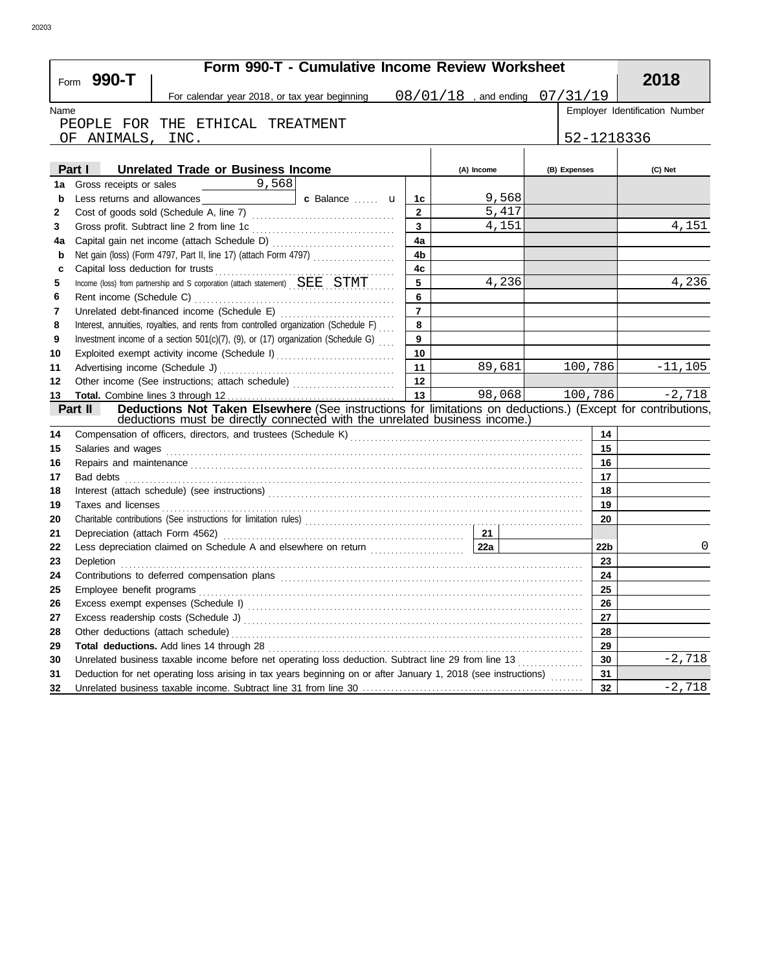|              | Form 990-T - Cumulative Income Review Worksheet<br>Form 990-T                                                                                                                                                                      |                         |                                    |                 | 2018                           |
|--------------|------------------------------------------------------------------------------------------------------------------------------------------------------------------------------------------------------------------------------------|-------------------------|------------------------------------|-----------------|--------------------------------|
|              | For calendar year 2018, or tax year beginning                                                                                                                                                                                      |                         | $08/01/18$ , and ending $07/31/19$ |                 |                                |
| Name         |                                                                                                                                                                                                                                    |                         |                                    |                 | Employer Identification Number |
|              | PEOPLE FOR THE ETHICAL TREATMENT                                                                                                                                                                                                   |                         |                                    |                 |                                |
|              | OF ANIMALS, INC.                                                                                                                                                                                                                   |                         |                                    | 52-1218336      |                                |
|              |                                                                                                                                                                                                                                    |                         |                                    |                 |                                |
|              | Part I Unrelated Trade or Business Income                                                                                                                                                                                          |                         | (A) Income                         | (B) Expenses    | (C) Net                        |
| 1a           |                                                                                                                                                                                                                                    |                         |                                    |                 |                                |
| b            |                                                                                                                                                                                                                                    | 1с                      | 9,568                              |                 |                                |
| $\mathbf{2}$ |                                                                                                                                                                                                                                    | $\overline{2}$          | 5,417                              |                 |                                |
| 3            |                                                                                                                                                                                                                                    | $\overline{\mathbf{3}}$ | 4,151                              |                 | 4,151                          |
| 4a           |                                                                                                                                                                                                                                    | 4a                      |                                    |                 |                                |
| b            | Net gain (loss) (Form 4797, Part II, line 17) (attach Form 4797)                                                                                                                                                                   | 4 <sub>b</sub>          |                                    |                 |                                |
| c            | Capital loss deduction for trusts <b>CONSTRAINER CONSTRAINER</b>                                                                                                                                                                   | 4c                      |                                    |                 |                                |
| 5            | Income (loss) from partnership and S corporation (attach statement) SEE STMT                                                                                                                                                       | 5                       | 4,236                              |                 | 4,236                          |
| 6            |                                                                                                                                                                                                                                    | 6                       |                                    |                 |                                |
| 7            |                                                                                                                                                                                                                                    | $\overline{7}$          |                                    |                 |                                |
| 8            | Interest, annuities, royalties, and rents from controlled organization (Schedule F)                                                                                                                                                | 8                       |                                    |                 |                                |
| 9            | Investment income of a section 501(c)(7), (9), or (17) organization (Schedule G)                                                                                                                                                   | 9                       |                                    |                 |                                |
| 10           | Exploited exempt activity income (Schedule I)                                                                                                                                                                                      | 10                      |                                    |                 |                                |
| 11           |                                                                                                                                                                                                                                    | 11                      | 89,681                             | 100,786         | $-11, 105$                     |
| 12           | Other income (See instructions; attach schedule)                                                                                                                                                                                   | 12                      |                                    |                 |                                |
| 13           |                                                                                                                                                                                                                                    | $\overline{13}$         | 98,068                             | 100,786         | $-2,718$                       |
|              | Deductions Not Taken Elsewhere (See instructions for limitations on deductions.) (Except for contributions,<br>Part II                                                                                                             |                         |                                    |                 |                                |
|              | deductions must be directly connected with the unrelated business income.)                                                                                                                                                         |                         |                                    |                 |                                |
| 14           |                                                                                                                                                                                                                                    |                         |                                    | 14              |                                |
| 15           | Salaries and wages                                                                                                                                                                                                                 |                         |                                    | 15              |                                |
| 16           | Repairs and maintenance <i>communical contract and maintenance</i> and maintenance and maintenance and maintenance                                                                                                                 |                         |                                    | 16              |                                |
| 17           |                                                                                                                                                                                                                                    |                         |                                    | 17              |                                |
| 18           |                                                                                                                                                                                                                                    |                         |                                    | 18              |                                |
| 19           | Taxes and licenses <b>contracts</b> and contracts are the contract of the contract of the contract of the contract of the contract of the contract of the contract of the contract of the contract of the contract of the contract |                         |                                    | 19              |                                |
| 20           |                                                                                                                                                                                                                                    |                         |                                    | 20              |                                |
| 21           |                                                                                                                                                                                                                                    |                         |                                    |                 |                                |
| 22           |                                                                                                                                                                                                                                    |                         |                                    | 22 <sub>b</sub> | 0                              |
| 23           | Depletion                                                                                                                                                                                                                          |                         |                                    | 23<br>24        |                                |
| 24           | Contributions to deferred compensation plans                                                                                                                                                                                       |                         |                                    |                 |                                |
| 25           | Employee benefit programs                                                                                                                                                                                                          |                         |                                    | 25              |                                |
| 26           |                                                                                                                                                                                                                                    |                         |                                    | 26<br>27        |                                |
| 27           |                                                                                                                                                                                                                                    |                         |                                    |                 |                                |
| 28           |                                                                                                                                                                                                                                    |                         |                                    | 28              |                                |
| 29           | Unrelated business taxable income before net operating loss deduction. Subtract line 29 from line 13                                                                                                                               |                         |                                    | 29              | $-2,718$                       |
| 30           |                                                                                                                                                                                                                                    |                         |                                    | 30              |                                |
| 31           | Deduction for net operating loss arising in tax years beginning on or after January 1, 2018 (see instructions)                                                                                                                     |                         |                                    | 31              | $-2,718$                       |
| 32           |                                                                                                                                                                                                                                    |                         |                                    | 32              |                                |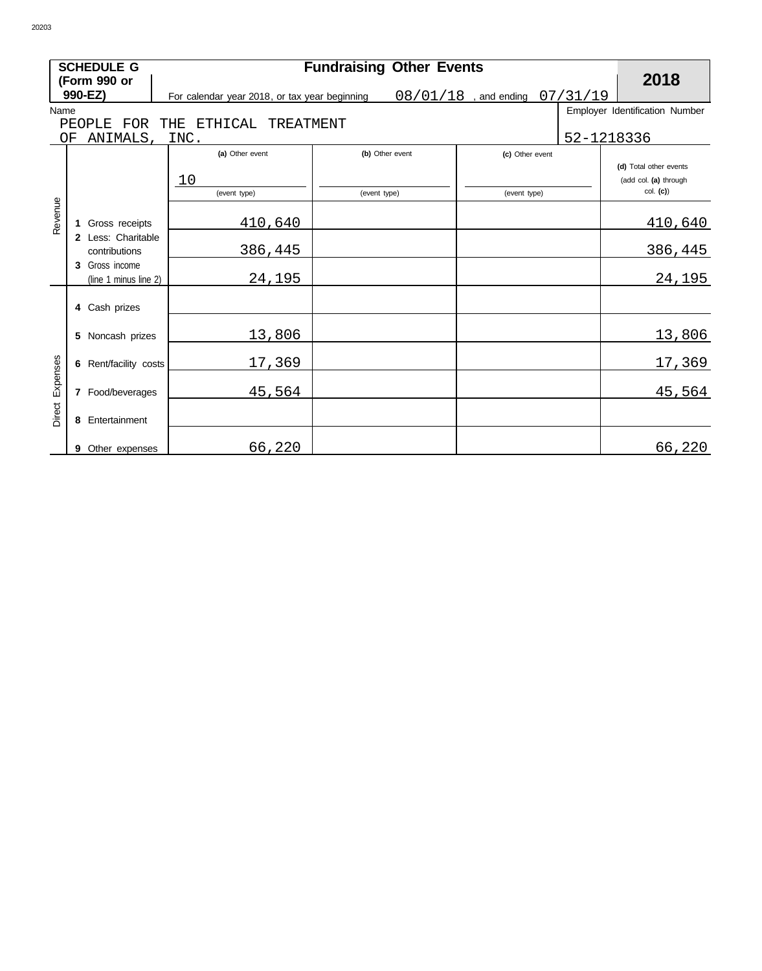|                 |    | <b>SCHEDULE G</b>                       |     |                                               |              | <b>Fundraising Other Events</b> |                         |            |                                |
|-----------------|----|-----------------------------------------|-----|-----------------------------------------------|--------------|---------------------------------|-------------------------|------------|--------------------------------|
|                 |    | (Form 990 or                            |     |                                               |              |                                 |                         |            | 2018                           |
|                 |    | 990-EZ)                                 |     | For calendar year 2018, or tax year beginning |              |                                 | $08/01/18$ , and ending | 07/31/19   |                                |
| Name            |    |                                         |     |                                               |              |                                 |                         |            | Employer Identification Number |
|                 |    | FOR<br>PEOPLE                           | THE | ETHICAL<br>TREATMENT                          |              |                                 |                         |            |                                |
|                 | ΟF | ANIMALS,                                |     | INC.                                          |              |                                 |                         | 52-1218336 |                                |
|                 |    |                                         |     | (a) Other event                               |              | (b) Other event                 | (c) Other event         |            | (d) Total other events         |
|                 |    |                                         |     | 10                                            |              |                                 |                         |            | (add col. (a) through          |
|                 |    |                                         |     | (event type)                                  | (event type) |                                 | (event type)            |            | col. (c)                       |
| Revenue         |    |                                         |     |                                               |              |                                 |                         |            |                                |
|                 |    | Gross receipts                          |     | 410,640                                       |              |                                 |                         |            | 410,640                        |
|                 |    | 2 Less: Charitable                      |     |                                               |              |                                 |                         |            |                                |
|                 |    | contributions                           |     | 386,445                                       |              |                                 |                         |            | 386,445                        |
|                 |    | 3 Gross income<br>(line 1 minus line 2) |     | 24,195                                        |              |                                 |                         |            | 24,195                         |
|                 |    |                                         |     |                                               |              |                                 |                         |            |                                |
|                 |    | 4 Cash prizes                           |     |                                               |              |                                 |                         |            |                                |
|                 |    |                                         |     |                                               |              |                                 |                         |            |                                |
|                 |    | 5 Noncash prizes                        |     | 13,806                                        |              |                                 |                         |            | 13,806                         |
|                 |    |                                         |     |                                               |              |                                 |                         |            |                                |
|                 |    | 6 Rent/facility costs                   |     | 17,369                                        |              |                                 |                         |            | 17,369                         |
|                 |    | 7 Food/beverages                        |     | 45,564                                        |              |                                 |                         |            | 45,564                         |
|                 |    |                                         |     |                                               |              |                                 |                         |            |                                |
| Direct Expenses | 8  | Entertainment                           |     |                                               |              |                                 |                         |            |                                |
|                 |    |                                         |     |                                               |              |                                 |                         |            |                                |
|                 |    | 9 Other expenses                        |     | 66,220                                        |              |                                 |                         |            | 66,220                         |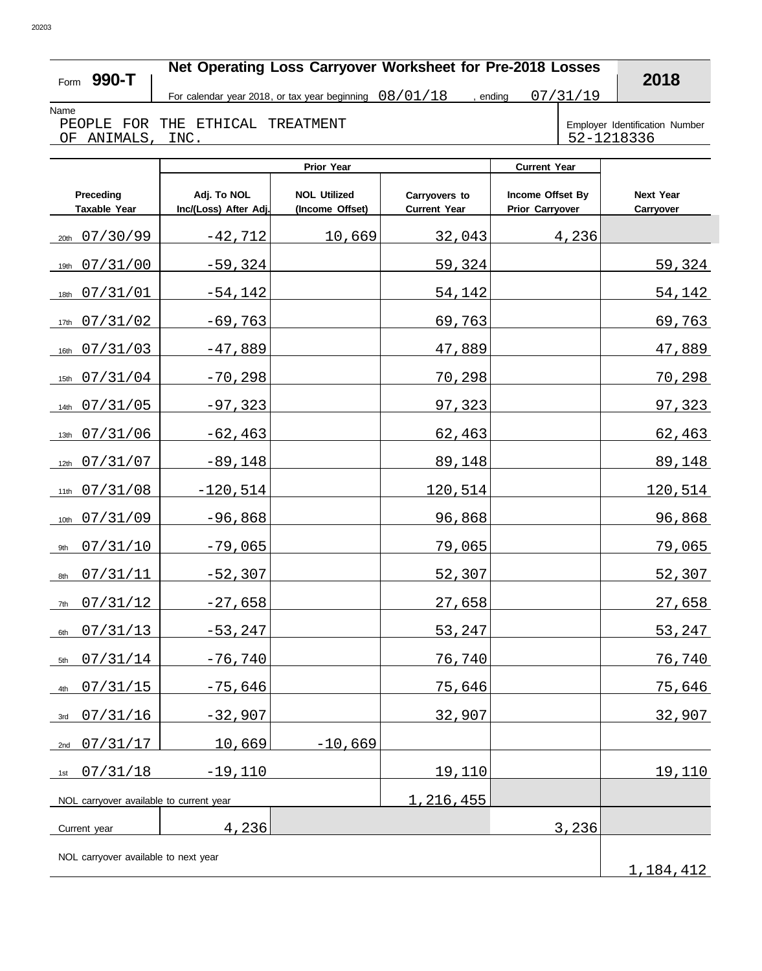# **Net Operating Loss Carryover Worksheet for Pre-2018 Losses**

Name

**990-T** Form

For calendar year 2018, or tax year beginning  $\left.\frac{08}{01}/\frac{18}{18}\right.$ , ending  $\left.\frac{07}{31}/\frac{31}{19}\right.$ , ending

**2018**

PEOPLE FOR THE ETHICAL TREATMENT OF ANIMALS, INC.

Employer Identification Number<br>52-1218336

|                                         | Prior Year                           |                                        |                                      | <b>Current Year</b>                        |                               |
|-----------------------------------------|--------------------------------------|----------------------------------------|--------------------------------------|--------------------------------------------|-------------------------------|
| Preceding<br><b>Taxable Year</b>        | Adj. To NOL<br>Inc/(Loss) After Adj. | <b>NOL Utilized</b><br>(Income Offset) | Carryovers to<br><b>Current Year</b> | Income Offset By<br><b>Prior Carryover</b> | <b>Next Year</b><br>Carryover |
| 07/30/99<br>20th                        | $-42,712$                            | 10,669                                 | 32,043                               | 4,236                                      |                               |
| 07/31/00<br>19th                        | $-59,324$                            |                                        | 59,324                               |                                            | 59,324                        |
| 07/31/01<br>18th                        | $-54,142$                            |                                        | 54,142                               |                                            | 54,142                        |
| 07/31/02<br>17th                        | $-69,763$                            |                                        | 69,763                               |                                            | 69,763                        |
| 07/31/03<br>16th                        | $-47,889$                            |                                        | 47,889                               |                                            | 47,889                        |
| 07/31/04<br>15th                        | $-70,298$                            |                                        | 70,298                               |                                            | 70,298                        |
| 07/31/05<br>14th                        | $-97,323$                            |                                        | 97,323                               |                                            | 97,323                        |
| 07/31/06<br>13th                        | $-62, 463$                           |                                        | 62,463                               |                                            | 62,463                        |
| 07/31/07<br>12th                        | $-89,148$                            |                                        | 89,148                               |                                            | 89,148                        |
| 07/31/08<br>11th                        | $-120,514$                           |                                        | 120,514                              |                                            | 120,514                       |
| 07/31/09<br>10th                        | $-96,868$                            |                                        | 96,868                               |                                            | 96,868                        |
| 07/31/10<br>9th                         | $-79,065$                            |                                        | 79,065                               |                                            | 79,065                        |
| 07/31/11<br>8th                         | $-52,307$                            |                                        | 52,307                               |                                            | 52,307                        |
| 07/31/12<br>7th                         | $-27,658$                            |                                        | 27,658                               |                                            | 27,658                        |
| 07/31/13<br>6th                         | $-53,247$                            |                                        | 53,247                               |                                            | 53,247                        |
| 07/31/14<br>5th                         | $-76,740$                            |                                        | 76,740                               |                                            | 76,740                        |
| 07/31/15<br>4th                         | $-75,646$                            |                                        | 75,646                               |                                            | 75,646                        |
| 07/31/16<br>3rd                         | $-32,907$                            |                                        | 32,907                               |                                            | 32,907                        |
| 07/31/17<br>2nd                         | 10,669                               | $-10,669$                              |                                      |                                            |                               |
| 07/31/18<br>1st                         | $-19,110$                            |                                        | 19,110                               |                                            | 19,110                        |
| NOL carryover available to current year |                                      |                                        | 1,216,455                            |                                            |                               |
| Current year                            | 4,236                                |                                        |                                      | 3,236                                      |                               |
| NOL carryover available to next year    |                                      |                                        |                                      |                                            |                               |

1,184,412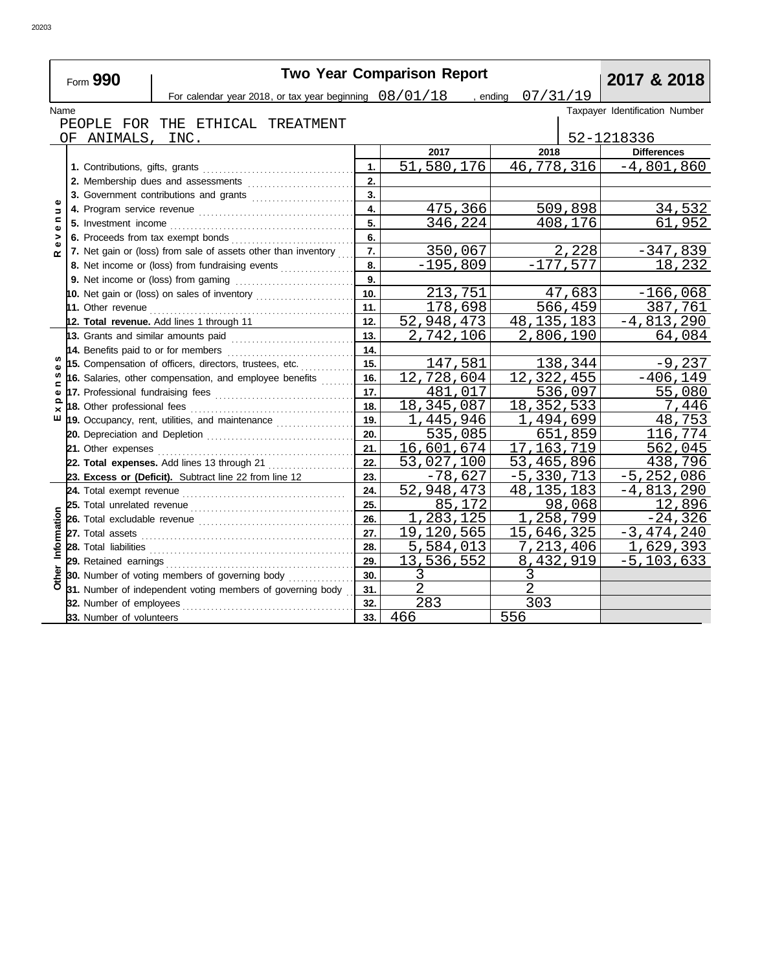|                   | <b>Two Year Comparison Report</b><br>2017 & 2018<br>Form 990 |                                                                                                                                                                                                                                     |                  |                |                |            |                                |  |  |  |
|-------------------|--------------------------------------------------------------|-------------------------------------------------------------------------------------------------------------------------------------------------------------------------------------------------------------------------------------|------------------|----------------|----------------|------------|--------------------------------|--|--|--|
|                   |                                                              | For calendar year 2018, or tax year beginning $08/01/18$ , ending                                                                                                                                                                   |                  |                | 07/31/19       |            |                                |  |  |  |
| Name              |                                                              |                                                                                                                                                                                                                                     |                  |                |                |            | Taxpayer Identification Number |  |  |  |
|                   |                                                              | PEOPLE FOR THE ETHICAL TREATMENT                                                                                                                                                                                                    |                  |                |                |            |                                |  |  |  |
|                   | OF ANIMALS, INC.                                             |                                                                                                                                                                                                                                     |                  |                |                |            | 52-1218336                     |  |  |  |
|                   |                                                              |                                                                                                                                                                                                                                     |                  | 2017           | 2018           |            | <b>Differences</b>             |  |  |  |
|                   | 1. Contributions, gifts, grants                              |                                                                                                                                                                                                                                     | 1.               | 51,580,176     | 46,778,316     |            | $-4,801,860$                   |  |  |  |
|                   |                                                              |                                                                                                                                                                                                                                     | 2.               |                |                |            |                                |  |  |  |
|                   |                                                              |                                                                                                                                                                                                                                     | 3.               |                |                |            |                                |  |  |  |
| 5                 |                                                              |                                                                                                                                                                                                                                     | 4.               | 475,366        |                | 509,898    | 34,532                         |  |  |  |
| c<br>$\mathbf{Q}$ |                                                              |                                                                                                                                                                                                                                     | 5.               | 346,224        |                | 408,176    | 61,952                         |  |  |  |
| >                 |                                                              |                                                                                                                                                                                                                                     | 6.               |                |                |            |                                |  |  |  |
|                   |                                                              | 7. Net gain or (loss) from sale of assets other than inventory                                                                                                                                                                      | $\overline{7}$ . | 350,067        |                | 2,228      | $-347,839$                     |  |  |  |
|                   |                                                              | 8. Net income or (loss) from fundraising events                                                                                                                                                                                     | 8.               | $-195,809$     |                | $-177.577$ | 18,232                         |  |  |  |
|                   |                                                              |                                                                                                                                                                                                                                     | 9.               |                |                |            |                                |  |  |  |
|                   |                                                              | 10. Net gain or (loss) on sales of inventory                                                                                                                                                                                        | 10.              | 213,751        |                | 47,683     | $-166,068$                     |  |  |  |
|                   |                                                              | 11. Other revenue <i>communication</i> and the communication of the communication of the communication of the communication of the communication of the communication of the communication of the communication of the communicatio | 11.              | 178,698        |                | 566,459    | 387,761                        |  |  |  |
|                   |                                                              | 12. Total revenue. Add lines 1 through 11                                                                                                                                                                                           | 12.              | 52,948,473     | 48, 135, 183   |            | $-4,813,290$                   |  |  |  |
|                   |                                                              |                                                                                                                                                                                                                                     | 13.              | 2,742,106      | 2,806,190      |            | 64,084                         |  |  |  |
|                   |                                                              | 14. Benefits paid to or for members                                                                                                                                                                                                 | 14.              |                |                |            |                                |  |  |  |
|                   |                                                              | 15. Compensation of officers, directors, trustees, etc.                                                                                                                                                                             | 15.              | 147,581        |                | 138,344    | $-9,237$                       |  |  |  |
| c                 |                                                              | 16. Salaries, other compensation, and employee benefits                                                                                                                                                                             | 16.              | 12,728,604     | 12,322,455     |            | $-406, 149$                    |  |  |  |
| $\Omega$          |                                                              |                                                                                                                                                                                                                                     | 17.              | 481,017        |                | 536,097    | 55,080                         |  |  |  |
|                   |                                                              |                                                                                                                                                                                                                                     | 18.              | 18, 345, 087   | 18, 352, 533   |            | 7,446                          |  |  |  |
| ш                 |                                                              | 19. Occupancy, rent, utilities, and maintenance                                                                                                                                                                                     | 19.              | 1,445,946      | 1,494,699      |            | 48,753                         |  |  |  |
|                   |                                                              |                                                                                                                                                                                                                                     | 20.              | 535,085        |                | 651,859    | 116,774                        |  |  |  |
|                   |                                                              |                                                                                                                                                                                                                                     | 21.              | 16,601,674     | 17             | ,163,719   | 562,045                        |  |  |  |
|                   |                                                              | 22. Total expenses. Add lines 13 through 21                                                                                                                                                                                         | 22.              | 53,027,100     | 53,465,896     |            | 438,796                        |  |  |  |
|                   |                                                              | 23. Excess or (Deficit). Subtract line 22 from line 12                                                                                                                                                                              | 23.              | $-78,627$      | $-5,330,713$   |            | $-5, 252, 086$                 |  |  |  |
|                   |                                                              |                                                                                                                                                                                                                                     | 24.              | 52,948,473     | 48             | , 135, 183 | $-4,813,290$                   |  |  |  |
|                   |                                                              |                                                                                                                                                                                                                                     | 25.              | 85,172         |                | 98,068     | 12,896                         |  |  |  |
|                   |                                                              |                                                                                                                                                                                                                                     | 26.              | 1,283,125      |                | , 258, 799 | $-24,326$                      |  |  |  |
|                   |                                                              |                                                                                                                                                                                                                                     | 27.              | 19,120,565     | 15,646,325     |            | $-3,474,240$                   |  |  |  |
| nformation        |                                                              |                                                                                                                                                                                                                                     | 28.              | 5,584,013      | 7,213,406      |            | 1,629,393                      |  |  |  |
|                   | 29. Retained earnings                                        |                                                                                                                                                                                                                                     | 29.              | 13,536,552     | 8,432,919      |            | $-5, 103, 633$                 |  |  |  |
| Other             |                                                              | 30. Number of voting members of governing body                                                                                                                                                                                      | 30.              | 3              | 3              |            |                                |  |  |  |
|                   |                                                              | 31. Number of independent voting members of governing body                                                                                                                                                                          | 31.              | $\overline{2}$ | $\overline{2}$ |            |                                |  |  |  |
|                   | 32. Number of employees                                      |                                                                                                                                                                                                                                     | 32.              | 283            | 303            |            |                                |  |  |  |
|                   | 33. Number of volunteers                                     |                                                                                                                                                                                                                                     | 33.              | 466            | 556            |            |                                |  |  |  |